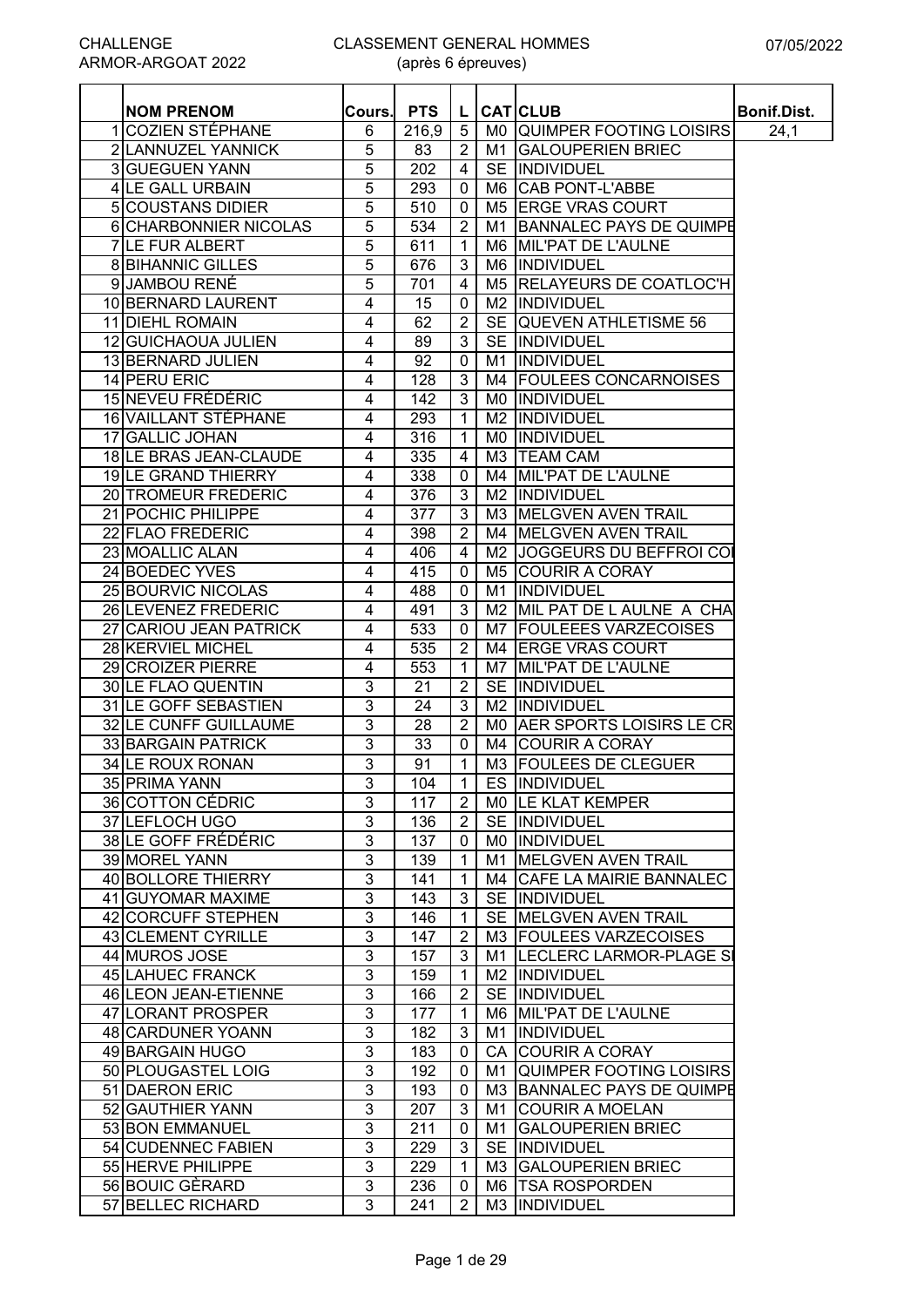(après 6 épreuves)

| <b>NOM PRENOM</b>         | Cours.         | <b>PTS</b>       | L              |    | <b>CAT CLUB</b>             | Bonif.Dist. |
|---------------------------|----------------|------------------|----------------|----|-----------------------------|-------------|
| 1 COZIEN STÉPHANE         | 6              | 216,9            | 5              |    | MO QUIMPER FOOTING LOISIRS  | 24,1        |
| 2 LANNUZEL YANNICK        | 5              | 83               | $\overline{2}$ | M1 | <b>GALOUPERIEN BRIEC</b>    |             |
| 3 GUEGUEN YANN            | 5              | 202              | 4              |    | SE INDIVIDUEL               |             |
| 4 LE GALL URBAIN          | 5              | 293              | $\mathbf 0$    |    | M6 CAB PONT-L'ABBE          |             |
| <b>5 COUSTANS DIDIER</b>  | 5              | 510              | 0              |    | M5 ERGE VRAS COURT          |             |
| 6 CHARBONNIER NICOLAS     | 5              | 534              | $\overline{2}$ |    | M1 BANNALEC PAYS DE QUIMPE  |             |
| 7 LE FUR ALBERT           | 5              | 611              | $\mathbf 1$    |    | M6 MIL'PAT DE L'AULNE       |             |
| <b>8 BIHANNIC GILLES</b>  | 5              | 676              | 3              |    | M6 INDIVIDUEL               |             |
| 9 JAMBOU RENÉ             | 5              | 701              | 4              |    | M5 RELAYEURS DE COATLOC'H   |             |
| 10 BERNARD LAURENT        | 4              | 15               | $\mathbf 0$    |    | M2 INDIVIDUEL               |             |
| 11 DIEHL ROMAIN           | 4              | 62               | $\overline{2}$ |    | SE QUEVEN ATHLETISME 56     |             |
| 12 GUICHAOUA JULIEN       | 4              | 89               | 3              |    | SE INDIVIDUEL               |             |
| 13 BERNARD JULIEN         | 4              | 92               | 0              | M1 | <b>INDIVIDUEL</b>           |             |
| 14 PERU ERIC              | 4              | 128              | 3              |    | M4 FOULEES CONCARNOISES     |             |
| 15 NEVEU FRÉDÉRIC         | 4              | 142              | 3              |    | MO INDIVIDUEL               |             |
| 16 VAILLANT STÉPHANE      | 4              | 293              | $\mathbf 1$    |    | M2 INDIVIDUEL               |             |
| 17 GALLIC JOHAN           | 4              | 316              | $\mathbf 1$    |    | MO INDIVIDUEL               |             |
| 18LE BRAS JEAN-CLAUDE     | 4              | 335              | 4              |    | M3 TEAM CAM                 |             |
| 19LE GRAND THIERRY        | 4              | 338              | $\mathbf 0$    |    | M4 MIL'PAT DE L'AULNE       |             |
| 20 TROMEUR FREDERIC       | 4              | 376              | 3              |    | M2 INDIVIDUEL               |             |
| 21 POCHIC PHILIPPE        | 4              | $\overline{377}$ | 3              |    | M3 MELGVEN AVEN TRAIL       |             |
| 22 FLAO FREDERIC          | 4              | 398              | $\overline{2}$ |    | M4 MELGVEN AVEN TRAIL       |             |
| 23 MOALLIC ALAN           | 4              | 406              | 4              |    | M2 JJOGGEURS DU BEFFROI COI |             |
| 24 BOEDEC YVES            | 4              | 415              | 0              |    | M5 COURIR A CORAY           |             |
| <b>25 BOURVIC NICOLAS</b> | 4              | 488              | 0              |    | M1 INDIVIDUEL               |             |
| 26 LEVENEZ FREDERIC       | 4              | 491              | 3              |    | M2 MIL PAT DE L AULNE A CHA |             |
| 27 CARIOU JEAN PATRICK    | 4              | 533              | 0              |    | M7   FOULEEES VARZECOISES   |             |
| 28 KERVIEL MICHEL         | 4              | 535              | $\overline{2}$ |    | M4 ERGE VRAS COURT          |             |
| 29 CROIZER PIERRE         | 4              | 553              | 1              |    | M7 MIL'PAT DE L'AULNE       |             |
| 30 LE FLAO QUENTIN        | 3              | 21               | $\overline{2}$ |    | SE INDIVIDUEL               |             |
| 31 LE GOFF SEBASTIEN      | 3              | 24               | 3              |    | M2  INDIVIDUEL              |             |
| 32 LE CUNFF GUILLAUME     | 3              | 28               | $\overline{2}$ |    | MO AER SPORTS LOISIRS LE CR |             |
| 33 BARGAIN PATRICK        | 3              | 33               | 0              |    | M4 COURIR A CORAY           |             |
| 34 LE ROUX RONAN          | $\overline{3}$ | 91               | 1              |    | M3 FOULEES DE CLEGUER       |             |
| 35 PRIMA YANN             | 3              | 104              | $\mathbf{1}$   |    | ES INDIVIDUEL               |             |
| 36 COTTON CÉDRIC          | 3              | 117              | $\overline{2}$ |    | MO LE KLAT KEMPER           |             |
| 37 LEFLOCH UGO            | $\overline{3}$ | 136              | $\overline{2}$ |    | SE INDIVIDUEL               |             |
| 38 LE GOFF FRÉDÉRIC       | 3              | 137              | 0              |    | MO INDIVIDUEL               |             |
| 39 MOREL YANN             | 3              | 139              | 1              |    | M1 MELGVEN AVEN TRAIL       |             |
| 40 BOLLORE THIERRY        | 3              | 141              | $\mathbf{1}$   |    | M4 CAFE LA MAIRIE BANNALEC  |             |
| 41 GUYOMAR MAXIME         | $\overline{3}$ | 143              | 3              |    | SE INDIVIDUEL               |             |
| 42 CORCUFF STEPHEN        | $\overline{3}$ | 146              | 1              |    | SE MELGVEN AVEN TRAIL       |             |
| 43 CLEMENT CYRILLE        | 3              | 147              | $\overline{2}$ |    | M3 FOULEES VARZECOISES      |             |
| 44 MUROS JOSE             | 3              | 157              | 3              |    | M1 LECLERC LARMOR-PLAGE SI  |             |
| 45 LAHUEC FRANCK          | $\overline{3}$ | 159              | 1              |    | <b>M2 IINDIVIDUEL</b>       |             |
| 46 LEON JEAN-ETIENNE      | 3              | 166              | $\overline{2}$ |    | SE INDIVIDUEL               |             |
| 47 LORANT PROSPER         | 3              | 177              | 1              |    | M6 MIL'PAT DE L'AULNE       |             |
| 48 CARDUNER YOANN         | 3              | 182              | 3              |    | M1  INDIVIDUEL              |             |
| 49 BARGAIN HUGO           | 3              | 183              | 0              |    | CA COURIR A CORAY           |             |
|                           | 3              |                  |                |    |                             |             |
| 50 PLOUGASTEL LOIG        |                | 192              | 0              |    | M1 QUIMPER FOOTING LOISIRS  |             |
| 51 DAERON ERIC            | 3              | 193              | 0              |    | M3 BANNALEC PAYS DE QUIMPE  |             |
| 52 GAUTHIER YANN          | 3              | 207              | 3              |    | M1 COURIR A MOELAN          |             |
| 53 BON EMMANUEL           | $\overline{3}$ | 211              | 0              |    | M1 GALOUPERIEN BRIEC        |             |
| 54 CUDENNEC FABIEN        | 3              | 229              | 3              |    | SE INDIVIDUEL               |             |
| 55 HERVE PHILIPPE         | 3              | 229              | -1             |    | M3 GALOUPERIEN BRIEC        |             |
| 56 BOUIC GÈRARD           | 3              | 236              | 0              |    | M6 TSA ROSPORDEN            |             |
| 57 BELLEC RICHARD         | $\overline{3}$ | 241              | $\overline{2}$ |    | M3 INDIVIDUEL               |             |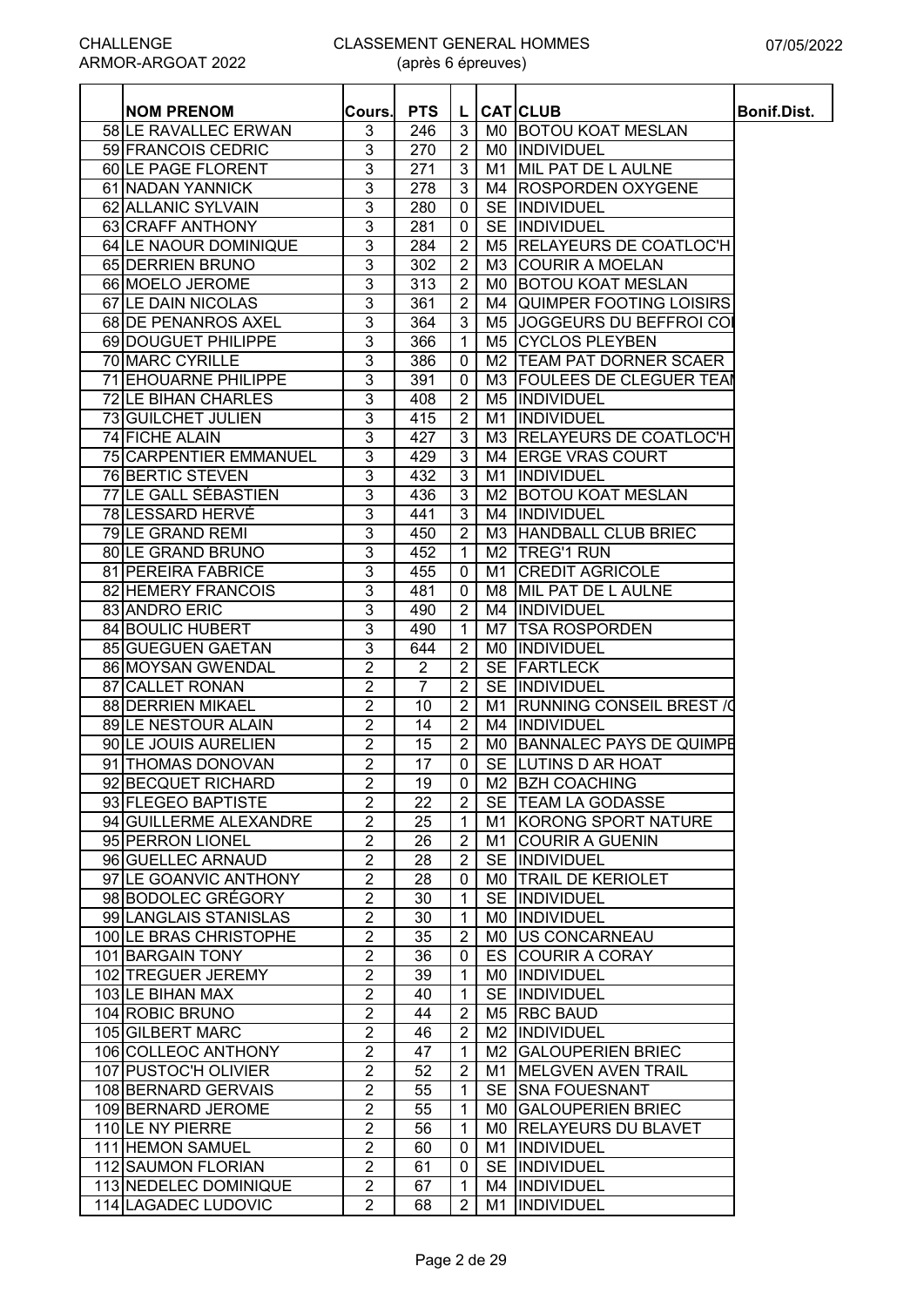| <b>58 ILE RAVALLEC ERWAN</b><br>3<br>246<br>3<br>M0 BOTOU KOAT MESLAN<br>3<br>59 FRANCOIS CEDRIC<br>$\overline{2}$<br>270<br><b>MO INDIVIDUEL</b><br>60 LE PAGE FLORENT<br>3<br>271<br>MIL PAT DE L AULNE<br>3<br>M1<br>3<br>M4 ROSPORDEN OXYGENE<br>61 NADAN YANNICK<br>278<br>3<br>3<br>62 ALLANIC SYLVAIN<br>280<br>SE <i>INDIVIDUEL</i><br>0<br>3<br>63 CRAFF ANTHONY<br>SE INDIVIDUEL<br>281<br>$\mathbf 0$<br>3<br>284<br>$\overline{2}$<br>M5 RELAYEURS DE COATLOC'H<br>64 LE NAOUR DOMINIQUE<br>3<br>$\overline{2}$<br>65 DERRIEN BRUNO<br>302<br>M3 COURIR A MOELAN<br>3<br>313<br>$\overline{2}$<br>M0 BOTOU KOAT MESLAN<br>66 MOELO JEROME<br>3<br>67 LE DAIN NICOLAS<br>361<br>$\overline{2}$<br>M4 QUIMPER FOOTING LOISIRS<br>3<br>364<br>3<br>M5 JJOGGEURS DU BEFFROI COI<br>68 DE PENANROS AXEL<br>3<br>69 DOUGUET PHILIPPE<br>366<br>M5 CYCLOS PLEYBEN<br>$\overline{1}$<br>3<br>70 MARC CYRILLE<br>386<br>M2   TEAM PAT DORNER SCAER<br>$\mathbf 0$<br>3<br>71 EHOUARNE PHILIPPE<br>M3 FOULEES DE CLEGUER TEAM<br>391<br>$\mathbf 0$<br>3<br>$\overline{2}$<br>72 LE BIHAN CHARLES<br>408<br>M5  INDIVIDUEL<br>3<br>73 GUILCHET JULIEN<br>415<br>$\overline{2}$<br>INDIVIDUEL<br>M1<br>3<br>427<br>3<br>74 FICHE ALAIN<br>M3 RELAYEURS DE COATLOC'H<br>3<br>75 CARPENTIER EMMANUEL<br>3<br>429<br>M4 ERGE VRAS COURT<br>76 BERTIC STEVEN<br>3<br>432<br>3<br>INDIVIDUEL<br>M1<br>3<br>77 LE GALL SÉBASTIEN<br>436<br>3<br>M2 BOTOU KOAT MESLAN<br>3<br>78 LESSARD HERVÉ<br>3<br>M4 INDIVIDUEL<br>441<br>3<br><b>79 LE GRAND REMI</b><br>450<br>$\overline{2}$<br>M3 HANDBALL CLUB BRIEC<br>3<br>80 LE GRAND BRUNO<br>452<br>M <sub>2</sub>   TREG'1 RUN<br>$\overline{1}$<br>3<br>M1 CREDIT AGRICOLE<br>81 PEREIRA FABRICE<br>455<br>$\mathbf 0$<br>3<br>82 HEMERY FRANCOIS<br>481<br>M8 MIL PAT DE L AULNE<br>$\mathbf 0$<br>3<br>$\overline{2}$<br>M4 INDIVIDUEL<br>83 ANDRO ERIC<br>490<br><b>84 BOULIC HUBERT</b><br>3<br>490<br>M7 ITSA ROSPORDEN<br>-1<br>3<br>85 GUEGUEN GAETAN<br>$\overline{2}$<br>MO  INDIVIDUEL<br>644<br>$\overline{2}$<br>2<br>$\overline{2}$<br>SE FARTLECK<br>86 MOYSAN GWENDAL<br>2<br>$\overline{7}$<br>$\overline{2}$<br>SE INDIVIDUEL<br>87 CALLET RONAN<br>2<br>88 DERRIEN MIKAEL<br>$\overline{2}$<br><b>RUNNING CONSEIL BREST / 0</b><br>10<br>M1<br>$\overline{2}$<br>89 LE NESTOUR ALAIN<br>14<br>2<br>M4 IINDIVIDUEL<br>2<br>90 LE JOUIS AURELIEN<br>15<br>$\overline{2}$<br>MO BANNALEC PAYS DE QUIMPE<br>$\overline{2}$<br>17<br>SE LUTINS D AR HOAT<br>91 THOMAS DONOVAN<br>0<br>92 BECQUET RICHARD<br>2<br>19<br>$\mathbf 0$<br>M2 BZH COACHING<br>2<br>$\overline{2}$<br>93 FLEGEO BAPTISTE<br>22<br>SE   TEAM LA GODASSE<br>2<br>94 GUILLERME ALEXANDRE<br>25<br>M1 KORONG SPORT NATURE<br>$\overline{1}$<br>2<br>95 PERRON LIONEL<br>26<br>M1 COURIR A GUENIN<br>$\overline{2}$<br>2<br>96 GUELLEC ARNAUD<br>28<br>$\overline{2}$<br>SE IINDIVIDUEL<br>$\overline{2}$<br>97 LE GOANVIC ANTHONY<br>28<br>MO TRAIL DE KERIOLET<br>0<br>$\overline{2}$<br>98 BODOLEC GRÉGORY<br>SE INDIVIDUEL<br>30<br>$\mathbf 1$<br>99 LANGLAIS STANISLAS<br>2<br>30<br>MO INDIVIDUEL<br>-1<br>100 LE BRAS CHRISTOPHE<br>2<br>35<br>MO US CONCARNEAU<br>$\overline{2}$<br>2<br>36<br>ES COURIR A CORAY<br>101 BARGAIN TONY<br>0<br>2<br>102 TREGUER JEREMY<br>39<br>MO INDIVIDUEL<br>-1<br>2<br>SE INDIVIDUEL<br>103 LE BIHAN MAX<br>40<br>-1<br>2<br>104 ROBIC BRUNO<br>M5 RBC BAUD<br>44<br>$\overline{2}$<br>$\overline{c}$<br>105 GILBERT MARC<br>46<br>$\overline{2}$<br>M2 INDIVIDUEL<br>2<br>47<br>106 COLLEOC ANTHONY<br>M2 GALOUPERIEN BRIEC<br>-1<br>2<br>107 PUSTOC'H OLIVIER<br>52<br>2<br>M1 MELGVEN AVEN TRAIL<br>108 BERNARD GERVAIS<br>2<br>SE SNA FOUESNANT<br>55<br>1<br>2<br>MO GALOUPERIEN BRIEC<br>109 BERNARD JEROME<br>55<br>-1<br>2<br>110 LE NY PIERRE<br>56<br>MO RELAYEURS DU BLAVET<br>-1<br>2<br>M1 INDIVIDUEL<br>111 HEMON SAMUEL<br>60<br>0<br>2<br>112 SAUMON FLORIAN<br>61<br>SE INDIVIDUEL<br>0<br>2<br>113 NEDELEC DOMINIQUE<br>M4 INDIVIDUEL<br>67<br>-1<br>114 LAGADEC LUDOVIC<br>2<br>68<br>$\overline{2}$<br>M1 INDIVIDUEL | <b>NOM PRENOM</b> | Cours.l | <b>PTS</b> | L. | <b>CATICLUB</b> | <b>Bonif.Dist.</b> |
|-------------------------------------------------------------------------------------------------------------------------------------------------------------------------------------------------------------------------------------------------------------------------------------------------------------------------------------------------------------------------------------------------------------------------------------------------------------------------------------------------------------------------------------------------------------------------------------------------------------------------------------------------------------------------------------------------------------------------------------------------------------------------------------------------------------------------------------------------------------------------------------------------------------------------------------------------------------------------------------------------------------------------------------------------------------------------------------------------------------------------------------------------------------------------------------------------------------------------------------------------------------------------------------------------------------------------------------------------------------------------------------------------------------------------------------------------------------------------------------------------------------------------------------------------------------------------------------------------------------------------------------------------------------------------------------------------------------------------------------------------------------------------------------------------------------------------------------------------------------------------------------------------------------------------------------------------------------------------------------------------------------------------------------------------------------------------------------------------------------------------------------------------------------------------------------------------------------------------------------------------------------------------------------------------------------------------------------------------------------------------------------------------------------------------------------------------------------------------------------------------------------------------------------------------------------------------------------------------------------------------------------------------------------------------------------------------------------------------------------------------------------------------------------------------------------------------------------------------------------------------------------------------------------------------------------------------------------------------------------------------------------------------------------------------------------------------------------------------------------------------------------------------------------------------------------------------------------------------------------------------------------------------------------------------------------------------------------------------------------------------------------------------------------------------------------------------------------------------------------------------------------------------------------------------------------------------------------------------------------------------------------------------------------------------------------------------------------------------------------------------------------------------------------------------------------------------------------------------------------------------------------------------------------------------------------------------------------------------------------------------------------------------------------------------------------------------------------------------------------------|-------------------|---------|------------|----|-----------------|--------------------|
|                                                                                                                                                                                                                                                                                                                                                                                                                                                                                                                                                                                                                                                                                                                                                                                                                                                                                                                                                                                                                                                                                                                                                                                                                                                                                                                                                                                                                                                                                                                                                                                                                                                                                                                                                                                                                                                                                                                                                                                                                                                                                                                                                                                                                                                                                                                                                                                                                                                                                                                                                                                                                                                                                                                                                                                                                                                                                                                                                                                                                                                                                                                                                                                                                                                                                                                                                                                                                                                                                                                                                                                                                                                                                                                                                                                                                                                                                                                                                                                                                                                                                                                   |                   |         |            |    |                 |                    |
|                                                                                                                                                                                                                                                                                                                                                                                                                                                                                                                                                                                                                                                                                                                                                                                                                                                                                                                                                                                                                                                                                                                                                                                                                                                                                                                                                                                                                                                                                                                                                                                                                                                                                                                                                                                                                                                                                                                                                                                                                                                                                                                                                                                                                                                                                                                                                                                                                                                                                                                                                                                                                                                                                                                                                                                                                                                                                                                                                                                                                                                                                                                                                                                                                                                                                                                                                                                                                                                                                                                                                                                                                                                                                                                                                                                                                                                                                                                                                                                                                                                                                                                   |                   |         |            |    |                 |                    |
|                                                                                                                                                                                                                                                                                                                                                                                                                                                                                                                                                                                                                                                                                                                                                                                                                                                                                                                                                                                                                                                                                                                                                                                                                                                                                                                                                                                                                                                                                                                                                                                                                                                                                                                                                                                                                                                                                                                                                                                                                                                                                                                                                                                                                                                                                                                                                                                                                                                                                                                                                                                                                                                                                                                                                                                                                                                                                                                                                                                                                                                                                                                                                                                                                                                                                                                                                                                                                                                                                                                                                                                                                                                                                                                                                                                                                                                                                                                                                                                                                                                                                                                   |                   |         |            |    |                 |                    |
|                                                                                                                                                                                                                                                                                                                                                                                                                                                                                                                                                                                                                                                                                                                                                                                                                                                                                                                                                                                                                                                                                                                                                                                                                                                                                                                                                                                                                                                                                                                                                                                                                                                                                                                                                                                                                                                                                                                                                                                                                                                                                                                                                                                                                                                                                                                                                                                                                                                                                                                                                                                                                                                                                                                                                                                                                                                                                                                                                                                                                                                                                                                                                                                                                                                                                                                                                                                                                                                                                                                                                                                                                                                                                                                                                                                                                                                                                                                                                                                                                                                                                                                   |                   |         |            |    |                 |                    |
|                                                                                                                                                                                                                                                                                                                                                                                                                                                                                                                                                                                                                                                                                                                                                                                                                                                                                                                                                                                                                                                                                                                                                                                                                                                                                                                                                                                                                                                                                                                                                                                                                                                                                                                                                                                                                                                                                                                                                                                                                                                                                                                                                                                                                                                                                                                                                                                                                                                                                                                                                                                                                                                                                                                                                                                                                                                                                                                                                                                                                                                                                                                                                                                                                                                                                                                                                                                                                                                                                                                                                                                                                                                                                                                                                                                                                                                                                                                                                                                                                                                                                                                   |                   |         |            |    |                 |                    |
|                                                                                                                                                                                                                                                                                                                                                                                                                                                                                                                                                                                                                                                                                                                                                                                                                                                                                                                                                                                                                                                                                                                                                                                                                                                                                                                                                                                                                                                                                                                                                                                                                                                                                                                                                                                                                                                                                                                                                                                                                                                                                                                                                                                                                                                                                                                                                                                                                                                                                                                                                                                                                                                                                                                                                                                                                                                                                                                                                                                                                                                                                                                                                                                                                                                                                                                                                                                                                                                                                                                                                                                                                                                                                                                                                                                                                                                                                                                                                                                                                                                                                                                   |                   |         |            |    |                 |                    |
|                                                                                                                                                                                                                                                                                                                                                                                                                                                                                                                                                                                                                                                                                                                                                                                                                                                                                                                                                                                                                                                                                                                                                                                                                                                                                                                                                                                                                                                                                                                                                                                                                                                                                                                                                                                                                                                                                                                                                                                                                                                                                                                                                                                                                                                                                                                                                                                                                                                                                                                                                                                                                                                                                                                                                                                                                                                                                                                                                                                                                                                                                                                                                                                                                                                                                                                                                                                                                                                                                                                                                                                                                                                                                                                                                                                                                                                                                                                                                                                                                                                                                                                   |                   |         |            |    |                 |                    |
|                                                                                                                                                                                                                                                                                                                                                                                                                                                                                                                                                                                                                                                                                                                                                                                                                                                                                                                                                                                                                                                                                                                                                                                                                                                                                                                                                                                                                                                                                                                                                                                                                                                                                                                                                                                                                                                                                                                                                                                                                                                                                                                                                                                                                                                                                                                                                                                                                                                                                                                                                                                                                                                                                                                                                                                                                                                                                                                                                                                                                                                                                                                                                                                                                                                                                                                                                                                                                                                                                                                                                                                                                                                                                                                                                                                                                                                                                                                                                                                                                                                                                                                   |                   |         |            |    |                 |                    |
|                                                                                                                                                                                                                                                                                                                                                                                                                                                                                                                                                                                                                                                                                                                                                                                                                                                                                                                                                                                                                                                                                                                                                                                                                                                                                                                                                                                                                                                                                                                                                                                                                                                                                                                                                                                                                                                                                                                                                                                                                                                                                                                                                                                                                                                                                                                                                                                                                                                                                                                                                                                                                                                                                                                                                                                                                                                                                                                                                                                                                                                                                                                                                                                                                                                                                                                                                                                                                                                                                                                                                                                                                                                                                                                                                                                                                                                                                                                                                                                                                                                                                                                   |                   |         |            |    |                 |                    |
|                                                                                                                                                                                                                                                                                                                                                                                                                                                                                                                                                                                                                                                                                                                                                                                                                                                                                                                                                                                                                                                                                                                                                                                                                                                                                                                                                                                                                                                                                                                                                                                                                                                                                                                                                                                                                                                                                                                                                                                                                                                                                                                                                                                                                                                                                                                                                                                                                                                                                                                                                                                                                                                                                                                                                                                                                                                                                                                                                                                                                                                                                                                                                                                                                                                                                                                                                                                                                                                                                                                                                                                                                                                                                                                                                                                                                                                                                                                                                                                                                                                                                                                   |                   |         |            |    |                 |                    |
|                                                                                                                                                                                                                                                                                                                                                                                                                                                                                                                                                                                                                                                                                                                                                                                                                                                                                                                                                                                                                                                                                                                                                                                                                                                                                                                                                                                                                                                                                                                                                                                                                                                                                                                                                                                                                                                                                                                                                                                                                                                                                                                                                                                                                                                                                                                                                                                                                                                                                                                                                                                                                                                                                                                                                                                                                                                                                                                                                                                                                                                                                                                                                                                                                                                                                                                                                                                                                                                                                                                                                                                                                                                                                                                                                                                                                                                                                                                                                                                                                                                                                                                   |                   |         |            |    |                 |                    |
|                                                                                                                                                                                                                                                                                                                                                                                                                                                                                                                                                                                                                                                                                                                                                                                                                                                                                                                                                                                                                                                                                                                                                                                                                                                                                                                                                                                                                                                                                                                                                                                                                                                                                                                                                                                                                                                                                                                                                                                                                                                                                                                                                                                                                                                                                                                                                                                                                                                                                                                                                                                                                                                                                                                                                                                                                                                                                                                                                                                                                                                                                                                                                                                                                                                                                                                                                                                                                                                                                                                                                                                                                                                                                                                                                                                                                                                                                                                                                                                                                                                                                                                   |                   |         |            |    |                 |                    |
|                                                                                                                                                                                                                                                                                                                                                                                                                                                                                                                                                                                                                                                                                                                                                                                                                                                                                                                                                                                                                                                                                                                                                                                                                                                                                                                                                                                                                                                                                                                                                                                                                                                                                                                                                                                                                                                                                                                                                                                                                                                                                                                                                                                                                                                                                                                                                                                                                                                                                                                                                                                                                                                                                                                                                                                                                                                                                                                                                                                                                                                                                                                                                                                                                                                                                                                                                                                                                                                                                                                                                                                                                                                                                                                                                                                                                                                                                                                                                                                                                                                                                                                   |                   |         |            |    |                 |                    |
|                                                                                                                                                                                                                                                                                                                                                                                                                                                                                                                                                                                                                                                                                                                                                                                                                                                                                                                                                                                                                                                                                                                                                                                                                                                                                                                                                                                                                                                                                                                                                                                                                                                                                                                                                                                                                                                                                                                                                                                                                                                                                                                                                                                                                                                                                                                                                                                                                                                                                                                                                                                                                                                                                                                                                                                                                                                                                                                                                                                                                                                                                                                                                                                                                                                                                                                                                                                                                                                                                                                                                                                                                                                                                                                                                                                                                                                                                                                                                                                                                                                                                                                   |                   |         |            |    |                 |                    |
|                                                                                                                                                                                                                                                                                                                                                                                                                                                                                                                                                                                                                                                                                                                                                                                                                                                                                                                                                                                                                                                                                                                                                                                                                                                                                                                                                                                                                                                                                                                                                                                                                                                                                                                                                                                                                                                                                                                                                                                                                                                                                                                                                                                                                                                                                                                                                                                                                                                                                                                                                                                                                                                                                                                                                                                                                                                                                                                                                                                                                                                                                                                                                                                                                                                                                                                                                                                                                                                                                                                                                                                                                                                                                                                                                                                                                                                                                                                                                                                                                                                                                                                   |                   |         |            |    |                 |                    |
|                                                                                                                                                                                                                                                                                                                                                                                                                                                                                                                                                                                                                                                                                                                                                                                                                                                                                                                                                                                                                                                                                                                                                                                                                                                                                                                                                                                                                                                                                                                                                                                                                                                                                                                                                                                                                                                                                                                                                                                                                                                                                                                                                                                                                                                                                                                                                                                                                                                                                                                                                                                                                                                                                                                                                                                                                                                                                                                                                                                                                                                                                                                                                                                                                                                                                                                                                                                                                                                                                                                                                                                                                                                                                                                                                                                                                                                                                                                                                                                                                                                                                                                   |                   |         |            |    |                 |                    |
|                                                                                                                                                                                                                                                                                                                                                                                                                                                                                                                                                                                                                                                                                                                                                                                                                                                                                                                                                                                                                                                                                                                                                                                                                                                                                                                                                                                                                                                                                                                                                                                                                                                                                                                                                                                                                                                                                                                                                                                                                                                                                                                                                                                                                                                                                                                                                                                                                                                                                                                                                                                                                                                                                                                                                                                                                                                                                                                                                                                                                                                                                                                                                                                                                                                                                                                                                                                                                                                                                                                                                                                                                                                                                                                                                                                                                                                                                                                                                                                                                                                                                                                   |                   |         |            |    |                 |                    |
|                                                                                                                                                                                                                                                                                                                                                                                                                                                                                                                                                                                                                                                                                                                                                                                                                                                                                                                                                                                                                                                                                                                                                                                                                                                                                                                                                                                                                                                                                                                                                                                                                                                                                                                                                                                                                                                                                                                                                                                                                                                                                                                                                                                                                                                                                                                                                                                                                                                                                                                                                                                                                                                                                                                                                                                                                                                                                                                                                                                                                                                                                                                                                                                                                                                                                                                                                                                                                                                                                                                                                                                                                                                                                                                                                                                                                                                                                                                                                                                                                                                                                                                   |                   |         |            |    |                 |                    |
|                                                                                                                                                                                                                                                                                                                                                                                                                                                                                                                                                                                                                                                                                                                                                                                                                                                                                                                                                                                                                                                                                                                                                                                                                                                                                                                                                                                                                                                                                                                                                                                                                                                                                                                                                                                                                                                                                                                                                                                                                                                                                                                                                                                                                                                                                                                                                                                                                                                                                                                                                                                                                                                                                                                                                                                                                                                                                                                                                                                                                                                                                                                                                                                                                                                                                                                                                                                                                                                                                                                                                                                                                                                                                                                                                                                                                                                                                                                                                                                                                                                                                                                   |                   |         |            |    |                 |                    |
|                                                                                                                                                                                                                                                                                                                                                                                                                                                                                                                                                                                                                                                                                                                                                                                                                                                                                                                                                                                                                                                                                                                                                                                                                                                                                                                                                                                                                                                                                                                                                                                                                                                                                                                                                                                                                                                                                                                                                                                                                                                                                                                                                                                                                                                                                                                                                                                                                                                                                                                                                                                                                                                                                                                                                                                                                                                                                                                                                                                                                                                                                                                                                                                                                                                                                                                                                                                                                                                                                                                                                                                                                                                                                                                                                                                                                                                                                                                                                                                                                                                                                                                   |                   |         |            |    |                 |                    |
|                                                                                                                                                                                                                                                                                                                                                                                                                                                                                                                                                                                                                                                                                                                                                                                                                                                                                                                                                                                                                                                                                                                                                                                                                                                                                                                                                                                                                                                                                                                                                                                                                                                                                                                                                                                                                                                                                                                                                                                                                                                                                                                                                                                                                                                                                                                                                                                                                                                                                                                                                                                                                                                                                                                                                                                                                                                                                                                                                                                                                                                                                                                                                                                                                                                                                                                                                                                                                                                                                                                                                                                                                                                                                                                                                                                                                                                                                                                                                                                                                                                                                                                   |                   |         |            |    |                 |                    |
|                                                                                                                                                                                                                                                                                                                                                                                                                                                                                                                                                                                                                                                                                                                                                                                                                                                                                                                                                                                                                                                                                                                                                                                                                                                                                                                                                                                                                                                                                                                                                                                                                                                                                                                                                                                                                                                                                                                                                                                                                                                                                                                                                                                                                                                                                                                                                                                                                                                                                                                                                                                                                                                                                                                                                                                                                                                                                                                                                                                                                                                                                                                                                                                                                                                                                                                                                                                                                                                                                                                                                                                                                                                                                                                                                                                                                                                                                                                                                                                                                                                                                                                   |                   |         |            |    |                 |                    |
|                                                                                                                                                                                                                                                                                                                                                                                                                                                                                                                                                                                                                                                                                                                                                                                                                                                                                                                                                                                                                                                                                                                                                                                                                                                                                                                                                                                                                                                                                                                                                                                                                                                                                                                                                                                                                                                                                                                                                                                                                                                                                                                                                                                                                                                                                                                                                                                                                                                                                                                                                                                                                                                                                                                                                                                                                                                                                                                                                                                                                                                                                                                                                                                                                                                                                                                                                                                                                                                                                                                                                                                                                                                                                                                                                                                                                                                                                                                                                                                                                                                                                                                   |                   |         |            |    |                 |                    |
|                                                                                                                                                                                                                                                                                                                                                                                                                                                                                                                                                                                                                                                                                                                                                                                                                                                                                                                                                                                                                                                                                                                                                                                                                                                                                                                                                                                                                                                                                                                                                                                                                                                                                                                                                                                                                                                                                                                                                                                                                                                                                                                                                                                                                                                                                                                                                                                                                                                                                                                                                                                                                                                                                                                                                                                                                                                                                                                                                                                                                                                                                                                                                                                                                                                                                                                                                                                                                                                                                                                                                                                                                                                                                                                                                                                                                                                                                                                                                                                                                                                                                                                   |                   |         |            |    |                 |                    |
|                                                                                                                                                                                                                                                                                                                                                                                                                                                                                                                                                                                                                                                                                                                                                                                                                                                                                                                                                                                                                                                                                                                                                                                                                                                                                                                                                                                                                                                                                                                                                                                                                                                                                                                                                                                                                                                                                                                                                                                                                                                                                                                                                                                                                                                                                                                                                                                                                                                                                                                                                                                                                                                                                                                                                                                                                                                                                                                                                                                                                                                                                                                                                                                                                                                                                                                                                                                                                                                                                                                                                                                                                                                                                                                                                                                                                                                                                                                                                                                                                                                                                                                   |                   |         |            |    |                 |                    |
|                                                                                                                                                                                                                                                                                                                                                                                                                                                                                                                                                                                                                                                                                                                                                                                                                                                                                                                                                                                                                                                                                                                                                                                                                                                                                                                                                                                                                                                                                                                                                                                                                                                                                                                                                                                                                                                                                                                                                                                                                                                                                                                                                                                                                                                                                                                                                                                                                                                                                                                                                                                                                                                                                                                                                                                                                                                                                                                                                                                                                                                                                                                                                                                                                                                                                                                                                                                                                                                                                                                                                                                                                                                                                                                                                                                                                                                                                                                                                                                                                                                                                                                   |                   |         |            |    |                 |                    |
|                                                                                                                                                                                                                                                                                                                                                                                                                                                                                                                                                                                                                                                                                                                                                                                                                                                                                                                                                                                                                                                                                                                                                                                                                                                                                                                                                                                                                                                                                                                                                                                                                                                                                                                                                                                                                                                                                                                                                                                                                                                                                                                                                                                                                                                                                                                                                                                                                                                                                                                                                                                                                                                                                                                                                                                                                                                                                                                                                                                                                                                                                                                                                                                                                                                                                                                                                                                                                                                                                                                                                                                                                                                                                                                                                                                                                                                                                                                                                                                                                                                                                                                   |                   |         |            |    |                 |                    |
|                                                                                                                                                                                                                                                                                                                                                                                                                                                                                                                                                                                                                                                                                                                                                                                                                                                                                                                                                                                                                                                                                                                                                                                                                                                                                                                                                                                                                                                                                                                                                                                                                                                                                                                                                                                                                                                                                                                                                                                                                                                                                                                                                                                                                                                                                                                                                                                                                                                                                                                                                                                                                                                                                                                                                                                                                                                                                                                                                                                                                                                                                                                                                                                                                                                                                                                                                                                                                                                                                                                                                                                                                                                                                                                                                                                                                                                                                                                                                                                                                                                                                                                   |                   |         |            |    |                 |                    |
|                                                                                                                                                                                                                                                                                                                                                                                                                                                                                                                                                                                                                                                                                                                                                                                                                                                                                                                                                                                                                                                                                                                                                                                                                                                                                                                                                                                                                                                                                                                                                                                                                                                                                                                                                                                                                                                                                                                                                                                                                                                                                                                                                                                                                                                                                                                                                                                                                                                                                                                                                                                                                                                                                                                                                                                                                                                                                                                                                                                                                                                                                                                                                                                                                                                                                                                                                                                                                                                                                                                                                                                                                                                                                                                                                                                                                                                                                                                                                                                                                                                                                                                   |                   |         |            |    |                 |                    |
|                                                                                                                                                                                                                                                                                                                                                                                                                                                                                                                                                                                                                                                                                                                                                                                                                                                                                                                                                                                                                                                                                                                                                                                                                                                                                                                                                                                                                                                                                                                                                                                                                                                                                                                                                                                                                                                                                                                                                                                                                                                                                                                                                                                                                                                                                                                                                                                                                                                                                                                                                                                                                                                                                                                                                                                                                                                                                                                                                                                                                                                                                                                                                                                                                                                                                                                                                                                                                                                                                                                                                                                                                                                                                                                                                                                                                                                                                                                                                                                                                                                                                                                   |                   |         |            |    |                 |                    |
|                                                                                                                                                                                                                                                                                                                                                                                                                                                                                                                                                                                                                                                                                                                                                                                                                                                                                                                                                                                                                                                                                                                                                                                                                                                                                                                                                                                                                                                                                                                                                                                                                                                                                                                                                                                                                                                                                                                                                                                                                                                                                                                                                                                                                                                                                                                                                                                                                                                                                                                                                                                                                                                                                                                                                                                                                                                                                                                                                                                                                                                                                                                                                                                                                                                                                                                                                                                                                                                                                                                                                                                                                                                                                                                                                                                                                                                                                                                                                                                                                                                                                                                   |                   |         |            |    |                 |                    |
|                                                                                                                                                                                                                                                                                                                                                                                                                                                                                                                                                                                                                                                                                                                                                                                                                                                                                                                                                                                                                                                                                                                                                                                                                                                                                                                                                                                                                                                                                                                                                                                                                                                                                                                                                                                                                                                                                                                                                                                                                                                                                                                                                                                                                                                                                                                                                                                                                                                                                                                                                                                                                                                                                                                                                                                                                                                                                                                                                                                                                                                                                                                                                                                                                                                                                                                                                                                                                                                                                                                                                                                                                                                                                                                                                                                                                                                                                                                                                                                                                                                                                                                   |                   |         |            |    |                 |                    |
|                                                                                                                                                                                                                                                                                                                                                                                                                                                                                                                                                                                                                                                                                                                                                                                                                                                                                                                                                                                                                                                                                                                                                                                                                                                                                                                                                                                                                                                                                                                                                                                                                                                                                                                                                                                                                                                                                                                                                                                                                                                                                                                                                                                                                                                                                                                                                                                                                                                                                                                                                                                                                                                                                                                                                                                                                                                                                                                                                                                                                                                                                                                                                                                                                                                                                                                                                                                                                                                                                                                                                                                                                                                                                                                                                                                                                                                                                                                                                                                                                                                                                                                   |                   |         |            |    |                 |                    |
|                                                                                                                                                                                                                                                                                                                                                                                                                                                                                                                                                                                                                                                                                                                                                                                                                                                                                                                                                                                                                                                                                                                                                                                                                                                                                                                                                                                                                                                                                                                                                                                                                                                                                                                                                                                                                                                                                                                                                                                                                                                                                                                                                                                                                                                                                                                                                                                                                                                                                                                                                                                                                                                                                                                                                                                                                                                                                                                                                                                                                                                                                                                                                                                                                                                                                                                                                                                                                                                                                                                                                                                                                                                                                                                                                                                                                                                                                                                                                                                                                                                                                                                   |                   |         |            |    |                 |                    |
|                                                                                                                                                                                                                                                                                                                                                                                                                                                                                                                                                                                                                                                                                                                                                                                                                                                                                                                                                                                                                                                                                                                                                                                                                                                                                                                                                                                                                                                                                                                                                                                                                                                                                                                                                                                                                                                                                                                                                                                                                                                                                                                                                                                                                                                                                                                                                                                                                                                                                                                                                                                                                                                                                                                                                                                                                                                                                                                                                                                                                                                                                                                                                                                                                                                                                                                                                                                                                                                                                                                                                                                                                                                                                                                                                                                                                                                                                                                                                                                                                                                                                                                   |                   |         |            |    |                 |                    |
|                                                                                                                                                                                                                                                                                                                                                                                                                                                                                                                                                                                                                                                                                                                                                                                                                                                                                                                                                                                                                                                                                                                                                                                                                                                                                                                                                                                                                                                                                                                                                                                                                                                                                                                                                                                                                                                                                                                                                                                                                                                                                                                                                                                                                                                                                                                                                                                                                                                                                                                                                                                                                                                                                                                                                                                                                                                                                                                                                                                                                                                                                                                                                                                                                                                                                                                                                                                                                                                                                                                                                                                                                                                                                                                                                                                                                                                                                                                                                                                                                                                                                                                   |                   |         |            |    |                 |                    |
|                                                                                                                                                                                                                                                                                                                                                                                                                                                                                                                                                                                                                                                                                                                                                                                                                                                                                                                                                                                                                                                                                                                                                                                                                                                                                                                                                                                                                                                                                                                                                                                                                                                                                                                                                                                                                                                                                                                                                                                                                                                                                                                                                                                                                                                                                                                                                                                                                                                                                                                                                                                                                                                                                                                                                                                                                                                                                                                                                                                                                                                                                                                                                                                                                                                                                                                                                                                                                                                                                                                                                                                                                                                                                                                                                                                                                                                                                                                                                                                                                                                                                                                   |                   |         |            |    |                 |                    |
|                                                                                                                                                                                                                                                                                                                                                                                                                                                                                                                                                                                                                                                                                                                                                                                                                                                                                                                                                                                                                                                                                                                                                                                                                                                                                                                                                                                                                                                                                                                                                                                                                                                                                                                                                                                                                                                                                                                                                                                                                                                                                                                                                                                                                                                                                                                                                                                                                                                                                                                                                                                                                                                                                                                                                                                                                                                                                                                                                                                                                                                                                                                                                                                                                                                                                                                                                                                                                                                                                                                                                                                                                                                                                                                                                                                                                                                                                                                                                                                                                                                                                                                   |                   |         |            |    |                 |                    |
|                                                                                                                                                                                                                                                                                                                                                                                                                                                                                                                                                                                                                                                                                                                                                                                                                                                                                                                                                                                                                                                                                                                                                                                                                                                                                                                                                                                                                                                                                                                                                                                                                                                                                                                                                                                                                                                                                                                                                                                                                                                                                                                                                                                                                                                                                                                                                                                                                                                                                                                                                                                                                                                                                                                                                                                                                                                                                                                                                                                                                                                                                                                                                                                                                                                                                                                                                                                                                                                                                                                                                                                                                                                                                                                                                                                                                                                                                                                                                                                                                                                                                                                   |                   |         |            |    |                 |                    |
|                                                                                                                                                                                                                                                                                                                                                                                                                                                                                                                                                                                                                                                                                                                                                                                                                                                                                                                                                                                                                                                                                                                                                                                                                                                                                                                                                                                                                                                                                                                                                                                                                                                                                                                                                                                                                                                                                                                                                                                                                                                                                                                                                                                                                                                                                                                                                                                                                                                                                                                                                                                                                                                                                                                                                                                                                                                                                                                                                                                                                                                                                                                                                                                                                                                                                                                                                                                                                                                                                                                                                                                                                                                                                                                                                                                                                                                                                                                                                                                                                                                                                                                   |                   |         |            |    |                 |                    |
|                                                                                                                                                                                                                                                                                                                                                                                                                                                                                                                                                                                                                                                                                                                                                                                                                                                                                                                                                                                                                                                                                                                                                                                                                                                                                                                                                                                                                                                                                                                                                                                                                                                                                                                                                                                                                                                                                                                                                                                                                                                                                                                                                                                                                                                                                                                                                                                                                                                                                                                                                                                                                                                                                                                                                                                                                                                                                                                                                                                                                                                                                                                                                                                                                                                                                                                                                                                                                                                                                                                                                                                                                                                                                                                                                                                                                                                                                                                                                                                                                                                                                                                   |                   |         |            |    |                 |                    |
|                                                                                                                                                                                                                                                                                                                                                                                                                                                                                                                                                                                                                                                                                                                                                                                                                                                                                                                                                                                                                                                                                                                                                                                                                                                                                                                                                                                                                                                                                                                                                                                                                                                                                                                                                                                                                                                                                                                                                                                                                                                                                                                                                                                                                                                                                                                                                                                                                                                                                                                                                                                                                                                                                                                                                                                                                                                                                                                                                                                                                                                                                                                                                                                                                                                                                                                                                                                                                                                                                                                                                                                                                                                                                                                                                                                                                                                                                                                                                                                                                                                                                                                   |                   |         |            |    |                 |                    |
|                                                                                                                                                                                                                                                                                                                                                                                                                                                                                                                                                                                                                                                                                                                                                                                                                                                                                                                                                                                                                                                                                                                                                                                                                                                                                                                                                                                                                                                                                                                                                                                                                                                                                                                                                                                                                                                                                                                                                                                                                                                                                                                                                                                                                                                                                                                                                                                                                                                                                                                                                                                                                                                                                                                                                                                                                                                                                                                                                                                                                                                                                                                                                                                                                                                                                                                                                                                                                                                                                                                                                                                                                                                                                                                                                                                                                                                                                                                                                                                                                                                                                                                   |                   |         |            |    |                 |                    |
|                                                                                                                                                                                                                                                                                                                                                                                                                                                                                                                                                                                                                                                                                                                                                                                                                                                                                                                                                                                                                                                                                                                                                                                                                                                                                                                                                                                                                                                                                                                                                                                                                                                                                                                                                                                                                                                                                                                                                                                                                                                                                                                                                                                                                                                                                                                                                                                                                                                                                                                                                                                                                                                                                                                                                                                                                                                                                                                                                                                                                                                                                                                                                                                                                                                                                                                                                                                                                                                                                                                                                                                                                                                                                                                                                                                                                                                                                                                                                                                                                                                                                                                   |                   |         |            |    |                 |                    |
|                                                                                                                                                                                                                                                                                                                                                                                                                                                                                                                                                                                                                                                                                                                                                                                                                                                                                                                                                                                                                                                                                                                                                                                                                                                                                                                                                                                                                                                                                                                                                                                                                                                                                                                                                                                                                                                                                                                                                                                                                                                                                                                                                                                                                                                                                                                                                                                                                                                                                                                                                                                                                                                                                                                                                                                                                                                                                                                                                                                                                                                                                                                                                                                                                                                                                                                                                                                                                                                                                                                                                                                                                                                                                                                                                                                                                                                                                                                                                                                                                                                                                                                   |                   |         |            |    |                 |                    |
|                                                                                                                                                                                                                                                                                                                                                                                                                                                                                                                                                                                                                                                                                                                                                                                                                                                                                                                                                                                                                                                                                                                                                                                                                                                                                                                                                                                                                                                                                                                                                                                                                                                                                                                                                                                                                                                                                                                                                                                                                                                                                                                                                                                                                                                                                                                                                                                                                                                                                                                                                                                                                                                                                                                                                                                                                                                                                                                                                                                                                                                                                                                                                                                                                                                                                                                                                                                                                                                                                                                                                                                                                                                                                                                                                                                                                                                                                                                                                                                                                                                                                                                   |                   |         |            |    |                 |                    |
|                                                                                                                                                                                                                                                                                                                                                                                                                                                                                                                                                                                                                                                                                                                                                                                                                                                                                                                                                                                                                                                                                                                                                                                                                                                                                                                                                                                                                                                                                                                                                                                                                                                                                                                                                                                                                                                                                                                                                                                                                                                                                                                                                                                                                                                                                                                                                                                                                                                                                                                                                                                                                                                                                                                                                                                                                                                                                                                                                                                                                                                                                                                                                                                                                                                                                                                                                                                                                                                                                                                                                                                                                                                                                                                                                                                                                                                                                                                                                                                                                                                                                                                   |                   |         |            |    |                 |                    |
|                                                                                                                                                                                                                                                                                                                                                                                                                                                                                                                                                                                                                                                                                                                                                                                                                                                                                                                                                                                                                                                                                                                                                                                                                                                                                                                                                                                                                                                                                                                                                                                                                                                                                                                                                                                                                                                                                                                                                                                                                                                                                                                                                                                                                                                                                                                                                                                                                                                                                                                                                                                                                                                                                                                                                                                                                                                                                                                                                                                                                                                                                                                                                                                                                                                                                                                                                                                                                                                                                                                                                                                                                                                                                                                                                                                                                                                                                                                                                                                                                                                                                                                   |                   |         |            |    |                 |                    |
|                                                                                                                                                                                                                                                                                                                                                                                                                                                                                                                                                                                                                                                                                                                                                                                                                                                                                                                                                                                                                                                                                                                                                                                                                                                                                                                                                                                                                                                                                                                                                                                                                                                                                                                                                                                                                                                                                                                                                                                                                                                                                                                                                                                                                                                                                                                                                                                                                                                                                                                                                                                                                                                                                                                                                                                                                                                                                                                                                                                                                                                                                                                                                                                                                                                                                                                                                                                                                                                                                                                                                                                                                                                                                                                                                                                                                                                                                                                                                                                                                                                                                                                   |                   |         |            |    |                 |                    |
|                                                                                                                                                                                                                                                                                                                                                                                                                                                                                                                                                                                                                                                                                                                                                                                                                                                                                                                                                                                                                                                                                                                                                                                                                                                                                                                                                                                                                                                                                                                                                                                                                                                                                                                                                                                                                                                                                                                                                                                                                                                                                                                                                                                                                                                                                                                                                                                                                                                                                                                                                                                                                                                                                                                                                                                                                                                                                                                                                                                                                                                                                                                                                                                                                                                                                                                                                                                                                                                                                                                                                                                                                                                                                                                                                                                                                                                                                                                                                                                                                                                                                                                   |                   |         |            |    |                 |                    |
|                                                                                                                                                                                                                                                                                                                                                                                                                                                                                                                                                                                                                                                                                                                                                                                                                                                                                                                                                                                                                                                                                                                                                                                                                                                                                                                                                                                                                                                                                                                                                                                                                                                                                                                                                                                                                                                                                                                                                                                                                                                                                                                                                                                                                                                                                                                                                                                                                                                                                                                                                                                                                                                                                                                                                                                                                                                                                                                                                                                                                                                                                                                                                                                                                                                                                                                                                                                                                                                                                                                                                                                                                                                                                                                                                                                                                                                                                                                                                                                                                                                                                                                   |                   |         |            |    |                 |                    |
|                                                                                                                                                                                                                                                                                                                                                                                                                                                                                                                                                                                                                                                                                                                                                                                                                                                                                                                                                                                                                                                                                                                                                                                                                                                                                                                                                                                                                                                                                                                                                                                                                                                                                                                                                                                                                                                                                                                                                                                                                                                                                                                                                                                                                                                                                                                                                                                                                                                                                                                                                                                                                                                                                                                                                                                                                                                                                                                                                                                                                                                                                                                                                                                                                                                                                                                                                                                                                                                                                                                                                                                                                                                                                                                                                                                                                                                                                                                                                                                                                                                                                                                   |                   |         |            |    |                 |                    |
|                                                                                                                                                                                                                                                                                                                                                                                                                                                                                                                                                                                                                                                                                                                                                                                                                                                                                                                                                                                                                                                                                                                                                                                                                                                                                                                                                                                                                                                                                                                                                                                                                                                                                                                                                                                                                                                                                                                                                                                                                                                                                                                                                                                                                                                                                                                                                                                                                                                                                                                                                                                                                                                                                                                                                                                                                                                                                                                                                                                                                                                                                                                                                                                                                                                                                                                                                                                                                                                                                                                                                                                                                                                                                                                                                                                                                                                                                                                                                                                                                                                                                                                   |                   |         |            |    |                 |                    |
|                                                                                                                                                                                                                                                                                                                                                                                                                                                                                                                                                                                                                                                                                                                                                                                                                                                                                                                                                                                                                                                                                                                                                                                                                                                                                                                                                                                                                                                                                                                                                                                                                                                                                                                                                                                                                                                                                                                                                                                                                                                                                                                                                                                                                                                                                                                                                                                                                                                                                                                                                                                                                                                                                                                                                                                                                                                                                                                                                                                                                                                                                                                                                                                                                                                                                                                                                                                                                                                                                                                                                                                                                                                                                                                                                                                                                                                                                                                                                                                                                                                                                                                   |                   |         |            |    |                 |                    |
|                                                                                                                                                                                                                                                                                                                                                                                                                                                                                                                                                                                                                                                                                                                                                                                                                                                                                                                                                                                                                                                                                                                                                                                                                                                                                                                                                                                                                                                                                                                                                                                                                                                                                                                                                                                                                                                                                                                                                                                                                                                                                                                                                                                                                                                                                                                                                                                                                                                                                                                                                                                                                                                                                                                                                                                                                                                                                                                                                                                                                                                                                                                                                                                                                                                                                                                                                                                                                                                                                                                                                                                                                                                                                                                                                                                                                                                                                                                                                                                                                                                                                                                   |                   |         |            |    |                 |                    |
|                                                                                                                                                                                                                                                                                                                                                                                                                                                                                                                                                                                                                                                                                                                                                                                                                                                                                                                                                                                                                                                                                                                                                                                                                                                                                                                                                                                                                                                                                                                                                                                                                                                                                                                                                                                                                                                                                                                                                                                                                                                                                                                                                                                                                                                                                                                                                                                                                                                                                                                                                                                                                                                                                                                                                                                                                                                                                                                                                                                                                                                                                                                                                                                                                                                                                                                                                                                                                                                                                                                                                                                                                                                                                                                                                                                                                                                                                                                                                                                                                                                                                                                   |                   |         |            |    |                 |                    |
|                                                                                                                                                                                                                                                                                                                                                                                                                                                                                                                                                                                                                                                                                                                                                                                                                                                                                                                                                                                                                                                                                                                                                                                                                                                                                                                                                                                                                                                                                                                                                                                                                                                                                                                                                                                                                                                                                                                                                                                                                                                                                                                                                                                                                                                                                                                                                                                                                                                                                                                                                                                                                                                                                                                                                                                                                                                                                                                                                                                                                                                                                                                                                                                                                                                                                                                                                                                                                                                                                                                                                                                                                                                                                                                                                                                                                                                                                                                                                                                                                                                                                                                   |                   |         |            |    |                 |                    |
|                                                                                                                                                                                                                                                                                                                                                                                                                                                                                                                                                                                                                                                                                                                                                                                                                                                                                                                                                                                                                                                                                                                                                                                                                                                                                                                                                                                                                                                                                                                                                                                                                                                                                                                                                                                                                                                                                                                                                                                                                                                                                                                                                                                                                                                                                                                                                                                                                                                                                                                                                                                                                                                                                                                                                                                                                                                                                                                                                                                                                                                                                                                                                                                                                                                                                                                                                                                                                                                                                                                                                                                                                                                                                                                                                                                                                                                                                                                                                                                                                                                                                                                   |                   |         |            |    |                 |                    |
|                                                                                                                                                                                                                                                                                                                                                                                                                                                                                                                                                                                                                                                                                                                                                                                                                                                                                                                                                                                                                                                                                                                                                                                                                                                                                                                                                                                                                                                                                                                                                                                                                                                                                                                                                                                                                                                                                                                                                                                                                                                                                                                                                                                                                                                                                                                                                                                                                                                                                                                                                                                                                                                                                                                                                                                                                                                                                                                                                                                                                                                                                                                                                                                                                                                                                                                                                                                                                                                                                                                                                                                                                                                                                                                                                                                                                                                                                                                                                                                                                                                                                                                   |                   |         |            |    |                 |                    |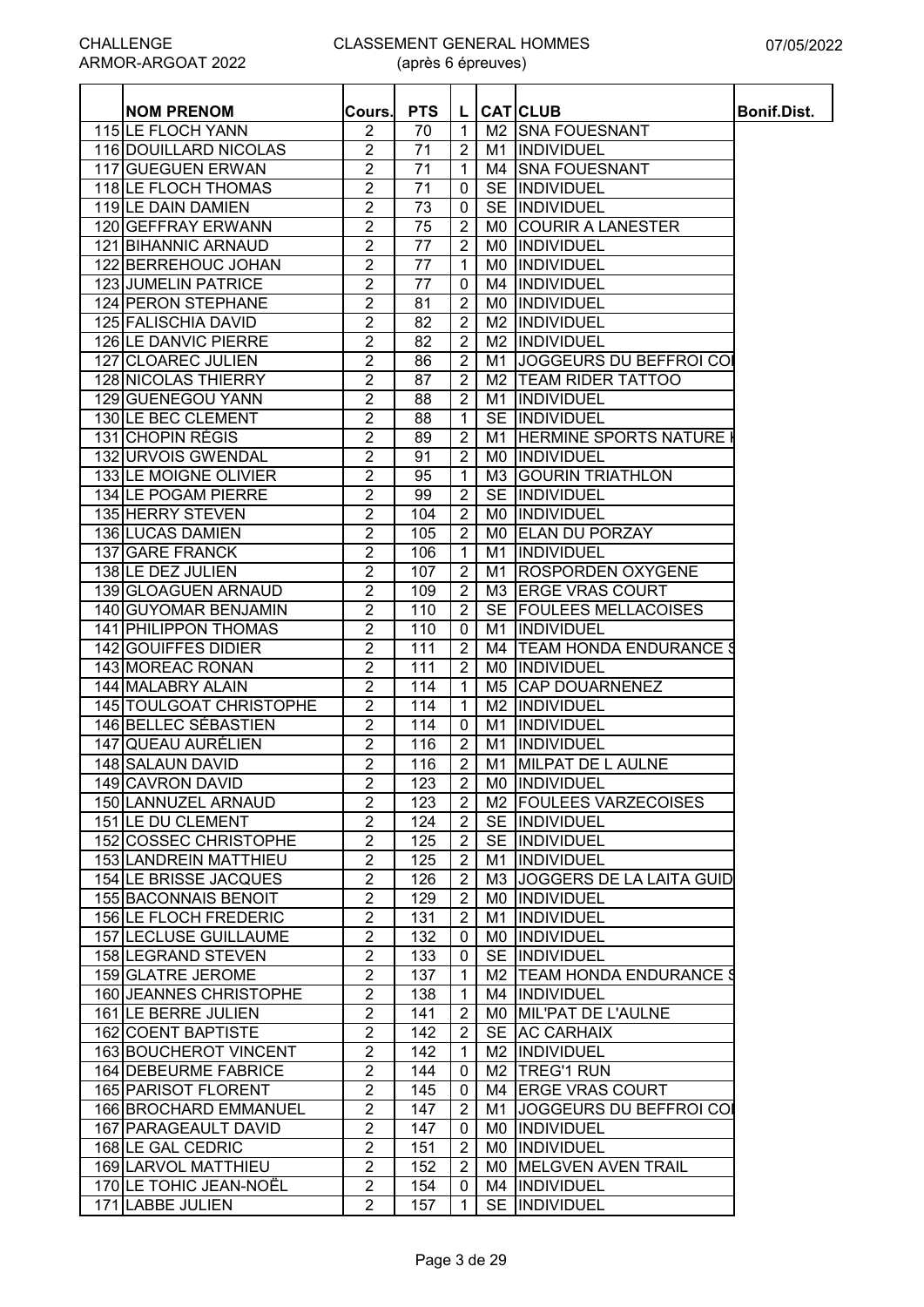| <b>NOM PRENOM</b>            | Cours.           | <b>PTS</b>      | L.             |                | <b>CAT CLUB</b>                | Bonif.Dist. |
|------------------------------|------------------|-----------------|----------------|----------------|--------------------------------|-------------|
| 115 LE FLOCH YANN            | 2                | 70              | 1              |                | M2 SNA FOUESNANT               |             |
| 116 DOUILLARD NICOLAS        | $\overline{2}$   | 71              | $\overline{2}$ |                | M1 INDIVIDUEL                  |             |
| 117 GUEGUEN ERWAN            | $\overline{2}$   | 71              | $\mathbf{1}$   |                | M4 SNA FOUESNANT               |             |
| 118 LE FLOCH THOMAS          | $\overline{2}$   | 71              | 0              |                | SE INDIVIDUEL                  |             |
| 119 LE DAIN DAMIEN           | $\overline{2}$   | 73              | 0              |                | SE INDIVIDUEL                  |             |
| 120 GEFFRAY ERWANN           | $\overline{2}$   | 75              | $\overline{2}$ | M0             | <b>COURIR A LANESTER</b>       |             |
| 121 BIHANNIC ARNAUD          | $\overline{2}$   | 77              | $\overline{2}$ |                | MO  INDIVIDUEL                 |             |
| 122 BERREHOUC JOHAN          | $\overline{2}$   | $\overline{77}$ | $\mathbf{1}$   |                | MO  INDIVIDUEL                 |             |
| 123 JUMELIN PATRICE          | $\overline{2}$   | 77              | 0              |                | M4 INDIVIDUEL                  |             |
| 124 PERON STEPHANE           | $\overline{2}$   | 81              | $\overline{2}$ |                | MO INDIVIDUEL                  |             |
| 125 FALISCHIA DAVID          | $\overline{2}$   | 82              | $\overline{2}$ |                | M2 INDIVIDUEL                  |             |
| 126 LE DANVIC PIERRE         | $\overline{2}$   | 82              | $\overline{2}$ |                | M2  INDIVIDUEL                 |             |
| 127 CLOAREC JULIEN           | 2                | 86              | $\overline{2}$ | M1             | JOGGEURS DU BEFFROI COI        |             |
| 128 NICOLAS THIERRY          | $\overline{2}$   | 87              | $\overline{2}$ | M <sub>2</sub> | <b>TEAM RIDER TATTOO</b>       |             |
| 129 GUENEGOU YANN            | $\boldsymbol{2}$ | 88              | $\overline{2}$ | M1             | <b>INDIVIDUEL</b>              |             |
| 130 LE BEC CLEMENT           | $\overline{2}$   | 88              | 1              | <b>SE</b>      | INDIVIDUEL                     |             |
| 131 CHOPIN RÉGIS             | $\overline{2}$   | 89              | $\overline{2}$ | M1             | <b>HERMINE SPORTS NATURE</b>   |             |
| 132 URVOIS GWENDAL           | $\overline{2}$   | 91              | $\overline{2}$ | M0.            | <b>INDIVIDUEL</b>              |             |
| 133 LE MOIGNE OLIVIER        | $\overline{2}$   | 95              | 1              |                | M3 GOURIN TRIATHLON            |             |
| 134 LE POGAM PIERRE          | $\overline{2}$   | 99              | $\overline{2}$ |                | SE INDIVIDUEL                  |             |
| 135 HERRY STEVEN             | $\overline{2}$   | 104             | $\overline{2}$ |                | MO INDIVIDUEL                  |             |
| 136 LUCAS DAMIEN             | $\overline{2}$   | 105             | $\overline{2}$ |                | MO ELAN DU PORZAY              |             |
| 137 GARE FRANCK              | $\overline{2}$   | 106             | $\mathbf{1}$   |                | M1 INDIVIDUEL                  |             |
| 138 LE DEZ JULIEN            | $\overline{2}$   | 107             | $\overline{2}$ |                | M1 ROSPORDEN OXYGENE           |             |
| 139 GLOAGUEN ARNAUD          | $\overline{2}$   | 109             | $\overline{2}$ |                | M3 ERGE VRAS COURT             |             |
| <b>140 GUYOMAR BENJAMIN</b>  | $\overline{2}$   | 110             | $\overline{2}$ |                | SE FOULEES MELLACOISES         |             |
| 141 PHILIPPON THOMAS         | $\overline{2}$   | 110             | $\mathbf 0$    |                | M1 INDIVIDUEL                  |             |
| 142 GOUIFFES DIDIER          | $\overline{2}$   | 111             | $\overline{2}$ | M4             | <b>TEAM HONDA ENDURANCE \$</b> |             |
| 143 MOREAC RONAN             | 2                | 111             | $\overline{2}$ |                | MO INDIVIDUEL                  |             |
| 144 MALABRY ALAIN            | 2                | 114             | $\mathbf{1}$   | M5             | <b>CAP DOUARNENEZ</b>          |             |
| 145 TOULGOAT CHRISTOPHE      | $\overline{2}$   | 114             | 1              | M2             | INDIVIDUEL                     |             |
| 146 BELLEC SÉBASTIEN         | $\boldsymbol{2}$ | 114             | 0              | M1             | <b>INDIVIDUEL</b>              |             |
| 147 QUEAU AURÉLIEN           | $\overline{2}$   | 116             | $\overline{2}$ | M1             | <b>INDIVIDUEL</b>              |             |
| 148 SALAUN DAVID             | $\overline{2}$   | 116             | $\overline{2}$ | M1             | <b>MILPAT DE L AULNE</b>       |             |
| 149 CAVRON DAVID             | 2                | 123             | $\mathbf{2}$   |                | MO INDIVIDUEL                  |             |
| 150 LANNUZEL ARNAUD          | $\overline{2}$   | 123             | $\overline{2}$ |                | M2 FOULEES VARZECOISES         |             |
| 151 LE DU CLEMENT            | $\overline{2}$   | 124             | $\overline{2}$ |                | SE INDIVIDUEL                  |             |
| 152 COSSEC CHRISTOPHE        | $\overline{2}$   | 125             | $\overline{2}$ |                | SE INDIVIDUEL                  |             |
| 153 LANDREIN MATTHIEU        | $\overline{2}$   | 125             | $\overline{2}$ |                | M1  INDIVIDUEL                 |             |
| 154 LE BRISSE JACQUES        | $\sqrt{2}$       | 126             | $\overline{2}$ |                | M3 JOGGERS DE LA LAITA GUID    |             |
| 155 BACONNAIS BENOIT         | $\overline{2}$   | 129             | $\overline{2}$ |                | <b>MO IINDIVIDUEL</b>          |             |
| <b>156 LE FLOCH FREDERIC</b> | $\overline{2}$   | 131             | $\overline{2}$ |                | M1  INDIVIDUEL                 |             |
| 157 LECLUSE GUILLAUME        | $\overline{2}$   | 132             | 0              |                | MO INDIVIDUEL                  |             |
| 158 LEGRAND STEVEN           | $\overline{2}$   | 133             | 0              |                | SE INDIVIDUEL                  |             |
| 159 GLATRE JEROME            | $\overline{2}$   | 137             | 1              |                | M2   TEAM HONDA ENDURANCE \$   |             |
| 160 JEANNES CHRISTOPHE       | $\overline{c}$   | 138             | 1              |                | M4  INDIVIDUEL                 |             |
| 161 LE BERRE JULIEN          | $\overline{2}$   | 141             | $\overline{2}$ |                | MO MIL'PAT DE L'AULNE          |             |
| 162 COENT BAPTISTE           | $\boldsymbol{2}$ | 142             | $\overline{2}$ |                | SE AC CARHAIX                  |             |
| 163 BOUCHEROT VINCENT        | $\overline{2}$   | 142             | 1              |                | M2  INDIVIDUEL                 |             |
| 164 DEBEURME FABRICE         | $\overline{2}$   | 144             | 0              |                | M <sub>2</sub>   TREG'1 RUN    |             |
| 165 PARISOT FLORENT          | $\overline{2}$   | 145             | 0              |                | M4 ERGE VRAS COURT             |             |
| 166 BROCHARD EMMANUEL        | $\overline{2}$   | 147             | $\overline{2}$ |                | M1 JOGGEURS DU BEFFROI COI     |             |
| 167 PARAGEAULT DAVID         | $\overline{2}$   | 147             | 0              |                | MO INDIVIDUEL                  |             |
| 168 LE GAL CEDRIC            | $\overline{2}$   | 151             | $\overline{c}$ |                | MO  INDIVIDUEL                 |             |
| 169 LARVOL MATTHIEU          | $\overline{2}$   | 152             | 2              |                | MO MELGVEN AVEN TRAIL          |             |
| 170 LE TOHIC JEAN-NOËL       | $\overline{2}$   | 154             | 0              |                | M4  INDIVIDUEL                 |             |
| 171 LABBE JULIEN             | $\overline{2}$   | 157             | $\mathbf{1}$   |                | SE INDIVIDUEL                  |             |
|                              |                  |                 |                |                |                                |             |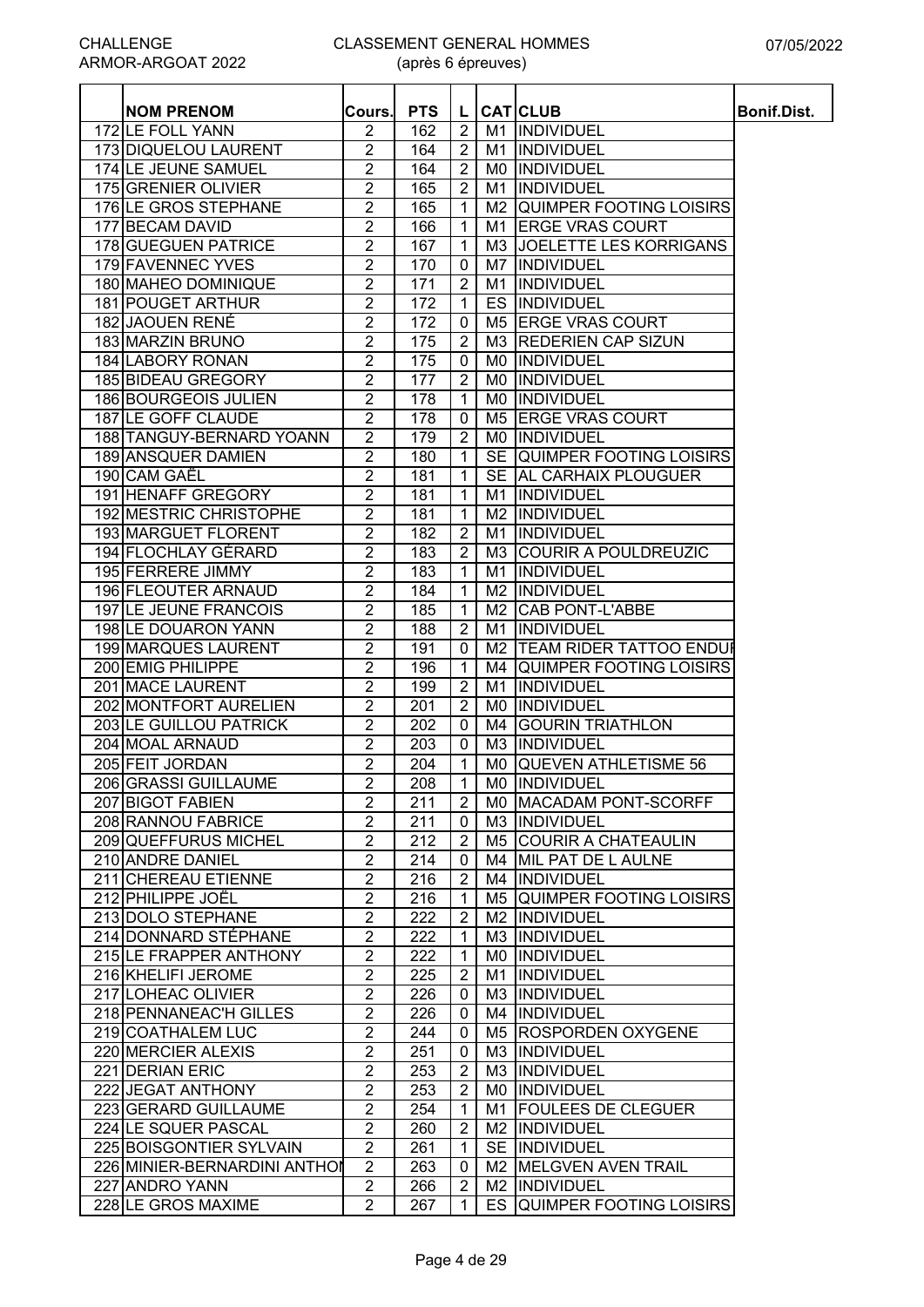|                                       |                         | <b>PTS</b> |                      |     |                                  |                    |
|---------------------------------------|-------------------------|------------|----------------------|-----|----------------------------------|--------------------|
| <b>NOM PRENOM</b><br>172 LE FOLL YANN | Cours.<br>2             | 162        | L.<br>$\overline{2}$ |     | <b>CAT</b> CLUB<br>M1 INDIVIDUEL | <b>Bonif.Dist.</b> |
| 173 DIQUELOU LAURENT                  | $\overline{2}$          | 164        | $\overline{2}$       |     | M1 INDIVIDUEL                    |                    |
| 174 LE JEUNE SAMUEL                   | $\overline{2}$          | 164        | $\overline{2}$       |     | MO  INDIVIDUEL                   |                    |
| 175 GRENIER OLIVIER                   | $\overline{2}$          | 165        | $\overline{2}$       | M1  | INDIVIDUEL                       |                    |
| 176 LE GROS STEPHANE                  | $\overline{2}$          | 165        | $\mathbf{1}$         |     | M2 QUIMPER FOOTING LOISIRS       |                    |
| 177 BECAM DAVID                       | $\overline{2}$          | 166        | $\mathbf 1$          | M1  | <b>ERGE VRAS COURT</b>           |                    |
| 178 GUEGUEN PATRICE                   | 2                       | 167        | $\mathbf 1$          | M3  | <b>JOELETTE LES KORRIGANS</b>    |                    |
| 179 FAVENNEC YVES                     |                         | 170        |                      |     | <b>INDIVIDUEL</b>                |                    |
|                                       | $\overline{c}$          |            | 0                    | M7  |                                  |                    |
| 180 MAHEO DOMINIQUE                   | $\overline{2}$          | 171        | $\overline{2}$       | M1  | <b>INDIVIDUEL</b>                |                    |
| 181 POUGET ARTHUR                     | $\overline{2}$          | 172        | $\mathbf{1}$         | ES  | INDIVIDUEL                       |                    |
| 182 JAOUEN RENÉ                       | $\overline{2}$          | 172        | 0                    | M5  | <b>ERGE VRAS COURT</b>           |                    |
| 183 MARZIN BRUNO                      | $\overline{c}$          | 175        | $\overline{2}$       | M3  | <b>REDERIEN CAP SIZUN</b>        |                    |
| 184 LABORY RONAN                      | $\overline{2}$          | 175        | $\mathbf 0$          | M0  | INDIVIDUEL                       |                    |
| 185 BIDEAU GREGORY                    | $\overline{2}$          | 177        | $\overline{2}$       | M0  | <b>INDIVIDUEL</b>                |                    |
| 186 BOURGEOIS JULIEN                  | $\overline{2}$          | 178        | $\mathbf{1}$         | M0  | INDIVIDUEL                       |                    |
| 187 LE GOFF CLAUDE                    | $\overline{2}$          | 178        | $\mathbf 0$          | M5  | <b>ERGE VRAS COURT</b>           |                    |
| 188 TANGUY-BERNARD YOANN              | $\overline{2}$          | 179        | $\overline{2}$       | M0  | INDIVIDUEL                       |                    |
| 189 ANSQUER DAMIEN                    | $\overline{2}$          | 180        | $\mathbf{1}$         |     | SE QUIMPER FOOTING LOISIRS       |                    |
| 190 CAM GAËL                          | $\overline{2}$          | 181        | $\mathbf{1}$         |     | SE AL CARHAIX PLOUGUER           |                    |
| 191 HENAFF GREGORY                    | $\overline{2}$          | 181        | $\mathbf{1}$         | M1  | INDIVIDUEL                       |                    |
| <b>192 MESTRIC CHRISTOPHE</b>         | $\overline{2}$          | 181        | $\mathbf{1}$         |     | M2 INDIVIDUEL                    |                    |
| <b>193 MARGUET FLORENT</b>            | $\overline{2}$          | 182        | $\overline{2}$       |     | M1 INDIVIDUEL                    |                    |
| 194 FLOCHLAY GÉRARD                   | $\overline{2}$          | 183        | $\overline{2}$       |     | <b>M3 COURIR A POULDREUZIC</b>   |                    |
| 195 FERRERE JIMMY                     | $\overline{2}$          | 183        | $\mathbf{1}$         | M1  | INDIVIDUEL                       |                    |
| 196 FLEOUTER ARNAUD                   | $\overline{2}$          | 184        | $\mathbf{1}$         | M2  | <b>INDIVIDUEL</b>                |                    |
| 197 LE JEUNE FRANCOIS                 | $\overline{2}$          | 185        | $\mathbf{1}$         | M2  | <b>CAB PONT-L'ABBE</b>           |                    |
| 198 LE DOUARON YANN                   | $\overline{2}$          | 188        | $\overline{2}$       | M1  | INDIVIDUEL                       |                    |
| 199 MARQUES LAURENT                   | $\overline{2}$          | 191        | 0                    | M2  | <b>TEAM RIDER TATTOO ENDUR</b>   |                    |
| 200 EMIG PHILIPPE                     | $\overline{2}$          | 196        | $\mathbf{1}$         | M4  | QUIMPER FOOTING LOISIRS          |                    |
| 201 MACE LAURENT                      | $\overline{2}$          | 199        | $\overline{2}$       | M1  | <b>INDIVIDUEL</b>                |                    |
| 202 MONTFORT AURELIEN                 | $\overline{2}$          | 201        | $\overline{2}$       | M0  | <b>INDIVIDUEL</b>                |                    |
| 203 LE GUILLOU PATRICK                | $\overline{2}$          | 202        | $\mathbf 0$          | M4  | <b>GOURIN TRIATHLON</b>          |                    |
| 204 MOAL ARNAUD                       | $\overline{2}$          | 203        | $\mathbf 0$          | M3  | <b>INDIVIDUEL</b>                |                    |
| 205 FEIT JORDAN                       | $\overline{2}$          | 204        | $\mathbf{1}$         |     | MO QUEVEN ATHLETISME 56          |                    |
| 206 GRASSI GUILLAUME                  | $\overline{2}$          | 208        | 1 <sup>1</sup>       |     | MO INDIVIDUEL                    |                    |
| 207 BIGOT FABIEN                      | $\overline{2}$          | 211        | $\overline{2}$       |     | MO MACADAM PONT-SCORFF           |                    |
| 208 RANNOU FABRICE                    | $\overline{2}$          | 211        | $\mathbf 0$          |     | M3 INDIVIDUEL                    |                    |
| 209 QUEFFURUS MICHEL                  | $\overline{2}$          | 212        | $\overline{2}$       |     | M5 COURIR A CHATEAULIN           |                    |
| 210 ANDRE DANIEL                      | $\overline{2}$          | 214        | $\mathbf 0$          |     | M4 MIL PAT DE L AULNE            |                    |
| 211 CHEREAU ETIENNE                   | $\overline{c}$          | 216        | $\overline{2}$       |     | M4 INDIVIDUEL                    |                    |
| 212 PHILIPPE JOËL                     | $\overline{\mathbf{c}}$ | 216        | 1                    |     | M5 QUIMPER FOOTING LOISIRS       |                    |
| 213 DOLO STEPHANE                     | $\overline{c}$          | 222        | $\overline{2}$       |     | M2 INDIVIDUEL                    |                    |
| 214 DONNARD STÉPHANE                  | $\overline{2}$          | 222        | 1                    |     | M3 INDIVIDUEL                    |                    |
| 215 LE FRAPPER ANTHONY                | $\overline{c}$          | 222        | $\mathbf{1}$         | M0. | <b>INDIVIDUEL</b>                |                    |
| 216 KHELIFI JEROME                    | $\overline{2}$          | 225        | $\mathbf{2}$         | M1  | INDIVIDUEL                       |                    |
| 217 LOHEAC OLIVIER                    | $\overline{2}$          | 226        | $\mathbf{0}$         |     | M3 INDIVIDUEL                    |                    |
| 218 PENNANEAC'H GILLES                | $\overline{2}$          | 226        | $\mathbf{0}$         |     | M4 INDIVIDUEL                    |                    |
| 219 COATHALEM LUC                     | $\overline{2}$          | 244        | $\mathbf 0$          |     | M5 ROSPORDEN OXYGENE             |                    |
| 220 MERCIER ALEXIS                    | $\overline{2}$          | 251        | $\mathbf 0$          |     | M3 INDIVIDUEL                    |                    |
| 221 DERIAN ERIC                       | $\overline{2}$          | 253        | $\overline{2}$       |     | M3 INDIVIDUEL                    |                    |
| 222 JEGAT ANTHONY                     | $\overline{2}$          | 253        | $\overline{2}$       |     | MO INDIVIDUEL                    |                    |
| 223 GERARD GUILLAUME                  | $\overline{2}$          | 254        | $\mathbf{1}$         | M1  | <b>FOULEES DE CLEGUER</b>        |                    |
| 224 LE SQUER PASCAL                   | $\overline{2}$          | 260        | $\overline{2}$       |     | M2 INDIVIDUEL                    |                    |
| 225 BOISGONTIER SYLVAIN               | $\overline{2}$          | 261        | $\mathbf{1}$         |     | SE INDIVIDUEL                    |                    |
| 226 MINIER-BERNARDINI ANTHOI          | $\overline{2}$          | 263        | $\mathbf 0$          |     | M2 MELGVEN AVEN TRAIL            |                    |
| 227 ANDRO YANN                        | $\overline{c}$          | 266        | $\overline{2}$       |     | M2 INDIVIDUEL                    |                    |
| 228 LE GROS MAXIME                    | $\overline{2}$          | 267        | 1                    | ES. | <b>QUIMPER FOOTING LOISIRS</b>   |                    |
|                                       |                         |            |                      |     |                                  |                    |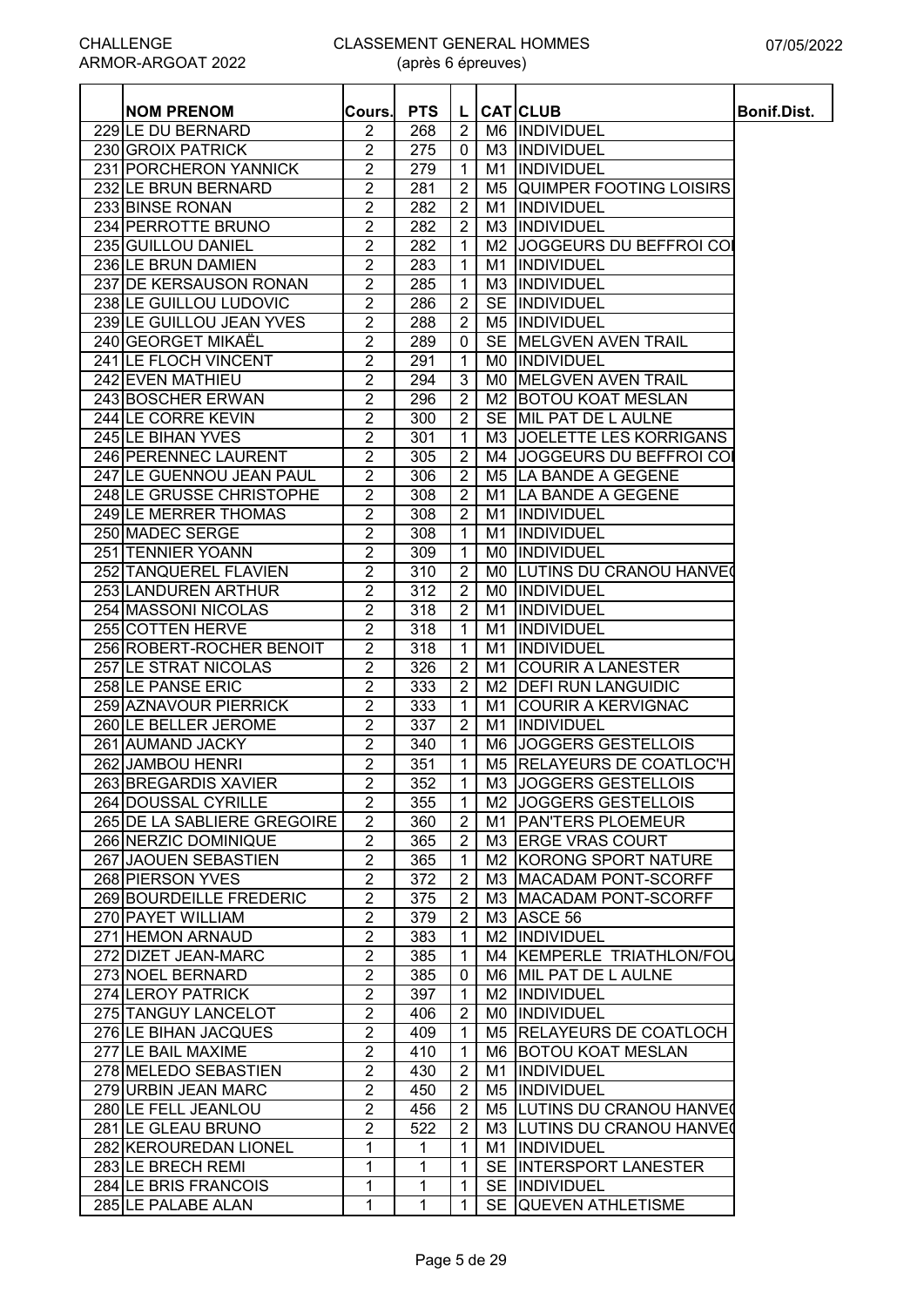| <b>NOM PRENOM</b>           | Cours.         | <b>PTS</b> | L                 |           | <b>CAT</b> CLUB                   | Bonif.Dist. |
|-----------------------------|----------------|------------|-------------------|-----------|-----------------------------------|-------------|
| 229 LE DU BERNARD           | 2              | 268        | $\overline{2}$    |           | M6 INDIVIDUEL                     |             |
| 230 GROIX PATRICK           | $\overline{2}$ | 275        | $\mathbf 0$       |           | M3  INDIVIDUEL                    |             |
| 231 PORCHERON YANNICK       | $\overline{2}$ | 279        | $\mathbf{1}$      |           | M1 INDIVIDUEL                     |             |
| 232 LE BRUN BERNARD         | $\overline{2}$ | 281        | $\overline{2}$    |           | M5 QUIMPER FOOTING LOISIRS        |             |
| 233 BINSE RONAN             | 2              | 282        | $\overline{2}$    |           | M1 IINDIVIDUEL                    |             |
| 234 PERROTTE BRUNO          | $\overline{2}$ | 282        | $\overline{2}$    |           | M3  INDIVIDUEL                    |             |
| 235 GUILLOU DANIEL          | 2              | 282        | $\mathbf 1$       |           | M2 JJOGGEURS DU BEFFROI COI       |             |
| 236 LE BRUN DAMIEN          | $\overline{2}$ | 283        | 1                 | M1        | <b>INDIVIDUEL</b>                 |             |
| 237 DE KERSAUSON RONAN      | $\overline{2}$ | 285        | $\mathbf 1$       | M3        | INDIVIDUEL                        |             |
| 238 LE GUILLOU LUDOVIC      | $\overline{2}$ | 286        | $\overline{2}$    | <b>SE</b> | INDIVIDUEL                        |             |
| 239 LE GUILLOU JEAN YVES    | $\overline{2}$ | 288        | $\overline{2}$    |           | M5  INDIVIDUEL                    |             |
| 240 GEORGET MIKAËL          | $\overline{2}$ | 289        | $\mathbf 0$       |           | SE MELGVEN AVEN TRAIL             |             |
| 241 LE FLOCH VINCENT        | 2              | 291        | 1                 |           | MO INDIVIDUEL                     |             |
| 242 EVEN MATHIEU            | $\overline{2}$ | 294        | 3                 |           | MO MELGVEN AVEN TRAIL             |             |
| 243 BOSCHER ERWAN           | $\overline{2}$ | 296        | $\overline{2}$    |           | M2 BOTOU KOAT MESLAN              |             |
| 244 LE CORRE KEVIN          | $\overline{2}$ | 300        | $\overline{2}$    |           | SE MIL PAT DE L AULNE             |             |
| 245 LE BIHAN YVES           | $\overline{2}$ | 301        | $\mathbf{1}$      |           | M3 JOELETTE LES KORRIGANS         |             |
| 246 PERENNEC LAURENT        | $\overline{2}$ | 305        | $\overline{2}$    |           | M4 JOGGEURS DU BEFFROI COI        |             |
| 247 LE GUENNOU JEAN PAUL    | $\overline{2}$ | 306        | $\overline{2}$    |           | M5 LA BANDE A GEGENE              |             |
| 248 LE GRUSSE CHRISTOPHE    | $\overline{2}$ | 308        | $\overline{2}$    |           | M1 LA BANDE A GEGENE              |             |
| 249 LE MERRER THOMAS        | $\overline{2}$ | 308        | $\overline{2}$    |           | M1  INDIVIDUEL                    |             |
| 250 MADEC SERGE             | 2              | 308        | $\mathbf 1$       |           | M1 INDIVIDUEL                     |             |
| 251 TENNIER YOANN           | $\overline{2}$ | 309        | $\mathbf{1}$      |           | MO INDIVIDUEL                     |             |
| 252 TANQUEREL FLAVIEN       | $\overline{2}$ | 310        | $\overline{2}$    |           | MO LUTINS DU CRANOU HANVEO        |             |
| 253 LANDUREN ARTHUR         | $\overline{2}$ | 312        | $\overline{2}$    |           | MO  INDIVIDUEL                    |             |
| 254 MASSONI NICOLAS         | $\overline{2}$ | 318        | $\overline{2}$    | M1        | INDIVIDUEL                        |             |
| 255 COTTEN HERVE            | $\overline{2}$ | 318        | 1                 | M1        | <b>INDIVIDUEL</b>                 |             |
| 256 ROBERT-ROCHER BENOIT    | $\overline{2}$ | 318        | $\mathbf 1$       | M1        | <b>INDIVIDUEL</b>                 |             |
| 257 LE STRAT NICOLAS        | $\overline{2}$ | 326        | $\overline{2}$    | M1        | <b>COURIR A LANESTER</b>          |             |
| 258 LE PANSE ERIC           | $\overline{2}$ | 333        | 2                 |           | M2   DEFI RUN LANGUIDIC           |             |
| 259 AZNAVOUR PIERRICK       | $\overline{2}$ | 333        | $\mathbf{1}$      |           | M1 COURIR A KERVIGNAC             |             |
| 260 LE BELLER JEROME        | $\overline{2}$ | 337        | $\overline{2}$    | M1        | INDIVIDUEL                        |             |
| 261 AUMAND JACKY            | $\overline{2}$ | 340        | $\mathbf{1}$      |           | M6 JOGGERS GESTELLOIS             |             |
| 262 JAMBOU HENRI            | $\overline{2}$ | 351        | $\mathbf{1}$      |           | M5 RELAYEURS DE COATLOC'H         |             |
| 263 BREGARDIS XAVIER        | $\overline{2}$ | 352        | $\vert$ 1 $\vert$ |           | M3 JOGGERS GESTELLOIS             |             |
| 264 DOUSSAL CYRILLE         | $\overline{2}$ | 355        | $\mathbf{1}$      |           | M <sub>2</sub> JOGGERS GESTELLOIS |             |
| 265 DE LA SABLIERE GREGOIRE | $\overline{2}$ | 360        | $\overline{2}$    |           | M1 PAN'TERS PLOEMEUR              |             |
| 266 NERZIC DOMINIQUE        | $\overline{2}$ | 365        | $\overline{2}$    |           | M3 ERGE VRAS COURT                |             |
| 267 JAOUEN SEBASTIEN        | $\overline{2}$ | 365        | $\mathbf 1$       |           | M2 KORONG SPORT NATURE            |             |
| 268 PIERSON YVES            | 2              | 372        | $\overline{2}$    |           | M3 MACADAM PONT-SCORFF            |             |
| 269 BOURDEILLE FREDERIC     | $\overline{2}$ | 375        | $\overline{2}$    |           | M3 MACADAM PONT-SCORFF            |             |
| 270 PAYET WILLIAM           | $\overline{2}$ | 379        | $\overline{2}$    |           | M3 ASCE 56                        |             |
| 271 HEMON ARNAUD            | $\overline{2}$ | 383        | $\mathbf 1$       |           | M2  INDIVIDUEL                    |             |
| 272 DIZET JEAN-MARC         | $\overline{2}$ | 385        | -1                |           | M4 KEMPERLE TRIATHLON/FOU         |             |
| 273 NOEL BERNARD            | $\overline{2}$ | 385        | 0                 |           | M6 MIL PAT DE L AULNE             |             |
| 274 LEROY PATRICK           | $\overline{2}$ | 397        | -1                |           | M2  INDIVIDUEL                    |             |
| 275 TANGUY LANCELOT         | $\overline{2}$ | 406        | $\overline{2}$    |           | MO INDIVIDUEL                     |             |
| 276 LE BIHAN JACQUES        | $\overline{2}$ | 409        | $\mathbf{1}$      |           | M5 RELAYEURS DE COATLOCH          |             |
| 277 LE BAIL MAXIME          | $\overline{2}$ | 410        | $\mathbf{1}$      |           | M6 BOTOU KOAT MESLAN              |             |
| 278 MELEDO SEBASTIEN        | $\overline{2}$ | 430        | $\overline{2}$    |           | M1  INDIVIDUEL                    |             |
| 279 URBIN JEAN MARC         | $\overline{2}$ | 450        | $\overline{2}$    |           | M5 INDIVIDUEL                     |             |
| 280 LE FELL JEANLOU         | $\overline{2}$ |            | $\overline{2}$    |           |                                   |             |
|                             | $\overline{2}$ | 456        |                   |           | M5 LUTINS DU CRANOU HANVE         |             |
| 281 LE GLEAU BRUNO          |                | 522        | 2                 |           | M3 LUTINS DU CRANOU HANVEO        |             |
| 282 KEROUREDAN LIONEL       | 1              | 1          | 1                 |           | M1  INDIVIDUEL                    |             |
| 283 LE BRECH REMI           | 1              | 1          | 1                 |           | SE INTERSPORT LANESTER            |             |
| 284 LE BRIS FRANCOIS        | 1              | 1          | 1                 |           | SE INDIVIDUEL                     |             |
| 285 LE PALABE ALAN          | 1              | 1          | 1                 |           | SE QUEVEN ATHLETISME              |             |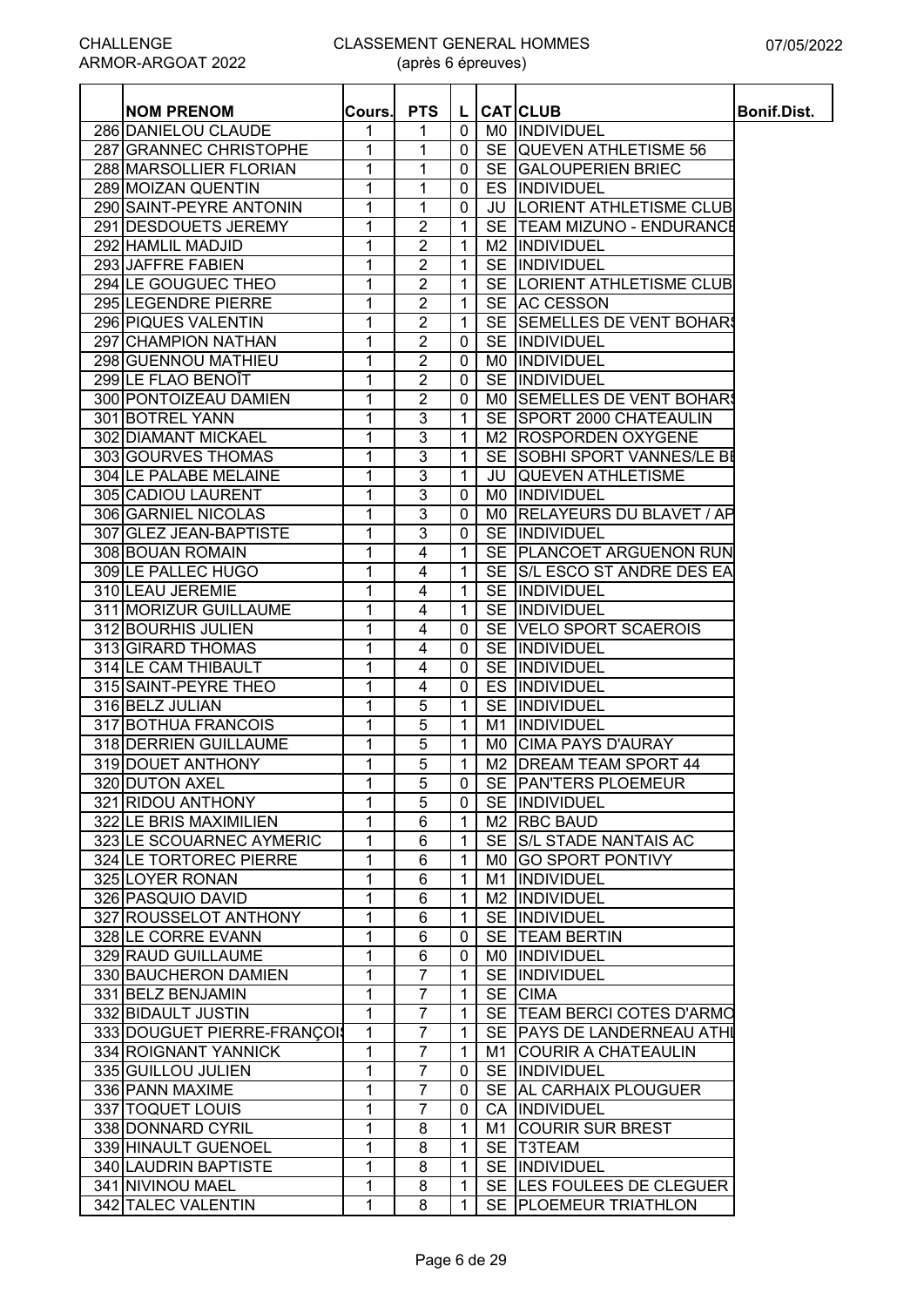| <b>NOM PRENOM</b>                      | Cours.       | <b>PTS</b>     | L.           |           | <b>CAT CLUB</b>                   | Bonif.Dist. |
|----------------------------------------|--------------|----------------|--------------|-----------|-----------------------------------|-------------|
| 286 DANIELOU CLAUDE                    | 1            | 1              | 0            |           | MO INDIVIDUEL                     |             |
| 287 GRANNEC CHRISTOPHE                 | 1            | 1              | 0            |           | SE QUEVEN ATHLETISME 56           |             |
| 288 MARSOLLIER FLORIAN                 | $\mathbf{1}$ | 1              | 0            |           | SE GALOUPERIEN BRIEC              |             |
| 289 MOIZAN QUENTIN                     | $\mathbf{1}$ | $\mathbf{1}$   | 0            |           | ES INDIVIDUEL                     |             |
| 290 SAINT-PEYRE ANTONIN                | $\mathbf{1}$ | $\mathbf{1}$   | 0            |           | <b>JU LORIENT ATHLETISME CLUB</b> |             |
| 291 DESDOUETS JEREMY                   | 1            | $\overline{2}$ | 1            |           | SE TEAM MIZUNO - ENDURANCE        |             |
| 292 HAMLIL MADJID                      | 1            | $\overline{2}$ | 1            |           | M2  INDIVIDUEL                    |             |
| 293 JAFFRE FABIEN                      | 1            | $\overline{2}$ | $\mathbf{1}$ |           | SE INDIVIDUEL                     |             |
| 294 LE GOUGUEC THEO                    | 1            | $\overline{2}$ | 1            |           | SE  LORIENT ATHLETISME CLUB       |             |
| 295 LEGENDRE PIERRE                    | 1            | $\overline{2}$ | $\mathbf{1}$ |           | SE AC CESSON                      |             |
| 296 PIQUES VALENTIN                    | 1            | $\overline{c}$ | 1            |           | SE SEMELLES DE VENT BOHARS        |             |
| 297 CHAMPION NATHAN                    | 1            | $\overline{2}$ | 0            |           | SE INDIVIDUEL                     |             |
| 298 GUENNOU MATHIEU                    | $\mathbf{1}$ | $\overline{c}$ | 0            | M0.       | INDIVIDUEL                        |             |
| 299 LE FLAO BENOÎT                     | 1            | $\overline{2}$ | 0            |           | SE INDIVIDUEL                     |             |
| 300 PONTOIZEAU DAMIEN                  | 1            | 2              | 0            |           | MO SEMELLES DE VENT BOHARS        |             |
| 301 BOTREL YANN                        | $\mathbf{1}$ | $\overline{3}$ | 1            |           | SE SPORT 2000 CHATEAULIN          |             |
| 302 DIAMANT MICKAEL                    | 1            | 3              | $\mathbf{1}$ |           | M2 ROSPORDEN OXYGENE              |             |
| 303 GOURVES THOMAS                     | 1            | $\overline{3}$ | 1            |           | SE SOBHI SPORT VANNES/LE BE       |             |
| 304 LE PALABE MELAINE                  | 1            | 3              | $\mathbf{1}$ |           | <b>JU QUEVEN ATHLETISME</b>       |             |
| 305 CADIOU LAURENT                     | $\mathbf{1}$ | $\overline{3}$ |              |           | MO INDIVIDUEL                     |             |
| 306 GARNIEL NICOLAS                    | 1            | $\overline{3}$ | 0<br>0       |           | MO RELAYEURS DU BLAVET / AP       |             |
| 307 GLEZ JEAN-BAPTISTE                 | 1            | 3              | 0            |           | SE INDIVIDUEL                     |             |
|                                        | $\mathbf{1}$ | $\overline{4}$ |              |           | SE   PLANCOET ARGUENON RUN        |             |
| 308 BOUAN ROMAIN<br>309 LE PALLEC HUGO | $\mathbf{1}$ | $\overline{4}$ | $\mathbf 1$  |           | SE S/L ESCO ST ANDRE DES EA       |             |
|                                        |              |                | $\mathbf{1}$ |           |                                   |             |
| 310 LEAU JEREMIE                       | $\mathbf{1}$ | 4              | $\mathbf{1}$ |           | SE INDIVIDUEL                     |             |
| 311 MORIZUR GUILLAUME                  | 1            | 4              | $\mathbf 1$  |           | SE IINDIVIDUEL                    |             |
| 312 BOURHIS JULIEN                     | 1            | 4              | 0            |           | SE VELO SPORT SCAEROIS            |             |
| 313 GIRARD THOMAS                      | $\mathbf{1}$ | 4              | 0            |           | SE INDIVIDUEL                     |             |
| 314 LE CAM THIBAULT                    | 1            | 4              | 0            |           | SE INDIVIDUEL                     |             |
| 315 SAINT-PEYRE THEO                   | $\mathbf{1}$ | 4              | 0            | ES        | INDIVIDUEL                        |             |
| 316 BELZ JULIAN                        | 1            | 5              | $\mathbf 1$  | <b>SE</b> | <b>INDIVIDUEL</b>                 |             |
| 317 BOTHUA FRANCOIS                    | 1            | 5              | $\mathbf 1$  | M1        | <b>INDIVIDUEL</b>                 |             |
| 318 DERRIEN GUILLAUME                  | 1            | 5              | $\mathbf 1$  |           | MO CIMA PAYS D'AURAY              |             |
| 319 DOUET ANTHONY                      | 1            | 5              | 1            |           | M2   DREAM TEAM SPORT 44          |             |
| 320 DUTON AXEL                         | 1            | 5              | $\mathbf{0}$ |           | SE PAN'TERS PLOEMEUR              |             |
| 321 RIDOU ANTHONY                      | $\mathbf{1}$ | 5              | $\mathbf 0$  |           | SE INDIVIDUEL                     |             |
| 322 LE BRIS MAXIMILIEN                 | $\mathbf{1}$ | 6              | $\mathbf{1}$ |           | M <sub>2</sub> RBC BAUD           |             |
| 323 LE SCOUARNEC AYMERIC               | $\mathbf{1}$ | 6              | 1            |           | SE S/L STADE NANTAIS AC           |             |
| 324 LE TORTOREC PIERRE                 | $\mathbf{1}$ | 6              | 1            |           | M0 GO SPORT PONTIVY               |             |
| 325 LOYER RONAN                        | $\mathbf{1}$ | 6              | 1            |           | M1 INDIVIDUEL                     |             |
| 326 PASQUIO DAVID                      | $\mathbf{1}$ | 6              | $\mathbf{1}$ |           | M2  INDIVIDUEL                    |             |
| 327 ROUSSELOT ANTHONY                  | 1            | 6              | 1            |           | SE INDIVIDUEL                     |             |
| 328 LE CORRE EVANN                     | 1            | 6              | $\mathbf 0$  |           | SE TEAM BERTIN                    |             |
| 329 RAUD GUILLAUME                     | 1            | 6              | 0            |           | MO INDIVIDUEL                     |             |
| 330 BAUCHERON DAMIEN                   | 1            | 7              | 1            |           | SE INDIVIDUEL                     |             |
| 331 BELZ BENJAMIN                      | 1            | 7              | 1            |           | SE CIMA                           |             |
| 332 BIDAULT JUSTIN                     | 1            | 7              | 1            |           | SE   TEAM BERCI COTES D'ARMO      |             |
| 333 DOUGUET PIERRE-FRANÇOI             | 1            | 7              | 1            |           | SE PAYS DE LANDERNEAU ATHI        |             |
| 334 ROIGNANT YANNICK                   | $\mathbf{1}$ | 7              | $\mathbf 1$  |           | M1 COURIR A CHATEAULIN            |             |
| 335 GUILLOU JULIEN                     | 1            | $\overline{7}$ | 0            |           | SE INDIVIDUEL                     |             |
| 336 PANN MAXIME                        | 1            | $\overline{7}$ | 0            |           | SE AL CARHAIX PLOUGUER            |             |
| 337 TOQUET LOUIS                       | 1            | $\overline{7}$ | 0            |           | CA INDIVIDUEL                     |             |
| 338 DONNARD CYRIL                      | $\mathbf{1}$ | 8              | 1            |           | M1 COURIR SUR BREST               |             |
| 339 HINAULT GUENOEL                    | $\mathbf{1}$ | 8              | 1            |           | SE T3TEAM                         |             |
| 340 LAUDRIN BAPTISTE                   | 1            | 8              | 1            |           | SE INDIVIDUEL                     |             |
| 341 NIVINOU MAEL                       | 1            | 8              | 1            |           | SE LES FOULEES DE CLEGUER         |             |
| 342 TALEC VALENTIN                     | $\mathbf{1}$ | 8              |              |           | SE PLOEMEUR TRIATHLON             |             |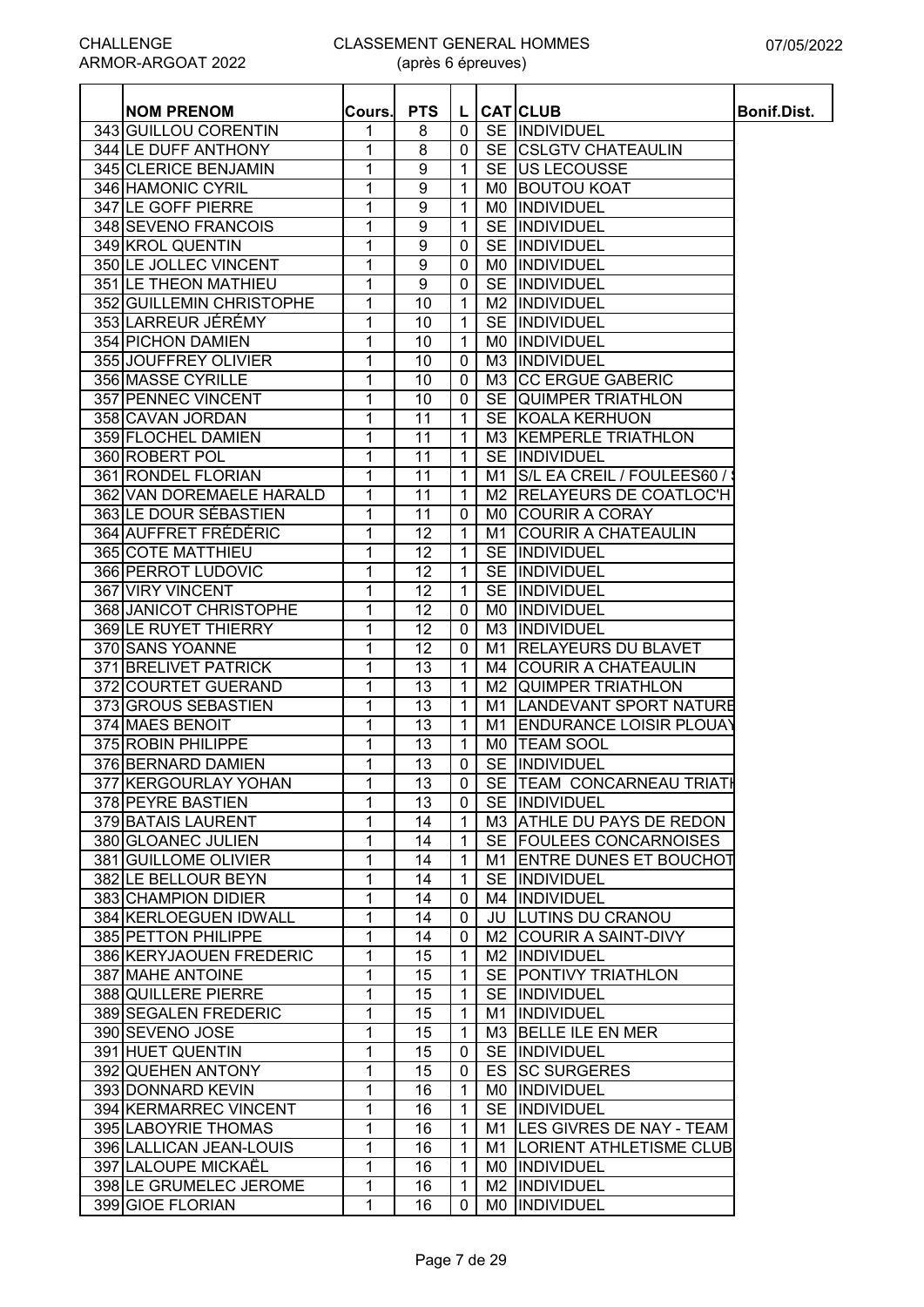| <b>NOM PRENOM</b>        | Cours. | <b>PTS</b>       | L            |                | <b>CAT CLUB</b>                | Bonif.Dist. |
|--------------------------|--------|------------------|--------------|----------------|--------------------------------|-------------|
| 343 GUILLOU CORENTIN     | 1      | 8<br>8           | $\mathbf{0}$ | <b>SE</b>      | SE INDIVIDUEL                  |             |
| 344 LE DUFF ANTHONY      | 1      |                  | 0            |                | <b>CSLGTV CHATEAULIN</b>       |             |
| 345 CLERICE BENJAMIN     | 1      | 9                | $\mathbf 1$  | <b>SE</b>      | <b>US LECOUSSE</b>             |             |
| 346 HAMONIC CYRIL        | 1      | 9                | 1            | M0             | <b>BOUTOU KOAT</b>             |             |
| 347 LE GOFF PIERRE       | 1      | 9                | $\mathbf 1$  | M0.            | INDIVIDUEL                     |             |
| 348 SEVENO FRANCOIS      | 1      | 9                | $\mathbf{1}$ | <b>SE</b>      | INDIVIDUEL                     |             |
| 349 KROL QUENTIN         | 1      | 9                | 0            | <b>SE</b>      | <b>INDIVIDUEL</b>              |             |
| 350 LE JOLLEC VINCENT    | 1      | $\boldsymbol{9}$ | 0            | M0             | INDIVIDUEL                     |             |
| 351 LE THEON MATHIEU     | 1      | 9                | 0            | <b>SE</b>      | INDIVIDUEL                     |             |
| 352 GUILLEMIN CHRISTOPHE | 1      | 10               | 1            | M <sub>2</sub> | INDIVIDUEL                     |             |
| 353 LARREUR JÉRÉMY       | 1      | 10               | 1            | <b>SE</b>      | INDIVIDUEL                     |             |
| 354 PICHON DAMIEN        | 1      | 10               | $\mathbf 1$  | M0             | INDIVIDUEL                     |             |
| 355 JOUFFREY OLIVIER     | 1      | 10               | 0            | M3             | INDIVIDUEL                     |             |
| 356 MASSE CYRILLE        | 1      | 10               | $\mathbf 0$  |                | M3 CC ERGUE GABERIC            |             |
| 357 PENNEC VINCENT       | 1      | 10               | 0            |                | SE QUIMPER TRIATHLON           |             |
| 358 CAVAN JORDAN         | 1      | 11               | $\mathbf 1$  |                | SE KOALA KERHUON               |             |
| 359 FLOCHEL DAMIEN       | 1      | 11               | $\mathbf 1$  | M3             | <b>KEMPERLE TRIATHLON</b>      |             |
| 360 ROBERT POL           | 1      | 11               | $\mathbf 1$  | <b>SE</b>      | INDIVIDUEL                     |             |
| 361 RONDEL FLORIAN       | 1      | 11               | $\mathbf 1$  | M <sub>1</sub> | S/L EA CREIL / FOULEES60 /     |             |
| 362 VAN DOREMAELE HARALD | 1      | 11               | $\mathbf{1}$ | M <sub>2</sub> | <b>RELAYEURS DE COATLOC'H</b>  |             |
| 363 LE DOUR SÉBASTIEN    | 1      | $\overline{11}$  | 0            | M0.            | <b>COURIR A CORAY</b>          |             |
| 364 AUFFRET FRÉDÉRIC     | 1      | $\overline{12}$  | $\mathbf 1$  | M1             | <b>COURIR A CHATEAULIN</b>     |             |
| 365 COTE MATTHIEU        | 1      | $\overline{12}$  | $\mathbf{1}$ | <b>SE</b>      | INDIVIDUEL                     |             |
| 366 PERROT LUDOVIC       | 1      | $\overline{12}$  | 1            | <b>SE</b>      | INDIVIDUEL                     |             |
| 367 VIRY VINCENT         | 1      | $\overline{12}$  | $\mathbf 1$  | <b>SE</b>      | INDIVIDUEL                     |             |
| 368 JANICOT CHRISTOPHE   | 1      | $\overline{12}$  | 0            | M0             | INDIVIDUEL                     |             |
| 369 LE RUYET THIERRY     |        | $\overline{12}$  |              |                |                                |             |
|                          | 1      |                  | 0            | M3             | <b>INDIVIDUEL</b>              |             |
| 370 SANS YOANNE          | 1      | 12               | 0            | M1             | <b>RELAYEURS DU BLAVET</b>     |             |
| 371 BRELIVET PATRICK     | 1      | 13               | 1            | M4             | <b>COURIR A CHATEAULIN</b>     |             |
| 372 COURTET GUERAND      | 1      | 13               | 1            | M2             | <b>QUIMPER TRIATHLON</b>       |             |
| 373 GROUS SEBASTIEN      | 1      | 13               | 1            | M <sub>1</sub> | LANDEVANT SPORT NATURE         |             |
| 374 MAES BENOIT          | 1      | 13               | 1            | M1             | <b>ENDURANCE LOISIR PLOUAY</b> |             |
| 375 ROBIN PHILIPPE       | 1      | 13               | 1            | M0.            | <b>TEAM SOOL</b>               |             |
| 376 BERNARD DAMIEN       | 1      | 13               | $\mathbf 0$  | <b>SE</b>      | INDIVIDUEL                     |             |
| 377 KERGOURLAY YOHAN     | 1      | 13               | $\mathbf{0}$ |                | SE TEAM CONCARNEAU TRIATH      |             |
| 378 PEYRE BASTIEN        | 1      | 13               | $\mathbf 0$  |                | SE INDIVIDUEL                  |             |
| 379 BATAIS LAURENT       | 1      | 14               | $\mathbf{1}$ |                | M3 ATHLE DU PAYS DE REDON      |             |
| 380 GLOANEC JULIEN       | 1      | 14               | $\mathbf 1$  |                | SE FOULEES CONCARNOISES        |             |
| 381 GUILLOME OLIVIER     | 1      | 14               | $\mathbf{1}$ |                | M1 ENTRE DUNES ET BOUCHOT      |             |
| 382 LE BELLOUR BEYN      | 1      | 14               | $\mathbf{1}$ |                | SE INDIVIDUEL                  |             |
| 383 CHAMPION DIDIER      | 1      | 14               | $\mathbf 0$  |                | M4  INDIVIDUEL                 |             |
| 384 KERLOEGUEN IDWALL    | 1      | 14               | 0            |                | <b>JU LUTINS DU CRANOU</b>     |             |
| 385 PETTON PHILIPPE      | 1      | 14               | 0            |                | M2 COURIR A SAINT-DIVY         |             |
| 386 KERYJAOUEN FREDERIC  | 1      | 15               | 1            |                | M2  INDIVIDUEL                 |             |
| 387 MAHE ANTOINE         | 1      | 15               | 1            |                | SE PONTIVY TRIATHLON           |             |
| 388 QUILLERE PIERRE      | 1      | 15               | $\mathbf 1$  |                | SE INDIVIDUEL                  |             |
| 389 SEGALEN FREDERIC     | 1      | 15               | $\mathbf{1}$ |                | M1  INDIVIDUEL                 |             |
| 390 SEVENO JOSE          | 1      | 15               | $\mathbf{1}$ |                | M3 BELLE ILE EN MER            |             |
| 391 HUET QUENTIN         | 1      | 15               | $\mathbf 0$  |                | SE INDIVIDUEL                  |             |
| 392 QUEHEN ANTONY        | 1      | 15               | 0            |                | <b>ES SC SURGERES</b>          |             |
| 393 DONNARD KEVIN        | 1      | 16               |              |                | MO INDIVIDUEL                  |             |
|                          |        |                  | $\mathbf{1}$ |                |                                |             |
| 394 KERMARREC VINCENT    | 1      | 16               | $\mathbf{1}$ |                | SE INDIVIDUEL                  |             |
| 395 LABOYRIE THOMAS      | 1      | 16               | $\mathbf{1}$ |                | M1 LES GIVRES DE NAY - TEAM    |             |
| 396 LALLICAN JEAN-LOUIS  | 1      | 16               | $\mathbf{1}$ |                | M1  LORIENT ATHLETISME CLUB    |             |
| 397 LALOUPE MICKAËL      | 1      | 16               | $\mathbf{1}$ |                | MO INDIVIDUEL                  |             |
| 398 LE GRUMELEC JEROME   | 1      | 16               | 1            |                | M2  INDIVIDUEL                 |             |
| 399 GIOE FLORIAN         | 1      | 16               | 0            | M0.            | INDIVIDUEL                     |             |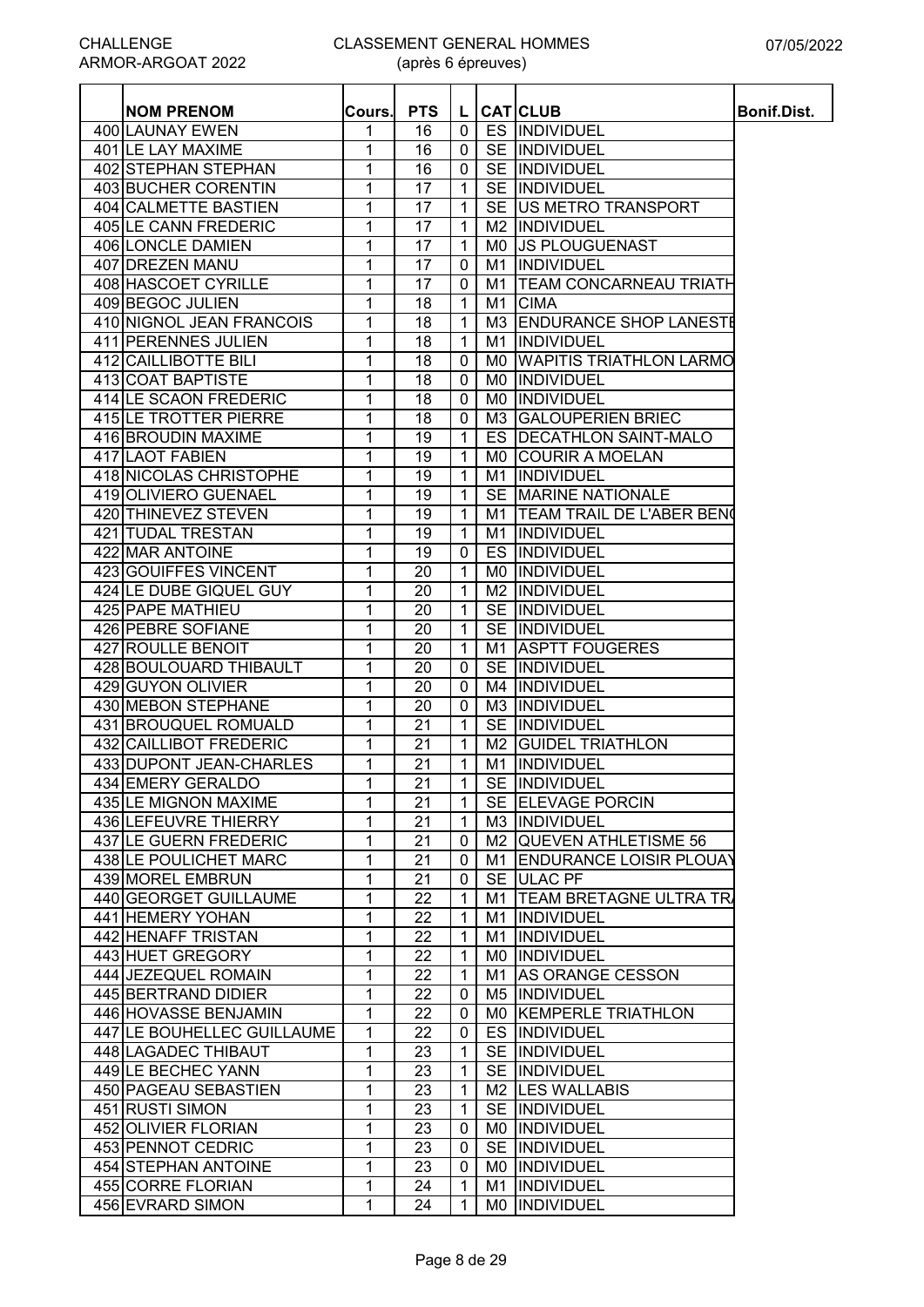| <b>NOM PRENOM</b>          | Cours. | <b>PTS</b> | L            |                | <b>CAT</b> CLUB                | <b>Bonif.Dist.</b> |
|----------------------------|--------|------------|--------------|----------------|--------------------------------|--------------------|
| 400 LAUNAY EWEN            | 1      | 16         | $\mathbf 0$  |                | ES INDIVIDUEL                  |                    |
| 401 LE LAY MAXIME          | 1      | 16         | $\mathbf 0$  |                | SE INDIVIDUEL                  |                    |
| 402 STEPHAN STEPHAN        | 1      | 16         | $\mathbf 0$  |                | SE INDIVIDUEL                  |                    |
| 403 BUCHER CORENTIN        | 1      | 17         | $\mathbf{1}$ |                | SE INDIVIDUEL                  |                    |
| 404 CALMETTE BASTIEN       | 1      | 17         | 1            |                | SE US METRO TRANSPORT          |                    |
| 405 LE CANN FREDERIC       | 1      | 17         | $\mathbf{1}$ |                | M2 INDIVIDUEL                  |                    |
| 406 LONCLE DAMIEN          | 1      | 17         | $\mathbf{1}$ | M0             | <b>JS PLOUGUENAST</b>          |                    |
| 407 DREZEN MANU            | 1      | 17         | $\mathbf 0$  | M1             | INDIVIDUEL                     |                    |
| 408 HASCOET CYRILLE        | 1      | 17         | $\mathbf 0$  | M1             | <b>TEAM CONCARNEAU TRIATH</b>  |                    |
| 409 BEGOC JULIEN           | 1      | 18         | $\mathbf{1}$ | M1             | <b>CIMA</b>                    |                    |
| 410 NIGNOL JEAN FRANCOIS   | 1      | 18         | 1            | M3             | <b>ENDURANCE SHOP LANESTE</b>  |                    |
| 411 PERENNES JULIEN        | 1      | 18         | $\mathbf 1$  | M1             | INDIVIDUEL                     |                    |
| 412 CAILLIBOTTE BILI       | 1      | 18         | $\mathbf 0$  | M0             | <b>WAPITIS TRIATHLON LARMO</b> |                    |
| 413 COAT BAPTISTE          | 1      | 18         | $\mathbf 0$  | M <sub>0</sub> | <b>INDIVIDUEL</b>              |                    |
| 414 LE SCAON FREDERIC      | 1      | 18         | $\mathbf 0$  | M0             | INDIVIDUEL                     |                    |
| 415 LE TROTTER PIERRE      | 1      | 18         | $\mathbf 0$  | M3             | <b>GALOUPERIEN BRIEC</b>       |                    |
| 416 BROUDIN MAXIME         | 1      | 19         | $\mathbf{1}$ |                | ES   DECATHLON SAINT-MALO      |                    |
| 417 LAOT FABIEN            | 1      | 19         | $\mathbf{1}$ | M0             | <b>COURIR A MOELAN</b>         |                    |
| 418 NICOLAS CHRISTOPHE     | 1      | 19         | $\mathbf{1}$ | M1             | INDIVIDUEL                     |                    |
| 419 OLIVIERO GUENAEL       | 1      | 19         | $\mathbf{1}$ |                | SE MARINE NATIONALE            |                    |
| 420 THINEVEZ STEVEN        | 1      | 19         | $\mathbf{1}$ |                | M1   TEAM TRAIL DE L'ABER BENO |                    |
| <b>421 TUDAL TRESTAN</b>   | 1      | 19         | $\mathbf{1}$ | M1             | INDIVIDUEL                     |                    |
| 422 MAR ANTOINE            | 1      | 19         | $\mathbf 0$  |                | <b>ES INDIVIDUEL</b>           |                    |
| 423 GOUIFFES VINCENT       | 1      | 20         | $\mathbf{1}$ | M0             | INDIVIDUEL                     |                    |
| 424 LE DUBE GIQUEL GUY     | 1      | 20         | $\mathbf{1}$ | M2             | INDIVIDUEL                     |                    |
| 425 PAPE MATHIEU           | 1      | 20         | $\mathbf{1}$ |                | SE INDIVIDUEL                  |                    |
| 426 PEBRE SOFIANE          | 1      | 20         | $\mathbf{1}$ |                | SE INDIVIDUEL                  |                    |
| 427 ROULLE BENOIT          | 1      | 20         | $\mathbf{1}$ | M1             | <b>ASPTT FOUGERES</b>          |                    |
| 428 BOULOUARD THIBAULT     | 1      | 20         | $\mathbf 0$  | <b>SE</b>      | <b>INDIVIDUEL</b>              |                    |
| 429 GUYON OLIVIER          | 1      | 20         | $\mathbf{0}$ |                | M4 INDIVIDUEL                  |                    |
| 430 MEBON STEPHANE         | 1      | 20         | $\mathbf 0$  |                | M3  INDIVIDUEL                 |                    |
| 431 BROUQUEL ROMUALD       | 1      | 21         | $\mathbf{1}$ |                | SE INDIVIDUEL                  |                    |
| 432 CAILLIBOT FREDERIC     | 1      | 21         | $\mathbf{1}$ | M <sub>2</sub> | <b>GUIDEL TRIATHLON</b>        |                    |
| 433 DUPONT JEAN-CHARLES    | 1      | 21         | $\mathbf{1}$ |                | M1 INDIVIDUEL                  |                    |
| 434 EMERY GERALDO          | 1      | 21         | 1 I          |                | SE INDIVIDUEL                  |                    |
| 435 LE MIGNON MAXIME       | 1      | 21         | $\mathbf{1}$ |                | SE ELEVAGE PORCIN              |                    |
| 436 LEFEUVRE THIERRY       | 1      | 21         | $\mathbf{1}$ |                | M3  INDIVIDUEL                 |                    |
| 437 LE GUERN FREDERIC      | 1      | 21         | $\mathbf 0$  |                | M2 QUEVEN ATHLETISME 56        |                    |
| 438 LE POULICHET MARC      | 1      | 21         | $\mathbf 0$  | M1             | <b>ENDURANCE LOISIR PLOUAY</b> |                    |
| 439 MOREL EMBRUN           | 1      | 21         | 0            |                | SE ULAC PF                     |                    |
| 440 GEORGET GUILLAUME      | 1      | 22         | $\mathbf{1}$ | M1             | <b>TEAM BRETAGNE ULTRA TR.</b> |                    |
| 441 HEMERY YOHAN           | 1      | 22         | $\mathbf{1}$ | M1             | <b>INDIVIDUEL</b>              |                    |
| 442 HENAFF TRISTAN         | 1      | 22         | 1            | M1             | <b>INDIVIDUEL</b>              |                    |
| 443 HUET GREGORY           | 1      | 22         | 1            |                | MO INDIVIDUEL                  |                    |
| 444 JEZEQUEL ROMAIN        | 1      | 22         | $\mathbf{1}$ | M1             | <b>AS ORANGE CESSON</b>        |                    |
| 445 BERTRAND DIDIER        | 1      | 22         | $\mathbf{0}$ |                | M5 INDIVIDUEL                  |                    |
| 446 HOVASSE BENJAMIN       | 1      | 22         | $\mathbf 0$  |                | MO KEMPERLE TRIATHLON          |                    |
| 447 LE BOUHELLEC GUILLAUME | 1      | 22         | 0            |                | ES INDIVIDUEL                  |                    |
| 448 LAGADEC THIBAUT        | 1      | 23         | $\mathbf{1}$ |                | SE INDIVIDUEL                  |                    |
| 449 LE BECHEC YANN         | 1      | 23         | $\mathbf{1}$ |                | SE INDIVIDUEL                  |                    |
| 450 PAGEAU SEBASTIEN       | 1      | 23         | $\mathbf{1}$ |                | M2 LES WALLABIS                |                    |
| 451 RUSTI SIMON            | 1      | 23         | $\mathbf{1}$ |                | SE INDIVIDUEL                  |                    |
| 452 OLIVIER FLORIAN        | 1      | 23         | 0            |                | MO INDIVIDUEL                  |                    |
| 453 PENNOT CEDRIC          | 1      | 23         | $\mathbf 0$  |                | SE <i>INDIVIDUEL</i>           |                    |
| 454 STEPHAN ANTOINE        | 1      | 23         | 0            |                | MO INDIVIDUEL                  |                    |
| 455 CORRE FLORIAN          | 1      | 24         | 1            | M1             | <b>INDIVIDUEL</b>              |                    |
| 456 EVRARD SIMON           | 1      | 24         | 1            | M0             | INDIVIDUEL                     |                    |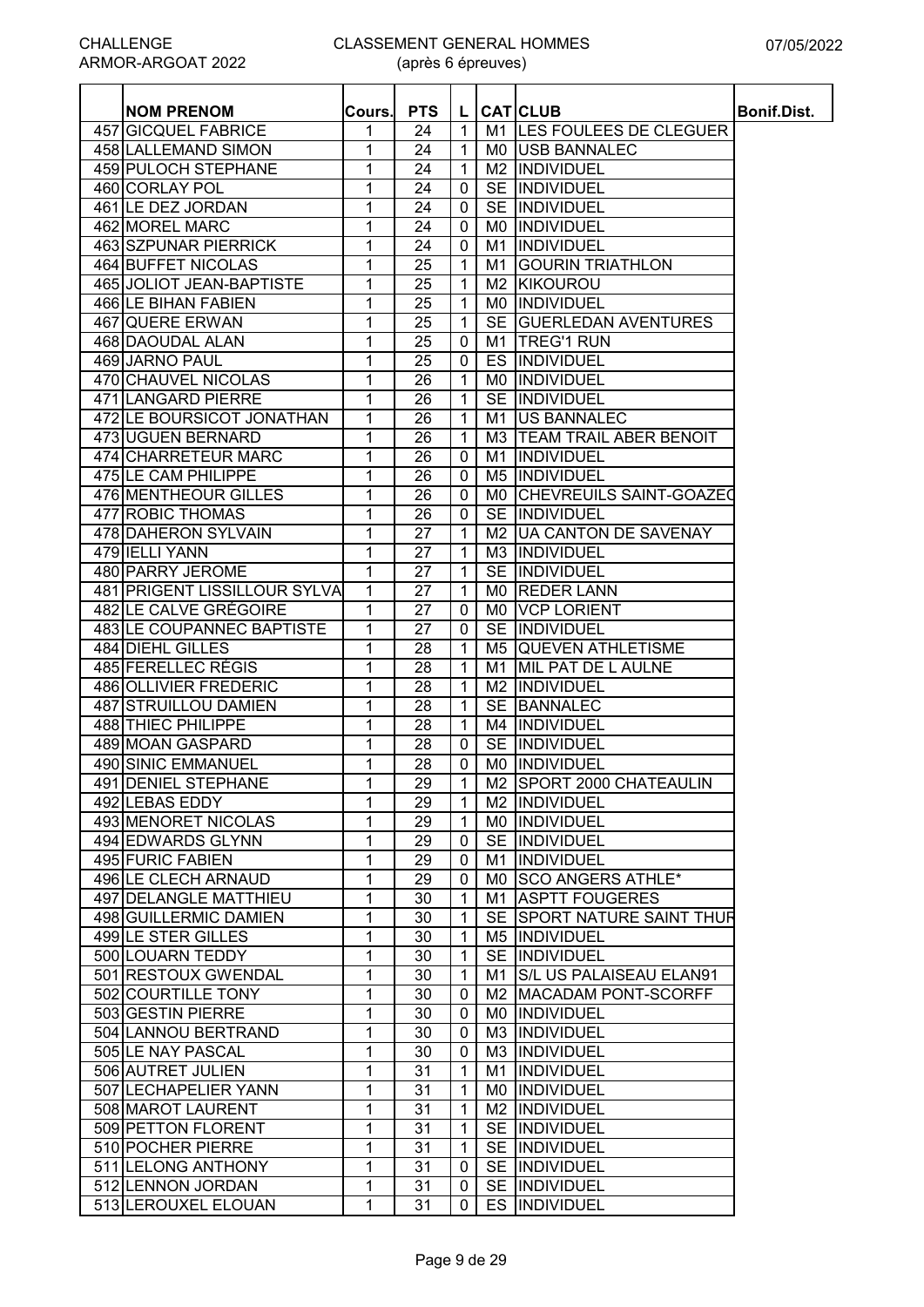(après 6 épreuves)

| <b>PTS</b><br><b>NOM PRENOM</b><br><b>CAT</b> CLUB<br>Cours.<br>L<br>M1 LES FOULEES DE CLEGUER<br>457 GICQUEL FABRICE<br>1<br>24<br>$\mathbf 1$<br>1<br>1<br>458 LALLEMAND SIMON<br>24<br><b>USB BANNALEC</b><br>M0.<br>459 PULOCH STEPHANE<br>1<br>1<br>24<br>M <sub>2</sub><br><b>INDIVIDUEL</b><br>1<br>460 CORLAY POL<br>24<br>0<br><b>SE</b><br>INDIVIDUEL<br>461 LE DEZ JORDAN<br>1<br>24<br>$\mathbf{0}$<br><b>SE</b><br><b>INDIVIDUEL</b><br>462 MOREL MARC<br>1<br>24<br>$\mathbf 0$<br>M0<br><b>INDIVIDUEL</b><br>1<br>463 SZPUNAR PIERRICK<br>24<br>$\mathbf 0$<br>M1<br>INDIVIDUEL<br>464 BUFFET NICOLAS<br>1<br>$\mathbf{1}$<br><b>GOURIN TRIATHLON</b><br>25<br>M1<br>1<br>465 JOLIOT JEAN-BAPTISTE<br>25<br>$\mathbf{1}$<br>KIKOUROU<br>M <sub>2</sub><br>466 LE BIHAN FABIEN<br>1<br>25<br>$\mathbf{1}$<br>IINDIVIDUEL<br>M0<br>$\mathbf{1}$<br><b>SE</b><br>467 QUERE ERWAN<br>1<br>25<br><b>GUERLEDAN AVENTURES</b><br>468 DAOUDAL ALAN<br>1<br>25<br>$\mathbf 0$<br><b>TREG'1 RUN</b><br>M1<br>469 JARNO PAUL<br>1<br>25<br>$\mathbf 0$<br>INDIVIDUEL<br>ES<br>470 CHAUVEL NICOLAS<br>1<br>26<br>1<br>M0<br><b>INDIVIDUEL</b><br>1<br>1<br>471 LANGARD PIERRE<br>26<br><b>SE</b><br>INDIVIDUEL<br>1<br>472 LE BOURSICOT JONATHAN<br>26<br>$\mathbf{1}$<br>M1<br><b>JUS BANNALEC</b><br>473 UGUEN BERNARD<br>1<br>26<br>$\mathbf{1}$<br>M <sub>3</sub><br><b>TEAM TRAIL ABER BENOIT</b><br>474 CHARRETEUR MARC<br>1<br>26<br>$\mathbf 0$<br>INDIVIDUEL<br>M1<br>475 LE CAM PHILIPPE<br>1<br>26<br>INDIVIDUEL<br>0<br>M <sub>5</sub><br>1<br>26<br>476 MENTHEOUR GILLES<br>0<br><b>CHEVREUILS SAINT-GOAZED</b><br>M0<br>1<br><b>SE</b><br>INDIVIDUEL<br>477 ROBIC THOMAS<br>26<br>0<br>478 DAHERON SYLVAIN<br>M2   UA CANTON DE SAVENAY<br>1<br>27<br>1<br>479 IELLI YANN<br>1<br>27<br>M3 INDIVIDUEL<br>$\mathbf{1}$<br>480 PARRY JEROME<br>1<br>27<br>$\mathbf{1}$<br>INDIVIDUEL<br><b>SE</b><br>1<br>481 PRIGENT LISSILLOUR SYLVA<br>27<br>$\mathbf{1}$<br><b>REDER LANN</b><br>M0<br>1<br>482 LE CALVE GRÉGOIRE<br>$\mathbf 0$<br>27<br>M0<br><b>VCP LORIENT</b> | <b>Bonif.Dist.</b> |
|---------------------------------------------------------------------------------------------------------------------------------------------------------------------------------------------------------------------------------------------------------------------------------------------------------------------------------------------------------------------------------------------------------------------------------------------------------------------------------------------------------------------------------------------------------------------------------------------------------------------------------------------------------------------------------------------------------------------------------------------------------------------------------------------------------------------------------------------------------------------------------------------------------------------------------------------------------------------------------------------------------------------------------------------------------------------------------------------------------------------------------------------------------------------------------------------------------------------------------------------------------------------------------------------------------------------------------------------------------------------------------------------------------------------------------------------------------------------------------------------------------------------------------------------------------------------------------------------------------------------------------------------------------------------------------------------------------------------------------------------------------------------------------------------------------------------------------------------------------------------------------------------------------------------------------------------------------------------------------------------------------------------------------------------------------------------------------------|--------------------|
|                                                                                                                                                                                                                                                                                                                                                                                                                                                                                                                                                                                                                                                                                                                                                                                                                                                                                                                                                                                                                                                                                                                                                                                                                                                                                                                                                                                                                                                                                                                                                                                                                                                                                                                                                                                                                                                                                                                                                                                                                                                                                       |                    |
|                                                                                                                                                                                                                                                                                                                                                                                                                                                                                                                                                                                                                                                                                                                                                                                                                                                                                                                                                                                                                                                                                                                                                                                                                                                                                                                                                                                                                                                                                                                                                                                                                                                                                                                                                                                                                                                                                                                                                                                                                                                                                       |                    |
|                                                                                                                                                                                                                                                                                                                                                                                                                                                                                                                                                                                                                                                                                                                                                                                                                                                                                                                                                                                                                                                                                                                                                                                                                                                                                                                                                                                                                                                                                                                                                                                                                                                                                                                                                                                                                                                                                                                                                                                                                                                                                       |                    |
|                                                                                                                                                                                                                                                                                                                                                                                                                                                                                                                                                                                                                                                                                                                                                                                                                                                                                                                                                                                                                                                                                                                                                                                                                                                                                                                                                                                                                                                                                                                                                                                                                                                                                                                                                                                                                                                                                                                                                                                                                                                                                       |                    |
|                                                                                                                                                                                                                                                                                                                                                                                                                                                                                                                                                                                                                                                                                                                                                                                                                                                                                                                                                                                                                                                                                                                                                                                                                                                                                                                                                                                                                                                                                                                                                                                                                                                                                                                                                                                                                                                                                                                                                                                                                                                                                       |                    |
|                                                                                                                                                                                                                                                                                                                                                                                                                                                                                                                                                                                                                                                                                                                                                                                                                                                                                                                                                                                                                                                                                                                                                                                                                                                                                                                                                                                                                                                                                                                                                                                                                                                                                                                                                                                                                                                                                                                                                                                                                                                                                       |                    |
|                                                                                                                                                                                                                                                                                                                                                                                                                                                                                                                                                                                                                                                                                                                                                                                                                                                                                                                                                                                                                                                                                                                                                                                                                                                                                                                                                                                                                                                                                                                                                                                                                                                                                                                                                                                                                                                                                                                                                                                                                                                                                       |                    |
|                                                                                                                                                                                                                                                                                                                                                                                                                                                                                                                                                                                                                                                                                                                                                                                                                                                                                                                                                                                                                                                                                                                                                                                                                                                                                                                                                                                                                                                                                                                                                                                                                                                                                                                                                                                                                                                                                                                                                                                                                                                                                       |                    |
|                                                                                                                                                                                                                                                                                                                                                                                                                                                                                                                                                                                                                                                                                                                                                                                                                                                                                                                                                                                                                                                                                                                                                                                                                                                                                                                                                                                                                                                                                                                                                                                                                                                                                                                                                                                                                                                                                                                                                                                                                                                                                       |                    |
|                                                                                                                                                                                                                                                                                                                                                                                                                                                                                                                                                                                                                                                                                                                                                                                                                                                                                                                                                                                                                                                                                                                                                                                                                                                                                                                                                                                                                                                                                                                                                                                                                                                                                                                                                                                                                                                                                                                                                                                                                                                                                       |                    |
|                                                                                                                                                                                                                                                                                                                                                                                                                                                                                                                                                                                                                                                                                                                                                                                                                                                                                                                                                                                                                                                                                                                                                                                                                                                                                                                                                                                                                                                                                                                                                                                                                                                                                                                                                                                                                                                                                                                                                                                                                                                                                       |                    |
|                                                                                                                                                                                                                                                                                                                                                                                                                                                                                                                                                                                                                                                                                                                                                                                                                                                                                                                                                                                                                                                                                                                                                                                                                                                                                                                                                                                                                                                                                                                                                                                                                                                                                                                                                                                                                                                                                                                                                                                                                                                                                       |                    |
|                                                                                                                                                                                                                                                                                                                                                                                                                                                                                                                                                                                                                                                                                                                                                                                                                                                                                                                                                                                                                                                                                                                                                                                                                                                                                                                                                                                                                                                                                                                                                                                                                                                                                                                                                                                                                                                                                                                                                                                                                                                                                       |                    |
|                                                                                                                                                                                                                                                                                                                                                                                                                                                                                                                                                                                                                                                                                                                                                                                                                                                                                                                                                                                                                                                                                                                                                                                                                                                                                                                                                                                                                                                                                                                                                                                                                                                                                                                                                                                                                                                                                                                                                                                                                                                                                       |                    |
|                                                                                                                                                                                                                                                                                                                                                                                                                                                                                                                                                                                                                                                                                                                                                                                                                                                                                                                                                                                                                                                                                                                                                                                                                                                                                                                                                                                                                                                                                                                                                                                                                                                                                                                                                                                                                                                                                                                                                                                                                                                                                       |                    |
|                                                                                                                                                                                                                                                                                                                                                                                                                                                                                                                                                                                                                                                                                                                                                                                                                                                                                                                                                                                                                                                                                                                                                                                                                                                                                                                                                                                                                                                                                                                                                                                                                                                                                                                                                                                                                                                                                                                                                                                                                                                                                       |                    |
|                                                                                                                                                                                                                                                                                                                                                                                                                                                                                                                                                                                                                                                                                                                                                                                                                                                                                                                                                                                                                                                                                                                                                                                                                                                                                                                                                                                                                                                                                                                                                                                                                                                                                                                                                                                                                                                                                                                                                                                                                                                                                       |                    |
|                                                                                                                                                                                                                                                                                                                                                                                                                                                                                                                                                                                                                                                                                                                                                                                                                                                                                                                                                                                                                                                                                                                                                                                                                                                                                                                                                                                                                                                                                                                                                                                                                                                                                                                                                                                                                                                                                                                                                                                                                                                                                       |                    |
|                                                                                                                                                                                                                                                                                                                                                                                                                                                                                                                                                                                                                                                                                                                                                                                                                                                                                                                                                                                                                                                                                                                                                                                                                                                                                                                                                                                                                                                                                                                                                                                                                                                                                                                                                                                                                                                                                                                                                                                                                                                                                       |                    |
|                                                                                                                                                                                                                                                                                                                                                                                                                                                                                                                                                                                                                                                                                                                                                                                                                                                                                                                                                                                                                                                                                                                                                                                                                                                                                                                                                                                                                                                                                                                                                                                                                                                                                                                                                                                                                                                                                                                                                                                                                                                                                       |                    |
|                                                                                                                                                                                                                                                                                                                                                                                                                                                                                                                                                                                                                                                                                                                                                                                                                                                                                                                                                                                                                                                                                                                                                                                                                                                                                                                                                                                                                                                                                                                                                                                                                                                                                                                                                                                                                                                                                                                                                                                                                                                                                       |                    |
|                                                                                                                                                                                                                                                                                                                                                                                                                                                                                                                                                                                                                                                                                                                                                                                                                                                                                                                                                                                                                                                                                                                                                                                                                                                                                                                                                                                                                                                                                                                                                                                                                                                                                                                                                                                                                                                                                                                                                                                                                                                                                       |                    |
|                                                                                                                                                                                                                                                                                                                                                                                                                                                                                                                                                                                                                                                                                                                                                                                                                                                                                                                                                                                                                                                                                                                                                                                                                                                                                                                                                                                                                                                                                                                                                                                                                                                                                                                                                                                                                                                                                                                                                                                                                                                                                       |                    |
|                                                                                                                                                                                                                                                                                                                                                                                                                                                                                                                                                                                                                                                                                                                                                                                                                                                                                                                                                                                                                                                                                                                                                                                                                                                                                                                                                                                                                                                                                                                                                                                                                                                                                                                                                                                                                                                                                                                                                                                                                                                                                       |                    |
|                                                                                                                                                                                                                                                                                                                                                                                                                                                                                                                                                                                                                                                                                                                                                                                                                                                                                                                                                                                                                                                                                                                                                                                                                                                                                                                                                                                                                                                                                                                                                                                                                                                                                                                                                                                                                                                                                                                                                                                                                                                                                       |                    |
|                                                                                                                                                                                                                                                                                                                                                                                                                                                                                                                                                                                                                                                                                                                                                                                                                                                                                                                                                                                                                                                                                                                                                                                                                                                                                                                                                                                                                                                                                                                                                                                                                                                                                                                                                                                                                                                                                                                                                                                                                                                                                       |                    |
|                                                                                                                                                                                                                                                                                                                                                                                                                                                                                                                                                                                                                                                                                                                                                                                                                                                                                                                                                                                                                                                                                                                                                                                                                                                                                                                                                                                                                                                                                                                                                                                                                                                                                                                                                                                                                                                                                                                                                                                                                                                                                       |                    |
| INDIVIDUEL<br>483 LE COUPANNEC BAPTISTE<br>1<br>27<br>$\mathbf 0$<br><b>SE</b>                                                                                                                                                                                                                                                                                                                                                                                                                                                                                                                                                                                                                                                                                                                                                                                                                                                                                                                                                                                                                                                                                                                                                                                                                                                                                                                                                                                                                                                                                                                                                                                                                                                                                                                                                                                                                                                                                                                                                                                                        |                    |
| 484 DIEHL GILLES<br>$\overline{1}$<br><b>QUEVEN ATHLETISME</b><br>1<br>28<br>M5                                                                                                                                                                                                                                                                                                                                                                                                                                                                                                                                                                                                                                                                                                                                                                                                                                                                                                                                                                                                                                                                                                                                                                                                                                                                                                                                                                                                                                                                                                                                                                                                                                                                                                                                                                                                                                                                                                                                                                                                       |                    |
| 485 FERELLEC RÉGIS<br>1<br>28<br>$\mathbf{1}$<br>MIL PAT DE L AULNE<br>M1                                                                                                                                                                                                                                                                                                                                                                                                                                                                                                                                                                                                                                                                                                                                                                                                                                                                                                                                                                                                                                                                                                                                                                                                                                                                                                                                                                                                                                                                                                                                                                                                                                                                                                                                                                                                                                                                                                                                                                                                             |                    |
| 486 OLLIVIER FREDERIC<br>1<br>INDIVIDUEL<br>28<br>1<br>M2                                                                                                                                                                                                                                                                                                                                                                                                                                                                                                                                                                                                                                                                                                                                                                                                                                                                                                                                                                                                                                                                                                                                                                                                                                                                                                                                                                                                                                                                                                                                                                                                                                                                                                                                                                                                                                                                                                                                                                                                                             |                    |
| 487 STRUILLOU DAMIEN<br>1<br>1<br><b>SE</b><br><b>BANNALEC</b><br>28                                                                                                                                                                                                                                                                                                                                                                                                                                                                                                                                                                                                                                                                                                                                                                                                                                                                                                                                                                                                                                                                                                                                                                                                                                                                                                                                                                                                                                                                                                                                                                                                                                                                                                                                                                                                                                                                                                                                                                                                                  |                    |
| <b>488 THIEC PHILIPPE</b><br>1<br>28<br>$\mathbf{1}$<br>INDIVIDUEL<br>M4                                                                                                                                                                                                                                                                                                                                                                                                                                                                                                                                                                                                                                                                                                                                                                                                                                                                                                                                                                                                                                                                                                                                                                                                                                                                                                                                                                                                                                                                                                                                                                                                                                                                                                                                                                                                                                                                                                                                                                                                              |                    |
| 489 MOAN GASPARD<br>1<br>INDIVIDUEL<br>28<br>0<br><b>SE</b>                                                                                                                                                                                                                                                                                                                                                                                                                                                                                                                                                                                                                                                                                                                                                                                                                                                                                                                                                                                                                                                                                                                                                                                                                                                                                                                                                                                                                                                                                                                                                                                                                                                                                                                                                                                                                                                                                                                                                                                                                           |                    |
| 490 SINIC EMMANUEL<br>1<br>28<br><b>INDIVIDUEL</b><br>$\mathbf{0}$<br>M0                                                                                                                                                                                                                                                                                                                                                                                                                                                                                                                                                                                                                                                                                                                                                                                                                                                                                                                                                                                                                                                                                                                                                                                                                                                                                                                                                                                                                                                                                                                                                                                                                                                                                                                                                                                                                                                                                                                                                                                                              |                    |
| M2 SPORT 2000 CHATEAULIN<br>491 DENIEL STEPHANE<br>$\overline{29}$<br>1<br>$\mathbf{1}$                                                                                                                                                                                                                                                                                                                                                                                                                                                                                                                                                                                                                                                                                                                                                                                                                                                                                                                                                                                                                                                                                                                                                                                                                                                                                                                                                                                                                                                                                                                                                                                                                                                                                                                                                                                                                                                                                                                                                                                               |                    |
| 1<br>29<br>492 LEBAS EDDY<br>$\mathbf{1}$<br>M2  INDIVIDUEL                                                                                                                                                                                                                                                                                                                                                                                                                                                                                                                                                                                                                                                                                                                                                                                                                                                                                                                                                                                                                                                                                                                                                                                                                                                                                                                                                                                                                                                                                                                                                                                                                                                                                                                                                                                                                                                                                                                                                                                                                           |                    |
| 1<br>493 MENORET NICOLAS<br>29<br>$\mathbf{1}$<br>MO INDIVIDUEL                                                                                                                                                                                                                                                                                                                                                                                                                                                                                                                                                                                                                                                                                                                                                                                                                                                                                                                                                                                                                                                                                                                                                                                                                                                                                                                                                                                                                                                                                                                                                                                                                                                                                                                                                                                                                                                                                                                                                                                                                       |                    |
| 494 EDWARDS GLYNN<br>1<br>29<br>$\mathbf{0}$<br>SE INDIVIDUEL                                                                                                                                                                                                                                                                                                                                                                                                                                                                                                                                                                                                                                                                                                                                                                                                                                                                                                                                                                                                                                                                                                                                                                                                                                                                                                                                                                                                                                                                                                                                                                                                                                                                                                                                                                                                                                                                                                                                                                                                                         |                    |
| 495 FURIC FABIEN<br>1<br>INDIVIDUEL<br>29<br>$\mathbf{0}$<br>M1                                                                                                                                                                                                                                                                                                                                                                                                                                                                                                                                                                                                                                                                                                                                                                                                                                                                                                                                                                                                                                                                                                                                                                                                                                                                                                                                                                                                                                                                                                                                                                                                                                                                                                                                                                                                                                                                                                                                                                                                                       |                    |
| 496 LE CLECH ARNAUD<br>1<br>29<br>MO SCO ANGERS ATHLE*<br>0                                                                                                                                                                                                                                                                                                                                                                                                                                                                                                                                                                                                                                                                                                                                                                                                                                                                                                                                                                                                                                                                                                                                                                                                                                                                                                                                                                                                                                                                                                                                                                                                                                                                                                                                                                                                                                                                                                                                                                                                                           |                    |
| 497 DELANGLE MATTHIEU<br>1<br>$\mathbf{1}$<br><b>ASPTT FOUGERES</b><br>30<br>M1                                                                                                                                                                                                                                                                                                                                                                                                                                                                                                                                                                                                                                                                                                                                                                                                                                                                                                                                                                                                                                                                                                                                                                                                                                                                                                                                                                                                                                                                                                                                                                                                                                                                                                                                                                                                                                                                                                                                                                                                       |                    |
| 498 GUILLERMIC DAMIEN<br>1<br>$\mathbf{1}$<br>SE SPORT NATURE SAINT THUR<br>30                                                                                                                                                                                                                                                                                                                                                                                                                                                                                                                                                                                                                                                                                                                                                                                                                                                                                                                                                                                                                                                                                                                                                                                                                                                                                                                                                                                                                                                                                                                                                                                                                                                                                                                                                                                                                                                                                                                                                                                                        |                    |
| 499 LE STER GILLES<br>1<br>$\mathbf{1}$<br>M5  INDIVIDUEL<br>30                                                                                                                                                                                                                                                                                                                                                                                                                                                                                                                                                                                                                                                                                                                                                                                                                                                                                                                                                                                                                                                                                                                                                                                                                                                                                                                                                                                                                                                                                                                                                                                                                                                                                                                                                                                                                                                                                                                                                                                                                       |                    |
| 500 LOUARN TEDDY<br>1<br>$\mathbf{1}$<br>SE IINDIVIDUEL<br>30                                                                                                                                                                                                                                                                                                                                                                                                                                                                                                                                                                                                                                                                                                                                                                                                                                                                                                                                                                                                                                                                                                                                                                                                                                                                                                                                                                                                                                                                                                                                                                                                                                                                                                                                                                                                                                                                                                                                                                                                                         |                    |
| 1<br>501 RESTOUX GWENDAL<br>$\mathbf{1}$<br>30<br><b>S/L US PALAISEAU ELAN91</b><br>M1                                                                                                                                                                                                                                                                                                                                                                                                                                                                                                                                                                                                                                                                                                                                                                                                                                                                                                                                                                                                                                                                                                                                                                                                                                                                                                                                                                                                                                                                                                                                                                                                                                                                                                                                                                                                                                                                                                                                                                                                |                    |
| 502 COURTILLE TONY<br>1<br>30<br>0<br><b>IMACADAM PONT-SCORFF</b><br>M2                                                                                                                                                                                                                                                                                                                                                                                                                                                                                                                                                                                                                                                                                                                                                                                                                                                                                                                                                                                                                                                                                                                                                                                                                                                                                                                                                                                                                                                                                                                                                                                                                                                                                                                                                                                                                                                                                                                                                                                                               |                    |
| 503 GESTIN PIERRE<br>1<br>MO INDIVIDUEL<br>30<br>0                                                                                                                                                                                                                                                                                                                                                                                                                                                                                                                                                                                                                                                                                                                                                                                                                                                                                                                                                                                                                                                                                                                                                                                                                                                                                                                                                                                                                                                                                                                                                                                                                                                                                                                                                                                                                                                                                                                                                                                                                                    |                    |
| 1<br>504 LANNOU BERTRAND<br>30<br>M3  INDIVIDUEL<br>0                                                                                                                                                                                                                                                                                                                                                                                                                                                                                                                                                                                                                                                                                                                                                                                                                                                                                                                                                                                                                                                                                                                                                                                                                                                                                                                                                                                                                                                                                                                                                                                                                                                                                                                                                                                                                                                                                                                                                                                                                                 |                    |
| 1<br>505 LE NAY PASCAL<br>30<br><b>INDIVIDUEL</b><br>0<br>M3.                                                                                                                                                                                                                                                                                                                                                                                                                                                                                                                                                                                                                                                                                                                                                                                                                                                                                                                                                                                                                                                                                                                                                                                                                                                                                                                                                                                                                                                                                                                                                                                                                                                                                                                                                                                                                                                                                                                                                                                                                         |                    |
| 506 AUTRET JULIEN<br>1<br>31<br>INDIVIDUEL<br>1<br>M1                                                                                                                                                                                                                                                                                                                                                                                                                                                                                                                                                                                                                                                                                                                                                                                                                                                                                                                                                                                                                                                                                                                                                                                                                                                                                                                                                                                                                                                                                                                                                                                                                                                                                                                                                                                                                                                                                                                                                                                                                                 |                    |
| INDIVIDUEL<br>507 LECHAPELIER YANN<br>1<br>31<br>1<br>M0.                                                                                                                                                                                                                                                                                                                                                                                                                                                                                                                                                                                                                                                                                                                                                                                                                                                                                                                                                                                                                                                                                                                                                                                                                                                                                                                                                                                                                                                                                                                                                                                                                                                                                                                                                                                                                                                                                                                                                                                                                             |                    |
| 31<br>M2  INDIVIDUEL<br>508 MAROT LAURENT<br>1<br>$\mathbf{1}$                                                                                                                                                                                                                                                                                                                                                                                                                                                                                                                                                                                                                                                                                                                                                                                                                                                                                                                                                                                                                                                                                                                                                                                                                                                                                                                                                                                                                                                                                                                                                                                                                                                                                                                                                                                                                                                                                                                                                                                                                        |                    |
| 509 PETTON FLORENT<br>1<br>31<br>1<br>SE INDIVIDUEL                                                                                                                                                                                                                                                                                                                                                                                                                                                                                                                                                                                                                                                                                                                                                                                                                                                                                                                                                                                                                                                                                                                                                                                                                                                                                                                                                                                                                                                                                                                                                                                                                                                                                                                                                                                                                                                                                                                                                                                                                                   |                    |
| 510 POCHER PIERRE<br>1<br>31<br>1<br><b>SE IINDIVIDUEL</b>                                                                                                                                                                                                                                                                                                                                                                                                                                                                                                                                                                                                                                                                                                                                                                                                                                                                                                                                                                                                                                                                                                                                                                                                                                                                                                                                                                                                                                                                                                                                                                                                                                                                                                                                                                                                                                                                                                                                                                                                                            |                    |
| 511 LELONG ANTHONY<br>SE INDIVIDUEL<br>1<br>31<br>$\mathbf{0}$                                                                                                                                                                                                                                                                                                                                                                                                                                                                                                                                                                                                                                                                                                                                                                                                                                                                                                                                                                                                                                                                                                                                                                                                                                                                                                                                                                                                                                                                                                                                                                                                                                                                                                                                                                                                                                                                                                                                                                                                                        |                    |
| 512 LENNON JORDAN<br>1<br>31<br>SE INDIVIDUEL<br>0                                                                                                                                                                                                                                                                                                                                                                                                                                                                                                                                                                                                                                                                                                                                                                                                                                                                                                                                                                                                                                                                                                                                                                                                                                                                                                                                                                                                                                                                                                                                                                                                                                                                                                                                                                                                                                                                                                                                                                                                                                    |                    |
| $\mathbf{1}$<br>513 LEROUXEL ELOUAN<br>31<br>ES INDIVIDUEL<br>0                                                                                                                                                                                                                                                                                                                                                                                                                                                                                                                                                                                                                                                                                                                                                                                                                                                                                                                                                                                                                                                                                                                                                                                                                                                                                                                                                                                                                                                                                                                                                                                                                                                                                                                                                                                                                                                                                                                                                                                                                       |                    |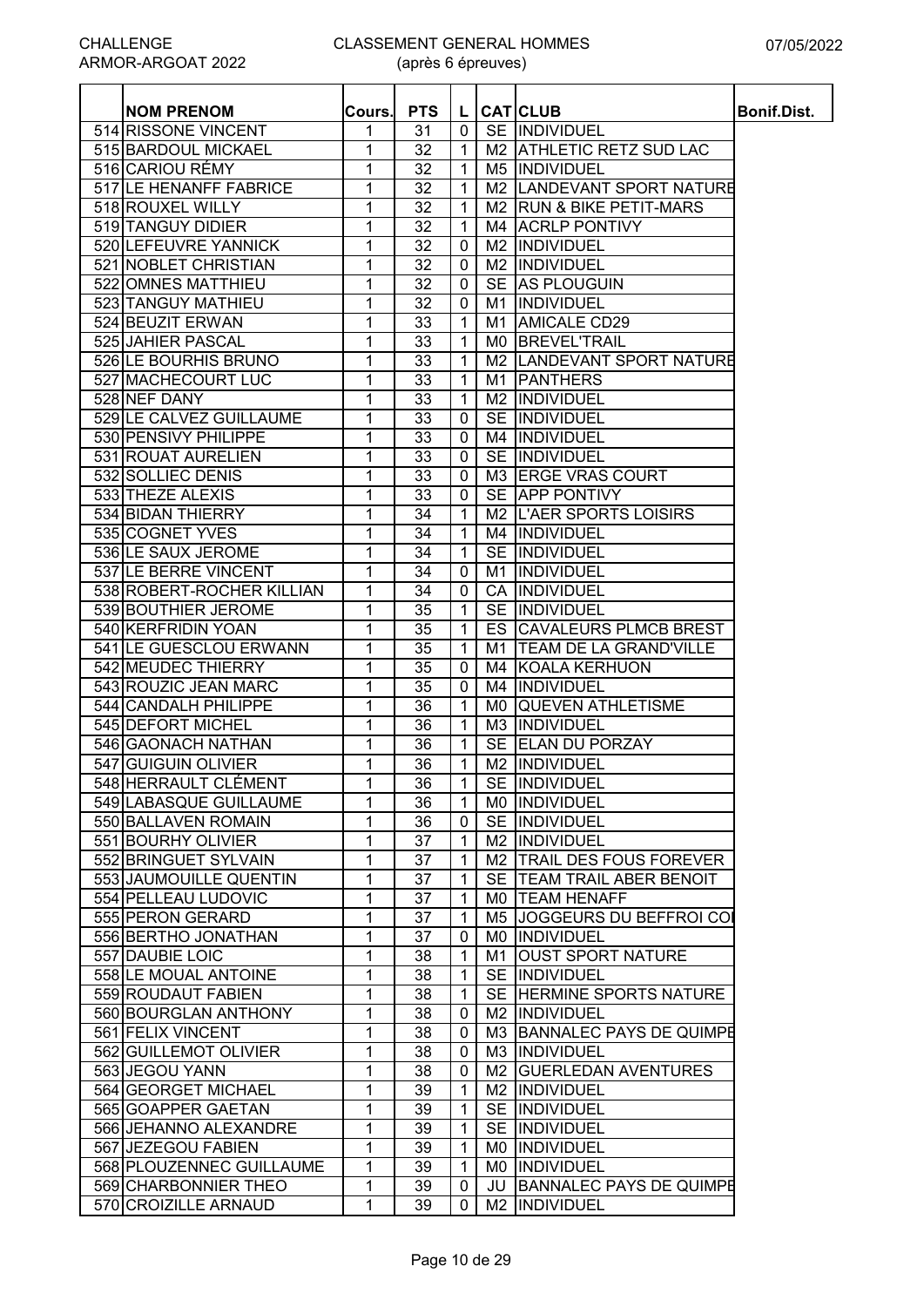| <b>NOM PRENOM</b>         | Cours. | <b>PTS</b>      | L                            |                | <b>CAT</b> CLUB               | <b>Bonif.Dist.</b> |
|---------------------------|--------|-----------------|------------------------------|----------------|-------------------------------|--------------------|
| 514 RISSONE VINCENT       | 1      | 31              | $\mathbf 0$                  |                | SE INDIVIDUEL                 |                    |
| 515 BARDOUL MICKAEL       | 1      | 32              | $\mathbf{1}$                 |                | M2 ATHLETIC RETZ SUD LAC      |                    |
| 516 CARIOU RÉMY           | 1      | 32              | $\mathbf{1}$                 |                | M5  INDIVIDUEL                |                    |
| 517 LE HENANFF FABRICE    | 1      | 32              | $\mathbf 1$                  |                | M2 LANDEVANT SPORT NATURE     |                    |
| 518 ROUXEL WILLY          | 1      | 32              | $\mathbf 1$                  |                | M2 RUN & BIKE PETIT-MARS      |                    |
| 519 TANGUY DIDIER         | 1      | 32              | $\mathbf{1}$                 |                | M4 ACRLP PONTIVY              |                    |
|                           |        |                 |                              |                |                               |                    |
| 520 LEFEUVRE YANNICK      | 1      | 32              | $\mathbf 0$                  | M <sub>2</sub> | INDIVIDUEL                    |                    |
| 521 NOBLET CHRISTIAN      | 1      | 32              | 0                            | M <sub>2</sub> | INDIVIDUEL                    |                    |
| 522 OMNES MATTHIEU        | 1      | 32              | 0                            | <b>SE</b>      | <b>AS PLOUGUIN</b>            |                    |
| 523 TANGUY MATHIEU        | 1      | 32              | $\mathbf 0$                  | M1             | INDIVIDUEL                    |                    |
| 524 BEUZIT ERWAN          | 1      | 33              | $\mathbf 1$                  | M1             | <b>AMICALE CD29</b>           |                    |
| 525 JAHIER PASCAL         | 1      | 33              | 1                            | M0             | <b>BREVEL'TRAIL</b>           |                    |
| 526 LE BOURHIS BRUNO      | 1      | 33              | 1                            | M <sub>2</sub> | LANDEVANT SPORT NATURE        |                    |
| 527 MACHECOURT LUC        | 1      | 33              | $\mathbf{1}$                 | M1             | <b>PANTHERS</b>               |                    |
| 528 NEF DANY              | 1      | 33              | $\mathbf{1}$                 | M <sub>2</sub> | <b>INDIVIDUEL</b>             |                    |
| 529 LE CALVEZ GUILLAUME   | 1      | 33              | $\mathbf 0$                  | <b>SE</b>      | INDIVIDUEL                    |                    |
| 530 PENSIVY PHILIPPE      | 1      | 33              | $\mathbf 0$                  |                | <b>M4 IINDIVIDUEL</b>         |                    |
| 531 ROUAT AURELIEN        | 1      | 33              | $\mathbf 0$                  |                | SE INDIVIDUEL                 |                    |
| 532 SOLLIEC DENIS         | 1      | 33              | $\pmb{0}$                    |                | M3 ERGE VRAS COURT            |                    |
| 533 THEZE ALEXIS          | 1      | 33              | $\mathbf 0$                  |                | SE APP PONTIVY                |                    |
| 534 BIDAN THIERRY         | 1      | 34              | $\mathbf 1$                  |                | M2 L'AER SPORTS LOISIRS       |                    |
| 535 COGNET YVES           | 1      | 34              | $\mathbf{1}$                 |                | M4 INDIVIDUEL                 |                    |
| 536 LE SAUX JEROME        | 1      | 34              | $\mathbf{1}$                 |                | SE INDIVIDUEL                 |                    |
| 537 LE BERRE VINCENT      | 1      | 34              | 0                            | M1             | INDIVIDUEL                    |                    |
| 538 ROBERT-ROCHER KILLIAN | 1      | 34              | 0                            | CA             | <b>INDIVIDUEL</b>             |                    |
| 539 BOUTHIER JEROME       | 1      | 35              | $\mathbf{1}$                 | <b>SE</b>      | INDIVIDUEL                    |                    |
| 540 KERFRIDIN YOAN        | 1      | 35              | $\mathbf{1}$                 | <b>ES</b>      | <b>CAVALEURS PLMCB BREST</b>  |                    |
| 541 LE GUESCLOU ERWANN    | 1      | $\overline{35}$ | $\mathbf{1}$                 | M1             | <b>TEAM DE LA GRAND'VILLE</b> |                    |
| 542 MEUDEC THIERRY        | 1      | 35              | 0                            | M4             | KOALA KERHUON                 |                    |
| 543 ROUZIC JEAN MARC      | 1      | 35              | $\mathbf 0$                  |                | M4 IINDIVIDUEL                |                    |
| 544 CANDALH PHILIPPE      | 1      | 36              | $\mathbf{1}$                 | M0             | QUEVEN ATHLETISME             |                    |
| 545 DEFORT MICHEL         | 1      | 36              | $\mathbf{1}$                 | M3             | INDIVIDUEL                    |                    |
| 546 GAONACH NATHAN        | 1      | 36              | $\mathbf{1}$                 |                | SE ELAN DU PORZAY             |                    |
| 547 GUIGUIN OLIVIER       | 1      | 36              | $\mathbf{1}$                 |                | M2 INDIVIDUEL                 |                    |
| 548 HERRAULT CLÉMENT      | 1      | 36              | 1 <sup>1</sup>               |                | SE INDIVIDUEL                 |                    |
| 549 LABASQUE GUILLAUME    | 1      | 36              | $\mathbf{1}$                 |                | MO  INDIVIDUEL                |                    |
| 550 BALLAVEN ROMAIN       | 1      | 36              | $\mathbf{0}$                 |                | SE INDIVIDUEL                 |                    |
| 551 BOURHY OLIVIER        |        | 37              |                              |                | M2  INDIVIDUEL                |                    |
|                           | 1      |                 | $\mathbf{1}$                 |                |                               |                    |
| 552 BRINGUET SYLVAIN      | 1      | 37              | $\mathbf{1}$<br>$\mathbf{1}$ |                | M2 TRAIL DES FOUS FOREVER     |                    |
| 553 JAUMOUILLE QUENTIN    | 1      | 37              |                              |                | SE   TEAM TRAIL ABER BENOIT   |                    |
| 554 PELLEAU LUDOVIC       | 1      | 37              | $\mathbf{1}$                 |                | MO   TEAM HENAFF              |                    |
| 555 PERON GERARD          | 1      | 37              | $\mathbf{1}$                 |                | M5 JOGGEURS DU BEFFROI COI    |                    |
| 556 BERTHO JONATHAN       | 1      | 37              | 0                            |                | MO  INDIVIDUEL                |                    |
| 557 DAUBIE LOIC           | 1      | 38              | $\mathbf{1}$                 | M1             | <b>OUST SPORT NATURE</b>      |                    |
| 558 LE MOUAL ANTOINE      | 1      | 38              | $\mathbf{1}$                 |                | SE INDIVIDUEL                 |                    |
| 559 ROUDAUT FABIEN        | 1      | 38              | 1                            |                | SE HERMINE SPORTS NATURE      |                    |
| 560 BOURGLAN ANTHONY      | 1      | 38              | 0                            |                | M2  INDIVIDUEL                |                    |
| 561 FELIX VINCENT         | 1      | 38              | 0                            |                | M3 BANNALEC PAYS DE QUIMPE    |                    |
| 562 GUILLEMOT OLIVIER     | 1      | 38              | 0                            |                | M3  INDIVIDUEL                |                    |
| 563 JEGOU YANN            | 1      | 38              | 0                            |                | M2 GUERLEDAN AVENTURES        |                    |
| 564 GEORGET MICHAEL       | 1      | 39              | $\mathbf{1}$                 |                | M2  INDIVIDUEL                |                    |
| 565 GOAPPER GAETAN        | 1      | 39              | $\mathbf{1}$                 |                | SE INDIVIDUEL                 |                    |
| 566 JEHANNO ALEXANDRE     | 1      | 39              | $\mathbf{1}$                 |                | SE INDIVIDUEL                 |                    |
| 567 JEZEGOU FABIEN        | 1      | 39              | $\mathbf{1}$                 |                | MO INDIVIDUEL                 |                    |
| 568 PLOUZENNEC GUILLAUME  | 1      | 39              | $\mathbf{1}$                 |                | MO INDIVIDUEL                 |                    |
| 569 CHARBONNIER THEO      | 1      | 39              | 0                            | JU             | BANNALEC PAYS DE QUIMPE       |                    |
| 570 CROIZILLE ARNAUD      | 1      | 39              | 0                            |                | M2  INDIVIDUEL                |                    |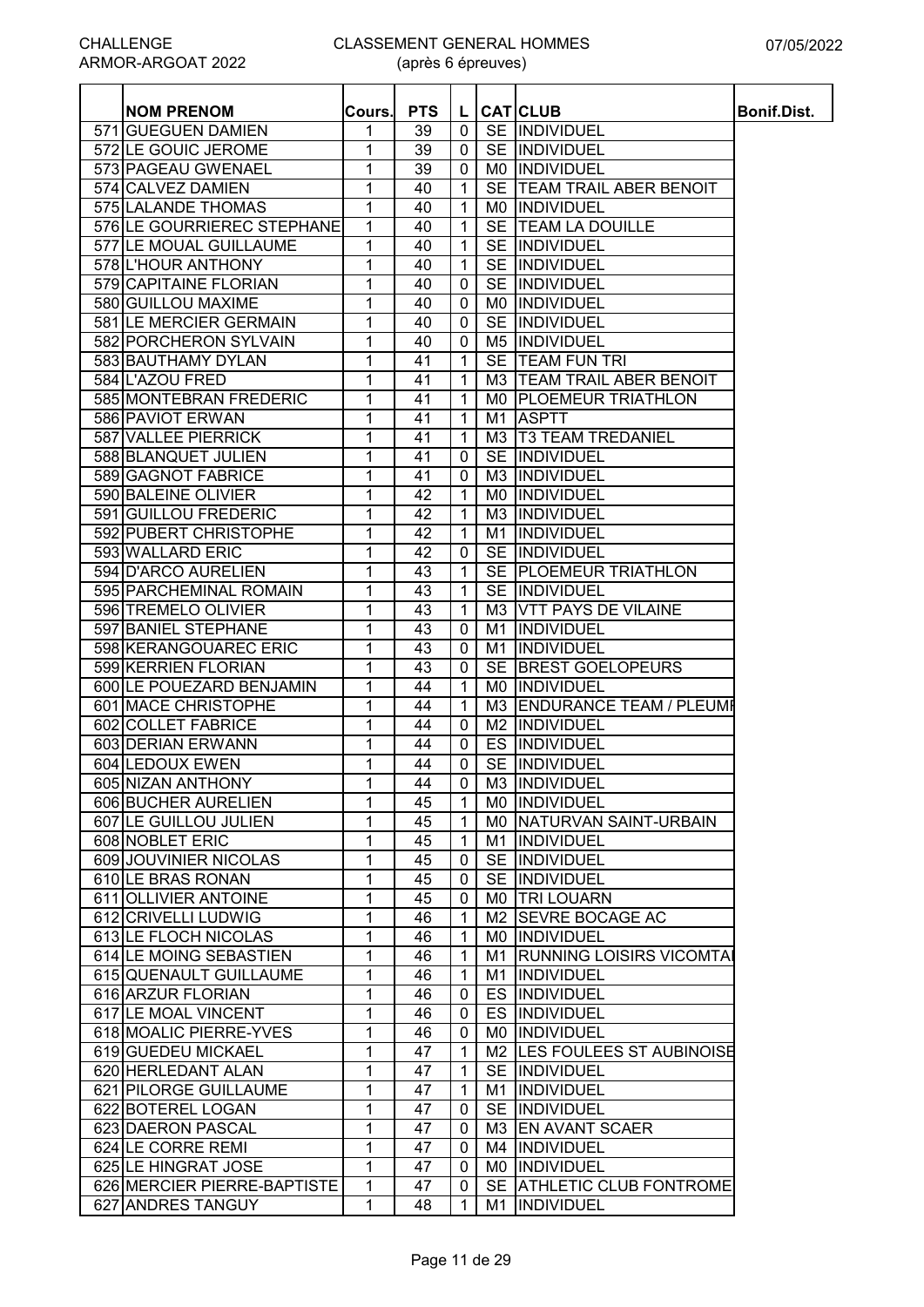(après 6 épreuves)

| <b>NOM PRENOM</b>           | Cours. | <b>PTS</b>      | L.             |                | <b>CAT CLUB</b>                | Bonif.Dist. |
|-----------------------------|--------|-----------------|----------------|----------------|--------------------------------|-------------|
| 571 GUEGUEN DAMIEN          | 1      | 39              | $\mathbf 0$    |                | SE INDIVIDUEL                  |             |
| 572 LE GOUIC JEROME         | 1      | 39              | $\mathbf 0$    |                | SE INDIVIDUEL                  |             |
| 573 PAGEAU GWENAEL          | 1      | 39              | $\mathbf 0$    | M0             | INDIVIDUEL                     |             |
| 574 CALVEZ DAMIEN           | 1      | 40              | $\mathbf{1}$   |                | SE TEAM TRAIL ABER BENOIT      |             |
| 575 LALANDE THOMAS          | 1      | 40              | $\mathbf{1}$   | M0             | <b>INDIVIDUEL</b>              |             |
| 576 LE GOURRIEREC STEPHANE  | 1      | 40              | $\mathbf{1}$   | <b>SE</b>      | <b>TEAM LA DOUILLE</b>         |             |
| 577 LE MOUAL GUILLAUME      | 1      | 40              | $\mathbf{1}$   |                | SE INDIVIDUEL                  |             |
| 578 L'HOUR ANTHONY          | 1      | 40              | $\mathbf{1}$   |                | SE INDIVIDUEL                  |             |
| 579 CAPITAINE FLORIAN       | 1      | 40              | $\mathbf 0$    | <b>SE</b>      | INDIVIDUEL                     |             |
| 580 GUILLOU MAXIME          |        |                 | $\mathbf 0$    |                | INDIVIDUEL                     |             |
|                             | 1      | 40              |                | M0             |                                |             |
| 581 LE MERCIER GERMAIN      | 1      | 40              | $\mathbf 0$    | <b>SE</b>      | INDIVIDUEL                     |             |
| 582 PORCHERON SYLVAIN       | 1      | 40              | $\mathbf 0$    | M <sub>5</sub> | INDIVIDUEL                     |             |
| 583 BAUTHAMY DYLAN          | 1      | 41              | $\mathbf{1}$   | <b>SE</b>      | <b>TEAM FUN TRI</b>            |             |
| 584 L'AZOU FRED             | 1      | 41              | 1              |                | M3   TEAM TRAIL ABER BENOIT    |             |
| 585 MONTEBRAN FREDERIC      | 1      | 41              | 1              |                | MO PLOEMEUR TRIATHLON          |             |
| 586 PAVIOT ERWAN            | 1      | 41              | $\mathbf{1}$   | M <sub>1</sub> | <b>ASPTT</b>                   |             |
| 587 VALLEE PIERRICK         | 1      | 41              | $\mathbf{1}$   |                | M3   T3 TEAM TREDANIEL         |             |
| 588 BLANQUET JULIEN         | 1      | 41              | $\mathbf 0$    | <b>SE</b>      | INDIVIDUEL                     |             |
| 589 GAGNOT FABRICE          | 1      | 41              | $\mathbf 0$    | M <sub>3</sub> | INDIVIDUEL                     |             |
| 590 BALEINE OLIVIER         | 1      | 42              | $\mathbf{1}$   | M0             | INDIVIDUEL                     |             |
| 591 GUILLOU FREDERIC        | 1      | $\overline{42}$ | $\overline{1}$ | M3             | INDIVIDUEL                     |             |
| 592 PUBERT CHRISTOPHE       | 1      | 42              | $\overline{1}$ | M1             | <b>INDIVIDUEL</b>              |             |
| 593 WALLARD ERIC            | 1      | 42              | $\mathbf 0$    |                | SE INDIVIDUEL                  |             |
| 594 D'ARCO AURELIEN         | 1      | 43              | $\overline{1}$ |                | SE PLOEMEUR TRIATHLON          |             |
| 595 PARCHEMINAL ROMAIN      | 1      | 43              | $\overline{1}$ |                | SE INDIVIDUEL                  |             |
| 596 TREMELO OLIVIER         | 1      | 43              | $\mathbf{1}$   |                | M3 VTT PAYS DE VILAINE         |             |
| 597 BANIEL STEPHANE         | 1      | 43              | $\mathbf 0$    | M1             | INDIVIDUEL                     |             |
| 598 KERANGOUAREC ERIC       | 1      | 43              | $\mathbf{0}$   | M1             | INDIVIDUEL                     |             |
| 599 KERRIEN FLORIAN         | 1      | 43              | $\mathbf 0$    | SE             | <b>BREST GOELOPEURS</b>        |             |
| 600 LE POUEZARD BENJAMIN    | 1      | 44              | $\mathbf{1}$   | M0             | <b>INDIVIDUEL</b>              |             |
| 601 MACE CHRISTOPHE         | 1      | 44              | $\mathbf{1}$   | M3             | <b>ENDURANCE TEAM / PLEUMF</b> |             |
| 602 COLLET FABRICE          | 1      | 44              | $\mathbf{0}$   | M <sub>2</sub> | <b>INDIVIDUEL</b>              |             |
| 603 DERIAN ERWANN           | 1      | 44              | $\mathbf 0$    |                | ES INDIVIDUEL                  |             |
| 604 LEDOUX EWEN             | 1      | 44              | $\mathbf 0$    |                | SE INDIVIDUEL                  |             |
| 605 NIZAN ANTHONY           | 1      | 44              | $\mathbf{0}$   |                | M3 INDIVIDUEL                  |             |
| 606 BUCHER AURELIEN         | 1      | 45              | $\mathbf{1}$   |                | MO  INDIVIDUEL                 |             |
| 607 LE GUILLOU JULIEN       | 1      | 45              | $\mathbf{1}$   |                | MO NATURVAN SAINT-URBAIN       |             |
| 608 NOBLET ERIC             | 1      | 45              | $\mathbf{1}$   | M1             | INDIVIDUEL                     |             |
| 609 JOUVINIER NICOLAS       | 1      | 45              | $\mathbf{0}$   |                | SE INDIVIDUEL                  |             |
| 610 LE BRAS RONAN           | 1      | 45              | 0              |                | SE INDIVIDUEL                  |             |
| 611 OLLIVIER ANTOINE        | 1      | 45              | $\mathbf 0$    |                | MO TRI LOUARN                  |             |
| 612 CRIVELLI LUDWIG         | 1      | 46              | $\mathbf{1}$   | M2             | <b>SEVRE BOCAGE AC</b>         |             |
|                             |        |                 | $\mathbf{1}$   |                |                                |             |
| 613 LE FLOCH NICOLAS        | 1      | 46              |                | M0             | INDIVIDUEL                     |             |
| 614 LE MOING SEBASTIEN      | 1      | 46              | $\mathbf{1}$   | M1             | <b>RUNNING LOISIRS VICOMTA</b> |             |
| 615 QUENAULT GUILLAUME      | 1      | 46              | $\mathbf{1}$   | M1             | INDIVIDUEL                     |             |
| 616 ARZUR FLORIAN           | 1      | 46              | 0              |                | ES INDIVIDUEL                  |             |
| 617 LE MOAL VINCENT         | 1      | 46              | $\mathbf{0}$   |                | ES INDIVIDUEL                  |             |
| 618 MOALIC PIERRE-YVES      | 1      | 46              | $\mathbf{0}$   |                | MO INDIVIDUEL                  |             |
| 619 GUEDEU MICKAEL          | 1      | 47              | $\mathbf{1}$   |                | M2 LES FOULEES ST AUBINOISE    |             |
| 620 HERLEDANT ALAN          | 1      | 47              | $\mathbf{1}$   |                | SE INDIVIDUEL                  |             |
| 621 PILORGE GUILLAUME       | 1      | 47              | $\mathbf{1}$   | M1             | <b>INDIVIDUEL</b>              |             |
| 622 BOTEREL LOGAN           | 1      | 47              | $\mathbf 0$    | <b>SE</b>      | <b>INDIVIDUEL</b>              |             |
| 623 DAERON PASCAL           | 1      | 47              | $\mathbf 0$    |                | M3 EN AVANT SCAER              |             |
| 624 LE CORRE REMI           | 1      | 47              | $\mathbf 0$    | M4             | INDIVIDUEL                     |             |
| 625 LE HINGRAT JOSE         | 1      | 47              | $\mathbf{0}$   | M0             | <b>INDIVIDUEL</b>              |             |
| 626 MERCIER PIERRE-BAPTISTE | 1      | 47              | 0              |                | SE ATHLETIC CLUB FONTROME      |             |
| 627 ANDRES TANGUY           | 1      | 48              | 1              | M1             | <b>INDIVIDUEL</b>              |             |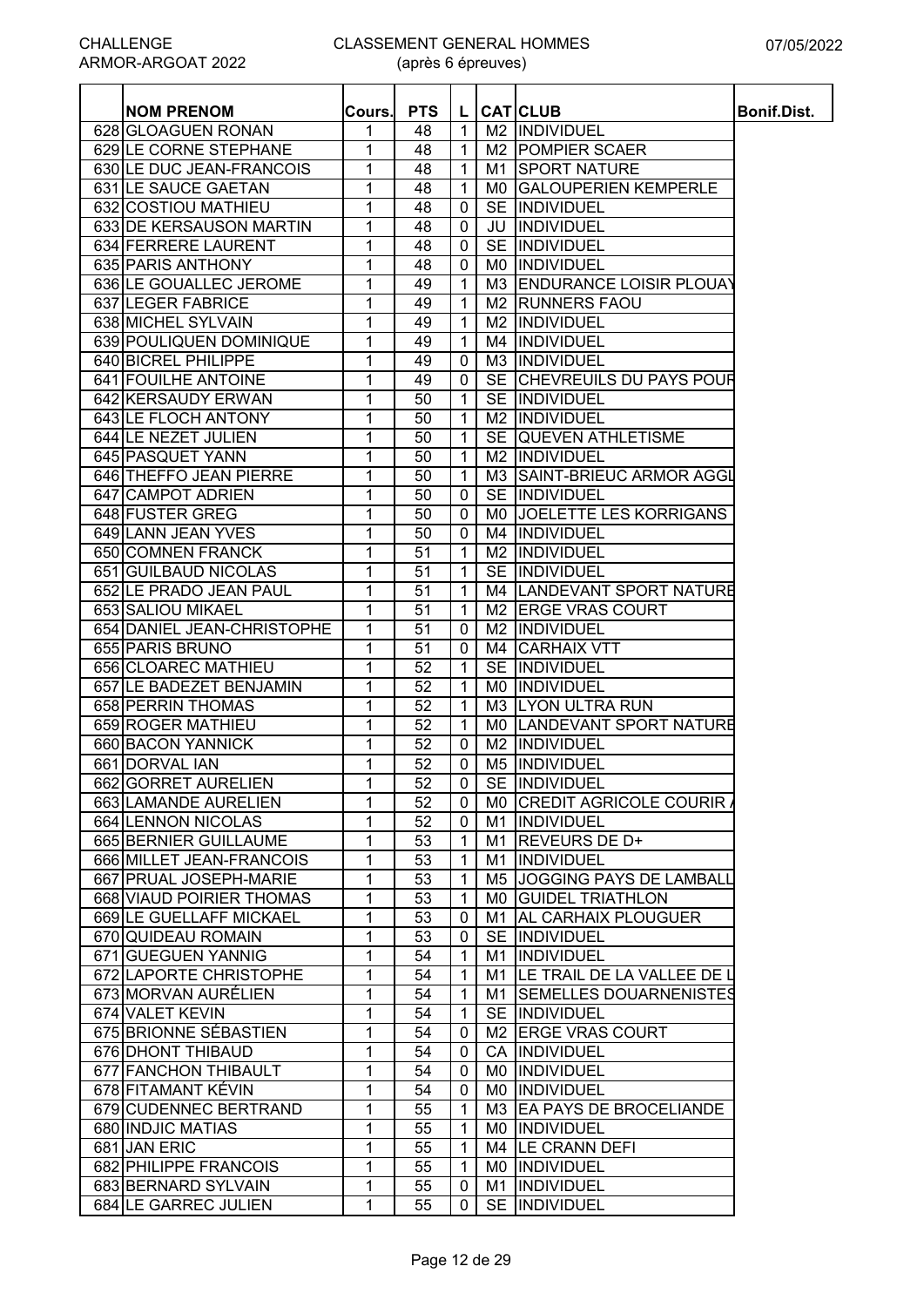| <b>NOM PRENOM</b>          | Cours.         | <b>PTS</b>      | L.           |    | <b>CAT</b> CLUB               | Bonif.Dist. |
|----------------------------|----------------|-----------------|--------------|----|-------------------------------|-------------|
| 628 GLOAGUEN RONAN         | 1              | 48              | $\mathbf{1}$ |    | M2  INDIVIDUEL                |             |
| 629 LE CORNE STEPHANE      | 1              | 48              | 1            |    | M2 POMPIER SCAER              |             |
| 630 LE DUC JEAN-FRANCOIS   | 1              | 48              | $\mathbf{1}$ |    | M1 SPORT NATURE               |             |
| 631 LE SAUCE GAETAN        | 1              | 48              | $\mathbf 1$  |    | MO GALOUPERIEN KEMPERLE       |             |
| 632 COSTIOU MATHIEU        | 1              | 48              | 0            |    | SE INDIVIDUEL                 |             |
| 633 DE KERSAUSON MARTIN    | 1              | 48              | 0            |    | JU  INDIVIDUEL                |             |
| 634 FERRERE LAURENT        | 1              | 48              | 0            |    | SE IINDIVIDUEL                |             |
| 635 PARIS ANTHONY          | 1              | 48              | $\mathbf{0}$ |    | MO  INDIVIDUEL                |             |
| 636 LE GOUALLEC JEROME     | 1              | 49              | $\mathbf{1}$ |    | M3 ENDURANCE LOISIR PLOUAY    |             |
| 637 LEGER FABRICE          | 1              | 49              | 1            |    | M2 RUNNERS FAOU               |             |
| 638 MICHEL SYLVAIN         | 1              | 49              | 1            | M2 | INDIVIDUEL                    |             |
| 639 POULIQUEN DOMINIQUE    | 1              | 49              | $\mathbf{1}$ |    | M4 INDIVIDUEL                 |             |
| 640 BICREL PHILIPPE        | 1              | 49              | 0            |    | M3  INDIVIDUEL                |             |
| 641 FOUILHE ANTOINE        | 1              | 49              | $\mathbf{0}$ |    | SE CHEVREUILS DU PAYS POUR    |             |
| 642 KERSAUDY ERWAN         |                | 50              |              |    | SE INDIVIDUEL                 |             |
|                            | 1              |                 | 1            |    |                               |             |
| 643 LE FLOCH ANTONY        | 1              | 50              | $\mathbf{1}$ |    | M2 INDIVIDUEL                 |             |
| 644 LE NEZET JULIEN        | 1              | 50              | $\mathbf{1}$ |    | SE QUEVEN ATHLETISME          |             |
| 645 PASQUET YANN           | 1              | 50              | $\mathbf{1}$ |    | M2 INDIVIDUEL                 |             |
| 646 THEFFO JEAN PIERRE     | 1              | 50              | $\mathbf{1}$ |    | M3 SAINT-BRIEUC ARMOR AGGL    |             |
| <b>647 CAMPOT ADRIEN</b>   | 1              | 50              | $\mathbf 0$  |    | SE INDIVIDUEL                 |             |
| 648 FUSTER GREG            | 1              | 50              | 0            |    | MO JOELETTE LES KORRIGANS     |             |
| 649 LANN JEAN YVES         | 1              | 50              | 0            |    | M4 INDIVIDUEL                 |             |
| 650 COMNEN FRANCK          | 1              | 51              | 1            |    | M2 INDIVIDUEL                 |             |
| 651 GUILBAUD NICOLAS       | $\overline{1}$ | $\overline{51}$ | $\mathbf{1}$ |    | SE INDIVIDUEL                 |             |
| 652 LE PRADO JEAN PAUL     | 1              | 51              | $\mathbf{1}$ |    | M4 LANDEVANT SPORT NATURE     |             |
| 653 SALIOU MIKAEL          | 1              | 51              | 1            |    | M2 ERGE VRAS COURT            |             |
| 654 DANIEL JEAN-CHRISTOPHE | 1              | 51              | 0            |    | M2  INDIVIDUEL                |             |
| 655 PARIS BRUNO            | 1              | 51              | 0            |    | M4 CARHAIX VTT                |             |
| 656 CLOAREC MATHIEU        | 1              | 52              | 1            |    | SE INDIVIDUEL                 |             |
| 657 LE BADEZET BENJAMIN    | 1              | 52              | 1            |    | MO INDIVIDUEL                 |             |
| 658 PERRIN THOMAS          | 1              | 52              | 1            |    | M3 LYON ULTRA RUN             |             |
| 659 ROGER MATHIEU          | 1              | 52              | $\mathbf{1}$ |    | MO LANDEVANT SPORT NATURE     |             |
| 660 BACON YANNICK          | 1              | 52              | $\mathbf{0}$ |    | M2  INDIVIDUEL                |             |
| 661 DORVAL IAN             | 1              | 52              | $\mathbf{0}$ |    | M5  INDIVIDUEL                |             |
| 662 GORRET AURELIEN        | 1              | 52              | $\mathbf{0}$ |    | SE INDIVIDUEL                 |             |
| 663 LAMANDE AURELIEN       | 1              | 52              | $\mathbf{0}$ |    | MO CREDIT AGRICOLE COURIR     |             |
| 664 LENNON NICOLAS         | 1              | 52              | 0            |    | M1 INDIVIDUEL                 |             |
| 665 BERNIER GUILLAUME      | 1              | 53              | $\mathbf{1}$ |    | M1 REVEURS DE D+              |             |
| 666 MILLET JEAN-FRANCOIS   | 1              | 53              | $\mathbf{1}$ |    | M1  INDIVIDUEL                |             |
| 667 PRUAL JOSEPH-MARIE     | 1              | 53              | $\mathbf{1}$ |    | M5 JOGGING PAYS DE LAMBALL    |             |
| 668 VIAUD POIRIER THOMAS   | 1              | 53              | $\mathbf{1}$ |    | MO GUIDEL TRIATHLON           |             |
| 669 LE GUELLAFF MICKAEL    | 1              | 53              | 0            |    | M1 AL CARHAIX PLOUGUER        |             |
| 670 QUIDEAU ROMAIN         | 1              | 53              | 0            |    | SE INDIVIDUEL                 |             |
| 671 GUEGUEN YANNIG         | 1              | 54              | $\mathbf{1}$ |    | M1  INDIVIDUEL                |             |
| 672 LAPORTE CHRISTOPHE     |                |                 |              |    |                               |             |
|                            | 1              | 54              | 1            |    | M1 LE TRAIL DE LA VALLEE DE L |             |
| 673 MORVAN AURÉLIEN        | 1              | 54              | 1            |    | M1 SEMELLES DOUARNENISTES     |             |
| 674 VALET KEVIN            | 1              | 54              | 1            |    | SE INDIVIDUEL                 |             |
| 675 BRIONNE SÉBASTIEN      | 1              | 54              | 0            |    | M2 ERGE VRAS COURT            |             |
| 676 DHONT THIBAUD          | 1              | 54              | $\mathbf{0}$ |    | CA  INDIVIDUEL                |             |
| 677 FANCHON THIBAULT       | 1              | 54              | 0            |    | MO INDIVIDUEL                 |             |
| 678 FITAMANT KEVIN         | 1              | 54              | 0            |    | MO INDIVIDUEL                 |             |
| 679 CUDENNEC BERTRAND      | 1              | 55              | 1            |    | M3 EA PAYS DE BROCELIANDE     |             |
| 680 INDJIC MATIAS          | 1              | 55              | $\mathbf{1}$ |    | MO INDIVIDUEL                 |             |
| 681 JAN ERIC               | 1              | 55              | $\mathbf{1}$ |    | M4 LE CRANN DEFI              |             |
| 682 PHILIPPE FRANCOIS      | 1              | 55              | 1            |    | MO  INDIVIDUEL                |             |
| 683 BERNARD SYLVAIN        | 1              | 55              | 0            |    | M1  INDIVIDUEL                |             |
| 684 LE GARREC JULIEN       | 1              | 55              | 0            |    | SE INDIVIDUEL                 |             |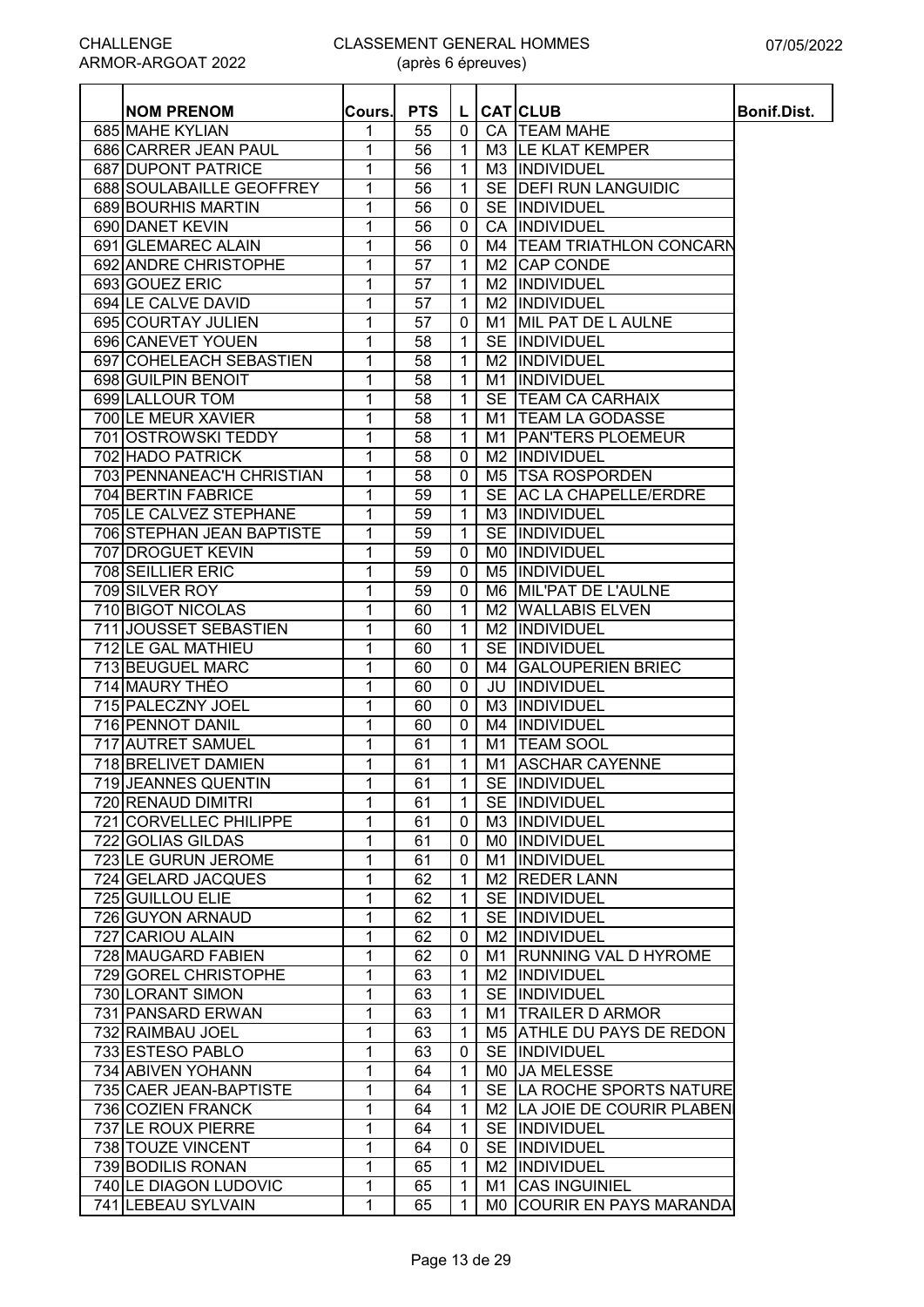| <b>NOM PRENOM</b>         | Cours.       | <b>PTS</b> | L              |                | <b>CAT</b> CLUB               | Bonif.Dist. |
|---------------------------|--------------|------------|----------------|----------------|-------------------------------|-------------|
| 685 MAHE KYLIAN           | 1            | 55         | 0              |                | CA   TEAM MAHE                |             |
| 686 CARRER JEAN PAUL      | 1            | 56         | $\mathbf 1$    |                | M3 LE KLAT KEMPER             |             |
| 687 DUPONT PATRICE        | $\mathbf 1$  | 56         | $\mathbf 1$    |                | M3 INDIVIDUEL                 |             |
| 688 SOULABAILLE GEOFFREY  | $\mathbf{1}$ | 56         | 1              |                | SE <b>DEFI RUN LANGUIDIC</b>  |             |
| 689 BOURHIS MARTIN        | 1            | 56         | 0              |                | SE INDIVIDUEL                 |             |
| 690 DANET KEVIN           | 1            | 56         | 0              | CA             | INDIVIDUEL                    |             |
| 691 GLEMAREC ALAIN        | 1            | 56         | $\mathbf 0$    |                | M4   TEAM TRIATHLON CONCARN   |             |
| 692 ANDRE CHRISTOPHE      | 1            | 57         | $\mathbf 1$    |                | M <sub>2</sub> CAP CONDE      |             |
| 693 GOUEZ ERIC            | 1            | 57         | 1              | M2             | INDIVIDUEL                    |             |
| 694 LE CALVE DAVID        | 1            | 57         | 1              | M <sub>2</sub> | <b>INDIVIDUEL</b>             |             |
| 695 COURTAY JULIEN        | 1            | 57         | 0              | M1             | MIL PAT DE L AULNE            |             |
| 696 CANEVET YOUEN         | 1            | 58         | 1              |                | SE INDIVIDUEL                 |             |
| 697 COHELEACH SEBASTIEN   | 1            | 58         | 1              | M <sub>2</sub> | <b>INDIVIDUEL</b>             |             |
| 698 GUILPIN BENOIT        | 1            | 58         | 1              | M1             | <b>INDIVIDUEL</b>             |             |
| 699 LALLOUR TOM           | 1            | 58         | 1              |                | SE TEAM CA CARHAIX            |             |
| 700 LE MEUR XAVIER        | 1            | 58         | 1              | M1             | <b>TEAM LA GODASSE</b>        |             |
| 701 OSTROWSKI TEDDY       | 1            | 58         | $\mathbf 1$    | M1             | <b>PAN'TERS PLOEMEUR</b>      |             |
| 702 HADO PATRICK          | 1            | 58         | 0              | M2             | INDIVIDUEL                    |             |
| 703 PENNANEAC'H CHRISTIAN | 1            | 58         | $\mathbf 0$    |                | M5 TSA ROSPORDEN              |             |
| 704 BERTIN FABRICE        | 1            | 59         | $\mathbf 1$    |                | SE AC LA CHAPELLE/ERDRE       |             |
| 705 LE CALVEZ STEPHANE    | 1            | 59         | $\mathbf 1$    |                | M3 INDIVIDUEL                 |             |
| 706 STEPHAN JEAN BAPTISTE | $\mathbf{1}$ | 59         | $\mathbf{1}$   |                | SE INDIVIDUEL                 |             |
| 707 DROGUET KEVIN         | 1            | 59         | 0              |                | MO INDIVIDUEL                 |             |
| <b>708 SEILLIER ERIC</b>  | 1            | 59         | 0              |                | M5 INDIVIDUEL                 |             |
| 709 SILVER ROY            | 1            | 59         | 0              |                | M6 MIL'PAT DE L'AULNE         |             |
| 710 BIGOT NICOLAS         | $\mathbf{1}$ | 60         | $\mathbf 1$    |                | <b>M2 WALLABIS ELVEN</b>      |             |
| 711 JOUSSET SEBASTIEN     | $\mathbf{1}$ | 60         | 1              | M <sub>2</sub> | INDIVIDUEL                    |             |
| 712 LE GAL MATHIEU        | 1            | 60         | $\mathbf{1}$   | <b>SE</b>      | <b>INDIVIDUEL</b>             |             |
| 713 BEUGUEL MARC          | 1            | 60         | 0              | M4             | <b>GALOUPERIEN BRIEC</b>      |             |
| 714 MAURY THÉO            | 1            | 60         | 0              | JU             | <b>INDIVIDUEL</b>             |             |
| 715 PALECZNY JOEL         | 1            | 60         | 0              | M3             | <b>INDIVIDUEL</b>             |             |
| 716 PENNOT DANIL          | $\mathbf{1}$ | 60         | 0              | M4             | <b>INDIVIDUEL</b>             |             |
| 717 AUTRET SAMUEL         | 1            | 61         | $\mathbf 1$    | M1             | <b>TEAM SOOL</b>              |             |
| 718 BRELIVET DAMIEN       | 1            | 61         | $\mathbf{1}$   | M1             | <b>ASCHAR CAYENNE</b>         |             |
| 719 JEANNES QUENTIN       | 1            | 61         | 1 <sup>1</sup> |                | SE INDIVIDUEL                 |             |
| 720 RENAUD DIMITRI        | $\mathbf{1}$ | 61         | $\mathbf{1}$   |                | SE INDIVIDUEL                 |             |
| 721 CORVELLEC PHILIPPE    | $\mathbf{1}$ | 61         | 0              |                | M3 INDIVIDUEL                 |             |
| 722 GOLIAS GILDAS         | 1            | 61         | $\mathbf 0$    |                | MO INDIVIDUEL                 |             |
| 723 LE GURUN JEROME       | 1            | 61         | $\mathbf{0}$   |                | M1 INDIVIDUEL                 |             |
| 724 GELARD JACQUES        | 1            | 62         | 1              |                | M <sub>2</sub> REDER LANN     |             |
| 725 GUILLOU ELIE          | 1            | 62         | $\mathbf 1$    |                | SE IINDIVIDUEL                |             |
| 726 GUYON ARNAUD          | 1            | 62         | $\mathbf 1$    |                | SE INDIVIDUEL                 |             |
| 727 CARIOU ALAIN          | $\mathbf{1}$ | 62         | 0              |                | M <sub>2</sub> INDIVIDUEL     |             |
| 728 MAUGARD FABIEN        | 1            | 62         | 0              |                | M1 RUNNING VAL D HYROME       |             |
| 729 GOREL CHRISTOPHE      | 1            | 63         | 1              |                | <b>M2 IINDIVIDUEL</b>         |             |
| 730 LORANT SIMON          | 1            | 63         | 1              |                | SE INDIVIDUEL                 |             |
| 731 PANSARD ERWAN         | 1            | 63         | 1              |                | M1 TRAILER D ARMOR            |             |
| 732 RAIMBAU JOEL          | 1            | 63         | 1              |                | M5 ATHLE DU PAYS DE REDON     |             |
| 733 ESTESO PABLO          | 1            | 63         | $\mathbf{0}$   |                | SE INDIVIDUEL                 |             |
| 734 ABIVEN YOHANN         | $\mathbf{1}$ | 64         | $\mathbf{1}$   |                | MO JA MELESSE                 |             |
| 735 CAER JEAN-BAPTISTE    | 1            | 64         | 1              |                | SE LA ROCHE SPORTS NATURE     |             |
| 736 COZIEN FRANCK         | 1            | 64         | 1              |                | M2   LA JOIE DE COURIR PLABEN |             |
| 737 LE ROUX PIERRE        | $\mathbf{1}$ | 64         | $\mathbf{1}$   |                | SE INDIVIDUEL                 |             |
| 738 TOUZE VINCENT         | $\mathbf{1}$ | 64         | $\mathbf{0}$   |                | SE INDIVIDUEL                 |             |
| 739 BODILIS RONAN         | $\mathbf{1}$ | 65         | 1              |                | M2  INDIVIDUEL                |             |
| 740 LE DIAGON LUDOVIC     | 1            | 65         | 1              | M1             | <b>CAS INGUINIEL</b>          |             |
| 741 LEBEAU SYLVAIN        | 1            | 65         | 1              | M0             | <b>COURIR EN PAYS MARANDA</b> |             |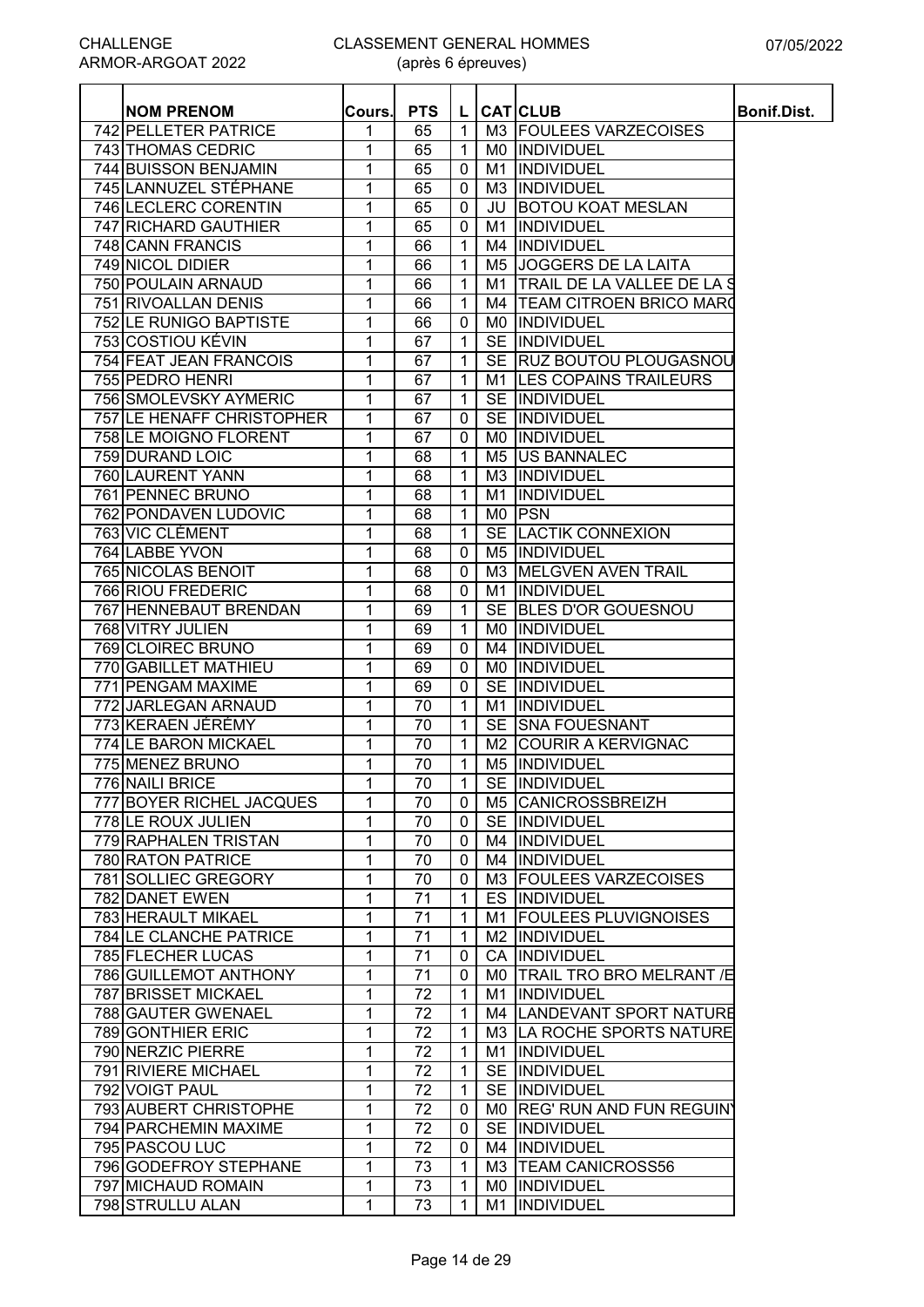| R-ARGOAT 2022           |          | (après 6 épreuves) |   |     |                          |                    |  |  |  |  |  |  |
|-------------------------|----------|--------------------|---|-----|--------------------------|--------------------|--|--|--|--|--|--|
| <b>NOM PRENOM</b>       | .Cours.l | <b>PTS</b>         |   |     | <b>CAT</b> CLUB          | <b>Bonif.Dist.</b> |  |  |  |  |  |  |
| PELLETER PATRICE        |          | 65                 |   |     | M3 FOULEES VARZECOISES   |                    |  |  |  |  |  |  |
| <b>THOMAS CEDRIC</b>    |          | 65                 |   | M0. | <b>INDIVIDUEL</b>        |                    |  |  |  |  |  |  |
| <b>BUISSON BENJAMIN</b> |          | 65                 | 0 | M1  | INDIVIDUEL               |                    |  |  |  |  |  |  |
| LANNUZEL STÉPHANE       |          | 65                 | 0 | M3  | <b>INDIVIDUEL</b>        |                    |  |  |  |  |  |  |
| <b>LECLERC CORENTIN</b> |          | 65                 | 0 | JU  | <b>BOTOU KOAT MESLAN</b> |                    |  |  |  |  |  |  |
| <b>RICHARD GAUTHIER</b> |          | 65                 | 0 | M1  | <b>INDIVIDUEL</b>        |                    |  |  |  |  |  |  |
| <b>CANN FRANCIS</b>     |          | 66                 |   |     | M4 IINDIVIDUEL           |                    |  |  |  |  |  |  |

| 742 PELLETER PATRICE      | 1 | 65              | $\mathbf{1}$   |    | M3 FOULEES VARZECOISES         |  |
|---------------------------|---|-----------------|----------------|----|--------------------------------|--|
| 743 THOMAS CEDRIC         | 1 | 65              | $\mathbf{1}$   |    | MO INDIVIDUEL                  |  |
| 744 BUISSON BENJAMIN      | 1 | 65              | 0              |    | M1  INDIVIDUEL                 |  |
| 745 LANNUZEL STÉPHANE     | 1 | 65              | 0              |    | M3  INDIVIDUEL                 |  |
| 746 LECLERC CORENTIN      | 1 | 65              | $\mathbf 0$    |    | <b>JU BOTOU KOAT MESLAN</b>    |  |
| 747 RICHARD GAUTHIER      | 1 | 65              | $\mathbf 0$    |    | M1  INDIVIDUEL                 |  |
| 748 CANN FRANCIS          | 1 | 66              | $\mathbf{1}$   |    | M4  INDIVIDUEL                 |  |
| 749 NICOL DIDIER          | 1 | 66              | $\mathbf{1}$   |    | M5 JOGGERS DE LA LAITA         |  |
| 750 POULAIN ARNAUD        | 1 | 66              | $\mathbf{1}$   |    | M1 TRAIL DE LA VALLEE DE LA S  |  |
| 751 RIVOALLAN DENIS       | 1 | 66              | $\mathbf{1}$   |    | M4 TEAM CITROEN BRICO MARO     |  |
| 752 LE RUNIGO BAPTISTE    | 1 | 66              | 0              |    | MO  INDIVIDUEL                 |  |
| 753 COSTIOU KÉVIN         | 1 | 67              | $\mathbf{1}$   |    | SE INDIVIDUEL                  |  |
| 754 FEAT JEAN FRANCOIS    | 1 | 67              | $\mathbf{1}$   |    | SE RUZ BOUTOU PLOUGASNOU       |  |
| 755 PEDRO HENRI           | 1 | 67              | $\mathbf{1}$   |    | M1 LES COPAINS TRAILEURS       |  |
| 756 SMOLEVSKY AYMERIC     | 1 | 67              | $\mathbf{1}$   |    | SE INDIVIDUEL                  |  |
| 757 LE HENAFF CHRISTOPHER | 1 | 67              | 0              |    | SE INDIVIDUEL                  |  |
| 758 LE MOIGNO FLORENT     | 1 | 67              | 0              |    | MO INDIVIDUEL                  |  |
| 759 DURAND LOIC           | 1 | 68              | $\mathbf{1}$   |    | M5 US BANNALEC                 |  |
| 760 LAURENT YANN          |   |                 |                |    | M3  INDIVIDUEL                 |  |
|                           | 1 | 68              | $\mathbf{1}$   |    |                                |  |
| 761 PENNEC BRUNO          | 1 | 68              | $\mathbf{1}$   | M1 | INDIVIDUEL                     |  |
| 762 PONDAVEN LUDOVIC      | 1 | 68              | $\mathbf{1}$   |    | MO PSN                         |  |
| <b>763 VIC CLÉMENT</b>    | 1 | 68              | $\mathbf{1}$   |    | SE LACTIK CONNEXION            |  |
| 764 LABBE YVON            | 1 | 68              | $\mathbf 0$    |    | M5  INDIVIDUEL                 |  |
| 765 NICOLAS BENOIT        | 1 | 68              | 0              |    | M3 MELGVEN AVEN TRAIL          |  |
| 766 RIOU FREDERIC         | 1 | 68              | $\mathbf 0$    |    | M1  INDIVIDUEL                 |  |
| 767 HENNEBAUT BRENDAN     | 1 | 69              | $\mathbf{1}$   |    | SE BLES D'OR GOUESNOU          |  |
| 768 VITRY JULIEN          | 1 | 69              | 1              |    | MO  INDIVIDUEL                 |  |
| 769 CLOIREC BRUNO         | 1 | 69              | $\mathbf 0$    |    | M4 INDIVIDUEL                  |  |
| 770 GABILLET MATHIEU      | 1 | 69              | $\mathbf 0$    |    | MO  INDIVIDUEL                 |  |
| 771 PENGAM MAXIME         | 1 | 69              | 0              |    | SE INDIVIDUEL                  |  |
| 772 JARLEGAN ARNAUD       | 1 | 70              | $\mathbf{1}$   | M1 | INDIVIDUEL                     |  |
| 773 KERAEN JÉRÉMY         | 1 | 70              | $\mathbf{1}$   |    | SE SNA FOUESNANT               |  |
| 774 LE BARON MICKAEL      | 1 | 70              | $\mathbf 1$    |    | M2 COURIR A KERVIGNAC          |  |
| 775 MENEZ BRUNO           | 1 | 70              | $\mathbf{1}$   |    | M5 INDIVIDUEL                  |  |
| 776 NAILI BRICE           | 1 | 70              | $\mathbf{1}$   |    | SE INDIVIDUEL                  |  |
| 777 BOYER RICHEL JACQUES  | 1 | $\overline{70}$ | $\mathbf 0$    |    | M5 CANICROSSBREIZH             |  |
| 778 LE ROUX JULIEN        | 1 | 70              | $\overline{0}$ |    | SE INDIVIDUEL                  |  |
| 779 RAPHALEN TRISTAN      | 1 | 70              | $\mathbf 0$    |    | M4 INDIVIDUEL                  |  |
| 780 RATON PATRICE         | 1 | 70              | $\mathbf 0$    |    | M4  INDIVIDUEL                 |  |
| 781 SOLLIEC GREGORY       | 1 | 70              | 0              |    | M3 FOULEES VARZECOISES         |  |
| 782 DANET EWEN            | 1 | 71              | $\mathbf{1}$   |    | ES INDIVIDUEL                  |  |
| 783 HERAULT MIKAEL        | 1 | 71              | $\mathbf 1$    |    | M1 FOULEES PLUVIGNOISES        |  |
| 784 LE CLANCHE PATRICE    | 1 | 71              | $\mathbf{1}$   |    | M2  INDIVIDUEL                 |  |
| 785 FLECHER LUCAS         | 1 | 71              | 0              |    | CA INDIVIDUEL                  |  |
| 786 GUILLEMOT ANTHONY     | 1 | 71              | 0              |    | M0   TRAIL TRO BRO MELRANT / E |  |
| 787 BRISSET MICKAEL       | 1 | 72              | $\mathbf{1}$   | M1 | INDIVIDUEL                     |  |
| 788 GAUTER GWENAEL        | 1 | 72              | $\mathbf 1$    |    | M4 LANDEVANT SPORT NATURE      |  |
| 789 GONTHIER ERIC         | 1 | 72              | $\mathbf{1}$   |    | M3 LA ROCHE SPORTS NATURE      |  |
| 790 NERZIC PIERRE         | 1 | 72              | $\mathbf 1$    |    | M1  INDIVIDUEL                 |  |
| 791 RIVIERE MICHAEL       | 1 | 72              | $\mathbf{1}$   |    | SE INDIVIDUEL                  |  |
| 792 VOIGT PAUL            | 1 | 72              | $\mathbf{1}$   |    | SE INDIVIDUEL                  |  |
|                           |   |                 |                |    |                                |  |
| 793 AUBERT CHRISTOPHE     | 1 | 72              | 0              |    | MO REG' RUN AND FUN REGUIN'    |  |
| 794 PARCHEMIN MAXIME      | 1 | 72              | 0              |    | SE INDIVIDUEL                  |  |
| 795 PASCOU LUC            | 1 | 72              | 0              |    | M4  INDIVIDUEL                 |  |
| 796 GODEFROY STEPHANE     | 1 | 73              | $\mathbf{1}$   |    | M3   TEAM CANICROSS56          |  |
| 797 MICHAUD ROMAIN        | 1 | 73              | $\mathbf 1$    |    | MO  INDIVIDUEL                 |  |
| 798 STRULLU ALAN          | 1 | 73              | 1              | M1 | INDIVIDUEL                     |  |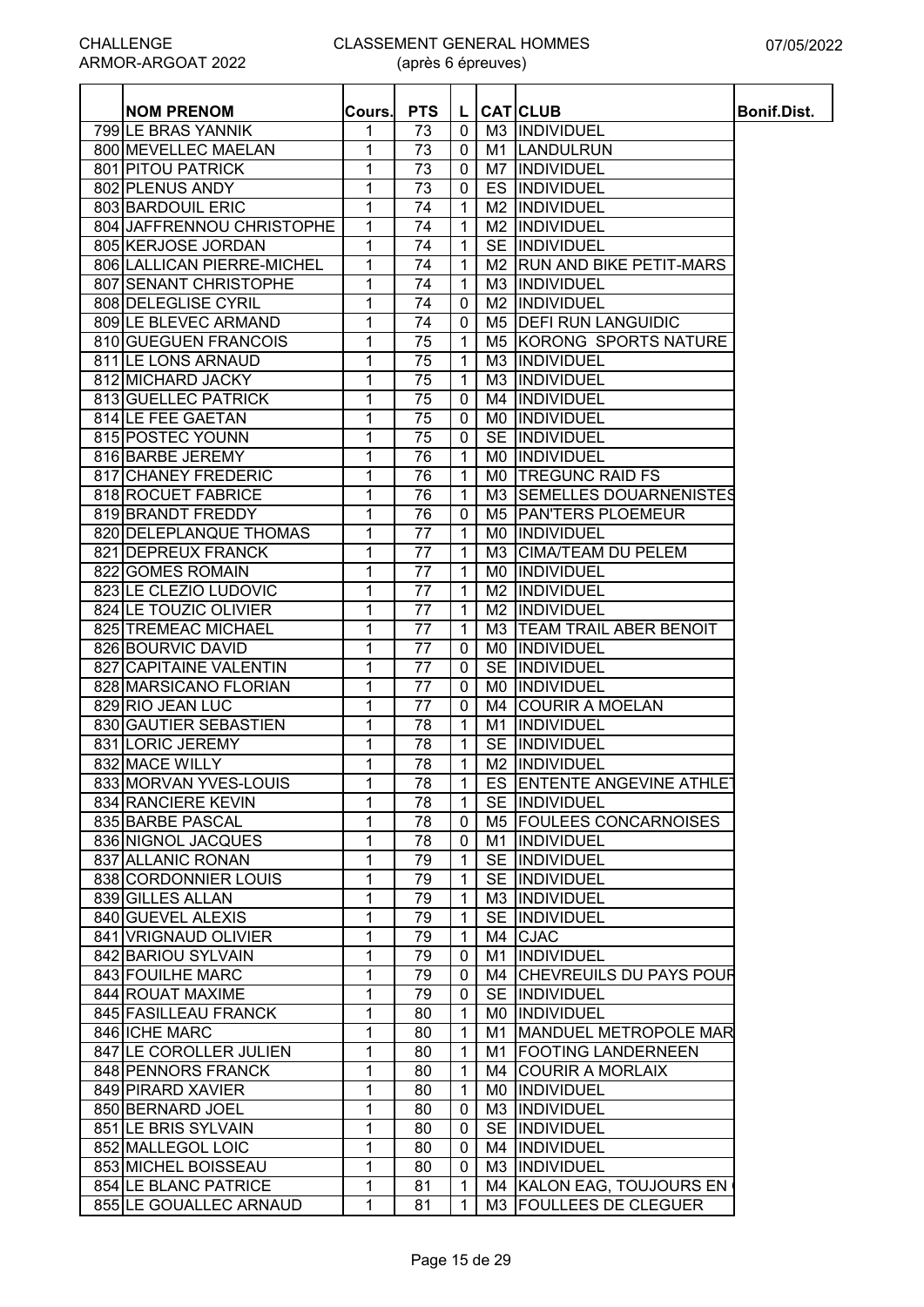| <b>NOM PRENOM</b>          | Cours.         | <b>PTS</b>      | L                 |                 | <b>CAT</b> CLUB               | <b>Bonif.Dist.</b> |
|----------------------------|----------------|-----------------|-------------------|-----------------|-------------------------------|--------------------|
| 799 LE BRAS YANNIK         | 1              | 73              | $\mathbf{0}$      |                 | M3 INDIVIDUEL                 |                    |
| 800 MEVELLEC MAELAN        | 1              | 73              | $\mathbf{0}$      |                 | M1 LANDULRUN                  |                    |
| 801 PITOU PATRICK          | 1              | 73              | 0                 |                 | M7  INDIVIDUEL                |                    |
| 802 PLENUS ANDY            | 1              | 73              | 0                 |                 | ES INDIVIDUEL                 |                    |
| 803 BARDOUIL ERIC          | 1              | 74              | 1                 |                 | M2  INDIVIDUEL                |                    |
| 804 JAFFRENNOU CHRISTOPHE  | 1              | 74              | $\mathbf{1}$      |                 | M2 INDIVIDUEL                 |                    |
| 805 KERJOSE JORDAN         | 1              | $\overline{7}4$ | 1                 |                 | SE INDIVIDUEL                 |                    |
| 806 LALLICAN PIERRE-MICHEL | 1              | 74              | 1                 |                 | M2 RUN AND BIKE PETIT-MARS    |                    |
| 807 SENANT CHRISTOPHE      | 1              | 74              | $\mathbf{1}$      |                 | M3  INDIVIDUEL                |                    |
| 808 DELEGLISE CYRIL        | 1              | 74              | 0                 |                 | M <sub>2</sub> INDIVIDUEL     |                    |
| 809 LE BLEVEC ARMAND       | 1              | 74              | 0                 |                 | M5 <b>DEFI RUN LANGUIDIC</b>  |                    |
| 810 GUEGUEN FRANCOIS       | 1              | 75              | 1                 |                 | M5 KORONG SPORTS NATURE       |                    |
| 811 LE LONS ARNAUD         | 1              | 75              | 1                 |                 | M3 INDIVIDUEL                 |                    |
| 812 MICHARD JACKY          | 1              | 75              | $\mathbf{1}$      |                 | M3 INDIVIDUEL                 |                    |
| 813 GUELLEC PATRICK        | 1              | 75              | 0                 |                 | M4  INDIVIDUEL                |                    |
| 814 LE FEE GAETAN          | 1              | 75              | 0                 |                 | MO INDIVIDUEL                 |                    |
| 815 POSTEC YOUNN           | 1              | 75              | $\mathbf 0$       |                 | SE INDIVIDUEL                 |                    |
| 816 BARBE JEREMY           | 1              | 76              | $\mathbf 1$       |                 | MO INDIVIDUEL                 |                    |
| 817 CHANEY FREDERIC        | 1              | 76              | $\mathbf 1$       |                 | MO TREGUNC RAID FS            |                    |
| 818 ROCUET FABRICE         | 1              | 76              | $\mathbf{1}$      |                 | M3 SEMELLES DOUARNENISTES     |                    |
| 819 BRANDT FREDDY          | 1              | 76              | 0                 |                 | M5 PAN'TERS PLOEMEUR          |                    |
| 820 DELEPLANQUE THOMAS     | $\overline{1}$ | 77              | $\mathbf{1}$      |                 | MO INDIVIDUEL                 |                    |
| 821 DEPREUX FRANCK         | 1              | $\overline{77}$ | 1                 |                 | M3 CIMA/TEAM DU PELEM         |                    |
| 822 GOMES ROMAIN           | 1              | 77              | $\mathbf{1}$      |                 | MO INDIVIDUEL                 |                    |
| 823 LE CLEZIO LUDOVIC      | 1              | $\overline{77}$ | $\mathbf{1}$      |                 | M2  INDIVIDUEL                |                    |
| 824 LE TOUZIC OLIVIER      | 1              | $\overline{77}$ | 1                 |                 | M <sub>2</sub> INDIVIDUEL     |                    |
| 825 TREMEAC MICHAEL        | 1              | 77              | 1                 | M3              | <b>TEAM TRAIL ABER BENOIT</b> |                    |
| 826 BOURVIC DAVID          |                | $\overline{77}$ |                   |                 | INDIVIDUEL                    |                    |
|                            | 1              | 77              | 0<br>$\mathbf{0}$ | M0<br><b>SE</b> |                               |                    |
| 827 CAPITAINE VALENTIN     | 1              |                 |                   |                 | <b>INDIVIDUEL</b>             |                    |
| 828 MARSICANO FLORIAN      | 1              | 77              | $\mathbf{0}$      |                 | MO INDIVIDUEL                 |                    |
| 829 RIO JEAN LUC           | 1              | 77              | $\mathbf{0}$      |                 | M4 COURIR A MOELAN            |                    |
| 830 GAUTIER SEBASTIEN      | 1              | 78              | $\mathbf{1}$      | M1              | INDIVIDUEL                    |                    |
| 831 LORIC JEREMY           | 1              | 78              | $\mathbf{1}$      |                 | SE INDIVIDUEL                 |                    |
| 832 MACE WILLY             | 1              | 78              | 1                 |                 | M <sub>2</sub> INDIVIDUEL     |                    |
| 833 MORVAN YVES-LOUIS      | 1              | 78              | $\mathbf{1}$      |                 | ES ENTENTE ANGEVINE ATHLET    |                    |
| 834 RANCIERE KEVIN         | 1              | 78              | $\mathbf{1}$      |                 | SE INDIVIDUEL                 |                    |
| 835 BARBE PASCAL           | 1              | 78              | 0                 |                 | M5 FOULEES CONCARNOISES       |                    |
| 836 NIGNOL JACQUES         | 1              | 78              | 0                 |                 | M1  INDIVIDUEL                |                    |
| 837 ALLANIC RONAN          | 1              | 79              | 1                 |                 | SE INDIVIDUEL                 |                    |
| 838 CORDONNIER LOUIS       | 1              | 79              | 1                 |                 | SE INDIVIDUEL                 |                    |
| 839 GILLES ALLAN           | 1              | 79              | 1                 |                 | M3 INDIVIDUEL                 |                    |
| 840 GUEVEL ALEXIS          | 1              | 79              | 1                 |                 | SE INDIVIDUEL                 |                    |
| 841 VRIGNAUD OLIVIER       | 1              | 79              | 1                 |                 | M4 CJAC                       |                    |
| 842 BARIOU SYLVAIN         | 1              | 79              | 0                 |                 | M1  INDIVIDUEL                |                    |
| 843 FOUILHE MARC           | 1              | 79              | 0                 |                 | M4 CHEVREUILS DU PAYS POUR    |                    |
| 844 ROUAT MAXIME           | 1              | 79              | 0                 |                 | SE INDIVIDUEL                 |                    |
| 845 FASILLEAU FRANCK       | 1              | $\overline{80}$ | $\mathbf{1}$      |                 | MO  INDIVIDUEL                |                    |
| 846 ICHE MARC              | 1              | 80              | 1                 |                 | M1 MANDUEL METROPOLE MAR      |                    |
| 847 LE COROLLER JULIEN     | 1              | 80              | 1                 |                 | M1 FOOTING LANDERNEEN         |                    |
| 848 PENNORS FRANCK         | 1              | 80              | 1                 |                 | M4 COURIR A MORLAIX           |                    |
| 849 PIRARD XAVIER          | 1              | 80              | $\mathbf{1}$      |                 | MO INDIVIDUEL                 |                    |
| 850 BERNARD JOEL           | 1              | 80              | 0                 |                 | M3 INDIVIDUEL                 |                    |
| 851 LE BRIS SYLVAIN        | 1              | 80              | $\mathbf{0}$      |                 | SE INDIVIDUEL                 |                    |
| 852 MALLEGOL LOIC          | 1              | 80              | $\mathbf 0$       |                 | M4  INDIVIDUEL                |                    |
| 853 MICHEL BOISSEAU        | 1              | 80              | 0                 |                 | M3  INDIVIDUEL                |                    |
| 854 LE BLANC PATRICE       | 1              | 81              | 1                 |                 | M4 KALON EAG, TOUJOURS EN     |                    |
| 855 LE GOUALLEC ARNAUD     | 1              | 81              | 1                 |                 | M3 FOULLEES DE CLEGUER        |                    |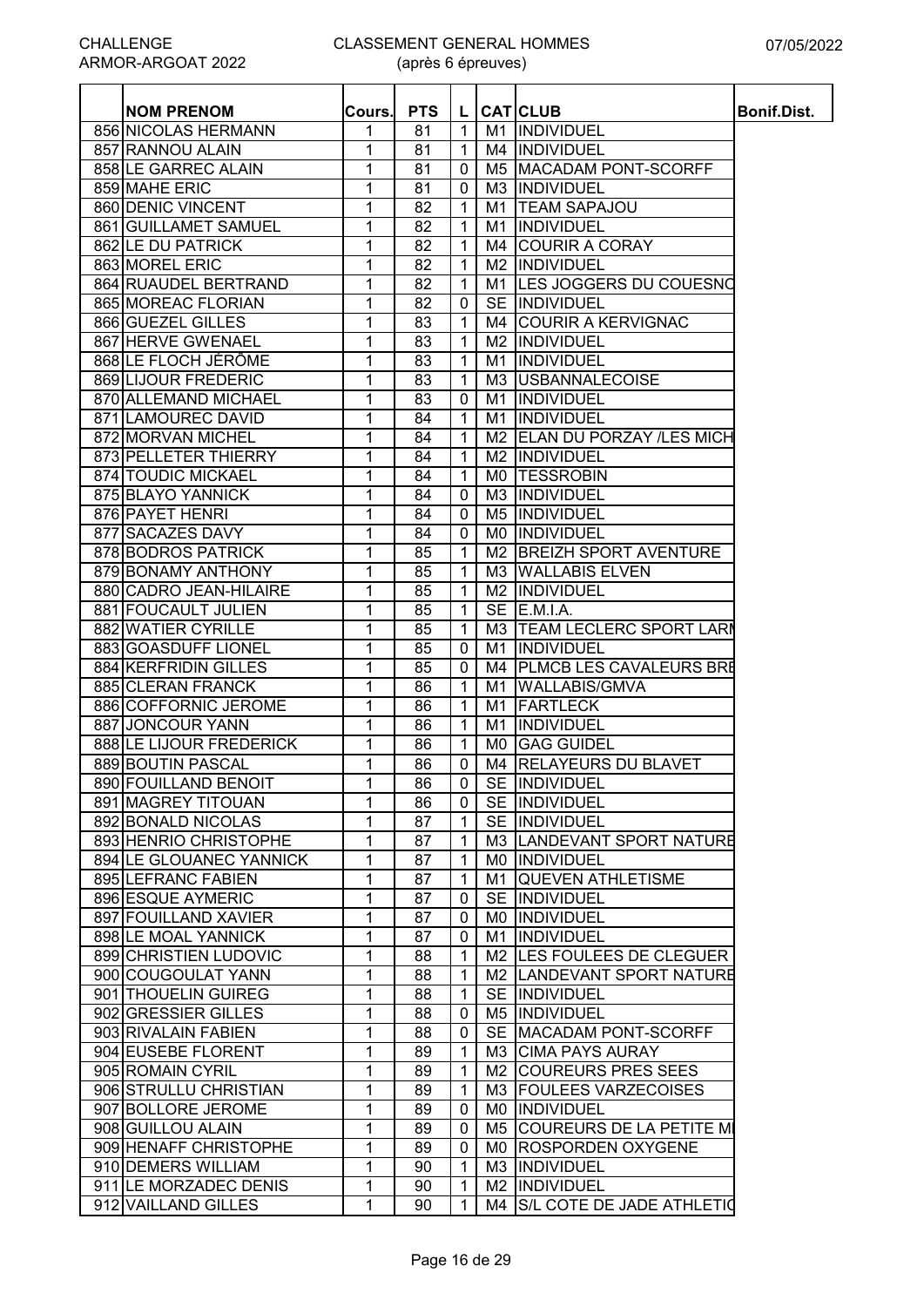| <b>NOM PRENOM</b>         | Cours. | <b>PTS</b> | L              |                | <b>CAT</b> CLUB                | <b>Bonif.Dist.</b> |
|---------------------------|--------|------------|----------------|----------------|--------------------------------|--------------------|
| 856 NICOLAS HERMANN       | 1      | 81         | $\mathbf{1}$   |                | M1 INDIVIDUEL                  |                    |
| 857 RANNOU ALAIN          | 1      | 81         | $\mathbf{1}$   |                | M4 INDIVIDUEL                  |                    |
| 858 LE GARREC ALAIN       | 1      | 81         | $\mathbf 0$    | M <sub>5</sub> | MACADAM PONT-SCORFF            |                    |
| 859 MAHE ERIC             | 1      | 81         | $\mathbf 0$    |                | M3  INDIVIDUEL                 |                    |
| 860 DENIC VINCENT         | 1      | 82         | 1              | M1             | <b>TEAM SAPAJOU</b>            |                    |
| 861 GUILLAMET SAMUEL      | 1      | 82         | $\mathbf{1}$   | M1             | INDIVIDUEL                     |                    |
| 862 LE DU PATRICK         | 1      | 82         | 1              | M4             | <b>COURIR A CORAY</b>          |                    |
| 863 MOREL ERIC            | 1      | 82         | 1              | M <sub>2</sub> | INDIVIDUEL                     |                    |
| 864 RUAUDEL BERTRAND      | 1      | 82         | 1              | M1             | LES JOGGERS DU COUESNO         |                    |
| 865 MOREAC FLORIAN        | 1      | 82         | 0              | <b>SE</b>      | INDIVIDUEL                     |                    |
| 866 GUEZEL GILLES         | 1      | 83         | $\mathbf 1$    | M4             | <b>COURIR A KERVIGNAC</b>      |                    |
| 867 HERVE GWENAEL         | 1      | 83         | $\mathbf{1}$   |                | M2 INDIVIDUEL                  |                    |
| 868 LE FLOCH JÉRÔME       | 1      | 83         | $\mathbf{1}$   | M1             | INDIVIDUEL                     |                    |
| 869 LIJOUR FREDERIC       | 1      | 83         | $\mathbf{1}$   |                | M3 USBANNALECOISE              |                    |
| 870 ALLEMAND MICHAEL      | 1      | 83         | $\pmb{0}$      | M1             | INDIVIDUEL                     |                    |
| 871 LAMOUREC DAVID        | 1      | 84         | $\mathbf{1}$   | M1             | INDIVIDUEL                     |                    |
| 872 MORVAN MICHEL         | 1      | 84         | $\mathbf{1}$   |                | M2 ELAN DU PORZAY /LES MICH    |                    |
| 873 PELLETER THIERRY      | 1      | 84         | $\mathbf{1}$   | M <sub>2</sub> | INDIVIDUEL                     |                    |
| <b>874 TOUDIC MICKAEL</b> | 1      | 84         | $\mathbf{1}$   |                | MO TESSROBIN                   |                    |
| 875 BLAYO YANNICK         | 1      | 84         | 0              |                | M3 INDIVIDUEL                  |                    |
| 876 PAYET HENRI           | 1      | 84         | $\mathbf 0$    |                | M5 INDIVIDUEL                  |                    |
| 877 SACAZES DAVY          | 1      | 84         | $\mathbf 0$    |                | MO INDIVIDUEL                  |                    |
| 878 BODROS PATRICK        | 1      | 85         | $\mathbf{1}$   |                | M2 BREIZH SPORT AVENTURE       |                    |
| 879 BONAMY ANTHONY        | 1      | 85         | $\mathbf{1}$   |                | M3 WALLABIS ELVEN              |                    |
| 880 CADRO JEAN-HILAIRE    | 1      | 85         | $\mathbf{1}$   |                | M2  INDIVIDUEL                 |                    |
| 881 FOUCAULT JULIEN       | 1      | 85         | $\mathbf{1}$   | <b>SE</b>      | E.M.I.A.                       |                    |
| 882 WATIER CYRILLE        | 1      | 85         | $\mathbf{1}$   | M3             | <b>TEAM LECLERC SPORT LARM</b> |                    |
| 883 GOASDUFF LIONEL       | 1      | 85         | 0              | M1             | INDIVIDUEL                     |                    |
| 884 KERFRIDIN GILLES      | 1      | 85         | 0              |                | M4   PLMCB LES CAVALEURS BRE   |                    |
| 885 CLERAN FRANCK         | 1      | 86         | 1              | M1             | <b>WALLABIS/GMVA</b>           |                    |
| 886 COFFORNIC JEROME      | 1      | 86         | $\mathbf{1}$   | M1             | <b>FARTLECK</b>                |                    |
| 887 JONCOUR YANN          | 1      | 86         | $\mathbf{1}$   | M1             | INDIVIDUEL                     |                    |
| 888 LE LIJOUR FREDERICK   | 1      | 86         | $\mathbf{1}$   |                | MO GAG GUIDEL                  |                    |
| 889 BOUTIN PASCAL         | 1      | 86         | $\mathbf 0$    |                | M4   RELAYEURS DU BLAVET       |                    |
| 890 FOUILLAND BENOIT      | 1      | 86         | 0 <sub>1</sub> |                | SE INDIVIDUEL                  |                    |
| 891 MAGREY TITOUAN        | 1      | 86         | $\mathbf 0$    |                | SE INDIVIDUEL                  |                    |
| 892 BONALD NICOLAS        | 1      | 87         | $\mathbf{1}$   |                | SE INDIVIDUEL                  |                    |
| 893 HENRIO CHRISTOPHE     | 1      | 87         | 1              |                | M3 LANDEVANT SPORT NATURE      |                    |
| 894 LE GLOUANEC YANNICK   | 1      | 87         | $\mathbf{1}$   |                | MO INDIVIDUEL                  |                    |
| 895 LEFRANC FABIEN        | 1      | 87         | $\mathbf{1}$   |                | M1 QUEVEN ATHLETISME           |                    |
| 896 ESQUE AYMERIC         | 1      | 87         | 0              |                | SE INDIVIDUEL                  |                    |
| 897 FOUILLAND XAVIER      | 1      | 87         | 0              |                | MO  INDIVIDUEL                 |                    |
| 898 LE MOAL YANNICK       | 1      | 87         | 0              | M1             | INDIVIDUEL                     |                    |
| 899 CHRISTIEN LUDOVIC     | 1      | 88         | $\mathbf 1$    |                | M2 LES FOULEES DE CLEGUER      |                    |
| 900 COUGOULAT YANN        | 1      | 88         | 1              |                | M2 LANDEVANT SPORT NATURE      |                    |
| 901 THOUELIN GUIREG       | 1      | 88         | $\mathbf 1$    |                | SE INDIVIDUEL                  |                    |
| 902 GRESSIER GILLES       | 1      | 88         | 0              |                | M5  INDIVIDUEL                 |                    |
| 903 RIVALAIN FABIEN       | 1      | 88         | 0              |                | SE MACADAM PONT-SCORFF         |                    |
| 904 EUSEBE FLORENT        | 1      | 89         | $\mathbf{1}$   |                | M3 CIMA PAYS AURAY             |                    |
| 905 ROMAIN CYRIL          | 1      | 89         | $\mathbf{1}$   |                | M2 COUREURS PRES SEES          |                    |
| 906 STRULLU CHRISTIAN     | 1      | 89         | $\mathbf{1}$   |                | M3 FOULEES VARZECOISES         |                    |
| 907 BOLLORE JEROME        | 1      | 89         | 0              |                | MO INDIVIDUEL                  |                    |
| 908 GUILLOU ALAIN         | 1      | 89         | 0              |                | M5 COUREURS DE LA PETITE MI    |                    |
| 909 HENAFF CHRISTOPHE     | 1      | 89         | 0              |                | MO ROSPORDEN OXYGENE           |                    |
| 910 DEMERS WILLIAM        | 1      | 90         | 1              |                | M3  INDIVIDUEL                 |                    |
| 911 LE MORZADEC DENIS     | 1      | 90         | 1              |                | M2  INDIVIDUEL                 |                    |
| 912 VAILLAND GILLES       | 1      | 90         | 1              | M4             | S/L COTE DE JADE ATHLETIO      |                    |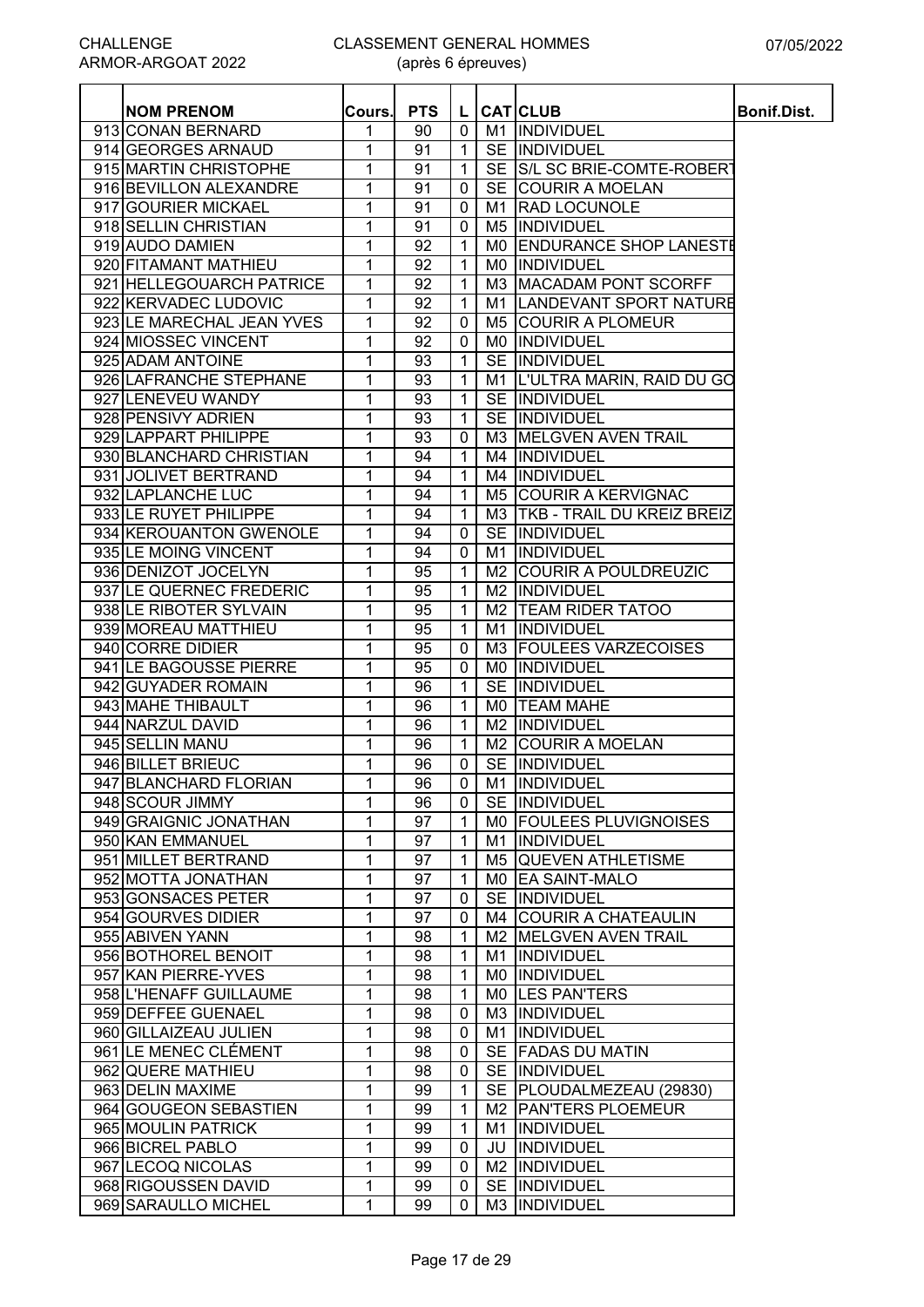| <b>NOM PRENOM</b>                          | Cours. | <b>PTS</b> | L            |                | <b>CAT</b> CLUB                 | <b>Bonif.Dist.</b> |
|--------------------------------------------|--------|------------|--------------|----------------|---------------------------------|--------------------|
| 913 CONAN BERNARD                          | 1      | 90         | 0            |                | M1  INDIVIDUEL                  |                    |
| 914 GEORGES ARNAUD                         | 1      | 91         | $\mathbf{1}$ | <b>SE</b>      | INDIVIDUEL                      |                    |
| 915 MARTIN CHRISTOPHE                      | 1      | 91         | $\mathbf 1$  |                | SE S/L SC BRIE-COMTE-ROBERT     |                    |
| 916 BEVILLON ALEXANDRE                     | 1      | 91         | $\mathbf 0$  |                | SE COURIR A MOELAN              |                    |
| 917 GOURIER MICKAEL                        | 1      | 91         | 0            | M1             | <b>RAD LOCUNOLE</b>             |                    |
| 918 SELLIN CHRISTIAN                       | 1      | 91         | $\mathbf 0$  |                | M5  INDIVIDUEL                  |                    |
| 919 AUDO DAMIEN                            | 1      | 92         | $\mathbf{1}$ | M0.            | <b>IENDURANCE SHOP LANESTE</b>  |                    |
| 920 FITAMANT MATHIEU                       | 1      | 92         | $\mathbf{1}$ | M0.            | INDIVIDUEL                      |                    |
| 921 HELLEGOUARCH PATRICE                   | 1      | 92         | 1            | M3             | <b>MACADAM PONT SCORFF</b>      |                    |
| 922 KERVADEC LUDOVIC                       | 1      | 92         | $\mathbf{1}$ | M1             | <b>LANDEVANT SPORT NATURE</b>   |                    |
| 923 LE MARECHAL JEAN YVES                  | 1      | 92         | 0            | M5             | <b>COURIR A PLOMEUR</b>         |                    |
| 924 MIOSSEC VINCENT                        | 1      | 92         | 0            | M0.            | <b>INDIVIDUEL</b>               |                    |
| 925 ADAM ANTOINE                           | 1      | 93         | 1            |                | SE INDIVIDUEL                   |                    |
| 926 LAFRANCHE STEPHANE                     | 1      | 93         | $\mathbf{1}$ |                | M1 L'ULTRA MARIN, RAID DU GO    |                    |
| 927 LENEVEU WANDY                          | 1      | 93         | $\mathbf{1}$ |                | SE INDIVIDUEL                   |                    |
| 928 PENSIVY ADRIEN                         | 1      | 93         | $\mathbf{1}$ |                | SE IINDIVIDUEL                  |                    |
| 929 LAPPART PHILIPPE                       | 1      | 93         | $\mathbf 0$  |                | M3 MELGVEN AVEN TRAIL           |                    |
| 930 BLANCHARD CHRISTIAN                    | 1      | 94         | $\mathbf{1}$ |                | M4 INDIVIDUEL                   |                    |
| 931 JOLIVET BERTRAND                       | 1      | 94         | $\mathbf{1}$ |                | M4 INDIVIDUEL                   |                    |
| 932 LAPLANCHE LUC                          | 1      | 94         | $\mathbf{1}$ |                | M5 COURIR A KERVIGNAC           |                    |
| 933 LE RUYET PHILIPPE                      | 1      | 94         | $\mathbf 1$  |                | M3   TKB - TRAIL DU KREIZ BREIZ |                    |
| 934 KEROUANTON GWENOLE                     | 1      | 94         | $\mathbf 0$  |                | SE INDIVIDUEL                   |                    |
| 935 LE MOING VINCENT                       | 1      | 94         | $\mathbf 0$  |                | M1 INDIVIDUEL                   |                    |
| 936 DENIZOT JOCELYN                        | 1      | 95         | $\mathbf{1}$ | M2             | <b>COURIR A POULDREUZIC</b>     |                    |
| 937 LE QUERNEC FREDERIC                    | 1      | 95         | $\mathbf{1}$ | M2             | INDIVIDUEL                      |                    |
| 938 LE RIBOTER SYLVAIN                     | 1      | 95         | $\mathbf{1}$ | M <sub>2</sub> | <b>TEAM RIDER TATOO</b>         |                    |
| 939 MOREAU MATTHIEU                        | 1      | 95         | $\mathbf{1}$ | M1             | <b>INDIVIDUEL</b>               |                    |
| 940 CORRE DIDIER                           | 1      | 95         | 0            | M3.            | <b>FOULEES VARZECOISES</b>      |                    |
| 941 LE BAGOUSSE PIERRE                     | 1      | 95         | 0            |                | <b>MO IINDIVIDUEL</b>           |                    |
| 942 GUYADER ROMAIN                         | 1      | 96         | $\mathbf 1$  |                | <b>SE IINDIVIDUEL</b>           |                    |
| 943 MAHE THIBAULT                          | 1      | 96         | $\mathbf{1}$ |                | MO <b>ITEAM MAHE</b>            |                    |
| 944 NARZUL DAVID                           | 1      | 96         | $\mathbf 1$  |                | M2  INDIVIDUEL                  |                    |
| 945 SELLIN MANU                            | 1      | 96         | $\mathbf 1$  |                | M2 COURIR A MOELAN              |                    |
| 946 BILLET BRIEUC                          | 1      | 96         | $\mathbf 0$  |                | SE INDIVIDUEL                   |                    |
| 947 BLANCHARD FLORIAN                      | 1      | 96         | 0            |                | M1 INDIVIDUEL                   |                    |
| 948 SCOUR JIMMY                            | 1      | 96         | $\mathbf 0$  |                | SE INDIVIDUEL                   |                    |
| 949 GRAIGNIC JONATHAN                      | 1      | 97         | $\mathbf{1}$ |                | MO FOULEES PLUVIGNOISES         |                    |
| 950 KAN EMMANUEL                           | 1      | 97         | $\mathbf{1}$ |                | M1  INDIVIDUEL                  |                    |
| 951 MILLET BERTRAND                        | 1      | 97         | $\mathbf 1$  |                | M5 QUEVEN ATHLETISME            |                    |
| 952 MOTTA JONATHAN                         | 1      | 97         | $\mathbf{1}$ |                | MO EA SAINT-MALO                |                    |
| 953 GONSACES PETER                         | 1      | 97         | 0            |                | SE INDIVIDUEL                   |                    |
| 954 GOURVES DIDIER                         | 1      | 97         | $\mathbf 0$  |                | M4 COURIR A CHATEAULIN          |                    |
| 955 ABIVEN YANN                            |        |            |              |                | M2 MELGVEN AVEN TRAIL           |                    |
|                                            | 1      | 98         | $\mathbf 1$  |                | M1 INDIVIDUEL                   |                    |
| 956 BOTHOREL BENOIT<br>957 KAN PIERRE-YVES | 1      | 98         | $\mathbf{1}$ |                |                                 |                    |
|                                            | 1      | 98         | $\mathbf 1$  |                | MO INDIVIDUEL                   |                    |
| 958 L'HENAFF GUILLAUME                     | 1      | 98         | $\mathbf{1}$ |                | MO LES PAN'TERS                 |                    |
| 959 DEFFEE GUENAEL                         | 1      | 98         | $\mathbf 0$  |                | M3 INDIVIDUEL                   |                    |
| 960 GILLAIZEAU JULIEN                      | 1      | 98         | 0            |                | M1 INDIVIDUEL                   |                    |
| 961 LE MENEC CLÉMENT                       | 1      | 98         | 0            |                | SE FADAS DU MATIN               |                    |
| 962 QUERE MATHIEU                          | 1      | 98         | $\mathbf 0$  |                | SE INDIVIDUEL                   |                    |
| 963 DELIN MAXIME                           | 1      | 99         | $\mathbf 1$  |                | SE   PLOUDALMEZEAU (29830)      |                    |
| 964 GOUGEON SEBASTIEN                      | 1      | 99         | $\mathbf 1$  |                | M2 PAN'TERS PLOEMEUR            |                    |
| 965 MOULIN PATRICK                         | 1      | 99         | $\mathbf{1}$ | M1             | <b>INDIVIDUEL</b>               |                    |
| 966 BICREL PABLO                           | 1      | 99         | 0            | JU             | <b>INDIVIDUEL</b>               |                    |
| 967 LECOQ NICOLAS                          | 1      | 99         | 0            |                | M2 INDIVIDUEL                   |                    |
| 968 RIGOUSSEN DAVID                        | 1      | 99         | 0            |                | SE INDIVIDUEL                   |                    |
| 969 SARAULLO MICHEL                        | 1      | 99         | 0            |                | M3  INDIVIDUEL                  |                    |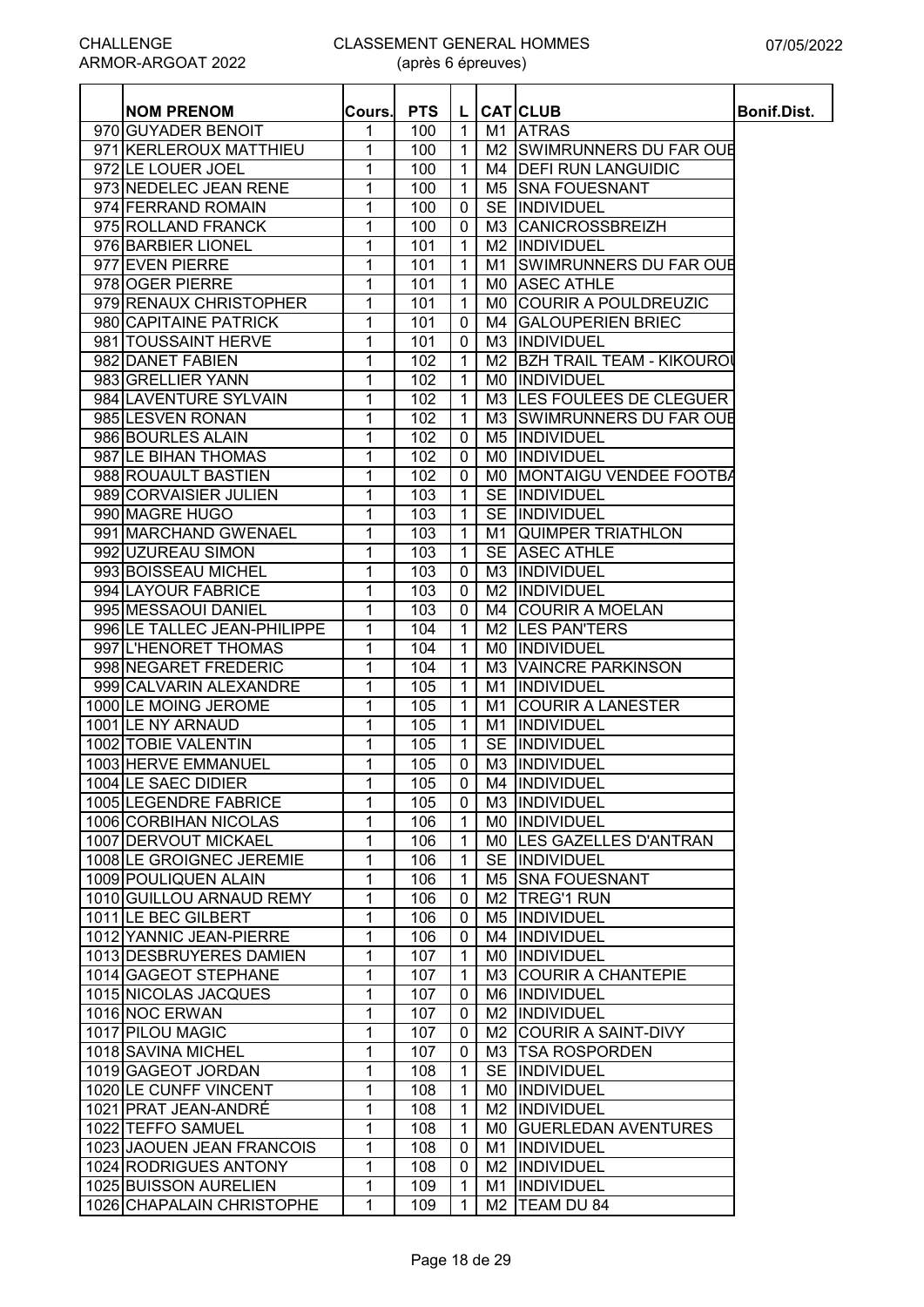Ξ

(après 6 épreuves)

| <b>NOM PRENOM</b>                              | Cours. | <b>PTS</b> | L                            |                | <b>CATICLUB</b>                   | <b>Bonif.Dist.</b> |
|------------------------------------------------|--------|------------|------------------------------|----------------|-----------------------------------|--------------------|
| 970 GUYADER BENOIT                             | 1      | 100        | $\mathbf{1}$                 | M1             | <b>ATRAS</b>                      |                    |
| 971 KERLEROUX MATTHIEU                         | 1      | 100        | $\mathbf{1}$                 |                | M2 SWIMRUNNERS DU FAR OUE         |                    |
| 972 LE LOUER JOEL                              | 1      | 100        | $\mathbf{1}$                 | M4             | <b>DEFI RUN LANGUIDIC</b>         |                    |
| 973 NEDELEC JEAN RENE                          | 1      | 100        | $\mathbf{1}$                 | M5             | <b>SNA FOUESNANT</b>              |                    |
| 974 FERRAND ROMAIN                             | 1      | 100        | $\mathbf 0$                  | <b>SE</b>      | INDIVIDUEL                        |                    |
| 975 ROLLAND FRANCK                             | 1      | 100        | $\mathbf 0$                  | M3             | <b>CANICROSSBREIZH</b>            |                    |
| 976 BARBIER LIONEL                             | 1      | 101        | $\mathbf{1}$                 | M <sub>2</sub> | INDIVIDUEL                        |                    |
| 977 EVEN PIERRE                                | 1      | 101        | $\mathbf{1}$                 | M1             | SWIMRUNNERS DU FAR OUE            |                    |
| 978 OGER PIERRE                                | 1      | 101        | $\mathbf{1}$                 | M0.            | <b>ASEC ATHLE</b>                 |                    |
| 979 RENAUX CHRISTOPHER                         | 1      | 101        | $\mathbf{1}$                 | M0             | <b>COURIR A POULDREUZIC</b>       |                    |
| 980 CAPITAINE PATRICK                          | 1      | 101        | 0                            | M4             | <b>GALOUPERIEN BRIEC</b>          |                    |
| 981 TOUSSAINT HERVE                            | 1      | 101        | 0                            | M <sub>3</sub> | INDIVIDUEL                        |                    |
| 982 DANET FABIEN                               | 1      | 102        | $\mathbf{1}$                 | M <sub>2</sub> | <b>BZH TRAIL TEAM - KIKOUROI</b>  |                    |
| 983 GRELLIER YANN                              | 1      | 102        | $\mathbf{1}$                 | M0             | INDIVIDUEL                        |                    |
| 984 LAVENTURE SYLVAIN                          | 1      | 102        | $\mathbf{1}$                 | M3.            | LES FOULEES DE CLEGUER            |                    |
| 985 LESVEN RONAN                               | 1      | 102        | 1                            | M3             | <b>SWIMRUNNERS DU FAR OUR</b>     |                    |
| 986 BOURLES ALAIN                              | 1      | 102        | $\mathbf 0$                  | M5             | <b>INDIVIDUEL</b>                 |                    |
| 987 LE BIHAN THOMAS                            | 1      | 102        | $\mathbf 0$                  | M0             | INDIVIDUEL                        |                    |
| 988 ROUAULT BASTIEN                            | 1      | 102        | 0                            | M0             | MONTAIGU VENDEE FOOTBA            |                    |
| 989 CORVAISIER JULIEN                          | 1      | 103        | $\mathbf{1}$                 | <b>SE</b>      | INDIVIDUEL                        |                    |
| 990 MAGRE HUGO                                 | 1      | 103        | $\mathbf{1}$                 |                | SE INDIVIDUEL                     |                    |
| 991 MARCHAND GWENAEL                           | 1      | 103        | $\mathbf{1}$                 | M1             | <b>QUIMPER TRIATHLON</b>          |                    |
| 992 UZUREAU SIMON                              | 1      | 103        | $\mathbf{1}$                 |                | <b>SE ASEC ATHLE</b>              |                    |
| 993 BOISSEAU MICHEL                            | 1      | 103        | $\mathbf 0$                  | M3             | <b>INDIVIDUEL</b>                 |                    |
| 994 LAYOUR FABRICE                             | 1      | 103        | $\mathbf 0$                  | M2             | INDIVIDUEL                        |                    |
| 995 MESSAOUI DANIEL                            | 1      | 103        | $\mathbf 0$                  | M4             | <b>COURIR A MOELAN</b>            |                    |
| 996 LE TALLEC JEAN-PHILIPPE                    | 1      | 104        | $\mathbf{1}$                 | M2             | <b>LES PANTERS</b>                |                    |
| 997 L'HENORET THOMAS                           | 1      | 104        | $\mathbf{1}$                 | M0             | INDIVIDUEL                        |                    |
| 998 NEGARET FREDERIC                           | 1      | 104        | $\mathbf 1$                  | M <sub>3</sub> | <b>VAINCRE PARKINSON</b>          |                    |
| 999 CALVARIN ALEXANDRE                         | 1      | 105        | $\mathbf{1}$                 | M1             | <b>INDIVIDUEL</b>                 |                    |
| 1000 LE MOING JEROME                           | 1      | 105        | $\mathbf{1}$                 | M1             | <b>COURIR A LANESTER</b>          |                    |
| 1001 LE NY ARNAUD                              | 1      | 105        | 1                            | M1             | <b>INDIVIDUEL</b>                 |                    |
| 1002 TOBIE VALENTIN                            | 1      | 105        | 1                            | <b>SE</b>      | <b>INDIVIDUEL</b>                 |                    |
| 1003 HERVE EMMANUEL                            | 1      | 105        | $\mathbf 0$                  | M3             | <b>INDIVIDUEL</b>                 |                    |
| 1004 LE SAEC DIDIER                            | 1      | 105        | $\mathbf 0$                  |                | M4  INDIVIDUEL                    |                    |
| 1005 LEGENDRE FABRICE<br>1006 CORBIHAN NICOLAS | 1      | 105        | 0                            |                | M3  INDIVIDUEL                    |                    |
| 1007 DERVOUT MICKAEL                           | 1      | 106        | $\mathbf{1}$                 |                | MO INDIVIDUEL                     |                    |
| 1008 LE GROIGNEC JEREMIE                       | 1      | 106        | $\mathbf 1$                  |                | MO LES GAZELLES D'ANTRAN          |                    |
| 1009 POULIQUEN ALAIN                           | 1      | 106        | $\mathbf{1}$<br>$\mathbf{1}$ |                | SE INDIVIDUEL<br>M5 SNA FOUESNANT |                    |
| 1010 GUILLOU ARNAUD REMY                       | 1<br>1 | 106<br>106 | $\mathbf 0$                  | M2             | <b>TREG'1 RUN</b>                 |                    |
| 1011 LE BEC GILBERT                            | 1      | 106        | $\mathbf 0$                  |                | M5  INDIVIDUEL                    |                    |
| 1012 YANNIC JEAN-PIERRE                        | 1      | 106        | $\mathbf 0$                  | M4             | INDIVIDUEL                        |                    |
| 1013 DESBRUYERES DAMIEN                        | 1      | 107        | $\mathbf{1}$                 | M0.            | INDIVIDUEL                        |                    |
| 1014 GAGEOT STEPHANE                           | 1      | 107        | $\mathbf{1}$                 | M3.            | <b>COURIR A CHANTEPIE</b>         |                    |
| 1015 NICOLAS JACQUES                           | 1      | 107        | 0                            |                | M6 INDIVIDUEL                     |                    |
| 1016 NOC ERWAN                                 | 1      | 107        | $\mathbf 0$                  | M2             | INDIVIDUEL                        |                    |
| 1017 PILOU MAGIC                               | 1      | 107        | 0                            |                | M2 COURIR A SAINT-DIVY            |                    |
| 1018 SAVINA MICHEL                             | 1      | 107        | 0                            |                | M3 TSA ROSPORDEN                  |                    |
| 1019 GAGEOT JORDAN                             | 1      | 108        | 1                            |                | SE INDIVIDUEL                     |                    |
| 1020 LE CUNFF VINCENT                          | 1      | 108        | $\mathbf{1}$                 |                | MO INDIVIDUEL                     |                    |
| 1021 PRAT JEAN-ANDRÉ                           | 1      | 108        | $\mathbf{1}$                 | M2             | <b>INDIVIDUEL</b>                 |                    |
| 1022 TEFFO SAMUEL                              | 1      | 108        | $\mathbf{1}$                 | M0             | <b>GUERLEDAN AVENTURES</b>        |                    |
| 1023 JAOUEN JEAN FRANCOIS                      | 1      | 108        | 0                            | M1             | <b>INDIVIDUEL</b>                 |                    |
| 1024 RODRIGUES ANTONY                          | 1      | 108        | 0                            | M2             | INDIVIDUEL                        |                    |
| 1025 BUISSON AURELIEN                          | 1      | 109        | $\mathbf 1$                  | M1             | <b>INDIVIDUEL</b>                 |                    |
| 1026 CHAPALAIN CHRISTOPHE                      | 1      | 109        | $\mathbf{1}$                 |                | M2  TEAM DU 84                    |                    |
|                                                |        |            |                              |                |                                   |                    |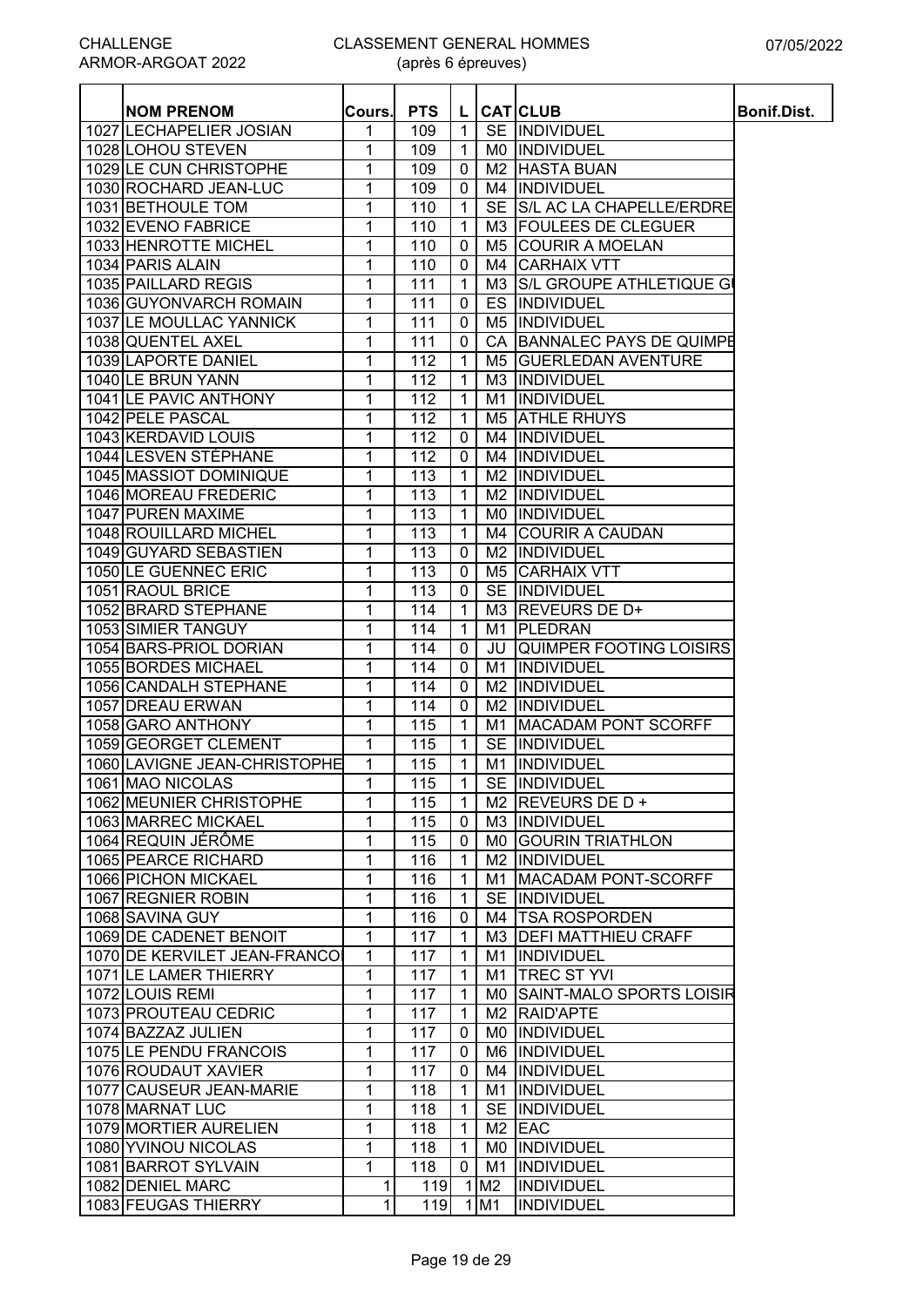| <b>NOM PRENOM</b>            |             | <b>PTS</b>       | L              |                | <b>CAT</b>  CLUB               |                    |
|------------------------------|-------------|------------------|----------------|----------------|--------------------------------|--------------------|
| 1027 LECHAPELIER JOSIAN      | Cours.<br>1 |                  | $\mathbf{1}$   |                | SE INDIVIDUEL                  | <b>Bonif.Dist.</b> |
| 1028 LOHOU STEVEN            | 1           | 109<br>109       | $\mathbf{1}$   | M0             | INDIVIDUEL                     |                    |
| 1029 LE CUN CHRISTOPHE       | 1           | 109              | $\mathbf 0$    | M2             | <b>HASTA BUAN</b>              |                    |
| 1030 ROCHARD JEAN-LUC        | 1           | 109              | 0              |                | M4 INDIVIDUEL                  |                    |
| 1031 BETHOULE TOM            | 1           | 110              | $\mathbf{1}$   |                | SE S/L AC LA CHAPELLE/ERDRE    |                    |
| 1032 EVENO FABRICE           | 1           | 110              | $\mathbf{1}$   |                | M3 FOULEES DE CLEGUER          |                    |
| 1033 HENROTTE MICHEL         |             | 110              |                |                | <b>COURIR A MOELAN</b>         |                    |
| 1034 PARIS ALAIN             | 1           |                  | 0              | M5             |                                |                    |
|                              | 1           | 110              | 0              | M4             | <b>CARHAIX VTT</b>             |                    |
| 1035 PAILLARD REGIS          | 1           | 111              | 1              | M3             | S/L GROUPE ATHLETIQUE GI       |                    |
| 1036 GUYONVARCH ROMAIN       | 1           | 111              | $\mathbf 0$    | ES             | INDIVIDUEL                     |                    |
| 1037 LE MOULLAC YANNICK      | 1           | 111              | 0              | M5             | INDIVIDUEL                     |                    |
| 1038 QUENTEL AXEL            | 1           | 111              | $\mathbf 0$    | CA             | <b>BANNALEC PAYS DE QUIMPE</b> |                    |
| 1039 LAPORTE DANIEL          | 1           | 112              | 1              | M <sub>5</sub> | <b>GUERLEDAN AVENTURE</b>      |                    |
| 1040 LE BRUN YANN            | 1           | 112              | $\mathbf{1}$   | M3             | INDIVIDUEL                     |                    |
| 1041 LE PAVIC ANTHONY        | 1           | 112              | $\mathbf{1}$   | M1             | INDIVIDUEL                     |                    |
| 1042 PELE PASCAL             | 1           | 112              | $\mathbf{1}$   | M <sub>5</sub> | <b>ATHLE RHUYS</b>             |                    |
| 1043 KERDAVID LOUIS          | 1           | 112              | $\mathbf 0$    | M4             | INDIVIDUEL                     |                    |
| 1044 LESVEN STÉPHANE         | 1           | 112              | $\mathbf 0$    |                | M4 INDIVIDUEL                  |                    |
| 1045 MASSIOT DOMINIQUE       | 1           | 113              | $\mathbf{1}$   | M <sub>2</sub> | INDIVIDUEL                     |                    |
| 1046 MOREAU FREDERIC         | 1           | 113              | $\mathbf 1$    | M2             | INDIVIDUEL                     |                    |
| 1047 PUREN MAXIME            | 1           | 113              | $\mathbf{1}$   | M0             | INDIVIDUEL                     |                    |
| 1048 ROUILLARD MICHEL        | 1           | $\overline{113}$ | $\mathbf{1}$   |                | M4 COURIR A CAUDAN             |                    |
| 1049 GUYARD SEBASTIEN        | 1           | 113              | 0              |                | M2 INDIVIDUEL                  |                    |
| 1050 LE GUENNEC ERIC         | 1           | 113              | 0              | M <sub>5</sub> | <b>CARHAIX VTT</b>             |                    |
| 1051 RAOUL BRICE             | 1           | 113              | 0              |                | SE INDIVIDUEL                  |                    |
| 1052 BRARD STEPHANE          | 1           | 114              | $\mathbf{1}$   | M3             | <b>REVEURS DE D+</b>           |                    |
| 1053 SIMIER TANGUY           | 1           | 114              | $\mathbf{1}$   | M1             | PLEDRAN                        |                    |
| 1054 BARS-PRIOL DORIAN       | 1           | 114              | $\mathbf{0}$   | JU             | <b>QUIMPER FOOTING LOISIRS</b> |                    |
| 1055 BORDES MICHAEL          | 1           | 114              | 0              | M1             | <b>INDIVIDUEL</b>              |                    |
| 1056 CANDALH STEPHANE        | 1           | 114              | $\mathbf{0}$   | M2             | <b>INDIVIDUEL</b>              |                    |
| 1057 DREAU ERWAN             | 1           | 114              | $\mathbf 0$    | M <sub>2</sub> | <b>INDIVIDUEL</b>              |                    |
| 1058 GARO ANTHONY            | 1           | 115              | $\mathbf{1}$   | M1             | <b>MACADAM PONT SCORFF</b>     |                    |
| 1059 GEORGET CLEMENT         | 1           | 115              | $\mathbf{1}$   |                | SE INDIVIDUEL                  |                    |
| 1060 LAVIGNE JEAN-CHRISTOPHE | 1           | 115              | $\mathbf{1}$   | M1             | INDIVIDUEL                     |                    |
| 1061 MAO NICOLAS             | 1           | 115              | $\mathbf{1}$   |                | SE INDIVIDUEL                  |                    |
| 1062 MEUNIER CHRISTOPHE      | 1           | 115              | $\mathbf{1}$   |                | M2 REVEURS DE D +              |                    |
| 1063 MARREC MICKAEL          | 1           | 115              | 0              |                | M3 INDIVIDUEL                  |                    |
| 1064 REQUIN JÉRÔME           | 1           | 115              | 0              |                | MO GOURIN TRIATHLON            |                    |
| 1065 PEARCE RICHARD          | 1           | 116              | $\mathbf{1}$   |                | M2 INDIVIDUEL                  |                    |
| 1066 PICHON MICKAEL          | 1           | 116              | $\mathbf{1}$   | M1             | <b>MACADAM PONT-SCORFF</b>     |                    |
| 1067 REGNIER ROBIN           | 1           | 116              | $\mathbf{1}$   |                | SE INDIVIDUEL                  |                    |
| 1068 SAVINA GUY              | 1           | 116              | 0              |                | M4 TSA ROSPORDEN               |                    |
| 1069 DE CADENET BENOIT       | 1           | 117              | $\mathbf{1}$   |                | M3   DEFI MATTHIEU CRAFF       |                    |
| 1070 DE KERVILET JEAN-FRANCO | 1           | 117              | $\mathbf{1}$   | M1             | <b>INDIVIDUEL</b>              |                    |
| 1071 LE LAMER THIERRY        | 1           | 117              | $\mathbf{1}$   | M1             | <b>TREC ST YVI</b>             |                    |
| 1072 LOUIS REMI              | 1           | 117              | $\mathbf{1}$   |                | MO SAINT-MALO SPORTS LOISIR    |                    |
| 1073 PROUTEAU CEDRIC         | 1           | 117              | $\overline{1}$ |                | M2 RAID'APTE                   |                    |
| 1074 BAZZAZ JULIEN           | 1           | 117              | 0              |                | MO  INDIVIDUEL                 |                    |
| 1075 LE PENDU FRANCOIS       | 1           | 117              | 0              |                | M6 INDIVIDUEL                  |                    |
| 1076 ROUDAUT XAVIER          | 1           | 117              | 0              |                | M4  INDIVIDUEL                 |                    |
| 1077 CAUSEUR JEAN-MARIE      | 1           | 118              | $\mathbf{1}$   |                | M1  INDIVIDUEL                 |                    |
| 1078 MARNAT LUC              | 1           | 118              | $\mathbf{1}$   |                | SE INDIVIDUEL                  |                    |
| 1079 MORTIER AURELIEN        | 1           | 118              | $\mathbf{1}$   |                | $M2$ EAC                       |                    |
| 1080 YVINOU NICOLAS          | 1           | 118              | $\mathbf{1}$   |                | MO INDIVIDUEL                  |                    |
| 1081 BARROT SYLVAIN          | 1           | 118              | 0              | M1             | INDIVIDUEL                     |                    |
| 1082 DENIEL MARC             | 1           | 119              |                | 1 M2           | <b>INDIVIDUEL</b>              |                    |
| 1083 FEUGAS THIERRY          | 1           | 119              |                | $1$ M1         | <b>INDIVIDUEL</b>              |                    |
|                              |             |                  |                |                |                                |                    |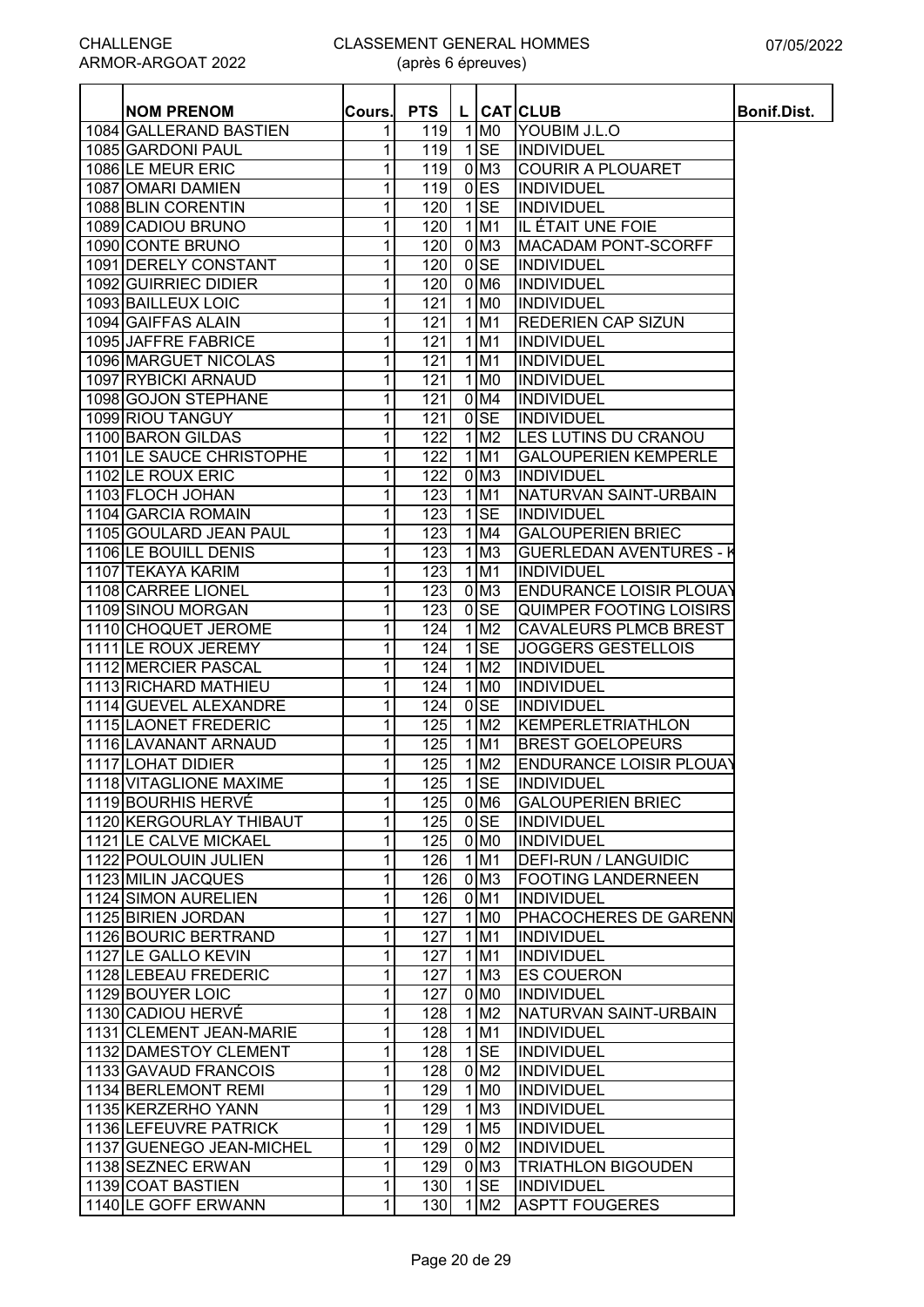#### CLASSEMENT GENERAL HOMMES

(après 6 épreuves)

| <b>NOM PRENOM</b>        | Cours.       | <b>PTS</b>       |                         | L CATICLUB                     | Bonif.Dist. |
|--------------------------|--------------|------------------|-------------------------|--------------------------------|-------------|
| 1084 GALLERAND BASTIEN   | 1            | 119              | 1 M <sub>0</sub>        | YOUBIM J.L.O                   |             |
| 1085 GARDONI PAUL        | 1            | 119              | $1$ SE                  | INDIVIDUEL                     |             |
| 1086 LE MEUR ERIC        | 1            | 119              | $0$ M <sub>3</sub>      | <b>COURIR A PLOUARET</b>       |             |
| 1087 OMARI DAMIEN        | 1            | 119              | $0$ <sub>ES</sub>       | INDIVIDUEL                     |             |
| 1088 BLIN CORENTIN       | 1            | 120              | $1$ SE                  | INDIVIDUEL                     |             |
| 1089 CADIOU BRUNO        | 1            | 120              | $1$ M <sub>1</sub>      | IIL ÉTAIT UNE FOIE             |             |
| 1090 CONTE BRUNO         | 1            | 120              | $0$ M <sub>3</sub>      | <b>MACADAM PONT-SCORFF</b>     |             |
| 1091 DERELY CONSTANT     |              | 120              | $0$ SE                  | INDIVIDUEL                     |             |
|                          | 1            |                  | $0$ M <sub>6</sub>      |                                |             |
| 1092 GUIRRIEC DIDIER     | 1            | 120              |                         | <b>INDIVIDUEL</b>              |             |
| 1093 BAILLEUX LOIC       | 1            | 121              | 1 M <sub>0</sub>        | INDIVIDUEL                     |             |
| 1094 GAIFFAS ALAIN       | 1            | 121              | $1$ M <sub>1</sub>      | <b>REDERIEN CAP SIZUN</b>      |             |
| 1095 JAFFRE FABRICE      | 1            | 121              | $1$ M <sub>1</sub>      | INDIVIDUEL                     |             |
| 1096 MARGUET NICOLAS     | 1            | 121              | $1$ M <sub>1</sub>      | <b>INDIVIDUEL</b>              |             |
| 1097 RYBICKI ARNAUD      | 1            | 121              | $1$ MO                  | <b>INDIVIDUEL</b>              |             |
| 1098 GOJON STEPHANE      | 1            | 121              | $0$ M4                  | <b>INDIVIDUEL</b>              |             |
| 1099 RIOU TANGUY         | 1            | 121              | $0$ <sub>SE</sub>       | INDIVIDUEL                     |             |
| 1100 BARON GILDAS        | 1            | 122              | 1 M2                    | LES LUTINS DU CRANOU           |             |
| 1101 LE SAUCE CHRISTOPHE | 1            | 122              | $1$ M <sub>1</sub>      | <b>GALOUPERIEN KEMPERLE</b>    |             |
| 1102 LE ROUX ERIC        | 1            | 122              | $0$ M <sub>3</sub>      | INDIVIDUEL                     |             |
| 1103 FLOCH JOHAN         | 1            | 123              | $1$ M <sub>1</sub>      | NATURVAN SAINT-URBAIN          |             |
| 1104 GARCIA ROMAIN       | 1            | 123              | $1$ SE                  | <b>INDIVIDUEL</b>              |             |
| 1105 GOULARD JEAN PAUL   | 1            | 123              | 1 M4                    | <b>GALOUPERIEN BRIEC</b>       |             |
| 1106 LE BOUILL DENIS     | 1            | 123              | $1$ M <sub>3</sub>      | <b>GUERLEDAN AVENTURES - I</b> |             |
| 1107 TEKAYA KARIM        | 1            | 123              | $1$ M1                  | INDIVIDUEL                     |             |
| 1108 CARREE LIONEL       | 1            | 123              | $0$ M <sub>3</sub>      | <b>ENDURANCE LOISIR PLOUAY</b> |             |
| 1109 SINOU MORGAN        | 1            | $\overline{123}$ | $0$ SE                  | <b>QUIMPER FOOTING LOISIRS</b> |             |
| 1110 CHOQUET JEROME      | 1            | 124              | $1$ M <sub>2</sub>      | <b>CAVALEURS PLMCB BREST</b>   |             |
| 1111 LE ROUX JEREMY      | 1            | 124              | $1$ SE                  | <b>JOGGERS GESTELLOIS</b>      |             |
| 1112 MERCIER PASCAL      | 1            | 124              | 1 M2                    | <b>INDIVIDUEL</b>              |             |
| 1113 RICHARD MATHIEU     | 1            | 124              | $1$ MO                  | <b>INDIVIDUEL</b>              |             |
| 1114 GUEVEL ALEXANDRE    | 1            | 124              | $0$ <sub>SE</sub>       | INDIVIDUEL                     |             |
| 1115 LAONET FREDERIC     | 1            | 125              | $1$ M <sub>2</sub>      | KEMPERLETRIATHLON              |             |
| 1116 LAVANANT ARNAUD     | 1            | 125              | $1$ M <sub>1</sub>      | <b>BREST GOELOPEURS</b>        |             |
| 1117 LOHAT DIDIER        | 1            | 125              | $1$ M <sub>2</sub>      | ENDURANCE LOISIR PLOUAY        |             |
| 1118 VITAGLIONE MAXIME   | 11           |                  | 125   1   SE            | <b>INDIVIDUEL</b>              |             |
| 1119 BOURHIS HERVÉ       | 1            | 125              | 0 M <sub>6</sub>        | <b>GALOUPERIEN BRIEC</b>       |             |
| 1120 KERGOURLAY THIBAUT  | 1            | 125              |                         | 0SE INDIVIDUEL                 |             |
| 1121 LE CALVE MICKAEL    | 1            | 125              | $0\,$ M $0\,$           | INDIVIDUEL                     |             |
| 1122 POULOUIN JULIEN     | 1            | 126              | $1$ M1                  | <b>DEFI-RUN / LANGUIDIC</b>    |             |
| 1123 MILIN JACQUES       | 1            | 126              | 0 <sub>M3</sub>         | <b>FOOTING LANDERNEEN</b>      |             |
| 1124 SIMON AURELIEN      | 1            | 126              | $0$ M1                  | INDIVIDUEL                     |             |
| 1125 BIRIEN JORDAN       | 1            | 127              | $1$ MO                  | <b>PHACOCHERES DE GARENN</b>   |             |
| 1126 BOURIC BERTRAND     | $\mathbf{1}$ | 127              | $1$ M1                  | <b>INDIVIDUEL</b>              |             |
| 1127 LE GALLO KEVIN      | 1            | 127              | $1$ M1                  | <b>INDIVIDUEL</b>              |             |
| 1128 LEBEAU FREDERIC     | $\mathbf 1$  | 127              | $1$ M <sub>3</sub>      | <b>ES COUERON</b>              |             |
| 1129 BOUYER LOIC         | 1            | 127              | 0 <sub>NO</sub>         | INDIVIDUEL                     |             |
| 1130 CADIOU HERVÉ        | 1            | 128              | $1 \, \text{M2}$        | NATURVAN SAINT-URBAIN          |             |
| 1131 CLEMENT JEAN-MARIE  | 1            | 128              | $1$ M1                  | <b>INDIVIDUEL</b>              |             |
| 1132 DAMESTOY CLEMENT    | 1            | 128              | $1$ SE                  | INDIVIDUEL                     |             |
| 1133 GAVAUD FRANCOIS     | 1            | 128              | 0 <sub>M2</sub>         | <b>INDIVIDUEL</b>              |             |
| 1134 BERLEMONT REMI      | 1            | 129              | $1$ MO                  | <b>INDIVIDUEL</b>              |             |
| 1135 KERZERHO YANN       | 1            | 129              | $1\,$ M $3$             | <b>INDIVIDUEL</b>              |             |
| 1136 LEFEUVRE PATRICK    | 1            | 129              | $1\overline{\text{M5}}$ | <b>INDIVIDUEL</b>              |             |
| 1137 GUENEGO JEAN-MICHEL | 1            | 129              | 0 <sub>M2</sub>         | INDIVIDUEL                     |             |
| 1138 SEZNEC ERWAN        | 1            | 129              | 0 <sub>M3</sub>         | <b>TRIATHLON BIGOUDEN</b>      |             |
| 1139 COAT BASTIEN        | 1            | 130 <sup>1</sup> | $1$ SE                  | <b>INDIVIDUEL</b>              |             |
| 1140 LE GOFF ERWANN      | 1            | 130              | $1\,$ M $2$             | <b>ASPTT FOUGERES</b>          |             |
|                          |              |                  |                         |                                |             |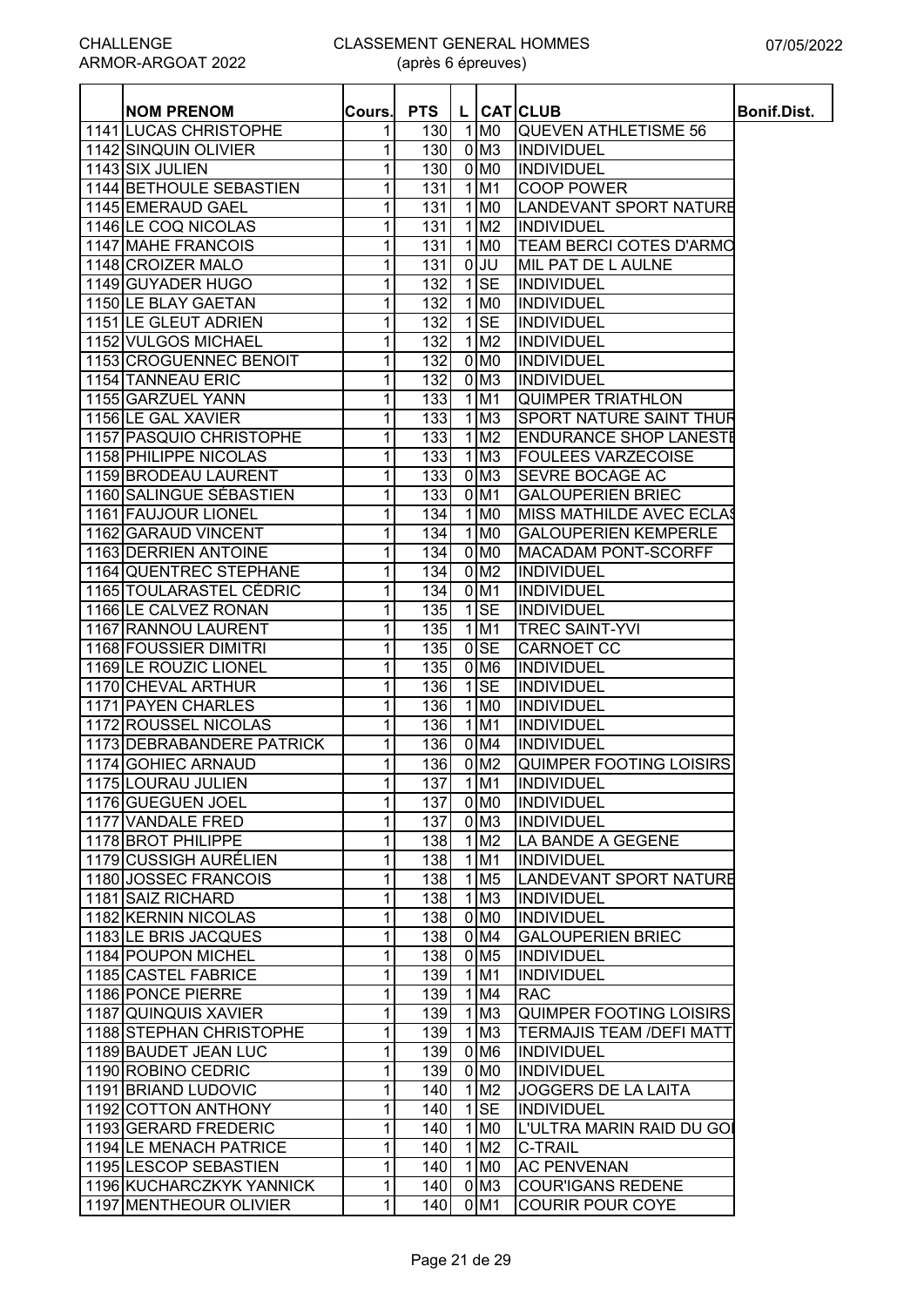| $1$ MO<br>1141 LUCAS CHRISTOPHE<br><b>QUEVEN ATHLETISME 56</b><br>1<br>130<br>$0$ M <sub>3</sub><br>1142 SINQUIN OLIVIER<br>1<br>130<br><b>INDIVIDUEL</b><br>1143 SIX JULIEN<br>1<br>130<br>$0$ MO<br><b>INDIVIDUEL</b><br>131<br><b>COOP POWER</b><br>1144 BETHOULE SEBASTIEN<br>1<br>1 M1<br>1145 EMERAUD GAEL<br>1<br>131<br>1 M <sub>0</sub><br>LANDEVANT SPORT NATURE<br>$1$ M <sub>2</sub><br>1146 LE COQ NICOLAS<br>1<br>131<br><b>INDIVIDUEL</b><br>1147 MAHE FRANCOIS<br>1<br>131<br>$1$ MO<br>TEAM BERCI COTES D'ARMO<br>$0$ JU<br>MIL PAT DE L AULNE<br>1148 CROIZER MALO<br>1<br>131<br>$1$ SE<br>1149 GUYADER HUGO<br>1<br>132<br>INDIVIDUEL<br>1150 LE BLAY GAETAN<br>1<br>$1$ MO<br>INDIVIDUEL<br>132<br>$1$ SE<br>1151 LE GLEUT ADRIEN<br>1<br>132<br>INDIVIDUEL<br>$1$ M <sub>2</sub><br>1152 VULGOS MICHAEL<br>1<br>132<br>INDIVIDUEL<br>$0$ MO<br>1153 CROGUENNEC BENOIT<br>1<br>132<br>INDIVIDUEL<br>$0$ M <sub>3</sub><br>1154 TANNEAU ERIC<br>132<br><b>INDIVIDUEL</b><br>1<br>$1$ M1<br>1<br>133<br>1155 GARZUEL YANN<br><b>QUIMPER TRIATHLON</b><br>$1$ M <sub>3</sub><br>133<br>1156 LE GAL XAVIER<br>1<br>SPORT NATURE SAINT THUR<br>1<br>133<br>$1$ M <sub>2</sub><br>1157 PASQUIO CHRISTOPHE<br><b>ENDURANCE SHOP LANESTE</b><br>1158 PHILIPPE NICOLAS<br>133<br>$1$ M <sub>3</sub><br><b>FOULEES VARZECOISE</b><br>1<br>1159 BRODEAU LAURENT<br>133<br>$0$ M <sub>3</sub><br><b>SEVRE BOCAGE AC</b><br>1<br>1160 SALINGUE SÉBASTIEN<br>133<br>1<br>0 M1<br><b>GALOUPERIEN BRIEC</b><br>1161 FAUJOUR LIONEL<br>1<br>134<br>1 M <sub>0</sub><br>MISS MATHILDE AVEC ECLAS<br>1162 GARAUD VINCENT<br>1<br>134<br>1 M <sub>0</sub><br><b>GALOUPERIEN KEMPERLE</b><br>0 <sub>M0</sub><br>1163 DERRIEN ANTOINE<br>134<br><b>MACADAM PONT-SCORFF</b><br>1<br><b>1164 QUENTREC STEPHANE</b><br>0 <sub>M2</sub><br>1<br>134<br>INDIVIDUEL<br>1165 TOULARASTEL CÉDRIC<br>1<br>134<br>$0$ M <sub>1</sub><br>INDIVIDUEL<br>$1$ SE<br>1166 LE CALVEZ RONAN<br>1<br>135<br>INDIVIDUEL<br><b>TREC SAINT-YVI</b><br>1167 RANNOU LAURENT<br>1<br>135<br>$1$ M1<br>$0$ SE<br>1168 FOUSSIER DIMITRI<br>1<br>135<br><b>CARNOET CC</b><br>$0$ M <sub>6</sub><br>1169 LE ROUZIC LIONEL<br>1<br>135<br>INDIVIDUEL<br>$1$ SE<br>1170 CHEVAL ARTHUR<br>1<br>136<br>INDIVIDUEL<br>$1$ MO<br>1171 PAYEN CHARLES<br>136<br><b>INDIVIDUEL</b><br>1<br>1 M1<br>136<br>1172 ROUSSEL NICOLAS<br>1<br><b>INDIVIDUEL</b><br>$0$ M4<br>136<br>1173 DEBRABANDERE PATRICK<br>1<br><b>INDIVIDUEL</b><br>1<br>136<br>$0$ M <sub>2</sub><br>1174 GOHIEC ARNAUD<br>QUIMPER FOOTING LOISIRS<br>1175 LOURAU JULIEN<br>1<br>137<br>1 M1<br><b>INDIVIDUEL</b><br>1<br>1176 GUEGUEN JOEL<br>137<br>0 <sub>M0</sub><br>INDIVIDUEL<br>137<br>1177 VANDALE FRED<br>1<br>0 <sub>M3</sub><br><b>INDIVIDUEL</b><br>1178 BROT PHILIPPE<br>1<br>138<br>$1$ M <sub>2</sub><br>LA BANDE A GEGENE<br>1179 CUSSIGH AURÉLIEN<br>$1$ M1<br>1<br>138<br>INDIVIDUEL<br>1180 JOSSEC FRANCOIS<br>138<br>$1$ M <sub>5</sub><br>LANDEVANT SPORT NATURE<br>1<br>1181 SAIZ RICHARD<br>$1$ M <sub>3</sub><br>1<br>138<br>INDIVIDUEL<br>0 M <sub>0</sub><br>1182 KERNIN NICOLAS<br>1<br><b>INDIVIDUEL</b><br>138<br>1183 LE BRIS JACQUES<br>1<br>0 M4<br><b>GALOUPERIEN BRIEC</b><br>138<br>1184 POUPON MICHEL<br>1<br>0 M <sub>5</sub><br>INDIVIDUEL<br>138<br>1185 CASTEL FABRICE<br>$1$ M1<br><b>INDIVIDUEL</b><br>1<br>139<br>$1$ M4<br>1186 PONCE PIERRE<br>139<br><b>RAC</b><br>1<br>$1$ M <sub>3</sub><br>1187 QUINQUIS XAVIER<br>139<br>1<br>QUIMPER FOOTING LOISIRS<br>$1\overline{\mathrm{M}}$<br>139<br>1188 STEPHAN CHRISTOPHE<br>1<br><b>TERMAJIS TEAM /DEFI MATT</b><br>$0$ M <sub>6</sub><br>139<br><b>INDIVIDUEL</b><br>1189 BAUDET JEAN LUC<br>1<br>1<br>139<br>$0$ MO<br>1190 ROBINO CEDRIC<br><b>INDIVIDUEL</b><br>1191 BRIAND LUDOVIC<br>1 M <sub>2</sub><br>1<br>140<br><b>JOGGERS DE LA LAITA</b><br>$1$ $SE$<br>1192 COTTON ANTHONY<br>1<br>140<br><b>INDIVIDUEL</b><br>1193 GERARD FREDERIC<br>1<br>140<br>1 M <sub>0</sub><br>L'ULTRA MARIN RAID DU GOI<br>1194 LE MENACH PATRICE<br>1<br>140<br>$1$ M <sub>2</sub><br><b>C-TRAIL</b><br>$1$ MO<br>1195 LESCOP SEBASTIEN<br>1<br>140<br><b>AC PENVENAN</b><br>1196 KUCHARCZKYK YANNICK<br>0 <sub>M3</sub><br><b>COUR'IGANS REDENE</b><br>1<br>140<br>$0$ M1<br>1197 MENTHEOUR OLIVIER<br>1<br>140<br><b>COURIR POUR COYE</b> | <b>NOM PRENOM</b> | Cours. | <b>PTS</b> |  | L CATCLUB | <b>Bonif.Dist.</b> |
|-------------------------------------------------------------------------------------------------------------------------------------------------------------------------------------------------------------------------------------------------------------------------------------------------------------------------------------------------------------------------------------------------------------------------------------------------------------------------------------------------------------------------------------------------------------------------------------------------------------------------------------------------------------------------------------------------------------------------------------------------------------------------------------------------------------------------------------------------------------------------------------------------------------------------------------------------------------------------------------------------------------------------------------------------------------------------------------------------------------------------------------------------------------------------------------------------------------------------------------------------------------------------------------------------------------------------------------------------------------------------------------------------------------------------------------------------------------------------------------------------------------------------------------------------------------------------------------------------------------------------------------------------------------------------------------------------------------------------------------------------------------------------------------------------------------------------------------------------------------------------------------------------------------------------------------------------------------------------------------------------------------------------------------------------------------------------------------------------------------------------------------------------------------------------------------------------------------------------------------------------------------------------------------------------------------------------------------------------------------------------------------------------------------------------------------------------------------------------------------------------------------------------------------------------------------------------------------------------------------------------------------------------------------------------------------------------------------------------------------------------------------------------------------------------------------------------------------------------------------------------------------------------------------------------------------------------------------------------------------------------------------------------------------------------------------------------------------------------------------------------------------------------------------------------------------------------------------------------------------------------------------------------------------------------------------------------------------------------------------------------------------------------------------------------------------------------------------------------------------------------------------------------------------------------------------------------------------------------------------------------------------------------------------------------------------------------------------------------------------------------------------------------------------------------------------------------------------------------------------------------------------------------------------------------------------------------------------------------------------------------------------------------------------------------------------------------------------------------------------------------------------------------------------------------------------------------------------------------------------------------------------------------------------------------------------------------------------------------------------|-------------------|--------|------------|--|-----------|--------------------|
|                                                                                                                                                                                                                                                                                                                                                                                                                                                                                                                                                                                                                                                                                                                                                                                                                                                                                                                                                                                                                                                                                                                                                                                                                                                                                                                                                                                                                                                                                                                                                                                                                                                                                                                                                                                                                                                                                                                                                                                                                                                                                                                                                                                                                                                                                                                                                                                                                                                                                                                                                                                                                                                                                                                                                                                                                                                                                                                                                                                                                                                                                                                                                                                                                                                                                                                                                                                                                                                                                                                                                                                                                                                                                                                                                                                                                                                                                                                                                                                                                                                                                                                                                                                                                                                                                                                                                             |                   |        |            |  |           |                    |
|                                                                                                                                                                                                                                                                                                                                                                                                                                                                                                                                                                                                                                                                                                                                                                                                                                                                                                                                                                                                                                                                                                                                                                                                                                                                                                                                                                                                                                                                                                                                                                                                                                                                                                                                                                                                                                                                                                                                                                                                                                                                                                                                                                                                                                                                                                                                                                                                                                                                                                                                                                                                                                                                                                                                                                                                                                                                                                                                                                                                                                                                                                                                                                                                                                                                                                                                                                                                                                                                                                                                                                                                                                                                                                                                                                                                                                                                                                                                                                                                                                                                                                                                                                                                                                                                                                                                                             |                   |        |            |  |           |                    |
|                                                                                                                                                                                                                                                                                                                                                                                                                                                                                                                                                                                                                                                                                                                                                                                                                                                                                                                                                                                                                                                                                                                                                                                                                                                                                                                                                                                                                                                                                                                                                                                                                                                                                                                                                                                                                                                                                                                                                                                                                                                                                                                                                                                                                                                                                                                                                                                                                                                                                                                                                                                                                                                                                                                                                                                                                                                                                                                                                                                                                                                                                                                                                                                                                                                                                                                                                                                                                                                                                                                                                                                                                                                                                                                                                                                                                                                                                                                                                                                                                                                                                                                                                                                                                                                                                                                                                             |                   |        |            |  |           |                    |
|                                                                                                                                                                                                                                                                                                                                                                                                                                                                                                                                                                                                                                                                                                                                                                                                                                                                                                                                                                                                                                                                                                                                                                                                                                                                                                                                                                                                                                                                                                                                                                                                                                                                                                                                                                                                                                                                                                                                                                                                                                                                                                                                                                                                                                                                                                                                                                                                                                                                                                                                                                                                                                                                                                                                                                                                                                                                                                                                                                                                                                                                                                                                                                                                                                                                                                                                                                                                                                                                                                                                                                                                                                                                                                                                                                                                                                                                                                                                                                                                                                                                                                                                                                                                                                                                                                                                                             |                   |        |            |  |           |                    |
|                                                                                                                                                                                                                                                                                                                                                                                                                                                                                                                                                                                                                                                                                                                                                                                                                                                                                                                                                                                                                                                                                                                                                                                                                                                                                                                                                                                                                                                                                                                                                                                                                                                                                                                                                                                                                                                                                                                                                                                                                                                                                                                                                                                                                                                                                                                                                                                                                                                                                                                                                                                                                                                                                                                                                                                                                                                                                                                                                                                                                                                                                                                                                                                                                                                                                                                                                                                                                                                                                                                                                                                                                                                                                                                                                                                                                                                                                                                                                                                                                                                                                                                                                                                                                                                                                                                                                             |                   |        |            |  |           |                    |
|                                                                                                                                                                                                                                                                                                                                                                                                                                                                                                                                                                                                                                                                                                                                                                                                                                                                                                                                                                                                                                                                                                                                                                                                                                                                                                                                                                                                                                                                                                                                                                                                                                                                                                                                                                                                                                                                                                                                                                                                                                                                                                                                                                                                                                                                                                                                                                                                                                                                                                                                                                                                                                                                                                                                                                                                                                                                                                                                                                                                                                                                                                                                                                                                                                                                                                                                                                                                                                                                                                                                                                                                                                                                                                                                                                                                                                                                                                                                                                                                                                                                                                                                                                                                                                                                                                                                                             |                   |        |            |  |           |                    |
|                                                                                                                                                                                                                                                                                                                                                                                                                                                                                                                                                                                                                                                                                                                                                                                                                                                                                                                                                                                                                                                                                                                                                                                                                                                                                                                                                                                                                                                                                                                                                                                                                                                                                                                                                                                                                                                                                                                                                                                                                                                                                                                                                                                                                                                                                                                                                                                                                                                                                                                                                                                                                                                                                                                                                                                                                                                                                                                                                                                                                                                                                                                                                                                                                                                                                                                                                                                                                                                                                                                                                                                                                                                                                                                                                                                                                                                                                                                                                                                                                                                                                                                                                                                                                                                                                                                                                             |                   |        |            |  |           |                    |
|                                                                                                                                                                                                                                                                                                                                                                                                                                                                                                                                                                                                                                                                                                                                                                                                                                                                                                                                                                                                                                                                                                                                                                                                                                                                                                                                                                                                                                                                                                                                                                                                                                                                                                                                                                                                                                                                                                                                                                                                                                                                                                                                                                                                                                                                                                                                                                                                                                                                                                                                                                                                                                                                                                                                                                                                                                                                                                                                                                                                                                                                                                                                                                                                                                                                                                                                                                                                                                                                                                                                                                                                                                                                                                                                                                                                                                                                                                                                                                                                                                                                                                                                                                                                                                                                                                                                                             |                   |        |            |  |           |                    |
|                                                                                                                                                                                                                                                                                                                                                                                                                                                                                                                                                                                                                                                                                                                                                                                                                                                                                                                                                                                                                                                                                                                                                                                                                                                                                                                                                                                                                                                                                                                                                                                                                                                                                                                                                                                                                                                                                                                                                                                                                                                                                                                                                                                                                                                                                                                                                                                                                                                                                                                                                                                                                                                                                                                                                                                                                                                                                                                                                                                                                                                                                                                                                                                                                                                                                                                                                                                                                                                                                                                                                                                                                                                                                                                                                                                                                                                                                                                                                                                                                                                                                                                                                                                                                                                                                                                                                             |                   |        |            |  |           |                    |
|                                                                                                                                                                                                                                                                                                                                                                                                                                                                                                                                                                                                                                                                                                                                                                                                                                                                                                                                                                                                                                                                                                                                                                                                                                                                                                                                                                                                                                                                                                                                                                                                                                                                                                                                                                                                                                                                                                                                                                                                                                                                                                                                                                                                                                                                                                                                                                                                                                                                                                                                                                                                                                                                                                                                                                                                                                                                                                                                                                                                                                                                                                                                                                                                                                                                                                                                                                                                                                                                                                                                                                                                                                                                                                                                                                                                                                                                                                                                                                                                                                                                                                                                                                                                                                                                                                                                                             |                   |        |            |  |           |                    |
|                                                                                                                                                                                                                                                                                                                                                                                                                                                                                                                                                                                                                                                                                                                                                                                                                                                                                                                                                                                                                                                                                                                                                                                                                                                                                                                                                                                                                                                                                                                                                                                                                                                                                                                                                                                                                                                                                                                                                                                                                                                                                                                                                                                                                                                                                                                                                                                                                                                                                                                                                                                                                                                                                                                                                                                                                                                                                                                                                                                                                                                                                                                                                                                                                                                                                                                                                                                                                                                                                                                                                                                                                                                                                                                                                                                                                                                                                                                                                                                                                                                                                                                                                                                                                                                                                                                                                             |                   |        |            |  |           |                    |
|                                                                                                                                                                                                                                                                                                                                                                                                                                                                                                                                                                                                                                                                                                                                                                                                                                                                                                                                                                                                                                                                                                                                                                                                                                                                                                                                                                                                                                                                                                                                                                                                                                                                                                                                                                                                                                                                                                                                                                                                                                                                                                                                                                                                                                                                                                                                                                                                                                                                                                                                                                                                                                                                                                                                                                                                                                                                                                                                                                                                                                                                                                                                                                                                                                                                                                                                                                                                                                                                                                                                                                                                                                                                                                                                                                                                                                                                                                                                                                                                                                                                                                                                                                                                                                                                                                                                                             |                   |        |            |  |           |                    |
|                                                                                                                                                                                                                                                                                                                                                                                                                                                                                                                                                                                                                                                                                                                                                                                                                                                                                                                                                                                                                                                                                                                                                                                                                                                                                                                                                                                                                                                                                                                                                                                                                                                                                                                                                                                                                                                                                                                                                                                                                                                                                                                                                                                                                                                                                                                                                                                                                                                                                                                                                                                                                                                                                                                                                                                                                                                                                                                                                                                                                                                                                                                                                                                                                                                                                                                                                                                                                                                                                                                                                                                                                                                                                                                                                                                                                                                                                                                                                                                                                                                                                                                                                                                                                                                                                                                                                             |                   |        |            |  |           |                    |
|                                                                                                                                                                                                                                                                                                                                                                                                                                                                                                                                                                                                                                                                                                                                                                                                                                                                                                                                                                                                                                                                                                                                                                                                                                                                                                                                                                                                                                                                                                                                                                                                                                                                                                                                                                                                                                                                                                                                                                                                                                                                                                                                                                                                                                                                                                                                                                                                                                                                                                                                                                                                                                                                                                                                                                                                                                                                                                                                                                                                                                                                                                                                                                                                                                                                                                                                                                                                                                                                                                                                                                                                                                                                                                                                                                                                                                                                                                                                                                                                                                                                                                                                                                                                                                                                                                                                                             |                   |        |            |  |           |                    |
|                                                                                                                                                                                                                                                                                                                                                                                                                                                                                                                                                                                                                                                                                                                                                                                                                                                                                                                                                                                                                                                                                                                                                                                                                                                                                                                                                                                                                                                                                                                                                                                                                                                                                                                                                                                                                                                                                                                                                                                                                                                                                                                                                                                                                                                                                                                                                                                                                                                                                                                                                                                                                                                                                                                                                                                                                                                                                                                                                                                                                                                                                                                                                                                                                                                                                                                                                                                                                                                                                                                                                                                                                                                                                                                                                                                                                                                                                                                                                                                                                                                                                                                                                                                                                                                                                                                                                             |                   |        |            |  |           |                    |
|                                                                                                                                                                                                                                                                                                                                                                                                                                                                                                                                                                                                                                                                                                                                                                                                                                                                                                                                                                                                                                                                                                                                                                                                                                                                                                                                                                                                                                                                                                                                                                                                                                                                                                                                                                                                                                                                                                                                                                                                                                                                                                                                                                                                                                                                                                                                                                                                                                                                                                                                                                                                                                                                                                                                                                                                                                                                                                                                                                                                                                                                                                                                                                                                                                                                                                                                                                                                                                                                                                                                                                                                                                                                                                                                                                                                                                                                                                                                                                                                                                                                                                                                                                                                                                                                                                                                                             |                   |        |            |  |           |                    |
|                                                                                                                                                                                                                                                                                                                                                                                                                                                                                                                                                                                                                                                                                                                                                                                                                                                                                                                                                                                                                                                                                                                                                                                                                                                                                                                                                                                                                                                                                                                                                                                                                                                                                                                                                                                                                                                                                                                                                                                                                                                                                                                                                                                                                                                                                                                                                                                                                                                                                                                                                                                                                                                                                                                                                                                                                                                                                                                                                                                                                                                                                                                                                                                                                                                                                                                                                                                                                                                                                                                                                                                                                                                                                                                                                                                                                                                                                                                                                                                                                                                                                                                                                                                                                                                                                                                                                             |                   |        |            |  |           |                    |
|                                                                                                                                                                                                                                                                                                                                                                                                                                                                                                                                                                                                                                                                                                                                                                                                                                                                                                                                                                                                                                                                                                                                                                                                                                                                                                                                                                                                                                                                                                                                                                                                                                                                                                                                                                                                                                                                                                                                                                                                                                                                                                                                                                                                                                                                                                                                                                                                                                                                                                                                                                                                                                                                                                                                                                                                                                                                                                                                                                                                                                                                                                                                                                                                                                                                                                                                                                                                                                                                                                                                                                                                                                                                                                                                                                                                                                                                                                                                                                                                                                                                                                                                                                                                                                                                                                                                                             |                   |        |            |  |           |                    |
|                                                                                                                                                                                                                                                                                                                                                                                                                                                                                                                                                                                                                                                                                                                                                                                                                                                                                                                                                                                                                                                                                                                                                                                                                                                                                                                                                                                                                                                                                                                                                                                                                                                                                                                                                                                                                                                                                                                                                                                                                                                                                                                                                                                                                                                                                                                                                                                                                                                                                                                                                                                                                                                                                                                                                                                                                                                                                                                                                                                                                                                                                                                                                                                                                                                                                                                                                                                                                                                                                                                                                                                                                                                                                                                                                                                                                                                                                                                                                                                                                                                                                                                                                                                                                                                                                                                                                             |                   |        |            |  |           |                    |
|                                                                                                                                                                                                                                                                                                                                                                                                                                                                                                                                                                                                                                                                                                                                                                                                                                                                                                                                                                                                                                                                                                                                                                                                                                                                                                                                                                                                                                                                                                                                                                                                                                                                                                                                                                                                                                                                                                                                                                                                                                                                                                                                                                                                                                                                                                                                                                                                                                                                                                                                                                                                                                                                                                                                                                                                                                                                                                                                                                                                                                                                                                                                                                                                                                                                                                                                                                                                                                                                                                                                                                                                                                                                                                                                                                                                                                                                                                                                                                                                                                                                                                                                                                                                                                                                                                                                                             |                   |        |            |  |           |                    |
|                                                                                                                                                                                                                                                                                                                                                                                                                                                                                                                                                                                                                                                                                                                                                                                                                                                                                                                                                                                                                                                                                                                                                                                                                                                                                                                                                                                                                                                                                                                                                                                                                                                                                                                                                                                                                                                                                                                                                                                                                                                                                                                                                                                                                                                                                                                                                                                                                                                                                                                                                                                                                                                                                                                                                                                                                                                                                                                                                                                                                                                                                                                                                                                                                                                                                                                                                                                                                                                                                                                                                                                                                                                                                                                                                                                                                                                                                                                                                                                                                                                                                                                                                                                                                                                                                                                                                             |                   |        |            |  |           |                    |
|                                                                                                                                                                                                                                                                                                                                                                                                                                                                                                                                                                                                                                                                                                                                                                                                                                                                                                                                                                                                                                                                                                                                                                                                                                                                                                                                                                                                                                                                                                                                                                                                                                                                                                                                                                                                                                                                                                                                                                                                                                                                                                                                                                                                                                                                                                                                                                                                                                                                                                                                                                                                                                                                                                                                                                                                                                                                                                                                                                                                                                                                                                                                                                                                                                                                                                                                                                                                                                                                                                                                                                                                                                                                                                                                                                                                                                                                                                                                                                                                                                                                                                                                                                                                                                                                                                                                                             |                   |        |            |  |           |                    |
|                                                                                                                                                                                                                                                                                                                                                                                                                                                                                                                                                                                                                                                                                                                                                                                                                                                                                                                                                                                                                                                                                                                                                                                                                                                                                                                                                                                                                                                                                                                                                                                                                                                                                                                                                                                                                                                                                                                                                                                                                                                                                                                                                                                                                                                                                                                                                                                                                                                                                                                                                                                                                                                                                                                                                                                                                                                                                                                                                                                                                                                                                                                                                                                                                                                                                                                                                                                                                                                                                                                                                                                                                                                                                                                                                                                                                                                                                                                                                                                                                                                                                                                                                                                                                                                                                                                                                             |                   |        |            |  |           |                    |
|                                                                                                                                                                                                                                                                                                                                                                                                                                                                                                                                                                                                                                                                                                                                                                                                                                                                                                                                                                                                                                                                                                                                                                                                                                                                                                                                                                                                                                                                                                                                                                                                                                                                                                                                                                                                                                                                                                                                                                                                                                                                                                                                                                                                                                                                                                                                                                                                                                                                                                                                                                                                                                                                                                                                                                                                                                                                                                                                                                                                                                                                                                                                                                                                                                                                                                                                                                                                                                                                                                                                                                                                                                                                                                                                                                                                                                                                                                                                                                                                                                                                                                                                                                                                                                                                                                                                                             |                   |        |            |  |           |                    |
|                                                                                                                                                                                                                                                                                                                                                                                                                                                                                                                                                                                                                                                                                                                                                                                                                                                                                                                                                                                                                                                                                                                                                                                                                                                                                                                                                                                                                                                                                                                                                                                                                                                                                                                                                                                                                                                                                                                                                                                                                                                                                                                                                                                                                                                                                                                                                                                                                                                                                                                                                                                                                                                                                                                                                                                                                                                                                                                                                                                                                                                                                                                                                                                                                                                                                                                                                                                                                                                                                                                                                                                                                                                                                                                                                                                                                                                                                                                                                                                                                                                                                                                                                                                                                                                                                                                                                             |                   |        |            |  |           |                    |
|                                                                                                                                                                                                                                                                                                                                                                                                                                                                                                                                                                                                                                                                                                                                                                                                                                                                                                                                                                                                                                                                                                                                                                                                                                                                                                                                                                                                                                                                                                                                                                                                                                                                                                                                                                                                                                                                                                                                                                                                                                                                                                                                                                                                                                                                                                                                                                                                                                                                                                                                                                                                                                                                                                                                                                                                                                                                                                                                                                                                                                                                                                                                                                                                                                                                                                                                                                                                                                                                                                                                                                                                                                                                                                                                                                                                                                                                                                                                                                                                                                                                                                                                                                                                                                                                                                                                                             |                   |        |            |  |           |                    |
|                                                                                                                                                                                                                                                                                                                                                                                                                                                                                                                                                                                                                                                                                                                                                                                                                                                                                                                                                                                                                                                                                                                                                                                                                                                                                                                                                                                                                                                                                                                                                                                                                                                                                                                                                                                                                                                                                                                                                                                                                                                                                                                                                                                                                                                                                                                                                                                                                                                                                                                                                                                                                                                                                                                                                                                                                                                                                                                                                                                                                                                                                                                                                                                                                                                                                                                                                                                                                                                                                                                                                                                                                                                                                                                                                                                                                                                                                                                                                                                                                                                                                                                                                                                                                                                                                                                                                             |                   |        |            |  |           |                    |
|                                                                                                                                                                                                                                                                                                                                                                                                                                                                                                                                                                                                                                                                                                                                                                                                                                                                                                                                                                                                                                                                                                                                                                                                                                                                                                                                                                                                                                                                                                                                                                                                                                                                                                                                                                                                                                                                                                                                                                                                                                                                                                                                                                                                                                                                                                                                                                                                                                                                                                                                                                                                                                                                                                                                                                                                                                                                                                                                                                                                                                                                                                                                                                                                                                                                                                                                                                                                                                                                                                                                                                                                                                                                                                                                                                                                                                                                                                                                                                                                                                                                                                                                                                                                                                                                                                                                                             |                   |        |            |  |           |                    |
|                                                                                                                                                                                                                                                                                                                                                                                                                                                                                                                                                                                                                                                                                                                                                                                                                                                                                                                                                                                                                                                                                                                                                                                                                                                                                                                                                                                                                                                                                                                                                                                                                                                                                                                                                                                                                                                                                                                                                                                                                                                                                                                                                                                                                                                                                                                                                                                                                                                                                                                                                                                                                                                                                                                                                                                                                                                                                                                                                                                                                                                                                                                                                                                                                                                                                                                                                                                                                                                                                                                                                                                                                                                                                                                                                                                                                                                                                                                                                                                                                                                                                                                                                                                                                                                                                                                                                             |                   |        |            |  |           |                    |
|                                                                                                                                                                                                                                                                                                                                                                                                                                                                                                                                                                                                                                                                                                                                                                                                                                                                                                                                                                                                                                                                                                                                                                                                                                                                                                                                                                                                                                                                                                                                                                                                                                                                                                                                                                                                                                                                                                                                                                                                                                                                                                                                                                                                                                                                                                                                                                                                                                                                                                                                                                                                                                                                                                                                                                                                                                                                                                                                                                                                                                                                                                                                                                                                                                                                                                                                                                                                                                                                                                                                                                                                                                                                                                                                                                                                                                                                                                                                                                                                                                                                                                                                                                                                                                                                                                                                                             |                   |        |            |  |           |                    |
|                                                                                                                                                                                                                                                                                                                                                                                                                                                                                                                                                                                                                                                                                                                                                                                                                                                                                                                                                                                                                                                                                                                                                                                                                                                                                                                                                                                                                                                                                                                                                                                                                                                                                                                                                                                                                                                                                                                                                                                                                                                                                                                                                                                                                                                                                                                                                                                                                                                                                                                                                                                                                                                                                                                                                                                                                                                                                                                                                                                                                                                                                                                                                                                                                                                                                                                                                                                                                                                                                                                                                                                                                                                                                                                                                                                                                                                                                                                                                                                                                                                                                                                                                                                                                                                                                                                                                             |                   |        |            |  |           |                    |
|                                                                                                                                                                                                                                                                                                                                                                                                                                                                                                                                                                                                                                                                                                                                                                                                                                                                                                                                                                                                                                                                                                                                                                                                                                                                                                                                                                                                                                                                                                                                                                                                                                                                                                                                                                                                                                                                                                                                                                                                                                                                                                                                                                                                                                                                                                                                                                                                                                                                                                                                                                                                                                                                                                                                                                                                                                                                                                                                                                                                                                                                                                                                                                                                                                                                                                                                                                                                                                                                                                                                                                                                                                                                                                                                                                                                                                                                                                                                                                                                                                                                                                                                                                                                                                                                                                                                                             |                   |        |            |  |           |                    |
|                                                                                                                                                                                                                                                                                                                                                                                                                                                                                                                                                                                                                                                                                                                                                                                                                                                                                                                                                                                                                                                                                                                                                                                                                                                                                                                                                                                                                                                                                                                                                                                                                                                                                                                                                                                                                                                                                                                                                                                                                                                                                                                                                                                                                                                                                                                                                                                                                                                                                                                                                                                                                                                                                                                                                                                                                                                                                                                                                                                                                                                                                                                                                                                                                                                                                                                                                                                                                                                                                                                                                                                                                                                                                                                                                                                                                                                                                                                                                                                                                                                                                                                                                                                                                                                                                                                                                             |                   |        |            |  |           |                    |
|                                                                                                                                                                                                                                                                                                                                                                                                                                                                                                                                                                                                                                                                                                                                                                                                                                                                                                                                                                                                                                                                                                                                                                                                                                                                                                                                                                                                                                                                                                                                                                                                                                                                                                                                                                                                                                                                                                                                                                                                                                                                                                                                                                                                                                                                                                                                                                                                                                                                                                                                                                                                                                                                                                                                                                                                                                                                                                                                                                                                                                                                                                                                                                                                                                                                                                                                                                                                                                                                                                                                                                                                                                                                                                                                                                                                                                                                                                                                                                                                                                                                                                                                                                                                                                                                                                                                                             |                   |        |            |  |           |                    |
|                                                                                                                                                                                                                                                                                                                                                                                                                                                                                                                                                                                                                                                                                                                                                                                                                                                                                                                                                                                                                                                                                                                                                                                                                                                                                                                                                                                                                                                                                                                                                                                                                                                                                                                                                                                                                                                                                                                                                                                                                                                                                                                                                                                                                                                                                                                                                                                                                                                                                                                                                                                                                                                                                                                                                                                                                                                                                                                                                                                                                                                                                                                                                                                                                                                                                                                                                                                                                                                                                                                                                                                                                                                                                                                                                                                                                                                                                                                                                                                                                                                                                                                                                                                                                                                                                                                                                             |                   |        |            |  |           |                    |
|                                                                                                                                                                                                                                                                                                                                                                                                                                                                                                                                                                                                                                                                                                                                                                                                                                                                                                                                                                                                                                                                                                                                                                                                                                                                                                                                                                                                                                                                                                                                                                                                                                                                                                                                                                                                                                                                                                                                                                                                                                                                                                                                                                                                                                                                                                                                                                                                                                                                                                                                                                                                                                                                                                                                                                                                                                                                                                                                                                                                                                                                                                                                                                                                                                                                                                                                                                                                                                                                                                                                                                                                                                                                                                                                                                                                                                                                                                                                                                                                                                                                                                                                                                                                                                                                                                                                                             |                   |        |            |  |           |                    |
|                                                                                                                                                                                                                                                                                                                                                                                                                                                                                                                                                                                                                                                                                                                                                                                                                                                                                                                                                                                                                                                                                                                                                                                                                                                                                                                                                                                                                                                                                                                                                                                                                                                                                                                                                                                                                                                                                                                                                                                                                                                                                                                                                                                                                                                                                                                                                                                                                                                                                                                                                                                                                                                                                                                                                                                                                                                                                                                                                                                                                                                                                                                                                                                                                                                                                                                                                                                                                                                                                                                                                                                                                                                                                                                                                                                                                                                                                                                                                                                                                                                                                                                                                                                                                                                                                                                                                             |                   |        |            |  |           |                    |
|                                                                                                                                                                                                                                                                                                                                                                                                                                                                                                                                                                                                                                                                                                                                                                                                                                                                                                                                                                                                                                                                                                                                                                                                                                                                                                                                                                                                                                                                                                                                                                                                                                                                                                                                                                                                                                                                                                                                                                                                                                                                                                                                                                                                                                                                                                                                                                                                                                                                                                                                                                                                                                                                                                                                                                                                                                                                                                                                                                                                                                                                                                                                                                                                                                                                                                                                                                                                                                                                                                                                                                                                                                                                                                                                                                                                                                                                                                                                                                                                                                                                                                                                                                                                                                                                                                                                                             |                   |        |            |  |           |                    |
|                                                                                                                                                                                                                                                                                                                                                                                                                                                                                                                                                                                                                                                                                                                                                                                                                                                                                                                                                                                                                                                                                                                                                                                                                                                                                                                                                                                                                                                                                                                                                                                                                                                                                                                                                                                                                                                                                                                                                                                                                                                                                                                                                                                                                                                                                                                                                                                                                                                                                                                                                                                                                                                                                                                                                                                                                                                                                                                                                                                                                                                                                                                                                                                                                                                                                                                                                                                                                                                                                                                                                                                                                                                                                                                                                                                                                                                                                                                                                                                                                                                                                                                                                                                                                                                                                                                                                             |                   |        |            |  |           |                    |
|                                                                                                                                                                                                                                                                                                                                                                                                                                                                                                                                                                                                                                                                                                                                                                                                                                                                                                                                                                                                                                                                                                                                                                                                                                                                                                                                                                                                                                                                                                                                                                                                                                                                                                                                                                                                                                                                                                                                                                                                                                                                                                                                                                                                                                                                                                                                                                                                                                                                                                                                                                                                                                                                                                                                                                                                                                                                                                                                                                                                                                                                                                                                                                                                                                                                                                                                                                                                                                                                                                                                                                                                                                                                                                                                                                                                                                                                                                                                                                                                                                                                                                                                                                                                                                                                                                                                                             |                   |        |            |  |           |                    |
|                                                                                                                                                                                                                                                                                                                                                                                                                                                                                                                                                                                                                                                                                                                                                                                                                                                                                                                                                                                                                                                                                                                                                                                                                                                                                                                                                                                                                                                                                                                                                                                                                                                                                                                                                                                                                                                                                                                                                                                                                                                                                                                                                                                                                                                                                                                                                                                                                                                                                                                                                                                                                                                                                                                                                                                                                                                                                                                                                                                                                                                                                                                                                                                                                                                                                                                                                                                                                                                                                                                                                                                                                                                                                                                                                                                                                                                                                                                                                                                                                                                                                                                                                                                                                                                                                                                                                             |                   |        |            |  |           |                    |
|                                                                                                                                                                                                                                                                                                                                                                                                                                                                                                                                                                                                                                                                                                                                                                                                                                                                                                                                                                                                                                                                                                                                                                                                                                                                                                                                                                                                                                                                                                                                                                                                                                                                                                                                                                                                                                                                                                                                                                                                                                                                                                                                                                                                                                                                                                                                                                                                                                                                                                                                                                                                                                                                                                                                                                                                                                                                                                                                                                                                                                                                                                                                                                                                                                                                                                                                                                                                                                                                                                                                                                                                                                                                                                                                                                                                                                                                                                                                                                                                                                                                                                                                                                                                                                                                                                                                                             |                   |        |            |  |           |                    |
|                                                                                                                                                                                                                                                                                                                                                                                                                                                                                                                                                                                                                                                                                                                                                                                                                                                                                                                                                                                                                                                                                                                                                                                                                                                                                                                                                                                                                                                                                                                                                                                                                                                                                                                                                                                                                                                                                                                                                                                                                                                                                                                                                                                                                                                                                                                                                                                                                                                                                                                                                                                                                                                                                                                                                                                                                                                                                                                                                                                                                                                                                                                                                                                                                                                                                                                                                                                                                                                                                                                                                                                                                                                                                                                                                                                                                                                                                                                                                                                                                                                                                                                                                                                                                                                                                                                                                             |                   |        |            |  |           |                    |
|                                                                                                                                                                                                                                                                                                                                                                                                                                                                                                                                                                                                                                                                                                                                                                                                                                                                                                                                                                                                                                                                                                                                                                                                                                                                                                                                                                                                                                                                                                                                                                                                                                                                                                                                                                                                                                                                                                                                                                                                                                                                                                                                                                                                                                                                                                                                                                                                                                                                                                                                                                                                                                                                                                                                                                                                                                                                                                                                                                                                                                                                                                                                                                                                                                                                                                                                                                                                                                                                                                                                                                                                                                                                                                                                                                                                                                                                                                                                                                                                                                                                                                                                                                                                                                                                                                                                                             |                   |        |            |  |           |                    |
|                                                                                                                                                                                                                                                                                                                                                                                                                                                                                                                                                                                                                                                                                                                                                                                                                                                                                                                                                                                                                                                                                                                                                                                                                                                                                                                                                                                                                                                                                                                                                                                                                                                                                                                                                                                                                                                                                                                                                                                                                                                                                                                                                                                                                                                                                                                                                                                                                                                                                                                                                                                                                                                                                                                                                                                                                                                                                                                                                                                                                                                                                                                                                                                                                                                                                                                                                                                                                                                                                                                                                                                                                                                                                                                                                                                                                                                                                                                                                                                                                                                                                                                                                                                                                                                                                                                                                             |                   |        |            |  |           |                    |
|                                                                                                                                                                                                                                                                                                                                                                                                                                                                                                                                                                                                                                                                                                                                                                                                                                                                                                                                                                                                                                                                                                                                                                                                                                                                                                                                                                                                                                                                                                                                                                                                                                                                                                                                                                                                                                                                                                                                                                                                                                                                                                                                                                                                                                                                                                                                                                                                                                                                                                                                                                                                                                                                                                                                                                                                                                                                                                                                                                                                                                                                                                                                                                                                                                                                                                                                                                                                                                                                                                                                                                                                                                                                                                                                                                                                                                                                                                                                                                                                                                                                                                                                                                                                                                                                                                                                                             |                   |        |            |  |           |                    |
|                                                                                                                                                                                                                                                                                                                                                                                                                                                                                                                                                                                                                                                                                                                                                                                                                                                                                                                                                                                                                                                                                                                                                                                                                                                                                                                                                                                                                                                                                                                                                                                                                                                                                                                                                                                                                                                                                                                                                                                                                                                                                                                                                                                                                                                                                                                                                                                                                                                                                                                                                                                                                                                                                                                                                                                                                                                                                                                                                                                                                                                                                                                                                                                                                                                                                                                                                                                                                                                                                                                                                                                                                                                                                                                                                                                                                                                                                                                                                                                                                                                                                                                                                                                                                                                                                                                                                             |                   |        |            |  |           |                    |
|                                                                                                                                                                                                                                                                                                                                                                                                                                                                                                                                                                                                                                                                                                                                                                                                                                                                                                                                                                                                                                                                                                                                                                                                                                                                                                                                                                                                                                                                                                                                                                                                                                                                                                                                                                                                                                                                                                                                                                                                                                                                                                                                                                                                                                                                                                                                                                                                                                                                                                                                                                                                                                                                                                                                                                                                                                                                                                                                                                                                                                                                                                                                                                                                                                                                                                                                                                                                                                                                                                                                                                                                                                                                                                                                                                                                                                                                                                                                                                                                                                                                                                                                                                                                                                                                                                                                                             |                   |        |            |  |           |                    |
|                                                                                                                                                                                                                                                                                                                                                                                                                                                                                                                                                                                                                                                                                                                                                                                                                                                                                                                                                                                                                                                                                                                                                                                                                                                                                                                                                                                                                                                                                                                                                                                                                                                                                                                                                                                                                                                                                                                                                                                                                                                                                                                                                                                                                                                                                                                                                                                                                                                                                                                                                                                                                                                                                                                                                                                                                                                                                                                                                                                                                                                                                                                                                                                                                                                                                                                                                                                                                                                                                                                                                                                                                                                                                                                                                                                                                                                                                                                                                                                                                                                                                                                                                                                                                                                                                                                                                             |                   |        |            |  |           |                    |
|                                                                                                                                                                                                                                                                                                                                                                                                                                                                                                                                                                                                                                                                                                                                                                                                                                                                                                                                                                                                                                                                                                                                                                                                                                                                                                                                                                                                                                                                                                                                                                                                                                                                                                                                                                                                                                                                                                                                                                                                                                                                                                                                                                                                                                                                                                                                                                                                                                                                                                                                                                                                                                                                                                                                                                                                                                                                                                                                                                                                                                                                                                                                                                                                                                                                                                                                                                                                                                                                                                                                                                                                                                                                                                                                                                                                                                                                                                                                                                                                                                                                                                                                                                                                                                                                                                                                                             |                   |        |            |  |           |                    |
|                                                                                                                                                                                                                                                                                                                                                                                                                                                                                                                                                                                                                                                                                                                                                                                                                                                                                                                                                                                                                                                                                                                                                                                                                                                                                                                                                                                                                                                                                                                                                                                                                                                                                                                                                                                                                                                                                                                                                                                                                                                                                                                                                                                                                                                                                                                                                                                                                                                                                                                                                                                                                                                                                                                                                                                                                                                                                                                                                                                                                                                                                                                                                                                                                                                                                                                                                                                                                                                                                                                                                                                                                                                                                                                                                                                                                                                                                                                                                                                                                                                                                                                                                                                                                                                                                                                                                             |                   |        |            |  |           |                    |
|                                                                                                                                                                                                                                                                                                                                                                                                                                                                                                                                                                                                                                                                                                                                                                                                                                                                                                                                                                                                                                                                                                                                                                                                                                                                                                                                                                                                                                                                                                                                                                                                                                                                                                                                                                                                                                                                                                                                                                                                                                                                                                                                                                                                                                                                                                                                                                                                                                                                                                                                                                                                                                                                                                                                                                                                                                                                                                                                                                                                                                                                                                                                                                                                                                                                                                                                                                                                                                                                                                                                                                                                                                                                                                                                                                                                                                                                                                                                                                                                                                                                                                                                                                                                                                                                                                                                                             |                   |        |            |  |           |                    |
|                                                                                                                                                                                                                                                                                                                                                                                                                                                                                                                                                                                                                                                                                                                                                                                                                                                                                                                                                                                                                                                                                                                                                                                                                                                                                                                                                                                                                                                                                                                                                                                                                                                                                                                                                                                                                                                                                                                                                                                                                                                                                                                                                                                                                                                                                                                                                                                                                                                                                                                                                                                                                                                                                                                                                                                                                                                                                                                                                                                                                                                                                                                                                                                                                                                                                                                                                                                                                                                                                                                                                                                                                                                                                                                                                                                                                                                                                                                                                                                                                                                                                                                                                                                                                                                                                                                                                             |                   |        |            |  |           |                    |
|                                                                                                                                                                                                                                                                                                                                                                                                                                                                                                                                                                                                                                                                                                                                                                                                                                                                                                                                                                                                                                                                                                                                                                                                                                                                                                                                                                                                                                                                                                                                                                                                                                                                                                                                                                                                                                                                                                                                                                                                                                                                                                                                                                                                                                                                                                                                                                                                                                                                                                                                                                                                                                                                                                                                                                                                                                                                                                                                                                                                                                                                                                                                                                                                                                                                                                                                                                                                                                                                                                                                                                                                                                                                                                                                                                                                                                                                                                                                                                                                                                                                                                                                                                                                                                                                                                                                                             |                   |        |            |  |           |                    |
|                                                                                                                                                                                                                                                                                                                                                                                                                                                                                                                                                                                                                                                                                                                                                                                                                                                                                                                                                                                                                                                                                                                                                                                                                                                                                                                                                                                                                                                                                                                                                                                                                                                                                                                                                                                                                                                                                                                                                                                                                                                                                                                                                                                                                                                                                                                                                                                                                                                                                                                                                                                                                                                                                                                                                                                                                                                                                                                                                                                                                                                                                                                                                                                                                                                                                                                                                                                                                                                                                                                                                                                                                                                                                                                                                                                                                                                                                                                                                                                                                                                                                                                                                                                                                                                                                                                                                             |                   |        |            |  |           |                    |
|                                                                                                                                                                                                                                                                                                                                                                                                                                                                                                                                                                                                                                                                                                                                                                                                                                                                                                                                                                                                                                                                                                                                                                                                                                                                                                                                                                                                                                                                                                                                                                                                                                                                                                                                                                                                                                                                                                                                                                                                                                                                                                                                                                                                                                                                                                                                                                                                                                                                                                                                                                                                                                                                                                                                                                                                                                                                                                                                                                                                                                                                                                                                                                                                                                                                                                                                                                                                                                                                                                                                                                                                                                                                                                                                                                                                                                                                                                                                                                                                                                                                                                                                                                                                                                                                                                                                                             |                   |        |            |  |           |                    |
|                                                                                                                                                                                                                                                                                                                                                                                                                                                                                                                                                                                                                                                                                                                                                                                                                                                                                                                                                                                                                                                                                                                                                                                                                                                                                                                                                                                                                                                                                                                                                                                                                                                                                                                                                                                                                                                                                                                                                                                                                                                                                                                                                                                                                                                                                                                                                                                                                                                                                                                                                                                                                                                                                                                                                                                                                                                                                                                                                                                                                                                                                                                                                                                                                                                                                                                                                                                                                                                                                                                                                                                                                                                                                                                                                                                                                                                                                                                                                                                                                                                                                                                                                                                                                                                                                                                                                             |                   |        |            |  |           |                    |
|                                                                                                                                                                                                                                                                                                                                                                                                                                                                                                                                                                                                                                                                                                                                                                                                                                                                                                                                                                                                                                                                                                                                                                                                                                                                                                                                                                                                                                                                                                                                                                                                                                                                                                                                                                                                                                                                                                                                                                                                                                                                                                                                                                                                                                                                                                                                                                                                                                                                                                                                                                                                                                                                                                                                                                                                                                                                                                                                                                                                                                                                                                                                                                                                                                                                                                                                                                                                                                                                                                                                                                                                                                                                                                                                                                                                                                                                                                                                                                                                                                                                                                                                                                                                                                                                                                                                                             |                   |        |            |  |           |                    |
|                                                                                                                                                                                                                                                                                                                                                                                                                                                                                                                                                                                                                                                                                                                                                                                                                                                                                                                                                                                                                                                                                                                                                                                                                                                                                                                                                                                                                                                                                                                                                                                                                                                                                                                                                                                                                                                                                                                                                                                                                                                                                                                                                                                                                                                                                                                                                                                                                                                                                                                                                                                                                                                                                                                                                                                                                                                                                                                                                                                                                                                                                                                                                                                                                                                                                                                                                                                                                                                                                                                                                                                                                                                                                                                                                                                                                                                                                                                                                                                                                                                                                                                                                                                                                                                                                                                                                             |                   |        |            |  |           |                    |
|                                                                                                                                                                                                                                                                                                                                                                                                                                                                                                                                                                                                                                                                                                                                                                                                                                                                                                                                                                                                                                                                                                                                                                                                                                                                                                                                                                                                                                                                                                                                                                                                                                                                                                                                                                                                                                                                                                                                                                                                                                                                                                                                                                                                                                                                                                                                                                                                                                                                                                                                                                                                                                                                                                                                                                                                                                                                                                                                                                                                                                                                                                                                                                                                                                                                                                                                                                                                                                                                                                                                                                                                                                                                                                                                                                                                                                                                                                                                                                                                                                                                                                                                                                                                                                                                                                                                                             |                   |        |            |  |           |                    |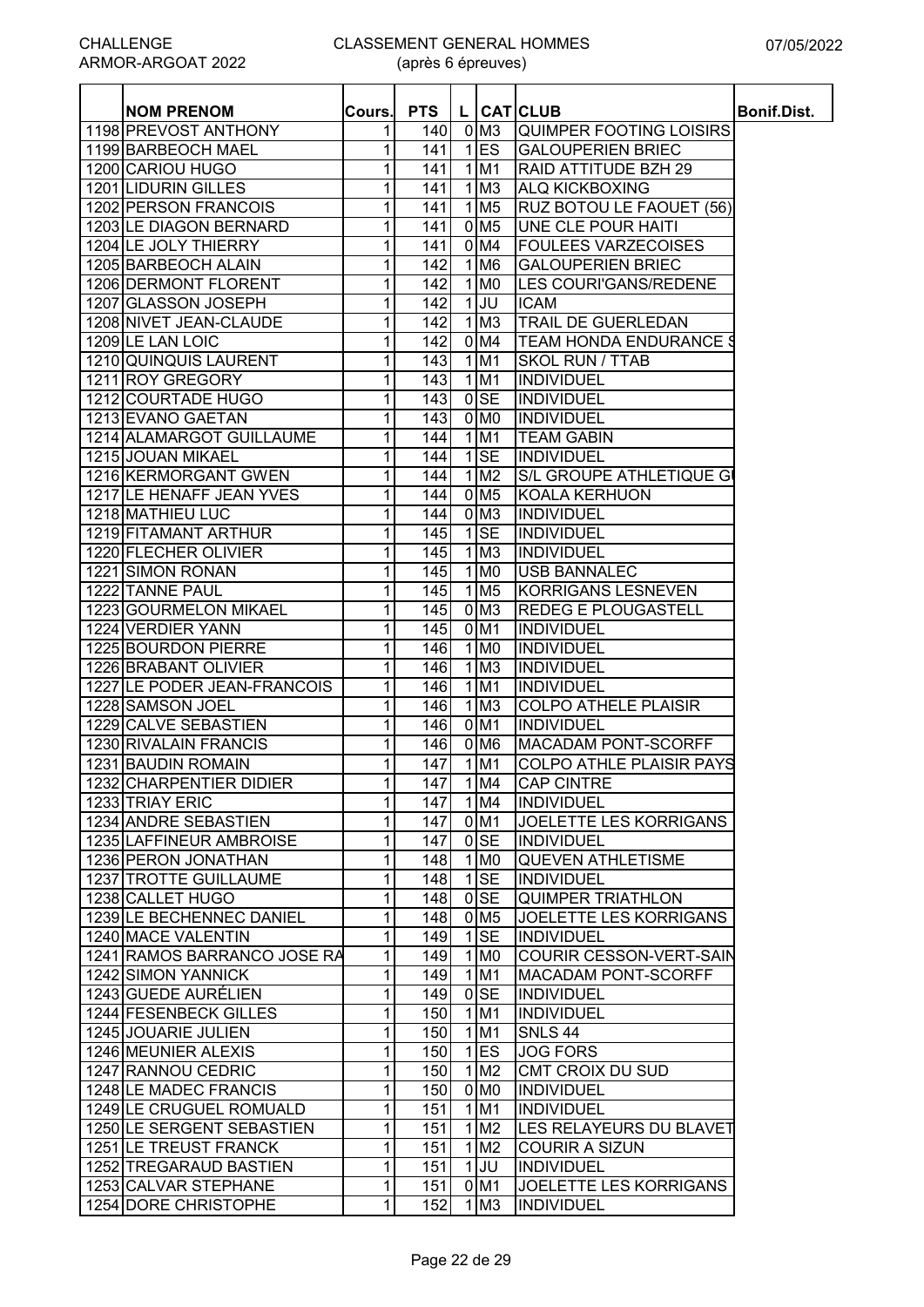| <b>NOM PRENOM</b>           | Cours.       | <b>PTS</b> |              |                         | L CATCLUB                       | <b>Bonif.Dist.</b> |
|-----------------------------|--------------|------------|--------------|-------------------------|---------------------------------|--------------------|
| 1198 PREVOST ANTHONY        | 1            | 140        |              | $0$ M <sub>3</sub>      | <b>QUIMPER FOOTING LOISIRS</b>  |                    |
| 1199 BARBEOCH MAEL          | 1            | 141        | 1            | <b>ES</b>               | <b>GALOUPERIEN BRIEC</b>        |                    |
| 1200 CARIOU HUGO            | 1            | 141        |              | $1$ M1                  | RAID ATTITUDE BZH 29            |                    |
| 1201 LIDURIN GILLES         | 1            | 141        |              | $1$ M <sub>3</sub>      | <b>ALQ KICKBOXING</b>           |                    |
| 1202 PERSON FRANCOIS        | 1            | 141        |              | $1$ M <sub>5</sub>      | RUZ BOTOU LE FAOUET (56)        |                    |
| 1203 LE DIAGON BERNARD      | 1            | 141        |              | 0 M <sub>5</sub>        | UNE CLE POUR HAITI              |                    |
| 1204 LE JOLY THIERRY        | 1            | 141        |              | 0 M4                    | <b>FOULEES VARZECOISES</b>      |                    |
| 1205 BARBEOCH ALAIN         | 1            | 142        |              | $1$ M <sub>6</sub>      | <b>GALOUPERIEN BRIEC</b>        |                    |
| 1206 DERMONT FLORENT        | 1            | 142        |              | $1$ MO                  | LES COURI'GANS/REDENE           |                    |
| 1207 GLASSON JOSEPH         | 1            | 142        |              | $1$ UU                  | <b>ICAM</b>                     |                    |
| 1208 NIVET JEAN-CLAUDE      | 1            | 142        |              | $1$ M <sub>3</sub>      | TRAIL DE GUERLEDAN              |                    |
| 1209 LE LAN LOIC            | 1            | 142        |              | $0$ M4                  | <b>TEAM HONDA ENDURANCE \$</b>  |                    |
| 1210 QUINQUIS LAURENT       | 1            | 143        | 1            | M <sub>1</sub>          | <b>SKOL RUN / TTAB</b>          |                    |
| 1211 ROY GREGORY            | 1            | 143        |              | $1$ M1                  | <b>INDIVIDUEL</b>               |                    |
| 1212 COURTADE HUGO          | 1            | 143        |              | $0$ <sub>SE</sub>       | <b>INDIVIDUEL</b>               |                    |
| 1213 EVANO GAETAN           | 1            | 143        |              | $0$ MO                  | <b>INDIVIDUEL</b>               |                    |
| 1214 ALAMARGOT GUILLAUME    | 1            | 144        | $\mathbf{1}$ | M1                      | <b>TEAM GABIN</b>               |                    |
| 1215 JOUAN MIKAEL           | 1            | 144        |              | $1$ SE                  | <b>INDIVIDUEL</b>               |                    |
| 1216 KERMORGANT GWEN        | 1            | 144        |              | $1$ M <sub>2</sub>      | S/L GROUPE ATHLETIQUE G         |                    |
| 1217 LE HENAFF JEAN YVES    | 1            | 144        |              | $0$ M <sub>5</sub>      | <b>KOALA KERHUON</b>            |                    |
| 1218 MATHIEU LUC            | 1            | 144        |              | $0$ M <sub>3</sub>      | <b>INDIVIDUEL</b>               |                    |
| 1219 FITAMANT ARTHUR        | 1            | 145        |              | $1$ SE                  | <b>INDIVIDUEL</b>               |                    |
| 1220 FLECHER OLIVIER        | 1            | 145        |              | $1$ M <sub>3</sub>      | <b>INDIVIDUEL</b>               |                    |
| 1221 SIMON RONAN            | 1            | 145        |              | $1$ MO                  | <b>USB BANNALEC</b>             |                    |
| 1222 TANNE PAUL             | 1            | 145        |              | $1\overline{\text{M5}}$ | <b>KORRIGANS LESNEVEN</b>       |                    |
| 1223 GOURMELON MIKAEL       | 1            | 145        |              | 0 <sub>M3</sub>         | <b>REDEG E PLOUGASTELL</b>      |                    |
| 1224 VERDIER YANN           | 1            | 145        |              | $0$ M1                  | <b>INDIVIDUEL</b>               |                    |
| 1225 BOURDON PIERRE         | 1            | 146        |              | $1$ MO                  | <b>INDIVIDUEL</b>               |                    |
| 1226 BRABANT OLIVIER        | 1            | 146        |              | $1\overline{\text{M3}}$ | <b>INDIVIDUEL</b>               |                    |
| 1227 LE PODER JEAN-FRANCOIS | 1            | 146        |              | $1$ M1                  | <b>INDIVIDUEL</b>               |                    |
| 1228 SAMSON JOEL            | 1            | 146        |              | $1$ M <sub>3</sub>      | <b>COLPO ATHELE PLAISIR</b>     |                    |
| 1229 CALVE SEBASTIEN        | 1            | 146        |              | $0$ M1                  | <b>INDIVIDUEL</b>               |                    |
| 1230 RIVALAIN FRANCIS       | 1            | 146        |              | $0$ M <sub>6</sub>      | <b>MACADAM PONT-SCORFF</b>      |                    |
| 1231 BAUDIN ROMAIN          | 1            | 147        |              | $1$ M1                  | <b>COLPO ATHLE PLAISIR PAYS</b> |                    |
| 1232 CHARPENTIER DIDIER     | 1            | 147        |              | 1 M4                    | <b>CAP CINTRE</b>               |                    |
| 1233 TRIAY ERIC             | 1            | 147        |              | 1 M4                    | <b>INDIVIDUEL</b>               |                    |
| 1234 ANDRE SEBASTIEN        | 1            | 147        |              | $0$ M1                  | <b>JOELETTE LES KORRIGANS</b>   |                    |
| 1235 LAFFINEUR AMBROISE     | 1            | 147        |              | $0$ SE                  | INDIVIDUEL                      |                    |
| 1236 PERON JONATHAN         | 1            | 148        |              | 1 M <sub>0</sub>        | <b>QUEVEN ATHLETISME</b>        |                    |
| 1237 TROTTE GUILLAUME       | 1            | 148        |              | $1$ SE                  | <b>INDIVIDUEL</b>               |                    |
| 1238 CALLET HUGO            | 1            | 148        |              | $0$ SE                  | <b>QUIMPER TRIATHLON</b>        |                    |
| 1239 LE BECHENNEC DANIEL    | 1            | 148        |              | $0$ M <sub>5</sub>      | <b>JOELETTE LES KORRIGANS</b>   |                    |
| 1240 MACE VALENTIN          | $\mathbf{1}$ | 149        |              | $1$ SE                  | <b>INDIVIDUEL</b>               |                    |
| 1241 RAMOS BARRANCO JOSE RA | 1            | 149        |              | $1$ MO                  | <b>COURIR CESSON-VERT-SAIN</b>  |                    |
| 1242 SIMON YANNICK          | 1            | 149        |              | $1$ M1                  | <b>MACADAM PONT-SCORFF</b>      |                    |
| 1243 GUEDE AURÉLIEN         | $\mathbf{1}$ | 149        |              | $0$ <sub>SE</sub>       | <b>INDIVIDUEL</b>               |                    |
| 1244 FESENBECK GILLES       | $\mathbf{1}$ | 150        |              | $1$ M1                  | <b>INDIVIDUEL</b>               |                    |
| 1245 JOUARIE JULIEN         | 1            | 150        |              | $1$ M1                  | <b>SNLS 44</b>                  |                    |
| 1246 MEUNIER ALEXIS         | 1            | 150        | 11           | <b>ES</b>               | <b>JOG FORS</b>                 |                    |
| 1247 RANNOU CEDRIC          | 1            | 150        |              | 1 M2                    | CMT CROIX DU SUD                |                    |
| 1248 LE MADEC FRANCIS       | 1            | 150        |              | 0 M <sub>0</sub>        | <b>INDIVIDUEL</b>               |                    |
| 1249 LE CRUGUEL ROMUALD     | 1            | 151        | $\mathbf{1}$ | M1                      | <b>INDIVIDUEL</b>               |                    |
| 1250 LE SERGENT SEBASTIEN   | 1            | 151        |              | $1$ M <sub>2</sub>      | <b>LES RELAYEURS DU BLAVET</b>  |                    |
| 1251 LE TREUST FRANCK       | 1            | 151        |              | 1 M <sub>2</sub>        | <b>COURIR A SIZUN</b>           |                    |
| 1252 TREGARAUD BASTIEN      | 1            | 151        |              | $1$ JU                  | <b>INDIVIDUEL</b>               |                    |
| 1253 CALVAR STEPHANE        | 1            | 151        |              | 0 <sub>M1</sub>         | JOELETTE LES KORRIGANS          |                    |
| 1254 DORE CHRISTOPHE        | 1            | 152        |              | $1$ M <sub>3</sub>      | <b>INDIVIDUEL</b>               |                    |
|                             |              |            |              |                         |                                 |                    |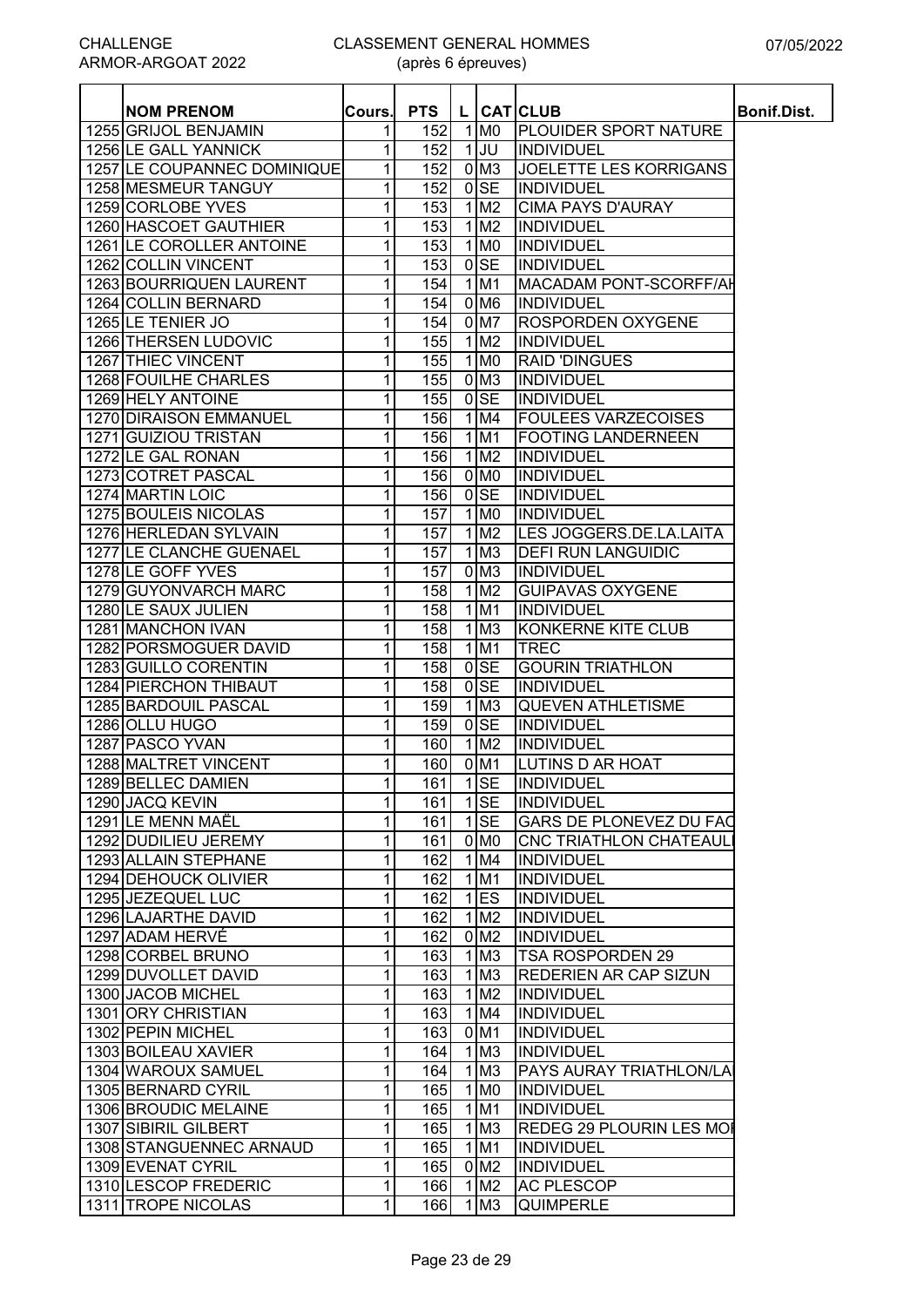| <b>NOM PRENOM</b>           | Cours.         | <b>PTS</b> |                    | L CATCLUB                       | Bonif.Dist. |
|-----------------------------|----------------|------------|--------------------|---------------------------------|-------------|
| 1255 GRIJOL BENJAMIN        | 1 <sup>1</sup> | 152        | $1$ MO             | <b>PLOUIDER SPORT NATURE</b>    |             |
| 1256 LE GALL YANNICK        | 1              | 152        | $1$ JU             | INDIVIDUEL                      |             |
| 1257 LE COUPANNEC DOMINIQUE | 1              | 152        | $0$ M <sub>3</sub> | <b>JOELETTE LES KORRIGANS</b>   |             |
| 1258 MESMEUR TANGUY         | $\mathbf{1}$   | 152        | $0$ SE             | <b>INDIVIDUEL</b>               |             |
| 1259 CORLOBE YVES           | $\mathbf{1}$   | 153        | $1$ M <sub>2</sub> | <b>CIMA PAYS D'AURAY</b>        |             |
| 1260 HASCOET GAUTHIER       | $\mathbf{1}$   | 153        | $1$ M <sub>2</sub> | INDIVIDUEL                      |             |
| 1261 LE COROLLER ANTOINE    | $\mathbf{1}$   | 153        | $1$ MO             | INDIVIDUEL                      |             |
| 1262 COLLIN VINCENT         | $\mathbf{1}$   | 153        | $0$ <sub>SE</sub>  | <b>INDIVIDUEL</b>               |             |
| 1263 BOURRIQUEN LAURENT     | $\mathbf{1}$   | 154        | $1$ M <sub>1</sub> | <b>MACADAM PONT-SCORFF/AH</b>   |             |
| 1264 COLLIN BERNARD         | $\mathbf{1}$   | 154        | 0 M <sub>6</sub>   | <b>INDIVIDUEL</b>               |             |
| 1265 LE TENIER JO           | $\mathbf{1}$   | 154        | $0$ M7             | <b>ROSPORDEN OXYGENE</b>        |             |
| 1266 THERSEN LUDOVIC        | 1              | 155        | 1 M2               | INDIVIDUEL                      |             |
| 1267 THIEC VINCENT          | $\mathbf{1}$   | 155        | $1$ MO             | <b>RAID 'DINGUES</b>            |             |
| 1268 FOUILHE CHARLES        | 1              | 155        | $0$ M <sub>3</sub> | INDIVIDUEL                      |             |
| 1269 HELY ANTOINE           | $\mathbf{1}$   | 155        | $0$ <sub>SE</sub>  | INDIVIDUEL                      |             |
| 1270 DIRAISON EMMANUEL      | $\mathbf{1}$   | 156        | $1$ M4             | <b>FOULEES VARZECOISES</b>      |             |
| 1271 GUIZIOU TRISTAN        |                | 156        | $1$ M1             | <b>FOOTING LANDERNEEN</b>       |             |
|                             | $\mathbf{1}$   |            |                    |                                 |             |
| 1272 LE GAL RONAN           | $\mathbf{1}$   | 156        | $1$ M <sub>2</sub> | INDIVIDUEL                      |             |
| 1273 COTRET PASCAL          | $\mathbf{1}$   | 156        | $0$ MO             | INDIVIDUEL                      |             |
| 1274 MARTIN LOIC            | $\mathbf{1}$   | 156        | $0$ SE             | INDIVIDUEL                      |             |
| 1275 BOULEIS NICOLAS        | $\mathbf{1}$   | 157        | $1$ MO             | INDIVIDUEL                      |             |
| 1276 HERLEDAN SYLVAIN       | $\mathbf{1}$   | 157        | $1$ M <sub>2</sub> | LES JOGGERS.DE.LA.LAITA         |             |
| 1277 LE CLANCHE GUENAEL     | 1              | 157        | $1$ M <sub>3</sub> | <b>DEFI RUN LANGUIDIC</b>       |             |
| 1278 LE GOFF YVES           | $\mathbf{1}$   | 157        | $0$ M <sub>3</sub> | INDIVIDUEL                      |             |
| 1279 GUYONVARCH MARC        | 1 <sup>1</sup> | 158        | 1 M2               | <b>GUIPAVAS OXYGENE</b>         |             |
| 1280 LE SAUX JULIEN         | $\mathbf{1}$   | 158        | $1$ M <sub>1</sub> | <b>INDIVIDUEL</b>               |             |
| 1281 MANCHON IVAN           | $\mathbf{1}$   | 158        | $1$ M <sub>3</sub> | KONKERNE KITE CLUB              |             |
| 1282 PORSMOGUER DAVID       | $\mathbf{1}$   | 158        | $1$ M <sub>1</sub> | <b>TREC</b>                     |             |
| 1283 GUILLO CORENTIN        | 1              | 158        | $0$ <sub>SE</sub>  | <b>GOURIN TRIATHLON</b>         |             |
| 1284 PIERCHON THIBAUT       | $\mathbf{1}$   | 158        | $0$ <sub>SE</sub>  | <b>INDIVIDUEL</b>               |             |
| 1285 BARDOUIL PASCAL        | $\mathbf{1}$   | 159        | $1$ M <sub>3</sub> | <b>QUEVEN ATHLETISME</b>        |             |
| 1286 OLLU HUGO              | $\mathbf{1}$   | 159        | $0$ <sub>SE</sub>  | INDIVIDUEL                      |             |
| 1287 PASCO YVAN             | 1 <sup>1</sup> | 160        | $1$ M <sub>2</sub> | <b>INDIVIDUEL</b>               |             |
| 1288 MALTRET VINCENT        | 1              | 160        | 0 M1               | <b>LUTINS D AR HOAT</b>         |             |
| 1289 BELLEC DAMIEN          | 1 <sup>1</sup> | 161        | $1$ SE             | <b>INDIVIDUEL</b>               |             |
| 1290 JACQ KEVIN             | $\mathbf{1}$   | 161        | $1$ SE             | <b>INDIVIDUEL</b>               |             |
| 1291 LE MENN MAËL           | $\mathbf{1}$   | 161        | $1$ SE             | <b>GARS DE PLONEVEZ DU FAC</b>  |             |
| 1292 DUDILIEU JEREMY        | 1              | 161        | 0 <sub>NO</sub>    | <b>CNC TRIATHLON CHATEAUL</b>   |             |
| 1293 ALLAIN STEPHANE        | $\mathbf{1}$   | 162        | $1$ M4             | INDIVIDUEL                      |             |
| 1294 DEHOUCK OLIVIER        | $\mathbf{1}$   | 162        | $1$ M <sub>1</sub> |                                 |             |
| 1295 JEZEQUEL LUC           |                |            |                    | INDIVIDUEL                      |             |
|                             | $\mathbf{1}$   | 162        | $1$ ES             | <b>INDIVIDUEL</b>               |             |
| 1296 LAJARTHE DAVID         | $\mathbf{1}$   | 162        | 1 M2               | <b>INDIVIDUEL</b>               |             |
| 1297 ADAM HERVÉ             | $\mathbf{1}$   | 162        | $0$ M <sub>2</sub> | <b>INDIVIDUEL</b>               |             |
| 1298 CORBEL BRUNO           | $\mathbf{1}$   | 163        | $1$ M <sub>3</sub> | TSA ROSPORDEN 29                |             |
| 1299 DUVOLLET DAVID         | 1 <sup>1</sup> | 163        | $1$ M <sub>3</sub> | <b>REDERIEN AR CAP SIZUN</b>    |             |
| 1300 JACOB MICHEL           | $\mathbf{1}$   | 163        | $1$ M <sub>2</sub> | <b>INDIVIDUEL</b>               |             |
| 1301 ORY CHRISTIAN          | $\mathbf{1}$   | 163        | 1 M4               | INDIVIDUEL                      |             |
| 1302 PEPIN MICHEL           | $\mathbf{1}$   | 163        | $0$ M1             | <b>INDIVIDUEL</b>               |             |
| 1303 BOILEAU XAVIER         | $\mathbf{1}$   | 164        | $1$ M $3$          | <b>INDIVIDUEL</b>               |             |
| 1304 WAROUX SAMUEL          | 1              | 164        | $1$ M <sub>3</sub> | <b>PAYS AURAY TRIATHLON/LA</b>  |             |
| 1305 BERNARD CYRIL          | 1              | 165        | $1$ MO             | <b>INDIVIDUEL</b>               |             |
| 1306 BROUDIC MELAINE        | $\mathbf{1}$   | 165        | $1$ M1             | <b>INDIVIDUEL</b>               |             |
| 1307 SIBIRIL GILBERT        | $\mathbf{1}$   | 165        | $1$ M <sub>3</sub> | <b>REDEG 29 PLOURIN LES MOI</b> |             |
| 1308 STANGUENNEC ARNAUD     | $\mathbf{1}$   | 165        | $1$ M1             | <b>INDIVIDUEL</b>               |             |
| 1309 EVENAT CYRIL           | $\mathbf{1}$   | 165        | $0$ M <sub>2</sub> | <b>INDIVIDUEL</b>               |             |
|                             |                |            |                    |                                 |             |
| 1310 LESCOP FREDERIC        | $\mathbf{1}$   | 166        | 1 M2               | <b>AC PLESCOP</b>               |             |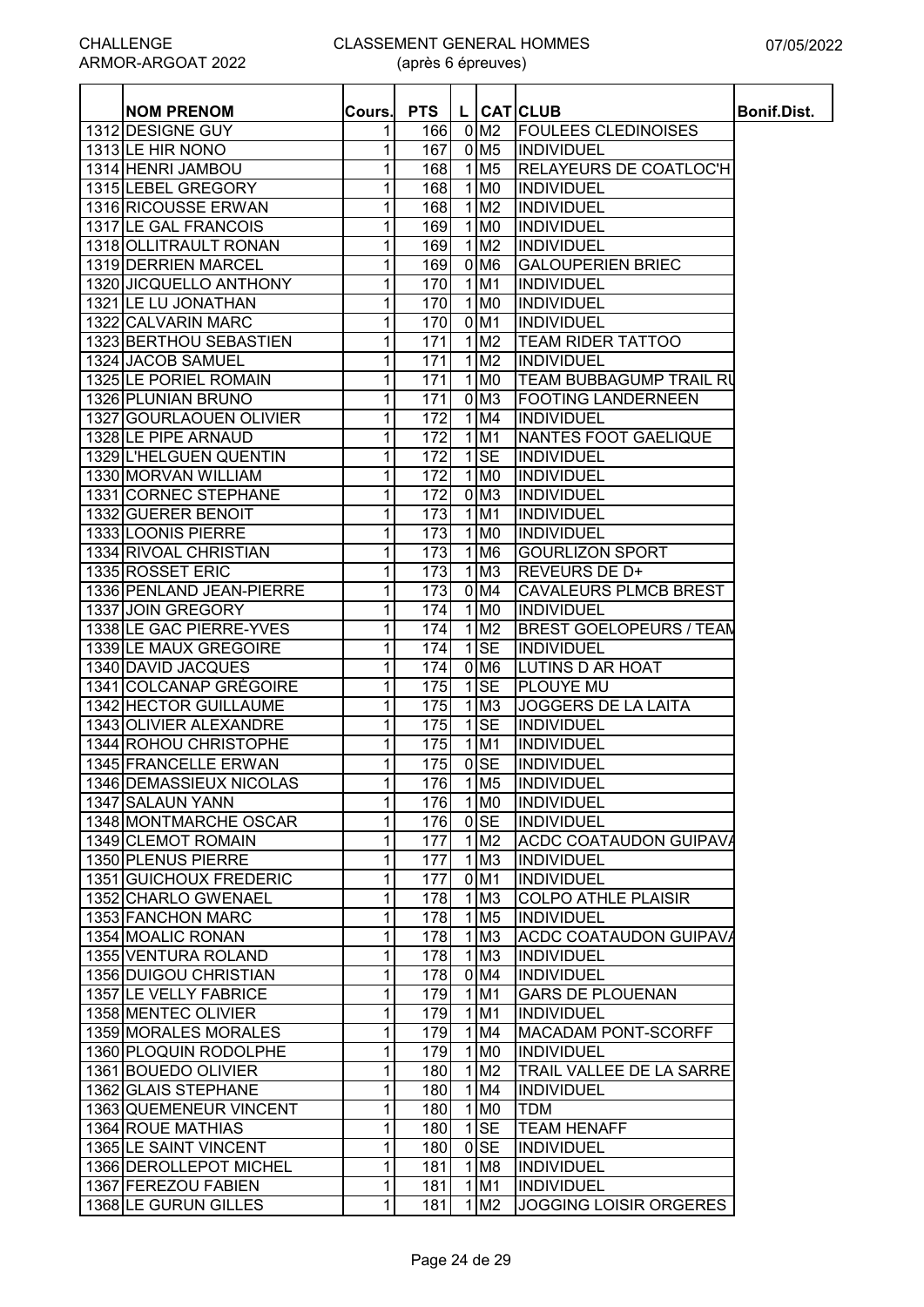| <b>NOM PRENOM</b>        | Cours. | <b>PTS</b> |                         | L CATCLUB                       | <b>Bonif.Dist.</b> |
|--------------------------|--------|------------|-------------------------|---------------------------------|--------------------|
| 1312 DESIGNE GUY         | 1      | 166        | 0 M <sub>2</sub>        | <b>FOULEES CLEDINOISES</b>      |                    |
| 1313 LE HIR NONO         | 1      | 167        | $0$ M <sub>5</sub>      | <b>INDIVIDUEL</b>               |                    |
| 1314 HENRI JAMBOU        | 1      | 168        | $1$ M <sub>5</sub>      | <b>RELAYEURS DE COATLOC'H</b>   |                    |
| 1315 LEBEL GREGORY       | 1      | 168        | $1$ MO                  | INDIVIDUEL                      |                    |
| 1316 RICOUSSE ERWAN      | 1      | 168        | $1$ M <sub>2</sub>      | <b>INDIVIDUEL</b>               |                    |
| 1317 LE GAL FRANCOIS     | 1      | 169        | 1 M <sub>0</sub>        | INDIVIDUEL                      |                    |
| 1318 OLLITRAULT RONAN    | 1      | 169        | $1$ M <sub>2</sub>      | <b>INDIVIDUEL</b>               |                    |
| 1319 DERRIEN MARCEL      |        |            | $0$ M <sub>6</sub>      |                                 |                    |
|                          | 1      | 169        |                         | <b>GALOUPERIEN BRIEC</b>        |                    |
| 1320 JICQUELLO ANTHONY   | 1      | 170        | $1$ M1                  | <b>INDIVIDUEL</b>               |                    |
| 1321 LE LU JONATHAN      | 1      | 170        | $1$ MO                  | <b>INDIVIDUEL</b>               |                    |
| 1322 CALVARIN MARC       | 1      | 170        | $0$ M1                  | <b>INDIVIDUEL</b>               |                    |
| 1323 BERTHOU SEBASTIEN   | 1      | 171        | $1$ M <sub>2</sub>      | <b>TEAM RIDER TATTOO</b>        |                    |
| 1324 JACOB SAMUEL        | 1      | 171        | $1$ M <sub>2</sub>      | <b>INDIVIDUEL</b>               |                    |
| 1325 LE PORIEL ROMAIN    | 1      | 171        | $1$ MO                  | <b>TEAM BUBBAGUMP TRAIL RU</b>  |                    |
| 1326 PLUNIAN BRUNO       | 1      | 171        | 0 <sub>M3</sub>         | <b>FOOTING LANDERNEEN</b>       |                    |
| 1327 GOURLAOUEN OLIVIER  | 1      | 172        | $1$ M4                  | <b>INDIVIDUEL</b>               |                    |
| 1328 LE PIPE ARNAUD      | 1      | 172        | 1 M1                    | NANTES FOOT GAELIQUE            |                    |
| 1329 L'HELGUEN QUENTIN   | 1      | 172        | $1$ SE                  | <b>INDIVIDUEL</b>               |                    |
| 1330 MORVAN WILLIAM      | 1      | 172        | $1$ MO                  | INDIVIDUEL                      |                    |
| 1331 CORNEC STEPHANE     | 1      | 172        | $0$ M <sub>3</sub>      | INDIVIDUEL                      |                    |
| 1332 GUERER BENOIT       | 1      | 173        | 1 <sub>M1</sub>         | <b>INDIVIDUEL</b>               |                    |
| 1333 LOONIS PIERRE       | 1      | 173        | 1 M0                    | <b>INDIVIDUEL</b>               |                    |
| 1334 RIVOAL CHRISTIAN    | 1      | 173        | 1 M <sub>6</sub>        | <b>GOURLIZON SPORT</b>          |                    |
| 1335 ROSSET ERIC         | 1      | 173        | $1\overline{\text{M3}}$ | <b>REVEURS DE D+</b>            |                    |
| 1336 PENLAND JEAN-PIERRE | 1      | 173        | 0 <sub>M4</sub>         | <b>CAVALEURS PLMCB BREST</b>    |                    |
| 1337 JOIN GREGORY        | 1      | 174        | $1$ MO                  | <b>INDIVIDUEL</b>               |                    |
| 1338 LE GAC PIERRE-YVES  | 1      | 174        | 1 M2                    | <b>BREST GOELOPEURS / TEAM</b>  |                    |
| 1339 LE MAUX GREGOIRE    | 1      | 174        | $1$ SE                  | <b>INDIVIDUEL</b>               |                    |
| 1340 DAVID JACQUES       | 1      | 174        | 0 <sub>M6</sub>         | <b>LUTINS D AR HOAT</b>         |                    |
| 1341 COLCANAP GRÉGOIRE   | 1      | 175        | $1$ SE                  | <b>PLOUYE MU</b>                |                    |
| 1342 HECTOR GUILLAUME    | 1      | 175        | $1$ M <sub>3</sub>      | <b>JOGGERS DE LA LAITA</b>      |                    |
| 1343 OLIVIER ALEXANDRE   | 1      | 175        | $1$ SE                  | <b>INDIVIDUEL</b>               |                    |
| 1344 ROHOU CHRISTOPHE    | 1      | 175        | 1 M1                    | <b>INDIVIDUEL</b>               |                    |
| 1345 FRANCELLE ERWAN     | 1      | 175        | $0$ <sub>SE</sub>       | INDIVIDUEL                      |                    |
| 1346 DEMASSIEUX NICOLAS  | 11     | 176        | 1 M <sub>5</sub>        | <b>INDIVIDUEL</b>               |                    |
| 1347 SALAUN YANN         | 1      | 176        | $1$ MO                  | <b>INDIVIDUEL</b>               |                    |
| 1348 MONTMARCHE OSCAR    |        |            | $0$ SE                  | INDIVIDUEL                      |                    |
| 1349 CLEMOT ROMAIN       | 1      | 176<br>177 | 1 M2                    | <b>ACDC COATAUDON GUIPAVA</b>   |                    |
| 1350 PLENUS PIERRE       | 1      | 177        | $1$ M <sub>3</sub>      | <b>INDIVIDUEL</b>               |                    |
|                          | 1      |            |                         |                                 |                    |
| 1351 GUICHOUX FREDERIC   | 1      | 177        | $0$ M1                  | <b>INDIVIDUEL</b>               |                    |
| 1352 CHARLO GWENAEL      | 1      | 178        | $1$ M <sub>3</sub>      | <b>COLPO ATHLE PLAISIR</b>      |                    |
| 1353 FANCHON MARC        | 1      | 178        | $1$ M <sub>5</sub>      | <b>INDIVIDUEL</b>               |                    |
| 1354 MOALIC RONAN        | 1      | 178        | $1$ M3                  | <b>ACDC COATAUDON GUIPAVA</b>   |                    |
| 1355 VENTURA ROLAND      | 1      | 178        | $1$ M <sub>3</sub>      | <b>INDIVIDUEL</b>               |                    |
| 1356 DUIGOU CHRISTIAN    | 1      | 178        | $0$ M4                  | <b>INDIVIDUEL</b>               |                    |
| 1357 LE VELLY FABRICE    | 1      | 179        | $1$ M1                  | <b>GARS DE PLOUENAN</b>         |                    |
| 1358 MENTEC OLIVIER      | 1      | 179        | $1$ M1                  | <b>INDIVIDUEL</b>               |                    |
| 1359 MORALES MORALES     | 1      | 179        | 1 M4                    | <b>MACADAM PONT-SCORFF</b>      |                    |
| 1360 PLOQUIN RODOLPHE    | 1      | 179        | 1 M <sub>0</sub>        | <b>INDIVIDUEL</b>               |                    |
| 1361 BOUEDO OLIVIER      | 1      | 180        | $1$ M <sub>2</sub>      | <b>TRAIL VALLEE DE LA SARRE</b> |                    |
| 1362 GLAIS STEPHANE      | 1      | 180        | $1$ M4                  | <b>INDIVIDUEL</b>               |                    |
| 1363 QUEMENEUR VINCENT   | 1      | 180        | $1$ MO                  | <b>TDM</b>                      |                    |
| 1364 ROUE MATHIAS        | 1      | 180        | $1$ SE                  | <b>TEAM HENAFF</b>              |                    |
| 1365 LE SAINT VINCENT    | 1      | 180        | $0$ SE                  | <b>INDIVIDUEL</b>               |                    |
| 1366 DEROLLEPOT MICHEL   | 1      | 181        | $1$ M <sub>8</sub>      | <b>INDIVIDUEL</b>               |                    |
| 1367 FEREZOU FABIEN      | 1      | 181        | 1 M1                    | <b>INDIVIDUEL</b>               |                    |
| 1368 LE GURUN GILLES     | 1      | 181        | $1$ M <sub>2</sub>      | <b>JOGGING LOISIR ORGERES</b>   |                    |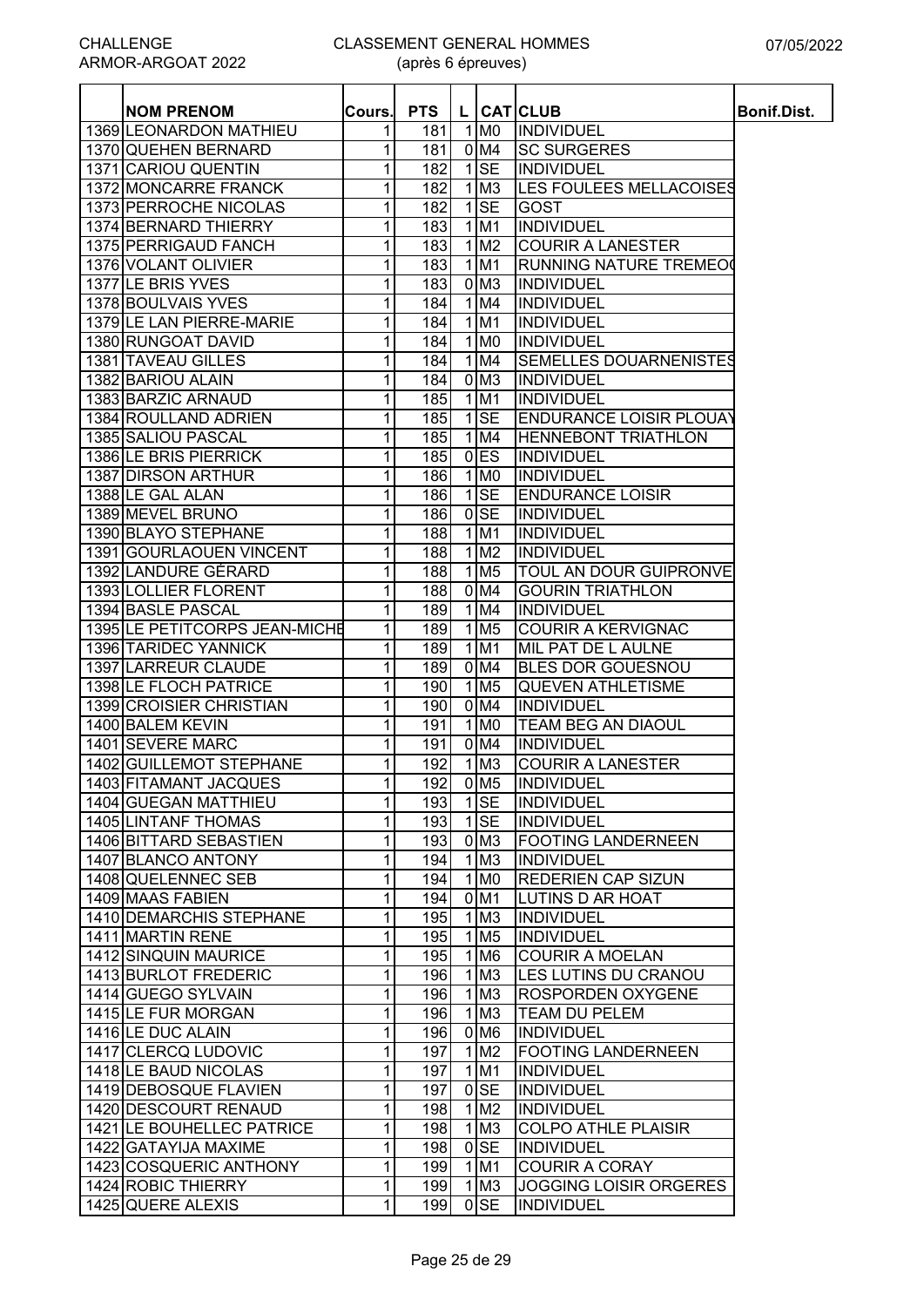| <b>NOM PRENOM</b>                        | Cours.            | <b>PTS</b> |                                                   | L CATCLUB                                      | <b>Bonif.Dist.</b> |
|------------------------------------------|-------------------|------------|---------------------------------------------------|------------------------------------------------|--------------------|
| 1369 LEONARDON MATHIEU                   | 1                 | 181        | 1 M <sub>0</sub>                                  | INDIVIDUEL                                     |                    |
| 1370 QUEHEN BERNARD                      | 1                 | 181        | 0 M4                                              | <b>SC SURGERES</b>                             |                    |
| 1371 CARIOU QUENTIN                      | 1                 | 182        | $1$ SE                                            | <b>INDIVIDUEL</b>                              |                    |
| 1372 MONCARRE FRANCK                     | 1                 | 182        | $1$ M <sub>3</sub>                                | LES FOULEES MELLACOISES                        |                    |
| 1373 PERROCHE NICOLAS                    | 1                 | 182        | $1$ SE                                            | <b>GOST</b>                                    |                    |
| 1374 BERNARD THIERRY                     | 1                 | 183        | $1$ M1                                            | <b>INDIVIDUEL</b>                              |                    |
| 1375 PERRIGAUD FANCH                     | 1                 | 183        | $1$ M <sub>2</sub>                                | <b>COURIR A LANESTER</b>                       |                    |
| 1376 VOLANT OLIVIER                      | 1                 | 183        | $1$ M1                                            | <b>RUNNING NATURE TREMEO</b>                   |                    |
| 1377 LE BRIS YVES                        | 1                 | 183        | $0$ M <sub>3</sub>                                | <b>INDIVIDUEL</b>                              |                    |
| 1378 BOULVAIS YVES                       | 1                 | 184        | $1$ M4                                            | <b>INDIVIDUEL</b>                              |                    |
| 1379 LE LAN PIERRE-MARIE                 | 1                 | 184        | $1$ M <sub>1</sub>                                | <b>INDIVIDUEL</b>                              |                    |
| 1380 RUNGOAT DAVID                       | 1                 | 184        | $1$ MO                                            | <b>INDIVIDUEL</b>                              |                    |
| 1381 TAVEAU GILLES                       | 1                 | 184        | $1$ M4                                            | SEMELLES DOUARNENISTES                         |                    |
| 1382 BARIOU ALAIN                        | 1                 | 184        | $0$ M <sub>3</sub>                                | <b>INDIVIDUEL</b>                              |                    |
| 1383 BARZIC ARNAUD                       | 1                 | 185        | $1$ M1                                            | INDIVIDUEL                                     |                    |
| 1384 ROULLAND ADRIEN                     | 1                 | 185        | $1$ SE                                            | <b>ENDURANCE LOISIR PLOUAY</b>                 |                    |
| 1385 SALIOU PASCAL                       | 1                 | 185        | 1 M4                                              | <b>HENNEBONT TRIATHLON</b>                     |                    |
| 1386 LE BRIS PIERRICK                    | 1                 | 185        | $0$ <sub>ES</sub>                                 | <b>INDIVIDUEL</b>                              |                    |
| 1387 DIRSON ARTHUR                       | 1                 | 186        | $1$ MO                                            | <b>INDIVIDUEL</b>                              |                    |
| 1388 LE GAL ALAN                         | 1                 | 186        | $1$ SE                                            | <b>ENDURANCE LOISIR</b>                        |                    |
| 1389 MEVEL BRUNO                         | 1                 | 186        | $0$ SE                                            | <b>INDIVIDUEL</b>                              |                    |
| 1390 BLAYO STEPHANE                      | 1                 | 188        | $1$ M1                                            | <b>INDIVIDUEL</b>                              |                    |
| 1391 GOURLAOUEN VINCENT                  | 1                 | 188        | $1$ M <sub>2</sub>                                | <b>INDIVIDUEL</b>                              |                    |
| 1392 LANDURE GÉRARD                      | 1                 | 188        | $1$ M <sub>5</sub>                                | <b>TOUL AN DOUR GUIPRONVE</b>                  |                    |
| 1393 LOLLIER FLORENT                     | 1                 | 188        | $0$ M4                                            | <b>GOURIN TRIATHLON</b>                        |                    |
| 1394 BASLE PASCAL                        | 1                 | 189        | 1 M4                                              | <b>INDIVIDUEL</b>                              |                    |
| 1395 LE PETITCORPS JEAN-MICHE            | 1                 | 189        | $1$ M <sub>5</sub>                                | <b>COURIR A KERVIGNAC</b>                      |                    |
| 1396 TARIDEC YANNICK                     | 1                 | 189        | $1$ M1                                            | MIL PAT DE L AULNE                             |                    |
| 1397 LARREUR CLAUDE                      | 1                 | 189        | $0$ M4                                            | BLES DOR GOUESNOU                              |                    |
| 1398 LE FLOCH PATRICE                    | 1                 | 190        | $1$ M <sub>5</sub>                                | <b>QUEVEN ATHLETISME</b>                       |                    |
| 1399 CROISIER CHRISTIAN                  | 1                 | 190        | 0 M4                                              | <b>INDIVIDUEL</b>                              |                    |
| 1400 BALEM KEVIN                         | 1                 | 191        | $1$ MO                                            | <b>TEAM BEG AN DIAOUL</b>                      |                    |
| 1401 SEVERE MARC                         | 1                 | 191        | 0 M <sub>4</sub>                                  | <b>INDIVIDUEL</b>                              |                    |
| 1402 GUILLEMOT STEPHANE                  | $\mathbf{1}$      | 192        | $1$ M <sub>3</sub>                                | <b>COURIR A LANESTER</b>                       |                    |
| 1403 FITAMANT JACQUES                    | 1 <sup>1</sup>    | 192        | 0 M <sub>5</sub>                                  | INDIVIDUEL                                     |                    |
| 1404 GUEGAN MATTHIEU                     | $\mathbf{1}$      | 193        | $1$ SE                                            | INDIVIDUEL                                     |                    |
| <b>1405 LINTANF THOMAS</b>               | $\mathbf{1}$      | 193        | $1$ SE                                            | INDIVIDUEL                                     |                    |
| 1406 BITTARD SEBASTIEN                   | 1                 | 193        | 0 <sub>M3</sub>                                   | <b>FOOTING LANDERNEEN</b>                      |                    |
| 1407 BLANCO ANTONY                       | 1                 | 194        | $1$ M <sub>3</sub>                                | INDIVIDUEL                                     |                    |
| 1408 QUELENNEC SEB                       | 1                 | 194        | $\overline{1}$ MO                                 | <b>REDERIEN CAP SIZUN</b>                      |                    |
| 1409 MAAS FABIEN                         | 1                 | 194        | $0$ M1                                            | <b>LUTINS D AR HOAT</b>                        |                    |
| 1410 DEMARCHIS STEPHANE                  | 1                 | 195        | $1$ M <sub>3</sub>                                | INDIVIDUEL                                     |                    |
| 1411 MARTIN RENE                         | 1                 | 195        | $1$ M <sub>5</sub>                                | <b>INDIVIDUEL</b>                              |                    |
| 1412 SINQUIN MAURICE                     | 1                 | 195        | $1$ M <sub>6</sub>                                | <b>COURIR A MOELAN</b>                         |                    |
| 1413 BURLOT FREDERIC                     | 1                 | 196        | $1$ M <sub>3</sub>                                | LES LUTINS DU CRANOU                           |                    |
| 1414 GUEGO SYLVAIN                       | 1                 | 196        | $1$ M <sub>3</sub>                                | <b>ROSPORDEN OXYGENE</b>                       |                    |
| 1415 LE FUR MORGAN                       | 1                 | 196        | $1$ M <sub>3</sub>                                | <b>TEAM DU PELEM</b>                           |                    |
|                                          |                   |            |                                                   |                                                |                    |
| 1416 LE DUC ALAIN<br>1417 CLERCQ LUDOVIC | 1                 | 196<br>197 | 0 M <sub>6</sub><br>$\overline{1}$ M <sub>2</sub> | <b>INDIVIDUEL</b><br><b>FOOTING LANDERNEEN</b> |                    |
|                                          | 1<br>$\mathbf{1}$ |            |                                                   |                                                |                    |
| 1418 LE BAUD NICOLAS                     |                   | 197        | 1 M1                                              | <b>INDIVIDUEL</b>                              |                    |
| 1419 DEBOSQUE FLAVIEN                    | 1                 | 197        | $0$ <sub>SE</sub>                                 | <b>INDIVIDUEL</b>                              |                    |
| 1420 DESCOURT RENAUD                     | 1                 | 198        | $1$ M <sub>2</sub>                                | <b>INDIVIDUEL</b>                              |                    |
| 1421 LE BOUHELLEC PATRICE                | 1                 | 198        | $1$ M <sub>3</sub>                                | <b>COLPO ATHLE PLAISIR</b>                     |                    |
| 1422 GATAYIJA MAXIME                     | $\mathbf{1}$      | 198        | $0$ <sub>SE</sub>                                 | <b>INDIVIDUEL</b>                              |                    |
| 1423 COSQUERIC ANTHONY                   | 1                 | 199        | $1$ M1                                            | <b>COURIR A CORAY</b>                          |                    |
| 1424 ROBIC THIERRY                       | 1                 | 199        | $1$ M <sub>3</sub>                                | <b>JOGGING LOISIR ORGERES</b>                  |                    |
| 1425 QUERE ALEXIS                        | 1                 | 199        | $0$ <sub>SE</sub>                                 | <b>INDIVIDUEL</b>                              |                    |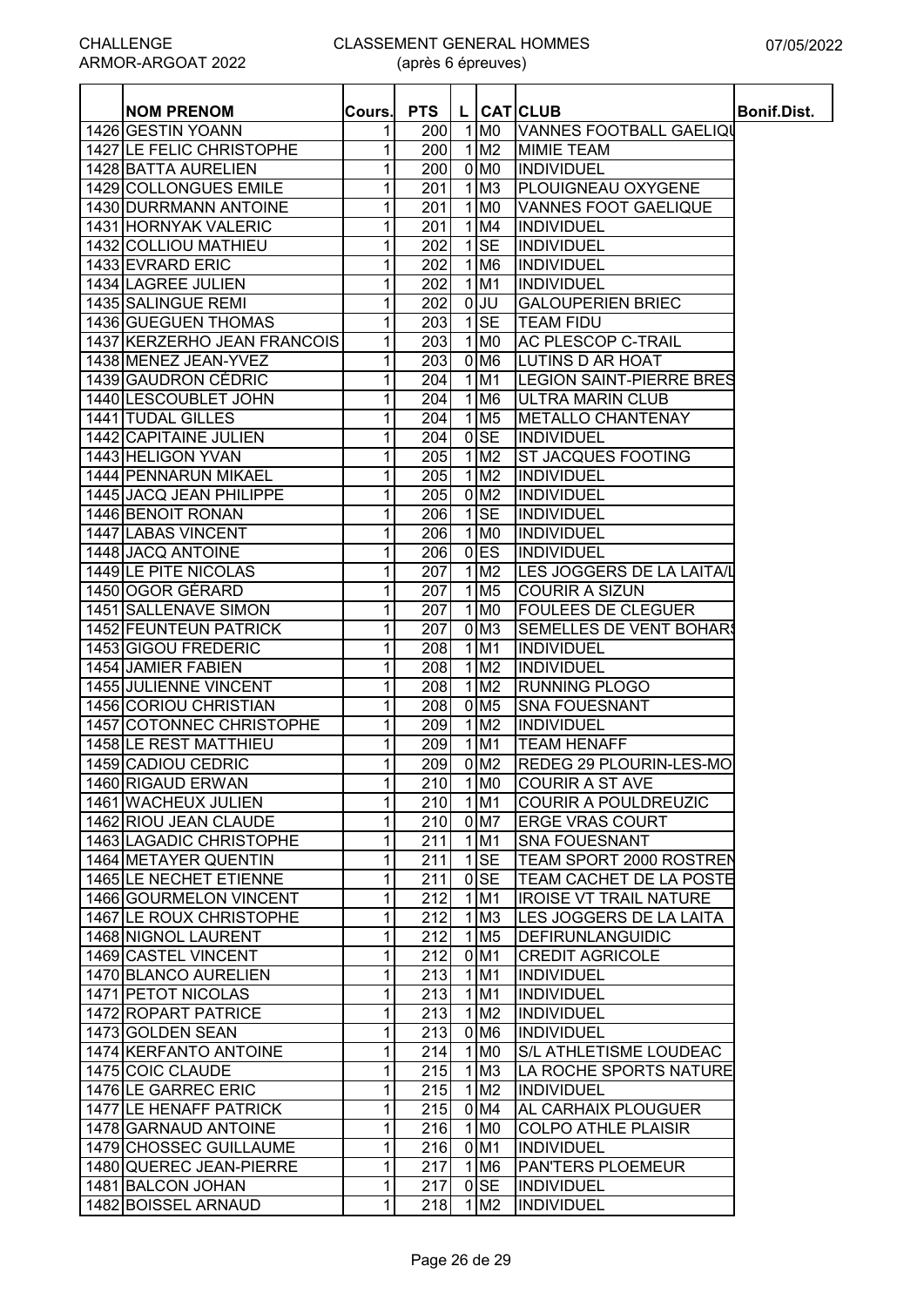| <b>NOM PRENOM</b>            | Cours. | <b>PTS</b> |                        | L CATICLUB                      | <b>Bonif.Dist.</b> |
|------------------------------|--------|------------|------------------------|---------------------------------|--------------------|
| 1426 GESTIN YOANN            | 1      | 200        | $1$ MO                 | VANNES FOOTBALL GAELIQI         |                    |
| 1427 LE FELIC CHRISTOPHE     | 1      | 200        | $1$ M <sub>2</sub>     | <b>MIMIE TEAM</b>               |                    |
| 1428 BATTA AURELIEN          | 1      | 200        | $0$ MO                 | <b>INDIVIDUEL</b>               |                    |
| 1429 COLLONGUES EMILE        | 1      | 201        | $1$ M <sub>3</sub>     | <b>PLOUIGNEAU OXYGENE</b>       |                    |
| 1430 DURRMANN ANTOINE        | 1      | 201        | $1$ MO                 | <b>VANNES FOOT GAELIQUE</b>     |                    |
| 1431 HORNYAK VALERIC         | 1      | 201        | $1$ M4                 | <b>INDIVIDUEL</b>               |                    |
| 1432 COLLIOU MATHIEU         | 1      | 202        | $1$ $SE$               | <b>INDIVIDUEL</b>               |                    |
| 1433 EVRARD ERIC             | 1      | 202        | $1$ M <sub>6</sub>     | INDIVIDUEL                      |                    |
| 1434 LAGREE JULIEN           | 1      | 202        | $1$ M <sub>1</sub>     | INDIVIDUEL                      |                    |
| 1435 SALINGUE REMI           | 1      | 202        | $0$ UU                 | <b>GALOUPERIEN BRIEC</b>        |                    |
| 1436 GUEGUEN THOMAS          | 1      | 203        | $1$ SE                 | <b>TEAM FIDU</b>                |                    |
| 1437 KERZERHO JEAN FRANCOIS  | 1      | 203        | $1$ MO                 | <b>AC PLESCOP C-TRAIL</b>       |                    |
| 1438 MENEZ JEAN-YVEZ         | 1      | 203        | 0 M <sub>6</sub>       | <b>LUTINS D AR HOAT</b>         |                    |
| 1439 GAUDRON CÉDRIC          | 1      | 204        | $1$ M <sub>1</sub>     | <b>LEGION SAINT-PIERRE BRES</b> |                    |
| 1440 LESCOUBLET JOHN         | 1      | 204        | $1$ M <sub>6</sub>     | ULTRA MARIN CLUB                |                    |
| 1441 TUDAL GILLES            | 1      | 204        | $1$ M <sub>5</sub>     | <b>METALLO CHANTENAY</b>        |                    |
| 1442 CAPITAINE JULIEN        | 1      | 204        | $0$ <sub>SE</sub>      | <b>INDIVIDUEL</b>               |                    |
| 1443 HELIGON YVAN            | 1      | 205        | 1 M2                   | <b>ST JACQUES FOOTING</b>       |                    |
| 1444 PENNARUN MIKAEL         | 1      | 205        | 1 M2                   | INDIVIDUEL                      |                    |
| 1445 JACQ JEAN PHILIPPE      | 1      | 205        | $0$ M <sub>2</sub>     | INDIVIDUEL                      |                    |
| 1446 BENOIT RONAN            | 1      | 206        | $1$ SE                 | <b>INDIVIDUEL</b>               |                    |
| 1447 LABAS VINCENT           | 1      | 206        | $1$ MO                 | INDIVIDUEL                      |                    |
| 1448 JACQ ANTOINE            | 1      | 206        | $0$ <sub>ES</sub>      | <b>INDIVIDUEL</b>               |                    |
| 1449 LE PITE NICOLAS         | 1      | 207        | 1 M2                   | LES JOGGERS DE LA LAITA/L       |                    |
| 1450 OGOR GÉRARD             | 1      | 207        | $1$ M <sub>5</sub>     | <b>COURIR A SIZUN</b>           |                    |
| 1451 SALLENAVE SIMON         | 1      | 207        | $1$ MO                 | <b>FOULEES DE CLEGUER</b>       |                    |
| <b>1452 FEUNTEUN PATRICK</b> | 1      | 207        | $0$ M <sub>3</sub>     | <b>SEMELLES DE VENT BOHARS</b>  |                    |
| 1453 GIGOU FREDERIC          |        |            | 1 M1                   | INDIVIDUEL                      |                    |
|                              | 1      | 208        |                        |                                 |                    |
| 1454 JAMIER FABIEN           | 1      | 208        | $1$ M <sub>2</sub>     | INDIVIDUEL                      |                    |
| 1455 JULIENNE VINCENT        | 1      | 208        | $1$ M <sub>2</sub>     | <b>RUNNING PLOGO</b>            |                    |
| 1456 CORIOU CHRISTIAN        | 1      | 208        | $0$ M <sub>5</sub>     | <b>SNA FOUESNANT</b>            |                    |
| 1457 COTONNEC CHRISTOPHE     | 1      | 209        | $1$ M <sub>2</sub>     | INDIVIDUEL                      |                    |
| 1458 LE REST MATTHIEU        | 1      | 209        | $1$ M <sub>1</sub>     | <b>TEAM HENAFF</b>              |                    |
| 1459 CADIOU CEDRIC           | 1      | 209        | $0$ M <sub>2</sub>     | <b>REDEG 29 PLOURIN-LES-MO</b>  |                    |
| 1460 RIGAUD ERWAN            | 1      |            | $210$ 1 M <sub>0</sub> | <b>COURIR A ST AVE</b>          |                    |
| 1461 WACHEUX JULIEN          | 1      | 210        | 1 M1                   | <b>COURIR A POULDREUZIC</b>     |                    |
| 1462 RIOU JEAN CLAUDE        | 1      | 210        | $0$ M7                 | <b>ERGE VRAS COURT</b>          |                    |
| 1463 LAGADIC CHRISTOPHE      | 1      | 211        | 1 M1                   | <b>SNA FOUESNANT</b>            |                    |
| 1464 METAYER QUENTIN         | 1      | 211        | $1$ SE                 | <b>TEAM SPORT 2000 ROSTREN</b>  |                    |
| 1465 LE NECHET ETIENNE       | 1      | 211        | $0$ SE                 | <b>TEAM CACHET DE LA POSTE</b>  |                    |
| 1466 GOURMELON VINCENT       | 1      | 212        | 1 M1                   | <b>IROISE VT TRAIL NATURE</b>   |                    |
| 1467 LE ROUX CHRISTOPHE      | 1      | 212        | $1$ M <sub>3</sub>     | LES JOGGERS DE LA LAITA         |                    |
| 1468 NIGNOL LAURENT          | 1      | 212        | $1$ M <sub>5</sub>     | DEFIRUNLANGUIDIC                |                    |
| 1469 CASTEL VINCENT          | 1      | 212        | 0 M1                   | <b>CREDIT AGRICOLE</b>          |                    |
| 1470 BLANCO AURELIEN         | 1      | 213        | $1$ M1                 | INDIVIDUEL                      |                    |
| 1471 PETOT NICOLAS           | 1      | 213        | $1$ M1                 | <b>INDIVIDUEL</b>               |                    |
| 1472 ROPART PATRICE          | 1      | 213        | 1 M2                   | <b>INDIVIDUEL</b>               |                    |
| 1473 GOLDEN SEAN             | 1      | 213        | 0 M <sub>6</sub>       | <b>INDIVIDUEL</b>               |                    |
| 1474 KERFANTO ANTOINE        | 1      | 214        | $1$ MO                 | <b>S/L ATHLETISME LOUDEAC</b>   |                    |
| 1475 COIC CLAUDE             | 1      | 215        | $1$ M <sub>3</sub>     | LA ROCHE SPORTS NATURE          |                    |
| 1476 LE GARREC ERIC          | 1      | <b>215</b> | $1$ M <sub>2</sub>     | <b>INDIVIDUEL</b>               |                    |
| 1477 LE HENAFF PATRICK       | 1      | 215        | 0 M4                   | <b>AL CARHAIX PLOUGUER</b>      |                    |
| 1478 GARNAUD ANTOINE         | 1      | 216        | 1 M <sub>0</sub>       | <b>COLPO ATHLE PLAISIR</b>      |                    |
| 1479 CHOSSEC GUILLAUME       | 1      | 216        | $0$ M1                 | <b>INDIVIDUEL</b>               |                    |
| 1480 QUEREC JEAN-PIERRE      | 1      | 217        | 1 M <sub>6</sub>       | <b>PANTERS PLOEMEUR</b>         |                    |
| 1481 BALCON JOHAN            | 1      | 217        | $0$ SE                 | <b>INDIVIDUEL</b>               |                    |
| 1482 BOISSEL ARNAUD          |        |            |                        |                                 |                    |
|                              | 1      | <b>218</b> | $1$ M <sub>2</sub>     | <b>INDIVIDUEL</b>               |                    |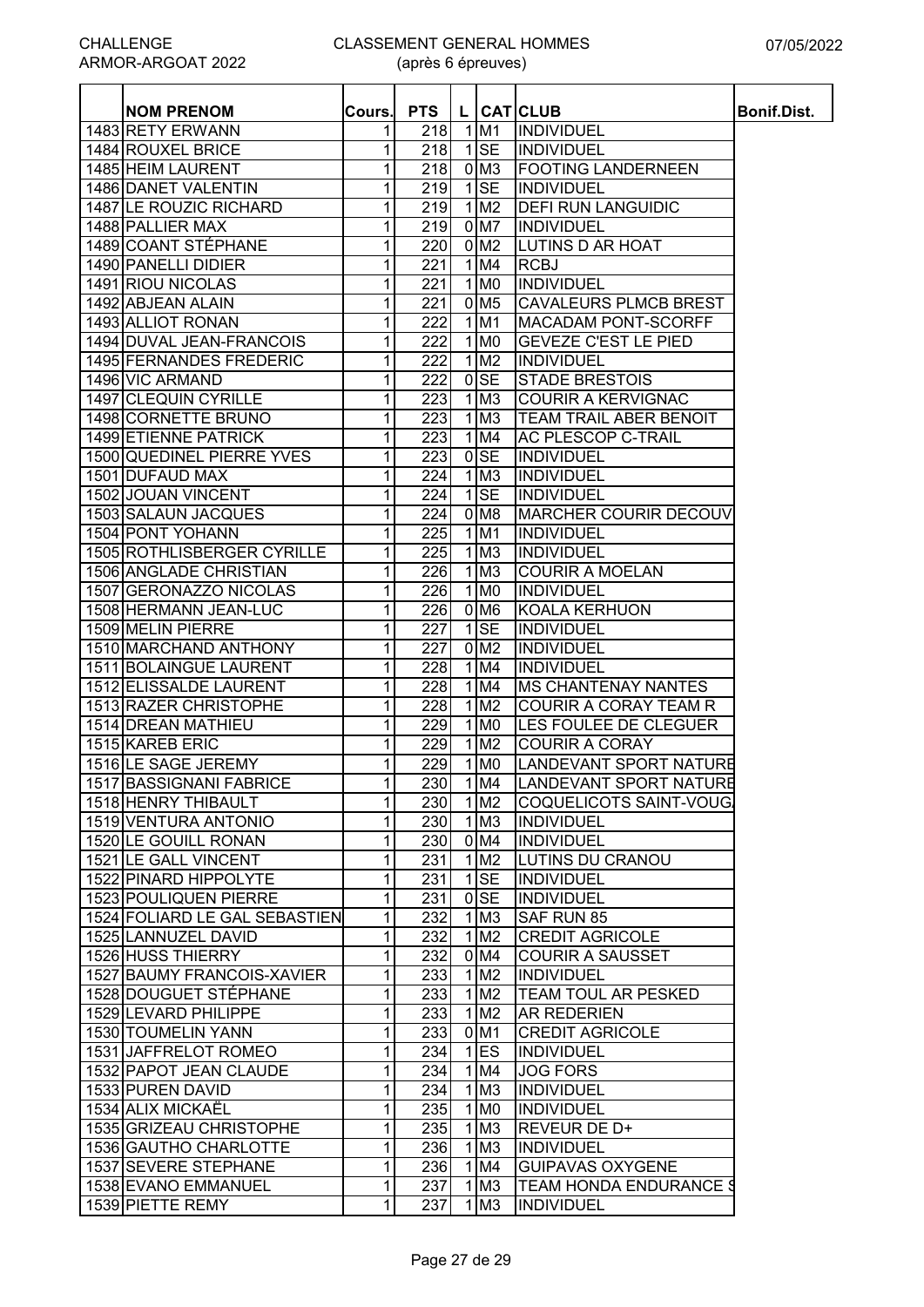| <b>NOM PRENOM</b>                                | Cours.       | <b>PTS</b>       |                            | L CATCLUB                     | <b>Bonif.Dist.</b> |
|--------------------------------------------------|--------------|------------------|----------------------------|-------------------------------|--------------------|
| 1483 RETY ERWANN                                 | 1            | 218              | 1 M1                       | <b>INDIVIDUEL</b>             |                    |
| 1484 ROUXEL BRICE                                | 1            | 218              | $1$ SE                     | <b>INDIVIDUEL</b>             |                    |
| 1485 HEIM LAURENT                                | 1            | 218              | 0 <sub>M3</sub>            | <b>FOOTING LANDERNEEN</b>     |                    |
| 1486 DANET VALENTIN                              | 1            | 219              | $1$ SE                     | <b>INDIVIDUEL</b>             |                    |
| 1487 LE ROUZIC RICHARD                           | 1            | 219              | 1 M <sub>2</sub>           | <b>IDEFI RUN LANGUIDIC</b>    |                    |
| 1488 PALLIER MAX                                 | 1            | 219              | 0 M7                       | <b>INDIVIDUEL</b>             |                    |
| 1489 COANT STÉPHANE                              | 1            | 220              | 0 M <sub>2</sub>           | <b>LUTINS D AR HOAT</b>       |                    |
| 1490 PANELLI DIDIER                              | 1            | 221              | 1 M4                       | <b>RCBJ</b>                   |                    |
| 1491 RIOU NICOLAS                                | 1            | 221              | $1$ MO                     | <b>INDIVIDUEL</b>             |                    |
| 1492 ABJEAN ALAIN                                | 1            | 221              | $0$ M <sub>5</sub>         | <b>CAVALEURS PLMCB BREST</b>  |                    |
| 1493 ALLIOT RONAN                                | 1            | 222              | $1$ M <sub>1</sub>         | <b>MACADAM PONT-SCORFF</b>    |                    |
| 1494 DUVAL JEAN-FRANCOIS                         | 1            | 222              | $1$ MO                     | <b>GEVEZE C'EST LE PIED</b>   |                    |
| 1495 FERNANDES FREDERIC                          | 1            | 222              | $1$ M <sub>2</sub>         | <b>INDIVIDUEL</b>             |                    |
| 1496 VIC ARMAND                                  | 1            | 222              | $0$ <sub>SE</sub>          | <b>STADE BRESTOIS</b>         |                    |
| 1497 CLEQUIN CYRILLE                             | 1            | 223              | $1$ M <sub>3</sub>         | <b>COURIR A KERVIGNAC</b>     |                    |
| 1498 CORNETTE BRUNO                              | 1            | 223              | $1 \, \text{M}$            | <b>TEAM TRAIL ABER BENOIT</b> |                    |
| 1499 ETIENNE PATRICK                             | 1            | 223              | 1 M4                       | <b>AC PLESCOP C-TRAIL</b>     |                    |
| 1500 QUEDINEL PIERRE YVES                        | 1            | 223              | $0$ <sub>SE</sub>          | <b>INDIVIDUEL</b>             |                    |
| 1501 DUFAUD MAX                                  | 1            | 224              | $1\overline{\text{M3}}$    | <b>INDIVIDUEL</b>             |                    |
| 1502 JOUAN VINCENT                               | 1            | 224              | $1$ SE                     | <b>INDIVIDUEL</b>             |                    |
| 1503 SALAUN JACQUES                              | 1            | 224              | 0 M <sub>8</sub>           | <b>MARCHER COURIR DECOUV</b>  |                    |
| 1504 PONT YOHANN                                 | 1            | 225              | $1$ M1                     | <b>INDIVIDUEL</b>             |                    |
| 1505 ROTHLISBERGER CYRILLE                       | 1            | 225              | $1\overline{\mathrm{M}}$   | <b>INDIVIDUEL</b>             |                    |
| 1506 ANGLADE CHRISTIAN                           | 1            | 226              | $1\overline{\mathrm{M}}$   | <b>COURIR A MOELAN</b>        |                    |
| 1507 GERONAZZO NICOLAS                           | 1            | 226              | $1 \overline{\mathrm{M0}}$ | <b>INDIVIDUEL</b>             |                    |
| 1508 HERMANN JEAN-LUC                            | 1            | 226              | 0 <sub>M6</sub>            | <b>KOALA KERHUON</b>          |                    |
| 1509 MELIN PIERRE                                | 1            | $\overline{227}$ | $1$ SE                     | <b>INDIVIDUEL</b>             |                    |
|                                                  |              | 227              | $0$ M <sub>2</sub>         |                               |                    |
| 1510 MARCHAND ANTHONY                            | 1            |                  | 1 M4                       | <b>INDIVIDUEL</b>             |                    |
| 1511 BOLAINGUE LAURENT<br>1512 ELISSALDE LAURENT | 1            | 228              |                            | <b>INDIVIDUEL</b>             |                    |
|                                                  | 1            | 228              | $1$ M4                     | <b>MS CHANTENAY NANTES</b>    |                    |
| 1513 RAZER CHRISTOPHE                            | 1            | 228              | $1$ M <sub>2</sub>         | <b>COURIR A CORAY TEAM R</b>  |                    |
| 1514 DREAN MATHIEU                               | 1            | 229              | $1$ MO                     | <b>LES FOULEE DE CLEGUER</b>  |                    |
| 1515 KAREB ERIC                                  | 1            | 229              | $1$ M <sub>2</sub>         | <b>COURIR A CORAY</b>         |                    |
| 1516 LE SAGE JEREMY                              | 1            | 229              | $1$ MO                     | LANDEVANT SPORT NATURE        |                    |
| 1517 BASSIGNANI FABRICE                          | $\mathbf{1}$ | 230              | 1 M4                       | LANDEVANT SPORT NATURE        |                    |
| 1518 HENRY THIBAULT                              | 1            | 230              | $\overline{1 \text{ M2}}$  | COQUELICOTS SAINT-VOUG        |                    |
| 1519 VENTURA ANTONIO                             | 1            | 230              | $\overline{1}$ M3          | <b>INDIVIDUEL</b>             |                    |
| 1520 LE GOUILL RONAN                             | 1            | 230              | 0 M4                       | <b>INDIVIDUEL</b>             |                    |
| 1521 LE GALL VINCENT                             | 1            | 231              | 1 M2                       | <b>LUTINS DU CRANOU</b>       |                    |
| 1522 PINARD HIPPOLYTE                            | 1            | 231              | $1$ SE                     | INDIVIDUEL                    |                    |
| 1523 POULIQUEN PIERRE                            | 1            | 231              | $0$ <sub>SE</sub>          | <b>INDIVIDUEL</b>             |                    |
| 1524 FOLIARD LE GAL SEBASTIEN                    | 1            | 232              | $1$ M3                     | SAF RUN 85                    |                    |
| 1525 LANNUZEL DAVID                              | 1            | 232              | $1$ M <sub>2</sub>         | <b>CREDIT AGRICOLE</b>        |                    |
| 1526 HUSS THIERRY                                | 1            | 232              | 0 M4                       | <b>COURIR A SAUSSET</b>       |                    |
| 1527 BAUMY FRANCOIS-XAVIER                       | 1            | 233              | 1 M <sub>2</sub>           | <b>INDIVIDUEL</b>             |                    |
| 1528 DOUGUET STÉPHANE                            | 1            | 233              | 1 M2                       | <b>TEAM TOUL AR PESKED</b>    |                    |
| 1529 LEVARD PHILIPPE                             | 1            | 233              | $1$ M <sub>2</sub>         | <b>AR REDERIEN</b>            |                    |
| 1530 TOUMELIN YANN                               | 1            | 233              | 0 M1                       | <b>CREDIT AGRICOLE</b>        |                    |
| 1531 JAFFRELOT ROMEO                             | 1            | 234              | $1$ ES                     | <b>INDIVIDUEL</b>             |                    |
| 1532 PAPOT JEAN CLAUDE                           | 1            | 234              | 1 M4                       | <b>JOG FORS</b>               |                    |
| 1533 PUREN DAVID                                 | 1            | 234              | $1$ M3                     | <b>INDIVIDUEL</b>             |                    |
| 1534 ALIX MICKAËL                                | 1            | 235              | 1 M <sub>0</sub>           | <b>INDIVIDUEL</b>             |                    |
| 1535 GRIZEAU CHRISTOPHE                          | 1            | 235              | $1$ M <sub>3</sub>         | <b>REVEUR DE D+</b>           |                    |
| 1536 GAUTHO CHARLOTTE                            | 1            | 236              | $1$ M <sub>3</sub>         | <b>INDIVIDUEL</b>             |                    |
| 1537 SEVERE STEPHANE                             | $\mathbf{1}$ | 236              | $1$ M4                     | <b>GUIPAVAS OXYGENE</b>       |                    |
| 1538 EVANO EMMANUEL                              | 1            | 237              | 1 M3                       | <b>TEAM HONDA ENDURANCE S</b> |                    |
| 1539 PIETTE REMY                                 | 1            | 237              | $1$ M <sub>3</sub>         | <b>INDIVIDUEL</b>             |                    |
|                                                  |              |                  |                            |                               |                    |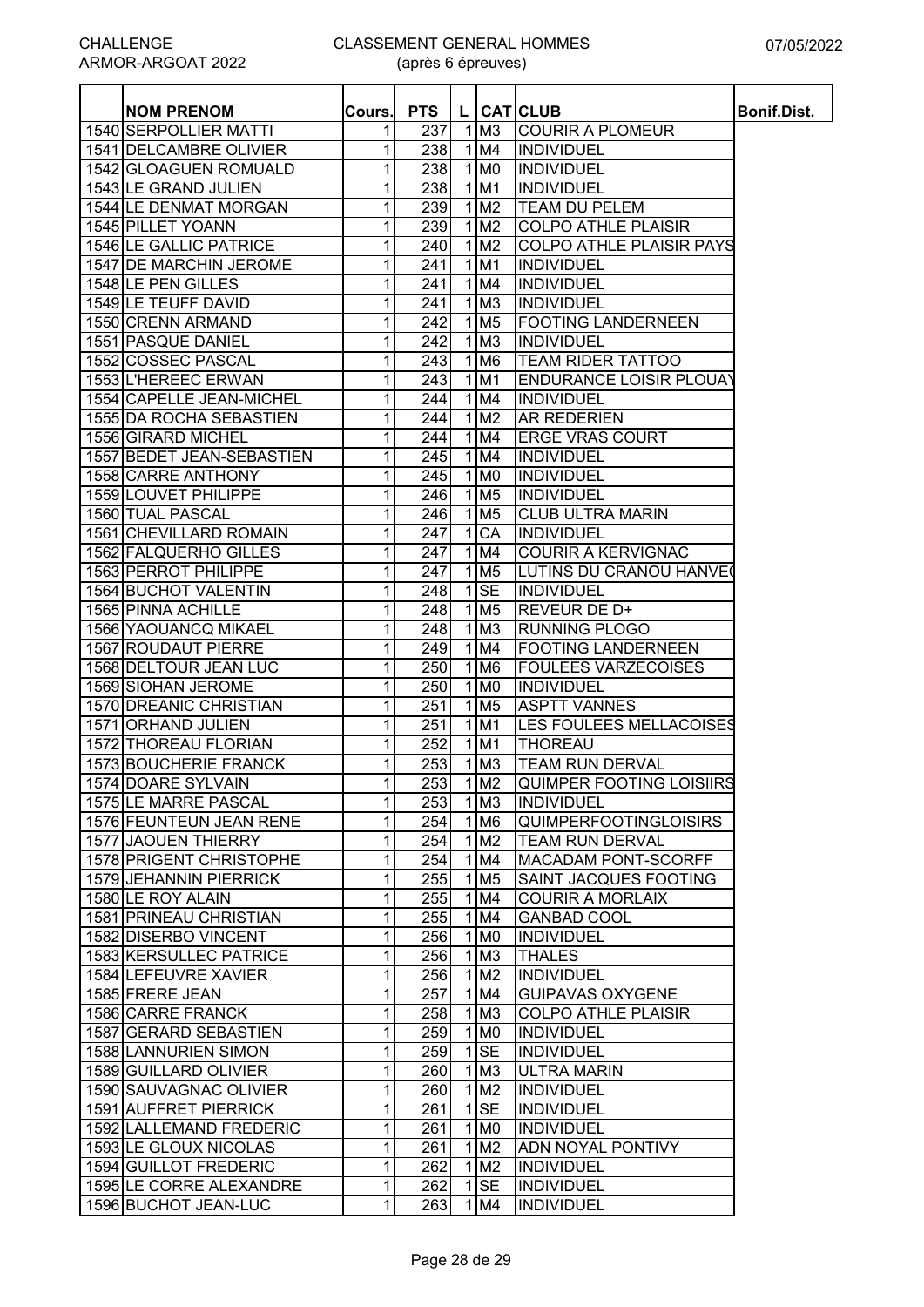#### CLASSEMENT GENERAL HOMMES (après 6 épreuves)

| <b>NOM PRENOM</b>         | Cours. | <b>PTS</b>       |              |                               | L CATCLUB                       | <b>Bonif.Dist.</b> |
|---------------------------|--------|------------------|--------------|-------------------------------|---------------------------------|--------------------|
| 1540 SERPOLLIER MATTI     | 1      | 237              | 1            | M <sub>3</sub>                | <b>COURIR A PLOMEUR</b>         |                    |
| 1541 DELCAMBRE OLIVIER    | 1      | 238              |              | 1 M4                          | <b>INDIVIDUEL</b>               |                    |
| 1542 GLOAGUEN ROMUALD     | 1      | 238              |              | $1$ MO                        | <b>INDIVIDUEL</b>               |                    |
| 1543 LE GRAND JULIEN      | 1      | 238              |              | $\overline{1}$ M1             | <b>INDIVIDUEL</b>               |                    |
| 1544 LE DENMAT MORGAN     | 1      | 239              |              | $1$ M <sub>2</sub>            | <b>TEAM DU PELEM</b>            |                    |
| 1545 PILLET YOANN         | 1      | 239              |              | $1$ M <sub>2</sub>            | <b>COLPO ATHLE PLAISIR</b>      |                    |
| 1546 LE GALLIC PATRICE    | 1      | 240              |              | $1$ M <sub>2</sub>            | <b>COLPO ATHLE PLAISIR PAYS</b> |                    |
| 1547 DE MARCHIN JEROME    | 1      | 241              |              | 1 M1                          | <b>INDIVIDUEL</b>               |                    |
| 1548 LE PEN GILLES        | 1      | 241              |              | 1 M4                          | <b>INDIVIDUEL</b>               |                    |
| 1549 LE TEUFF DAVID       | 1      | 241              |              | $1$ M <sub>3</sub>            | <b>INDIVIDUEL</b>               |                    |
| 1550 CRENN ARMAND         | 1      | 242              | $\mathbf{1}$ | M <sub>5</sub>                | <b>FOOTING LANDERNEEN</b>       |                    |
| 1551 PASQUE DANIEL        | 1      | 242              | 1            | M <sub>3</sub>                | <b>INDIVIDUEL</b>               |                    |
| 1552 COSSEC PASCAL        | 1      | 243              | 1            | M <sub>6</sub>                | <b>TEAM RIDER TATTOO</b>        |                    |
| 1553 L'HEREEC ERWAN       | 1      | 243              |              | $1$ M1                        | <b>ENDURANCE LOISIR PLOUAY</b>  |                    |
| 1554 CAPELLE JEAN-MICHEL  | 1      | 244              |              | 1 M4                          | <b>INDIVIDUEL</b>               |                    |
| 1555 IDA ROCHA SEBASTIEN  | 1      | 244              |              | 1 M2                          | <b>AR REDERIEN</b>              |                    |
| 1556 GIRARD MICHEL        | 1      | 244              |              | $1$ M4                        | <b>ERGE VRAS COURT</b>          |                    |
| 1557 BEDET JEAN-SEBASTIEN | 1      | 245              |              | $1$ M4                        | <b>INDIVIDUEL</b>               |                    |
| 1558 CARRE ANTHONY        | 1      | 245              |              | $1$ MO                        | <b>INDIVIDUEL</b>               |                    |
| 1559 LOUVET PHILIPPE      | 1      | 246              |              | $1$ M <sub>5</sub>            | <b>INDIVIDUEL</b>               |                    |
| 1560 TUAL PASCAL          | 1      | 246              |              | $1$ M <sub>5</sub>            | <b>CLUB ULTRA MARIN</b>         |                    |
| 1561 CHEVILLARD ROMAIN    | 1      | 247              |              | 1 CA                          | <b>INDIVIDUEL</b>               |                    |
| 1562 FALQUERHO GILLES     | 1      | $\overline{247}$ |              | $1$ M4                        | <b>COURIR A KERVIGNAC</b>       |                    |
| 1563 PERROT PHILIPPE      | 1      | $\overline{247}$ |              | 1 M <sub>5</sub>              | <b>LUTINS DU CRANOU HANVE(</b>  |                    |
| 1564 BUCHOT VALENTIN      | 1      | 248              | $\mathbf 1$  | <b>SE</b>                     | <b>INDIVIDUEL</b>               |                    |
| 1565 PINNA ACHILLE        | 1      | 248              |              | $1$ M <sub>5</sub>            | REVEUR DE D+                    |                    |
| 1566 YAOUANCQ MIKAEL      | 1      | 248              | $\mathbf 1$  | M <sub>3</sub>                | <b>RUNNING PLOGO</b>            |                    |
| 1567 ROUDAUT PIERRE       | 1      | 249              | 1            | M4                            | <b>FOOTING LANDERNEEN</b>       |                    |
| 1568 DELTOUR JEAN LUC     | 1      | 250              | 1            | M <sub>6</sub>                | <b>FOULEES VARZECOISES</b>      |                    |
| 1569 SIOHAN JEROME        | 1      | 250              | 1            | M <sub>0</sub>                | <b>INDIVIDUEL</b>               |                    |
| 1570 DREANIC CHRISTIAN    | 1      | 251              | 1            | M <sub>5</sub>                | <b>ASPTT VANNES</b>             |                    |
| 1571 ORHAND JULIEN        | 1      | 251              | 1            | M <sub>1</sub>                | LES FOULEES MELLACOISES         |                    |
| 1572 THOREAU FLORIAN      | 1      | 252              | 1            | M <sub>1</sub>                | <b>THOREAU</b>                  |                    |
| 1573 BOUCHERIE FRANCK     | 1      | 253              | $\mathbf{1}$ | M <sub>3</sub>                | <b>TEAM RUN DERVAL</b>          |                    |
| 1574 DOARE SYLVAIN        | 11     | 253              |              | $1\,$ M2                      | QUIMPER FOOTING LOISIIRS        |                    |
| 1575 LE MARRE PASCAL      | 1      | 253              |              | $\overline{1}$ M3             | <b>INDIVIDUEL</b>               |                    |
| 1576 FEUNTEUN JEAN RENE   | 1      | 254              |              | $1$ M <sub>6</sub>            | <b>QUIMPERFOOTINGLOISIRS</b>    |                    |
| 1577 JAOUEN THIERRY       | 1      | 254              |              | $\overline{1}$ M <sub>2</sub> | <b>TEAM RUN DERVAL</b>          |                    |
| 1578 PRIGENT CHRISTOPHE   | 1      | 254              |              | $1$ M4                        | <b>MACADAM PONT-SCORFF</b>      |                    |
| 1579 JEHANNIN PIERRICK    | 1      | 255              |              | $1$ M <sub>5</sub>            | SAINT JACQUES FOOTING           |                    |
| 1580 LE ROY ALAIN         | 1      | 255              |              | 1 M4                          | <b>COURIR A MORLAIX</b>         |                    |
| 1581 PRINEAU CHRISTIAN    | 1      | 255              |              | 1 M4                          | <b>GANBAD COOL</b>              |                    |
| 1582 DISERBO VINCENT      | 1      | 256              |              | $1$ MO                        | <b>INDIVIDUEL</b>               |                    |
| 1583 KERSULLEC PATRICE    | 1      | 256              |              | $1$ M <sub>3</sub>            | <b>THALES</b>                   |                    |
| 1584 LEFEUVRE XAVIER      | 1      | 256              | $\mathbf{1}$ | M <sub>2</sub>                | <b>INDIVIDUEL</b>               |                    |
| 1585 FRERE JEAN           | 1      | 257              | 1            | M4                            | <b>GUIPAVAS OXYGENE</b>         |                    |
| 1586 CARRE FRANCK         | 1      | 258              |              | $1$ M <sub>3</sub>            | <b>COLPO ATHLE PLAISIR</b>      |                    |
| 1587 GERARD SEBASTIEN     | 1      | 259              |              | 1 M <sub>0</sub>              | <b>INDIVIDUEL</b>               |                    |
| 1588 LANNURIEN SIMON      | 1      | 259              | $\mathbf{1}$ | <b>SE</b>                     | <b>INDIVIDUEL</b>               |                    |
| 1589 GUILLARD OLIVIER     | 1      | 260              |              | $1$ M <sub>3</sub>            | <b>ULTRA MARIN</b>              |                    |
| 1590 SAUVAGNAC OLIVIER    | 1      | 260              | $\mathbf{1}$ | M <sub>2</sub>                | <b>INDIVIDUEL</b>               |                    |
| 1591 AUFFRET PIERRICK     | 1      | 261              | $\mathbf{1}$ | <b>SE</b>                     | <b>INDIVIDUEL</b>               |                    |
| 1592 LALLEMAND FREDERIC   | 1      | 261              |              | $1$ MO                        | <b>INDIVIDUEL</b>               |                    |
| 1593 LE GLOUX NICOLAS     | 1      | 261              |              | $1$ M <sub>2</sub>            | <b>ADN NOYAL PONTIVY</b>        |                    |
| 1594 GUILLOT FREDERIC     | 1      | 262              |              | 1 M2                          | <b>INDIVIDUEL</b>               |                    |
| 1595 LE CORRE ALEXANDRE   | 1      | 262              |              | $1$ SE                        | <b>INDIVIDUEL</b>               |                    |
| 1596 BUCHOT JEAN-LUC      | 1      | 263              |              | 1 M4                          | <b>INDIVIDUEL</b>               |                    |
|                           |        |                  |              |                               |                                 |                    |